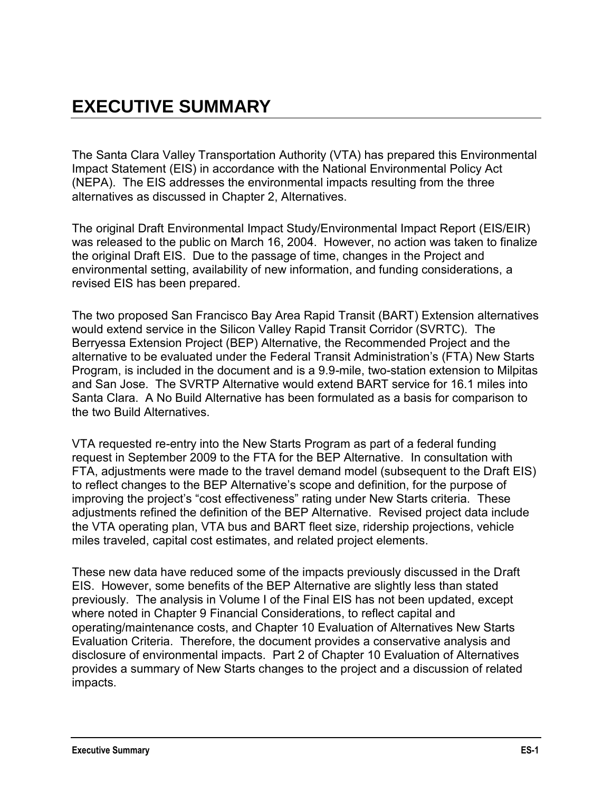The Santa Clara Valley Transportation Authority (VTA) has prepared this Environmental Impact Statement (EIS) in accordance with the National Environmental Policy Act (NEPA). The EIS addresses the environmental impacts resulting from the three alternatives as discussed in Chapter 2, Alternatives.

The original Draft Environmental Impact Study/Environmental Impact Report (EIS/EIR) was released to the public on March 16, 2004. However, no action was taken to finalize the original Draft EIS. Due to the passage of time, changes in the Project and environmental setting, availability of new information, and funding considerations, a revised EIS has been prepared.

The two proposed San Francisco Bay Area Rapid Transit (BART) Extension alternatives would extend service in the Silicon Valley Rapid Transit Corridor (SVRTC). The Berryessa Extension Project (BEP) Alternative, the Recommended Project and the alternative to be evaluated under the Federal Transit Administration"s (FTA) New Starts Program, is included in the document and is a 9.9-mile, two-station extension to Milpitas and San Jose. The SVRTP Alternative would extend BART service for 16.1 miles into Santa Clara. A No Build Alternative has been formulated as a basis for comparison to the two Build Alternatives.

VTA requested re-entry into the New Starts Program as part of a federal funding request in September 2009 to the FTA for the BEP Alternative. In consultation with FTA, adjustments were made to the travel demand model (subsequent to the Draft EIS) to reflect changes to the BEP Alternative"s scope and definition, for the purpose of improving the project"s "cost effectiveness" rating under New Starts criteria. These adjustments refined the definition of the BEP Alternative. Revised project data include the VTA operating plan, VTA bus and BART fleet size, ridership projections, vehicle miles traveled, capital cost estimates, and related project elements.

These new data have reduced some of the impacts previously discussed in the Draft EIS. However, some benefits of the BEP Alternative are slightly less than stated previously. The analysis in Volume I of the Final EIS has not been updated, except where noted in Chapter 9 Financial Considerations, to reflect capital and operating/maintenance costs, and Chapter 10 Evaluation of Alternatives New Starts Evaluation Criteria. Therefore, the document provides a conservative analysis and disclosure of environmental impacts. Part 2 of Chapter 10 Evaluation of Alternatives provides a summary of New Starts changes to the project and a discussion of related impacts.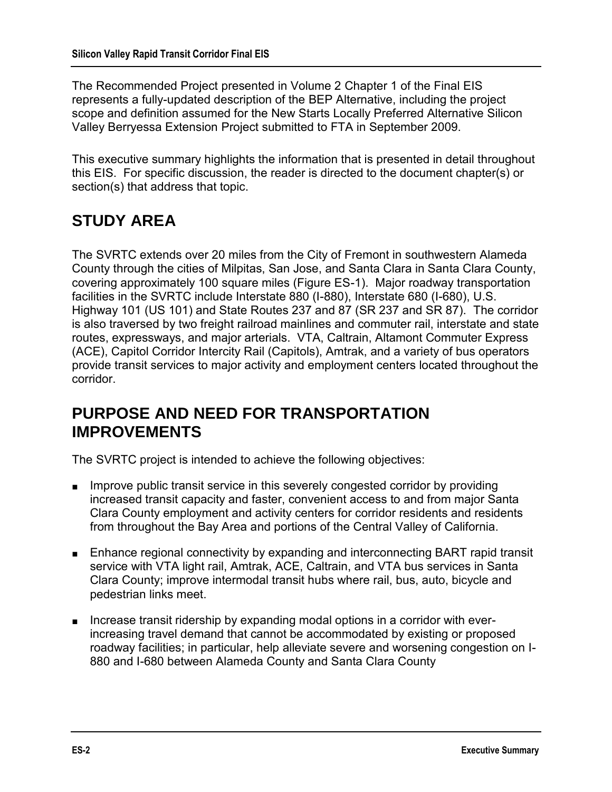The Recommended Project presented in Volume 2 Chapter 1 of the Final EIS represents a fully-updated description of the BEP Alternative, including the project scope and definition assumed for the New Starts Locally Preferred Alternative Silicon Valley Berryessa Extension Project submitted to FTA in September 2009.

This executive summary highlights the information that is presented in detail throughout this EIS. For specific discussion, the reader is directed to the document chapter(s) or section(s) that address that topic.

# **STUDY AREA**

The SVRTC extends over 20 miles from the City of Fremont in southwestern Alameda County through the cities of Milpitas, San Jose, and Santa Clara in Santa Clara County, covering approximately 100 square miles (Figure ES-1). Major roadway transportation facilities in the SVRTC include Interstate 880 (I-880), Interstate 680 (I-680), U.S. Highway 101 (US 101) and State Routes 237 and 87 (SR 237 and SR 87). The corridor is also traversed by two freight railroad mainlines and commuter rail, interstate and state routes, expressways, and major arterials. VTA, Caltrain, Altamont Commuter Express (ACE), Capitol Corridor Intercity Rail (Capitols), Amtrak, and a variety of bus operators provide transit services to major activity and employment centers located throughout the corridor.

# **PURPOSE AND NEED FOR TRANSPORTATION IMPROVEMENTS**

The SVRTC project is intended to achieve the following objectives:

- Improve public transit service in this severely congested corridor by providing increased transit capacity and faster, convenient access to and from major Santa Clara County employment and activity centers for corridor residents and residents from throughout the Bay Area and portions of the Central Valley of California.
- Enhance regional connectivity by expanding and interconnecting BART rapid transit service with VTA light rail, Amtrak, ACE, Caltrain, and VTA bus services in Santa Clara County; improve intermodal transit hubs where rail, bus, auto, bicycle and pedestrian links meet.
- Increase transit ridership by expanding modal options in a corridor with everincreasing travel demand that cannot be accommodated by existing or proposed roadway facilities; in particular, help alleviate severe and worsening congestion on I-880 and I-680 between Alameda County and Santa Clara County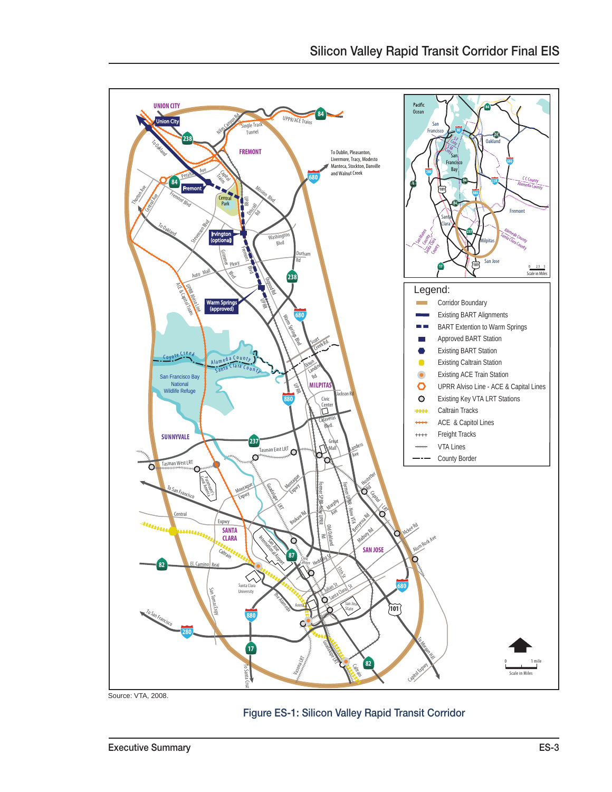

Source: VTA, 2008.

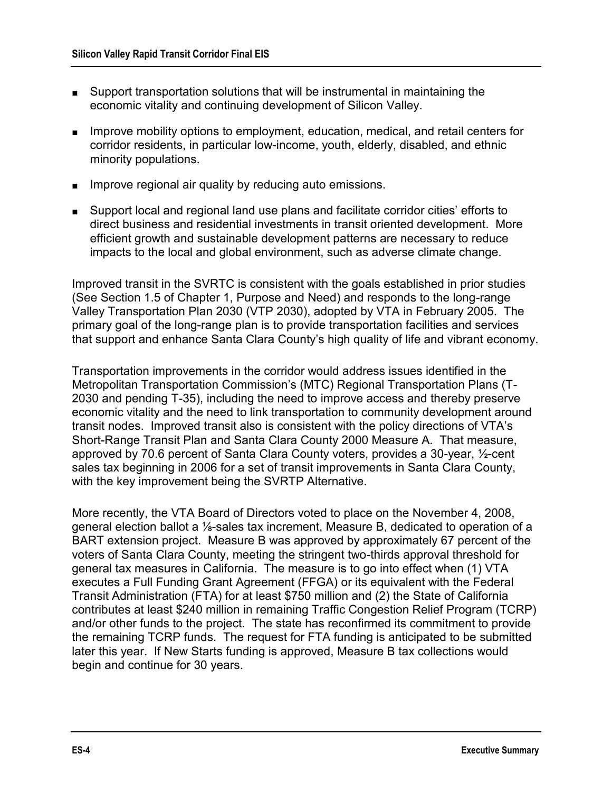- Support transportation solutions that will be instrumental in maintaining the economic vitality and continuing development of Silicon Valley.
- Improve mobility options to employment, education, medical, and retail centers for corridor residents, in particular low-income, youth, elderly, disabled, and ethnic minority populations.
- Improve regional air quality by reducing auto emissions.
- Support local and regional land use plans and facilitate corridor cities' efforts to direct business and residential investments in transit oriented development. More efficient growth and sustainable development patterns are necessary to reduce impacts to the local and global environment, such as adverse climate change.

Improved transit in the SVRTC is consistent with the goals established in prior studies (See Section 1.5 of Chapter 1, Purpose and Need) and responds to the long-range Valley Transportation Plan 2030 (VTP 2030), adopted by VTA in February 2005. The primary goal of the long-range plan is to provide transportation facilities and services that support and enhance Santa Clara County"s high quality of life and vibrant economy.

Transportation improvements in the corridor would address issues identified in the Metropolitan Transportation Commission"s (MTC) Regional Transportation Plans (T-2030 and pending T-35), including the need to improve access and thereby preserve economic vitality and the need to link transportation to community development around transit nodes. Improved transit also is consistent with the policy directions of VTA"s Short-Range Transit Plan and Santa Clara County 2000 Measure A. That measure, approved by 70.6 percent of Santa Clara County voters, provides a 30-year, ½-cent sales tax beginning in 2006 for a set of transit improvements in Santa Clara County, with the key improvement being the SVRTP Alternative.

More recently, the VTA Board of Directors voted to place on the November 4, 2008, general election ballot a ⅛-sales tax increment, Measure B, dedicated to operation of a BART extension project. Measure B was approved by approximately 67 percent of the voters of Santa Clara County, meeting the stringent two-thirds approval threshold for general tax measures in California. The measure is to go into effect when (1) VTA executes a Full Funding Grant Agreement (FFGA) or its equivalent with the Federal Transit Administration (FTA) for at least \$750 million and (2) the State of California contributes at least \$240 million in remaining Traffic Congestion Relief Program (TCRP) and/or other funds to the project. The state has reconfirmed its commitment to provide the remaining TCRP funds. The request for FTA funding is anticipated to be submitted later this year. If New Starts funding is approved, Measure B tax collections would begin and continue for 30 years.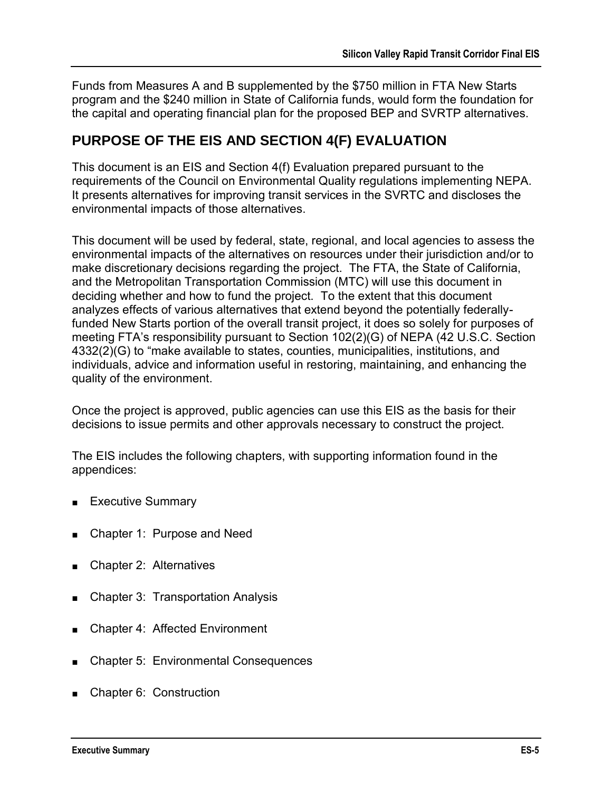Funds from Measures A and B supplemented by the \$750 million in FTA New Starts program and the \$240 million in State of California funds, would form the foundation for the capital and operating financial plan for the proposed BEP and SVRTP alternatives.

### **PURPOSE OF THE EIS AND SECTION 4(F) EVALUATION**

This document is an EIS and Section 4(f) Evaluation prepared pursuant to the requirements of the Council on Environmental Quality regulations implementing NEPA. It presents alternatives for improving transit services in the SVRTC and discloses the environmental impacts of those alternatives.

This document will be used by federal, state, regional, and local agencies to assess the environmental impacts of the alternatives on resources under their jurisdiction and/or to make discretionary decisions regarding the project. The FTA, the State of California, and the Metropolitan Transportation Commission (MTC) will use this document in deciding whether and how to fund the project. To the extent that this document analyzes effects of various alternatives that extend beyond the potentially federallyfunded New Starts portion of the overall transit project, it does so solely for purposes of meeting FTA"s responsibility pursuant to Section 102(2)(G) of NEPA (42 U.S.C. Section 4332(2)(G) to "make available to states, counties, municipalities, institutions, and individuals, advice and information useful in restoring, maintaining, and enhancing the quality of the environment.

Once the project is approved, public agencies can use this EIS as the basis for their decisions to issue permits and other approvals necessary to construct the project.

The EIS includes the following chapters, with supporting information found in the appendices:

- Executive Summary
- Chapter 1: Purpose and Need
- Chapter 2: Alternatives
- Chapter 3: Transportation Analysis
- Chapter 4: Affected Environment
- Chapter 5: Environmental Consequences
- Chapter 6: Construction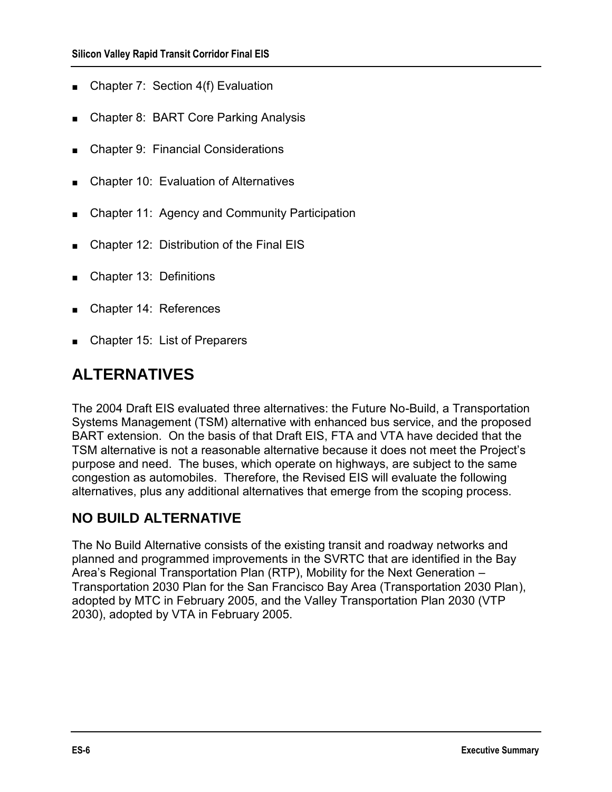- Chapter 7: Section 4(f) Evaluation
- Chapter 8: BART Core Parking Analysis
- Chapter 9: Financial Considerations
- Chapter 10: Evaluation of Alternatives
- Chapter 11: Agency and Community Participation
- Chapter 12: Distribution of the Final EIS
- Chapter 13: Definitions
- Chapter 14: References
- Chapter 15: List of Preparers

# **ALTERNATIVES**

The 2004 Draft EIS evaluated three alternatives: the Future No-Build, a Transportation Systems Management (TSM) alternative with enhanced bus service, and the proposed BART extension. On the basis of that Draft EIS, FTA and VTA have decided that the TSM alternative is not a reasonable alternative because it does not meet the Project"s purpose and need. The buses, which operate on highways, are subject to the same congestion as automobiles. Therefore, the Revised EIS will evaluate the following alternatives, plus any additional alternatives that emerge from the scoping process.

### **NO BUILD ALTERNATIVE**

The No Build Alternative consists of the existing transit and roadway networks and planned and programmed improvements in the SVRTC that are identified in the Bay Area"s Regional Transportation Plan (RTP), Mobility for the Next Generation – Transportation 2030 Plan for the San Francisco Bay Area (Transportation 2030 Plan), adopted by MTC in February 2005, and the Valley Transportation Plan 2030 (VTP 2030), adopted by VTA in February 2005.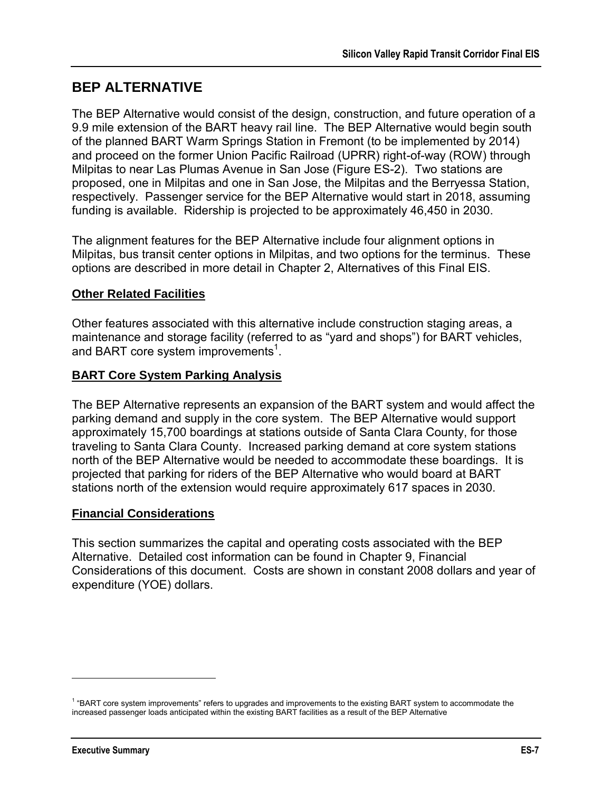### **BEP ALTERNATIVE**

The BEP Alternative would consist of the design, construction, and future operation of a 9.9 mile extension of the BART heavy rail line. The BEP Alternative would begin south of the planned BART Warm Springs Station in Fremont (to be implemented by 2014) and proceed on the former Union Pacific Railroad (UPRR) right-of-way (ROW) through Milpitas to near Las Plumas Avenue in San Jose (Figure ES-2). Two stations are proposed, one in Milpitas and one in San Jose, the Milpitas and the Berryessa Station, respectively. Passenger service for the BEP Alternative would start in 2018, assuming funding is available. Ridership is projected to be approximately 46,450 in 2030.

The alignment features for the BEP Alternative include four alignment options in Milpitas, bus transit center options in Milpitas, and two options for the terminus. These options are described in more detail in Chapter 2, Alternatives of this Final EIS.

#### **Other Related Facilities**

Other features associated with this alternative include construction staging areas, a maintenance and storage facility (referred to as "yard and shops") for BART vehicles, and BART core system improvements<sup>1</sup>.

#### **BART Core System Parking Analysis**

The BEP Alternative represents an expansion of the BART system and would affect the parking demand and supply in the core system. The BEP Alternative would support approximately 15,700 boardings at stations outside of Santa Clara County, for those traveling to Santa Clara County. Increased parking demand at core system stations north of the BEP Alternative would be needed to accommodate these boardings. It is projected that parking for riders of the BEP Alternative who would board at BART stations north of the extension would require approximately 617 spaces in 2030.

#### **Financial Considerations**

This section summarizes the capital and operating costs associated with the BEP Alternative. Detailed cost information can be found in Chapter 9, Financial Considerations of this document. Costs are shown in constant 2008 dollars and year of expenditure (YOE) dollars.

 $\overline{a}$ 

<sup>1</sup> "BART core system improvements" refers to upgrades and improvements to the existing BART system to accommodate the increased passenger loads anticipated within the existing BART facilities as a result of the BEP Alternative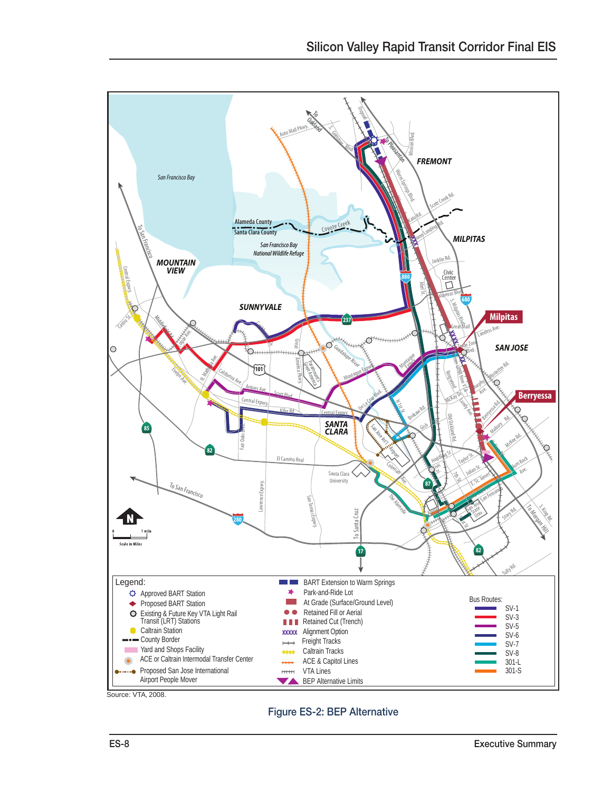

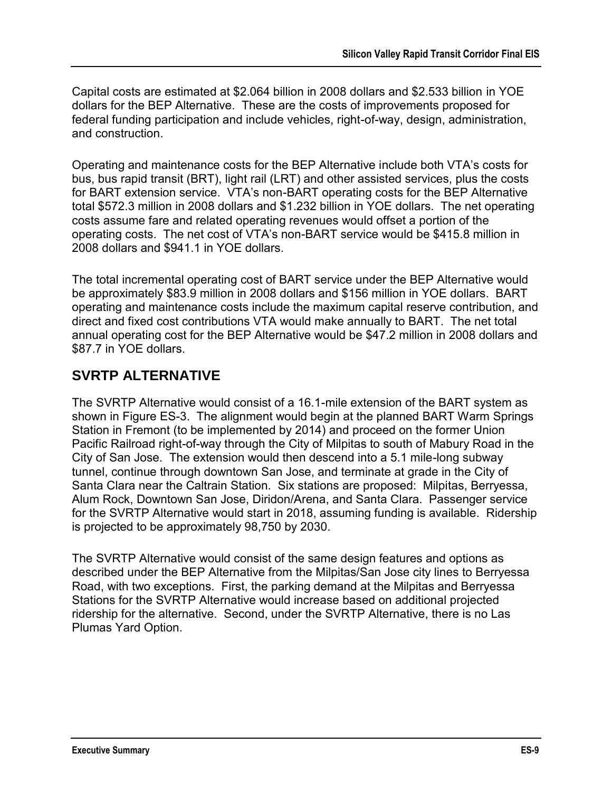Capital costs are estimated at \$2.064 billion in 2008 dollars and \$2.533 billion in YOE dollars for the BEP Alternative. These are the costs of improvements proposed for federal funding participation and include vehicles, right-of-way, design, administration, and construction.

Operating and maintenance costs for the BEP Alternative include both VTA"s costs for bus, bus rapid transit (BRT), light rail (LRT) and other assisted services, plus the costs for BART extension service. VTA's non-BART operating costs for the BEP Alternative total \$572.3 million in 2008 dollars and \$1.232 billion in YOE dollars. The net operating costs assume fare and related operating revenues would offset a portion of the operating costs. The net cost of VTA"s non-BART service would be \$415.8 million in 2008 dollars and \$941.1 in YOE dollars.

The total incremental operating cost of BART service under the BEP Alternative would be approximately \$83.9 million in 2008 dollars and \$156 million in YOE dollars. BART operating and maintenance costs include the maximum capital reserve contribution, and direct and fixed cost contributions VTA would make annually to BART. The net total annual operating cost for the BEP Alternative would be \$47.2 million in 2008 dollars and \$87.7 in YOE dollars.

## **SVRTP ALTERNATIVE**

The SVRTP Alternative would consist of a 16.1-mile extension of the BART system as shown in Figure ES-3. The alignment would begin at the planned BART Warm Springs Station in Fremont (to be implemented by 2014) and proceed on the former Union Pacific Railroad right-of-way through the City of Milpitas to south of Mabury Road in the City of San Jose. The extension would then descend into a 5.1 mile-long subway tunnel, continue through downtown San Jose, and terminate at grade in the City of Santa Clara near the Caltrain Station. Six stations are proposed: Milpitas, Berryessa, Alum Rock, Downtown San Jose, Diridon/Arena, and Santa Clara. Passenger service for the SVRTP Alternative would start in 2018, assuming funding is available. Ridership is projected to be approximately 98,750 by 2030.

The SVRTP Alternative would consist of the same design features and options as described under the BEP Alternative from the Milpitas/San Jose city lines to Berryessa Road, with two exceptions. First, the parking demand at the Milpitas and Berryessa Stations for the SVRTP Alternative would increase based on additional projected ridership for the alternative. Second, under the SVRTP Alternative, there is no Las Plumas Yard Option.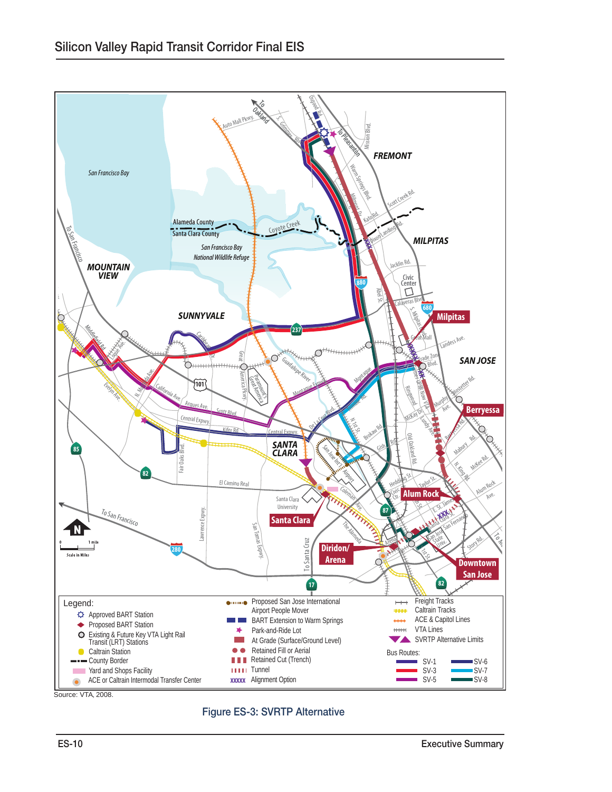

Source: VTA, 2008.

Figure ES-3: SVRTP Alternative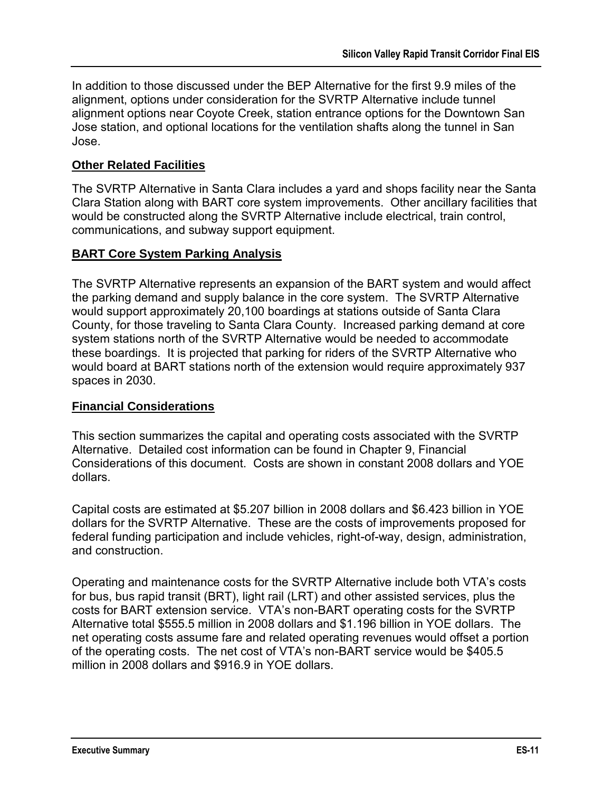In addition to those discussed under the BEP Alternative for the first 9.9 miles of the alignment, options under consideration for the SVRTP Alternative include tunnel alignment options near Coyote Creek, station entrance options for the Downtown San Jose station, and optional locations for the ventilation shafts along the tunnel in San Jose.

#### **Other Related Facilities**

The SVRTP Alternative in Santa Clara includes a yard and shops facility near the Santa Clara Station along with BART core system improvements. Other ancillary facilities that would be constructed along the SVRTP Alternative include electrical, train control, communications, and subway support equipment.

#### **BART Core System Parking Analysis**

The SVRTP Alternative represents an expansion of the BART system and would affect the parking demand and supply balance in the core system. The SVRTP Alternative would support approximately 20,100 boardings at stations outside of Santa Clara County, for those traveling to Santa Clara County. Increased parking demand at core system stations north of the SVRTP Alternative would be needed to accommodate these boardings. It is projected that parking for riders of the SVRTP Alternative who would board at BART stations north of the extension would require approximately 937 spaces in 2030.

#### **Financial Considerations**

This section summarizes the capital and operating costs associated with the SVRTP Alternative. Detailed cost information can be found in Chapter 9, Financial Considerations of this document. Costs are shown in constant 2008 dollars and YOE dollars.

Capital costs are estimated at \$5.207 billion in 2008 dollars and \$6.423 billion in YOE dollars for the SVRTP Alternative. These are the costs of improvements proposed for federal funding participation and include vehicles, right-of-way, design, administration, and construction.

Operating and maintenance costs for the SVRTP Alternative include both VTA"s costs for bus, bus rapid transit (BRT), light rail (LRT) and other assisted services, plus the costs for BART extension service. VTA"s non-BART operating costs for the SVRTP Alternative total \$555.5 million in 2008 dollars and \$1.196 billion in YOE dollars. The net operating costs assume fare and related operating revenues would offset a portion of the operating costs. The net cost of VTA"s non-BART service would be \$405.5 million in 2008 dollars and \$916.9 in YOE dollars.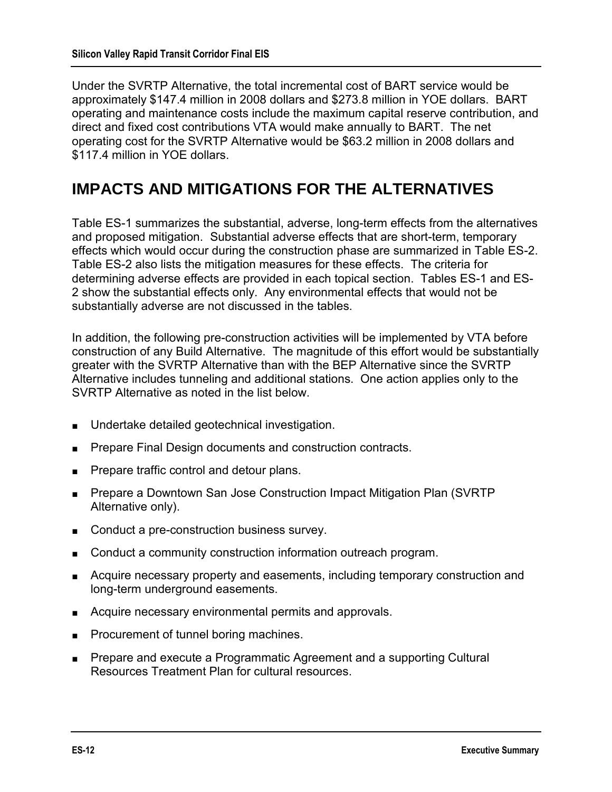Under the SVRTP Alternative, the total incremental cost of BART service would be approximately \$147.4 million in 2008 dollars and \$273.8 million in YOE dollars. BART operating and maintenance costs include the maximum capital reserve contribution, and direct and fixed cost contributions VTA would make annually to BART. The net operating cost for the SVRTP Alternative would be \$63.2 million in 2008 dollars and \$117.4 million in YOE dollars.

## **IMPACTS AND MITIGATIONS FOR THE ALTERNATIVES**

Table ES-1 summarizes the substantial, adverse, long-term effects from the alternatives and proposed mitigation. Substantial adverse effects that are short-term, temporary effects which would occur during the construction phase are summarized in Table ES-2. Table ES-2 also lists the mitigation measures for these effects. The criteria for determining adverse effects are provided in each topical section. Tables ES-1 and ES-2 show the substantial effects only. Any environmental effects that would not be substantially adverse are not discussed in the tables.

In addition, the following pre-construction activities will be implemented by VTA before construction of any Build Alternative. The magnitude of this effort would be substantially greater with the SVRTP Alternative than with the BEP Alternative since the SVRTP Alternative includes tunneling and additional stations. One action applies only to the SVRTP Alternative as noted in the list below.

- Undertake detailed geotechnical investigation.
- Prepare Final Design documents and construction contracts.
- Prepare traffic control and detour plans.
- Prepare a Downtown San Jose Construction Impact Mitigation Plan (SVRTP) Alternative only).
- Conduct a pre-construction business survey.
- Conduct a community construction information outreach program.
- Acquire necessary property and easements, including temporary construction and long-term underground easements.
- Acquire necessary environmental permits and approvals.
- Procurement of tunnel boring machines.
- Prepare and execute a Programmatic Agreement and a supporting Cultural Resources Treatment Plan for cultural resources.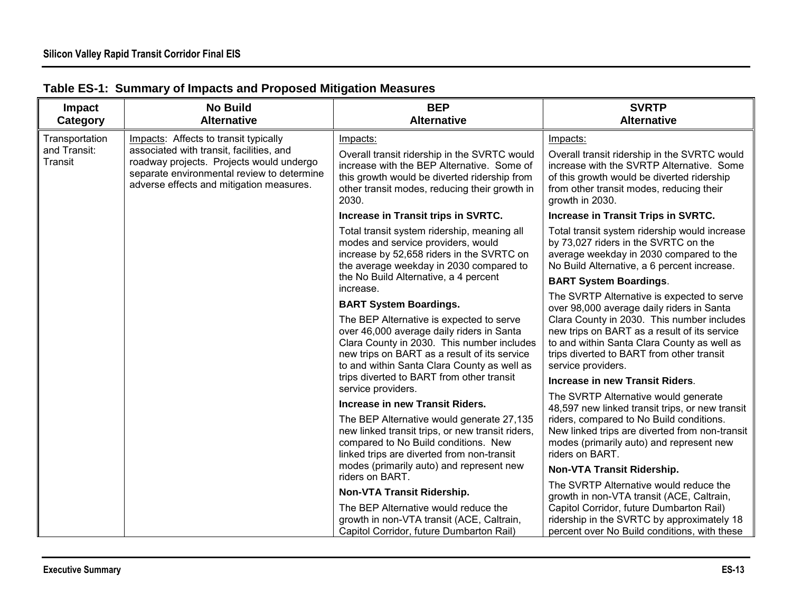| <b>Impact</b><br>Category                                                                                                                                   | <b>No Build</b><br><b>Alternative</b>                                                                                                                                                                                              | <b>BEP</b><br><b>Alternative</b>                                                                                                                                                                                                                          | <b>SVRTP</b><br><b>Alternative</b>                                                                                                                                                                     |
|-------------------------------------------------------------------------------------------------------------------------------------------------------------|------------------------------------------------------------------------------------------------------------------------------------------------------------------------------------------------------------------------------------|-----------------------------------------------------------------------------------------------------------------------------------------------------------------------------------------------------------------------------------------------------------|--------------------------------------------------------------------------------------------------------------------------------------------------------------------------------------------------------|
| Transportation                                                                                                                                              | Impacts: Affects to transit typically                                                                                                                                                                                              | Impacts:                                                                                                                                                                                                                                                  | Impacts:                                                                                                                                                                                               |
| and Transit:<br>associated with transit, facilities, and<br>Transit<br>roadway projects. Projects would undergo<br>adverse effects and mitigation measures. | separate environmental review to determine                                                                                                                                                                                         | Overall transit ridership in the SVRTC would<br>increase with the BEP Alternative. Some of<br>this growth would be diverted ridership from<br>other transit modes, reducing their growth in<br>2030.                                                      | Overall transit ridership in the SVRTC would<br>increase with the SVRTP Alternative. Some<br>of this growth would be diverted ridership<br>from other transit modes, reducing their<br>growth in 2030. |
|                                                                                                                                                             |                                                                                                                                                                                                                                    | Increase in Transit trips in SVRTC.                                                                                                                                                                                                                       | Increase in Transit Trips in SVRTC.                                                                                                                                                                    |
|                                                                                                                                                             |                                                                                                                                                                                                                                    | Total transit system ridership, meaning all<br>modes and service providers, would<br>increase by 52,658 riders in the SVRTC on<br>the average weekday in 2030 compared to                                                                                 | Total transit system ridership would increase<br>by 73,027 riders in the SVRTC on the<br>average weekday in 2030 compared to the<br>No Build Alternative, a 6 percent increase.                        |
|                                                                                                                                                             |                                                                                                                                                                                                                                    | the No Build Alternative, a 4 percent                                                                                                                                                                                                                     | <b>BART System Boardings.</b>                                                                                                                                                                          |
|                                                                                                                                                             |                                                                                                                                                                                                                                    | increase.<br><b>BART System Boardings.</b>                                                                                                                                                                                                                | The SVRTP Alternative is expected to serve                                                                                                                                                             |
|                                                                                                                                                             | The BEP Alternative is expected to serve<br>over 46,000 average daily riders in Santa<br>Clara County in 2030. This number includes<br>new trips on BART as a result of its service<br>to and within Santa Clara County as well as | over 98,000 average daily riders in Santa<br>Clara County in 2030. This number includes<br>new trips on BART as a result of its service<br>to and within Santa Clara County as well as<br>trips diverted to BART from other transit<br>service providers. |                                                                                                                                                                                                        |
|                                                                                                                                                             |                                                                                                                                                                                                                                    | trips diverted to BART from other transit<br>service providers.                                                                                                                                                                                           | <b>Increase in new Transit Riders.</b>                                                                                                                                                                 |
|                                                                                                                                                             |                                                                                                                                                                                                                                    | Increase in new Transit Riders.                                                                                                                                                                                                                           | The SVRTP Alternative would generate<br>48,597 new linked transit trips, or new transit                                                                                                                |
|                                                                                                                                                             |                                                                                                                                                                                                                                    | The BEP Alternative would generate 27,135<br>new linked transit trips, or new transit riders,<br>compared to No Build conditions. New<br>linked trips are diverted from non-transit                                                                       | riders, compared to No Build conditions.<br>New linked trips are diverted from non-transit<br>modes (primarily auto) and represent new<br>riders on BART.                                              |
|                                                                                                                                                             |                                                                                                                                                                                                                                    | modes (primarily auto) and represent new<br>riders on BART.                                                                                                                                                                                               | Non-VTA Transit Ridership.                                                                                                                                                                             |
|                                                                                                                                                             |                                                                                                                                                                                                                                    | Non-VTA Transit Ridership.                                                                                                                                                                                                                                | The SVRTP Alternative would reduce the<br>growth in non-VTA transit (ACE, Caltrain,                                                                                                                    |
|                                                                                                                                                             |                                                                                                                                                                                                                                    | The BEP Alternative would reduce the<br>growth in non-VTA transit (ACE, Caltrain,<br>Capitol Corridor, future Dumbarton Rail)                                                                                                                             | Capitol Corridor, future Dumbarton Rail)<br>ridership in the SVRTC by approximately 18<br>percent over No Build conditions, with these                                                                 |

### **Table ES-1: Summary of Impacts and Proposed Mitigation Measures**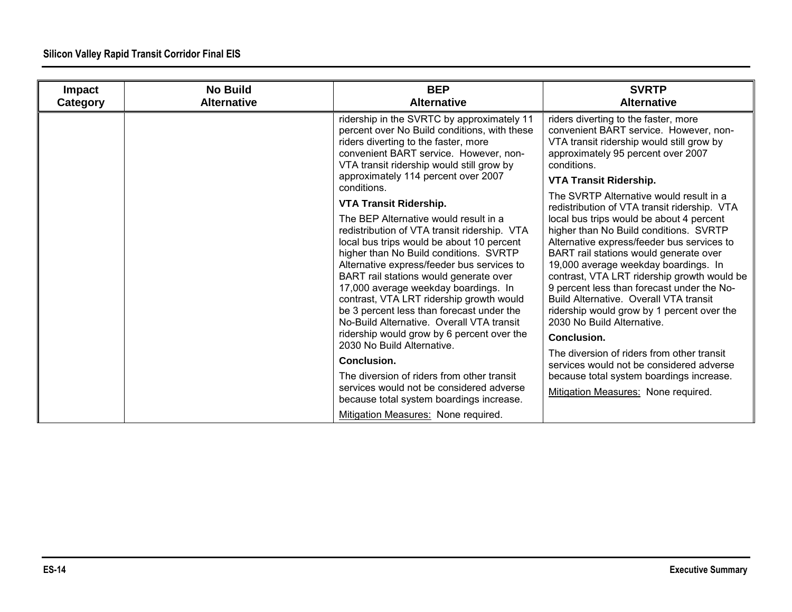| <b>Impact</b><br>Category | <b>No Build</b><br><b>Alternative</b> | <b>BEP</b><br><b>Alternative</b>                                                                                                                                                                                                                                                                                                                                                                                                                                                                                               | <b>SVRTP</b><br><b>Alternative</b>                                                                                                                                                                                                                                                                                                                                                                                                                   |
|---------------------------|---------------------------------------|--------------------------------------------------------------------------------------------------------------------------------------------------------------------------------------------------------------------------------------------------------------------------------------------------------------------------------------------------------------------------------------------------------------------------------------------------------------------------------------------------------------------------------|------------------------------------------------------------------------------------------------------------------------------------------------------------------------------------------------------------------------------------------------------------------------------------------------------------------------------------------------------------------------------------------------------------------------------------------------------|
|                           |                                       | ridership in the SVRTC by approximately 11<br>percent over No Build conditions, with these<br>riders diverting to the faster, more<br>convenient BART service. However, non-<br>VTA transit ridership would still grow by<br>approximately 114 percent over 2007                                                                                                                                                                                                                                                               | riders diverting to the faster, more<br>convenient BART service. However, non-<br>VTA transit ridership would still grow by<br>approximately 95 percent over 2007<br>conditions.                                                                                                                                                                                                                                                                     |
|                           |                                       | conditions.                                                                                                                                                                                                                                                                                                                                                                                                                                                                                                                    | <b>VTA Transit Ridership.</b>                                                                                                                                                                                                                                                                                                                                                                                                                        |
|                           |                                       | VTA Transit Ridership.                                                                                                                                                                                                                                                                                                                                                                                                                                                                                                         | The SVRTP Alternative would result in a<br>redistribution of VTA transit ridership. VTA                                                                                                                                                                                                                                                                                                                                                              |
|                           |                                       | The BEP Alternative would result in a<br>redistribution of VTA transit ridership. VTA<br>local bus trips would be about 10 percent<br>higher than No Build conditions. SVRTP<br>Alternative express/feeder bus services to<br>BART rail stations would generate over<br>17,000 average weekday boardings. In<br>contrast, VTA LRT ridership growth would<br>be 3 percent less than forecast under the<br>No-Build Alternative. Overall VTA transit<br>ridership would grow by 6 percent over the<br>2030 No Build Alternative. | local bus trips would be about 4 percent<br>higher than No Build conditions. SVRTP<br>Alternative express/feeder bus services to<br>BART rail stations would generate over<br>19,000 average weekday boardings. In<br>contrast, VTA LRT ridership growth would be<br>9 percent less than forecast under the No-<br>Build Alternative. Overall VTA transit<br>ridership would grow by 1 percent over the<br>2030 No Build Alternative.<br>Conclusion. |
|                           |                                       | Conclusion.                                                                                                                                                                                                                                                                                                                                                                                                                                                                                                                    | The diversion of riders from other transit<br>services would not be considered adverse                                                                                                                                                                                                                                                                                                                                                               |
|                           |                                       | The diversion of riders from other transit                                                                                                                                                                                                                                                                                                                                                                                                                                                                                     | because total system boardings increase.                                                                                                                                                                                                                                                                                                                                                                                                             |
|                           |                                       | services would not be considered adverse<br>because total system boardings increase.                                                                                                                                                                                                                                                                                                                                                                                                                                           | Mitigation Measures: None required.                                                                                                                                                                                                                                                                                                                                                                                                                  |
|                           |                                       | Mitigation Measures: None required.                                                                                                                                                                                                                                                                                                                                                                                                                                                                                            |                                                                                                                                                                                                                                                                                                                                                                                                                                                      |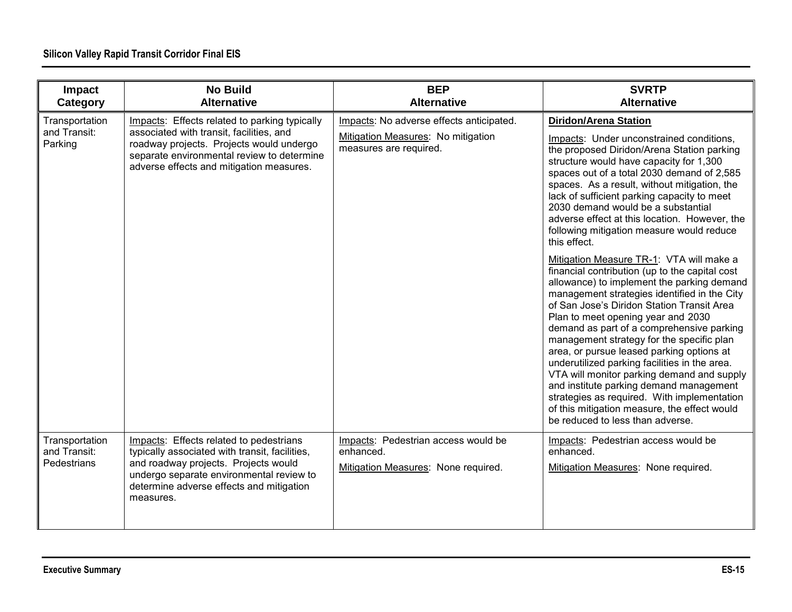| Impact<br>Category                            | <b>No Build</b><br><b>Alternative</b>                                                                                                                                                                                                  | <b>BEP</b><br><b>Alternative</b>                                                                         | <b>SVRTP</b><br><b>Alternative</b>                                                                                                                                                                                                                                                                                                                                                                                                                                                                                                                                                                                                                                                                                                                                                                                                                                                                                                         |
|-----------------------------------------------|----------------------------------------------------------------------------------------------------------------------------------------------------------------------------------------------------------------------------------------|----------------------------------------------------------------------------------------------------------|--------------------------------------------------------------------------------------------------------------------------------------------------------------------------------------------------------------------------------------------------------------------------------------------------------------------------------------------------------------------------------------------------------------------------------------------------------------------------------------------------------------------------------------------------------------------------------------------------------------------------------------------------------------------------------------------------------------------------------------------------------------------------------------------------------------------------------------------------------------------------------------------------------------------------------------------|
| Transportation<br>and Transit:<br>Parking     | Impacts: Effects related to parking typically<br>associated with transit, facilities, and<br>roadway projects. Projects would undergo<br>separate environmental review to determine<br>adverse effects and mitigation measures.        | Impacts: No adverse effects anticipated.<br>Mitigation Measures: No mitigation<br>measures are required. | <b>Diridon/Arena Station</b><br>Impacts: Under unconstrained conditions,<br>the proposed Diridon/Arena Station parking<br>structure would have capacity for 1,300<br>spaces out of a total 2030 demand of 2,585<br>spaces. As a result, without mitigation, the<br>lack of sufficient parking capacity to meet<br>2030 demand would be a substantial<br>adverse effect at this location. However, the<br>following mitigation measure would reduce<br>this effect.<br>Mitigation Measure TR-1: VTA will make a<br>financial contribution (up to the capital cost<br>allowance) to implement the parking demand<br>management strategies identified in the City<br>of San Jose's Diridon Station Transit Area<br>Plan to meet opening year and 2030<br>demand as part of a comprehensive parking<br>management strategy for the specific plan<br>area, or pursue leased parking options at<br>underutilized parking facilities in the area. |
|                                               |                                                                                                                                                                                                                                        |                                                                                                          | VTA will monitor parking demand and supply<br>and institute parking demand management<br>strategies as required. With implementation<br>of this mitigation measure, the effect would<br>be reduced to less than adverse.                                                                                                                                                                                                                                                                                                                                                                                                                                                                                                                                                                                                                                                                                                                   |
| Transportation<br>and Transit:<br>Pedestrians | Impacts: Effects related to pedestrians<br>typically associated with transit, facilities,<br>and roadway projects. Projects would<br>undergo separate environmental review to<br>determine adverse effects and mitigation<br>measures. | Impacts: Pedestrian access would be<br>enhanced.<br>Mitigation Measures: None required.                  | Impacts: Pedestrian access would be<br>enhanced.<br>Mitigation Measures: None required.                                                                                                                                                                                                                                                                                                                                                                                                                                                                                                                                                                                                                                                                                                                                                                                                                                                    |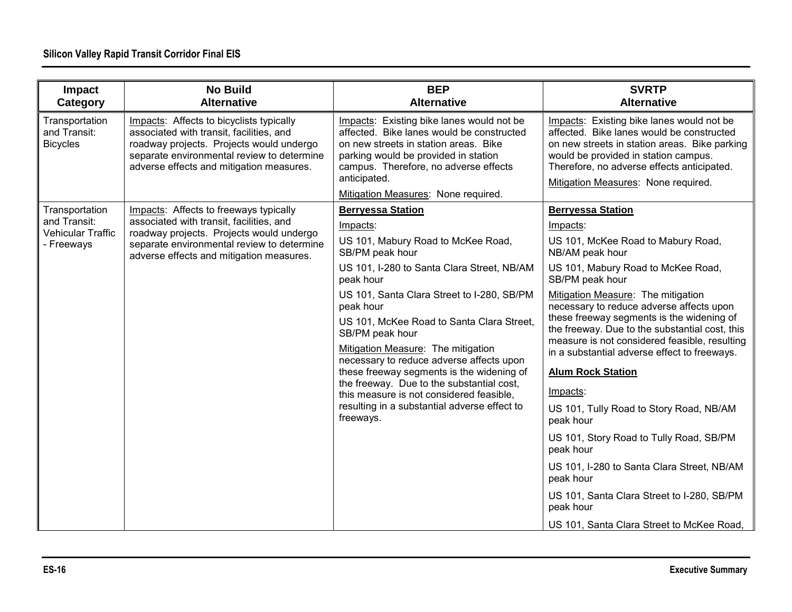| Impact<br>Category                                                | <b>No Build</b><br><b>Alternative</b>                                                                                                                                                                                      | <b>BEP</b><br><b>Alternative</b>                                                                                                                                                                                                                                                                                                                                                                                                                                                                                                                                         | <b>SVRTP</b><br><b>Alternative</b>                                                                                                                                                                                                                                                                                                                                                                                                                                                                                                                                                                                                                                                                                     |
|-------------------------------------------------------------------|----------------------------------------------------------------------------------------------------------------------------------------------------------------------------------------------------------------------------|--------------------------------------------------------------------------------------------------------------------------------------------------------------------------------------------------------------------------------------------------------------------------------------------------------------------------------------------------------------------------------------------------------------------------------------------------------------------------------------------------------------------------------------------------------------------------|------------------------------------------------------------------------------------------------------------------------------------------------------------------------------------------------------------------------------------------------------------------------------------------------------------------------------------------------------------------------------------------------------------------------------------------------------------------------------------------------------------------------------------------------------------------------------------------------------------------------------------------------------------------------------------------------------------------------|
| Transportation<br>and Transit:<br><b>Bicycles</b>                 | Impacts: Affects to bicyclists typically<br>associated with transit, facilities, and<br>roadway projects. Projects would undergo<br>separate environmental review to determine<br>adverse effects and mitigation measures. | Impacts: Existing bike lanes would not be<br>affected. Bike lanes would be constructed<br>on new streets in station areas. Bike<br>parking would be provided in station<br>campus. Therefore, no adverse effects<br>anticipated.<br>Mitigation Measures: None required.                                                                                                                                                                                                                                                                                                  | Impacts: Existing bike lanes would not be<br>affected. Bike lanes would be constructed<br>on new streets in station areas. Bike parking<br>would be provided in station campus.<br>Therefore, no adverse effects anticipated.<br>Mitigation Measures: None required.                                                                                                                                                                                                                                                                                                                                                                                                                                                   |
| Transportation<br>and Transit:<br>Vehicular Traffic<br>- Freeways | Impacts: Affects to freeways typically<br>associated with transit, facilities, and<br>roadway projects. Projects would undergo<br>separate environmental review to determine<br>adverse effects and mitigation measures.   | <b>Berryessa Station</b><br>Impacts:<br>US 101, Mabury Road to McKee Road,<br>SB/PM peak hour<br>US 101, I-280 to Santa Clara Street, NB/AM<br>peak hour<br>US 101, Santa Clara Street to I-280, SB/PM<br>peak hour<br>US 101, McKee Road to Santa Clara Street,<br>SB/PM peak hour<br>Mitigation Measure: The mitigation<br>necessary to reduce adverse affects upon<br>these freeway segments is the widening of<br>the freeway. Due to the substantial cost,<br>this measure is not considered feasible,<br>resulting in a substantial adverse effect to<br>freeways. | <b>Berryessa Station</b><br>Impacts:<br>US 101, McKee Road to Mabury Road,<br>NB/AM peak hour<br>US 101, Mabury Road to McKee Road,<br>SB/PM peak hour<br>Mitigation Measure: The mitigation<br>necessary to reduce adverse affects upon<br>these freeway segments is the widening of<br>the freeway. Due to the substantial cost, this<br>measure is not considered feasible, resulting<br>in a substantial adverse effect to freeways.<br><b>Alum Rock Station</b><br>Impacts:<br>US 101, Tully Road to Story Road, NB/AM<br>peak hour<br>US 101, Story Road to Tully Road, SB/PM<br>peak hour<br>US 101, I-280 to Santa Clara Street, NB/AM<br>peak hour<br>US 101, Santa Clara Street to I-280, SB/PM<br>peak hour |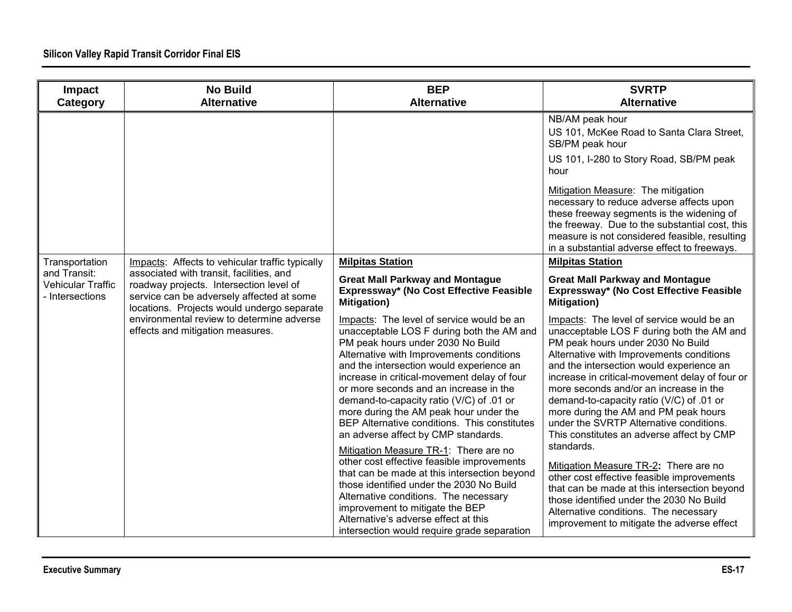| Impact<br>Category                                        | <b>No Build</b><br><b>Alternative</b>                                                                                                                                          | <b>BEP</b><br><b>Alternative</b>                                                                                                                                                                                                                                                                                                                                                                                                                                                                                                                                                 | <b>SVRTP</b><br><b>Alternative</b>                                                                                                                                                                                                                                                                                                                                                                                                                                                                                                                 |
|-----------------------------------------------------------|--------------------------------------------------------------------------------------------------------------------------------------------------------------------------------|----------------------------------------------------------------------------------------------------------------------------------------------------------------------------------------------------------------------------------------------------------------------------------------------------------------------------------------------------------------------------------------------------------------------------------------------------------------------------------------------------------------------------------------------------------------------------------|----------------------------------------------------------------------------------------------------------------------------------------------------------------------------------------------------------------------------------------------------------------------------------------------------------------------------------------------------------------------------------------------------------------------------------------------------------------------------------------------------------------------------------------------------|
|                                                           |                                                                                                                                                                                |                                                                                                                                                                                                                                                                                                                                                                                                                                                                                                                                                                                  | NB/AM peak hour<br>US 101, McKee Road to Santa Clara Street,<br>SB/PM peak hour<br>US 101, I-280 to Story Road, SB/PM peak<br>hour<br>Mitigation Measure: The mitigation<br>necessary to reduce adverse affects upon                                                                                                                                                                                                                                                                                                                               |
|                                                           |                                                                                                                                                                                |                                                                                                                                                                                                                                                                                                                                                                                                                                                                                                                                                                                  | these freeway segments is the widening of<br>the freeway. Due to the substantial cost, this<br>measure is not considered feasible, resulting<br>in a substantial adverse effect to freeways.                                                                                                                                                                                                                                                                                                                                                       |
| Transportation                                            | Impacts: Affects to vehicular traffic typically                                                                                                                                | <b>Milpitas Station</b>                                                                                                                                                                                                                                                                                                                                                                                                                                                                                                                                                          | <b>Milpitas Station</b>                                                                                                                                                                                                                                                                                                                                                                                                                                                                                                                            |
| and Transit:<br><b>Vehicular Traffic</b><br>Intersections | associated with transit, facilities, and<br>roadway projects. Intersection level of<br>service can be adversely affected at some<br>locations. Projects would undergo separate | <b>Great Mall Parkway and Montague</b><br>Expressway* (No Cost Effective Feasible<br><b>Mitigation</b> )                                                                                                                                                                                                                                                                                                                                                                                                                                                                         | <b>Great Mall Parkway and Montague</b><br>Expressway* (No Cost Effective Feasible<br><b>Mitigation</b> )                                                                                                                                                                                                                                                                                                                                                                                                                                           |
|                                                           | environmental review to determine adverse<br>effects and mitigation measures.                                                                                                  | Impacts: The level of service would be an<br>unacceptable LOS F during both the AM and<br>PM peak hours under 2030 No Build<br>Alternative with Improvements conditions<br>and the intersection would experience an<br>increase in critical-movement delay of four<br>or more seconds and an increase in the<br>demand-to-capacity ratio (V/C) of .01 or<br>more during the AM peak hour under the<br>BEP Alternative conditions. This constitutes<br>an adverse affect by CMP standards.<br>Mitigation Measure TR-1: There are no<br>other cost effective feasible improvements | Impacts: The level of service would be an<br>unacceptable LOS F during both the AM and<br>PM peak hours under 2030 No Build<br>Alternative with Improvements conditions<br>and the intersection would experience an<br>increase in critical-movement delay of four or<br>more seconds and/or an increase in the<br>demand-to-capacity ratio (V/C) of .01 or<br>more during the AM and PM peak hours<br>under the SVRTP Alternative conditions.<br>This constitutes an adverse affect by CMP<br>standards.<br>Mitigation Measure TR-2: There are no |
|                                                           |                                                                                                                                                                                | that can be made at this intersection beyond<br>those identified under the 2030 No Build<br>Alternative conditions. The necessary<br>improvement to mitigate the BEP<br>Alternative's adverse effect at this<br>intersection would require grade separation                                                                                                                                                                                                                                                                                                                      | other cost effective feasible improvements<br>that can be made at this intersection beyond<br>those identified under the 2030 No Build<br>Alternative conditions. The necessary<br>improvement to mitigate the adverse effect                                                                                                                                                                                                                                                                                                                      |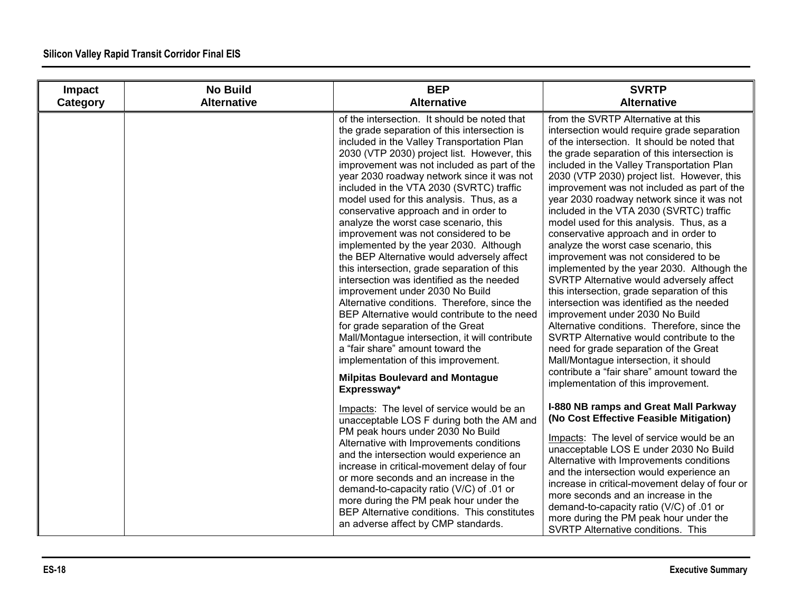| Impact<br>Category | <b>No Build</b><br><b>Alternative</b> | <b>BEP</b><br><b>Alternative</b>                                                                                                                                                                                                                                                                                                                                                                                                                                                                                                                                                                                                                                                                                                                                                                                                                                                                                                                                                                                                                           | <b>SVRTP</b><br><b>Alternative</b>                                                                                                                                                                                                                                                                                                                                                                                                                                                                                                                                                                                                                                                                                                                                                                                                                                                                                                                                                                                                                                                           |
|--------------------|---------------------------------------|------------------------------------------------------------------------------------------------------------------------------------------------------------------------------------------------------------------------------------------------------------------------------------------------------------------------------------------------------------------------------------------------------------------------------------------------------------------------------------------------------------------------------------------------------------------------------------------------------------------------------------------------------------------------------------------------------------------------------------------------------------------------------------------------------------------------------------------------------------------------------------------------------------------------------------------------------------------------------------------------------------------------------------------------------------|----------------------------------------------------------------------------------------------------------------------------------------------------------------------------------------------------------------------------------------------------------------------------------------------------------------------------------------------------------------------------------------------------------------------------------------------------------------------------------------------------------------------------------------------------------------------------------------------------------------------------------------------------------------------------------------------------------------------------------------------------------------------------------------------------------------------------------------------------------------------------------------------------------------------------------------------------------------------------------------------------------------------------------------------------------------------------------------------|
|                    |                                       | of the intersection. It should be noted that<br>the grade separation of this intersection is<br>included in the Valley Transportation Plan<br>2030 (VTP 2030) project list. However, this<br>improvement was not included as part of the<br>year 2030 roadway network since it was not<br>included in the VTA 2030 (SVRTC) traffic<br>model used for this analysis. Thus, as a<br>conservative approach and in order to<br>analyze the worst case scenario, this<br>improvement was not considered to be<br>implemented by the year 2030. Although<br>the BEP Alternative would adversely affect<br>this intersection, grade separation of this<br>intersection was identified as the needed<br>improvement under 2030 No Build<br>Alternative conditions. Therefore, since the<br>BEP Alternative would contribute to the need<br>for grade separation of the Great<br>Mall/Montague intersection, it will contribute<br>a "fair share" amount toward the<br>implementation of this improvement.<br><b>Milpitas Boulevard and Montague</b><br>Expressway* | from the SVRTP Alternative at this<br>intersection would require grade separation<br>of the intersection. It should be noted that<br>the grade separation of this intersection is<br>included in the Valley Transportation Plan<br>2030 (VTP 2030) project list. However, this<br>improvement was not included as part of the<br>year 2030 roadway network since it was not<br>included in the VTA 2030 (SVRTC) traffic<br>model used for this analysis. Thus, as a<br>conservative approach and in order to<br>analyze the worst case scenario, this<br>improvement was not considered to be<br>implemented by the year 2030. Although the<br>SVRTP Alternative would adversely affect<br>this intersection, grade separation of this<br>intersection was identified as the needed<br>improvement under 2030 No Build<br>Alternative conditions. Therefore, since the<br>SVRTP Alternative would contribute to the<br>need for grade separation of the Great<br>Mall/Montague intersection, it should<br>contribute a "fair share" amount toward the<br>implementation of this improvement. |
|                    |                                       | Impacts: The level of service would be an<br>unacceptable LOS F during both the AM and<br>PM peak hours under 2030 No Build<br>Alternative with Improvements conditions<br>and the intersection would experience an<br>increase in critical-movement delay of four<br>or more seconds and an increase in the<br>demand-to-capacity ratio (V/C) of .01 or<br>more during the PM peak hour under the<br>BEP Alternative conditions. This constitutes<br>an adverse affect by CMP standards.                                                                                                                                                                                                                                                                                                                                                                                                                                                                                                                                                                  | I-880 NB ramps and Great Mall Parkway<br>(No Cost Effective Feasible Mitigation)<br>Impacts: The level of service would be an<br>unacceptable LOS E under 2030 No Build<br>Alternative with Improvements conditions<br>and the intersection would experience an<br>increase in critical-movement delay of four or<br>more seconds and an increase in the<br>demand-to-capacity ratio (V/C) of .01 or<br>more during the PM peak hour under the<br>SVRTP Alternative conditions. This                                                                                                                                                                                                                                                                                                                                                                                                                                                                                                                                                                                                         |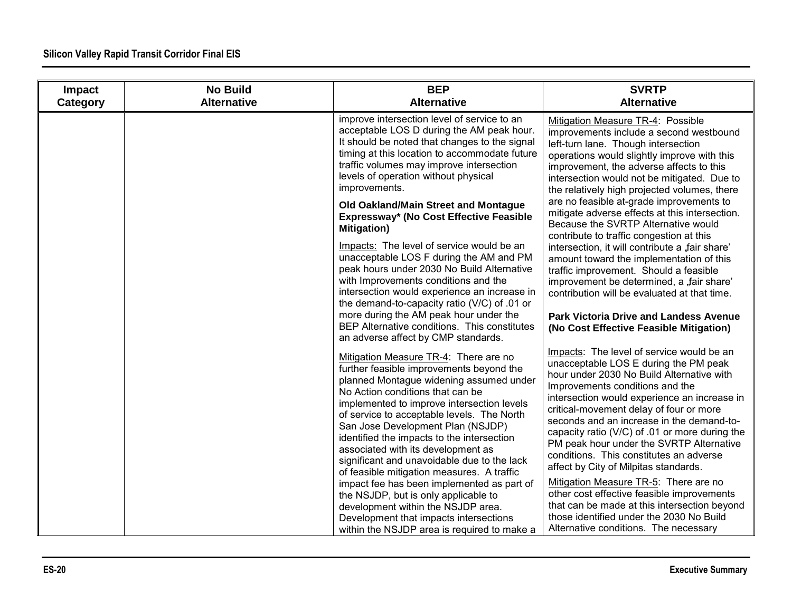| Impact<br>Category | <b>No Build</b><br><b>Alternative</b> | <b>BEP</b><br><b>Alternative</b>                                                                                                                                                                                                                                                                                                                                                                                                                                                                                                                                                                                                                                                                                                                                                  | <b>SVRTP</b><br><b>Alternative</b>                                                                                                                                                                                                                                                                                                                                                                                                                                                                                                                                                                                                                                                                                                                                                                                               |
|--------------------|---------------------------------------|-----------------------------------------------------------------------------------------------------------------------------------------------------------------------------------------------------------------------------------------------------------------------------------------------------------------------------------------------------------------------------------------------------------------------------------------------------------------------------------------------------------------------------------------------------------------------------------------------------------------------------------------------------------------------------------------------------------------------------------------------------------------------------------|----------------------------------------------------------------------------------------------------------------------------------------------------------------------------------------------------------------------------------------------------------------------------------------------------------------------------------------------------------------------------------------------------------------------------------------------------------------------------------------------------------------------------------------------------------------------------------------------------------------------------------------------------------------------------------------------------------------------------------------------------------------------------------------------------------------------------------|
|                    |                                       | improve intersection level of service to an<br>acceptable LOS D during the AM peak hour.<br>It should be noted that changes to the signal<br>timing at this location to accommodate future<br>traffic volumes may improve intersection<br>levels of operation without physical<br>improvements.<br>Old Oakland/Main Street and Montague<br>Expressway* (No Cost Effective Feasible<br><b>Mitigation</b> )<br>Impacts: The level of service would be an<br>unacceptable LOS F during the AM and PM<br>peak hours under 2030 No Build Alternative<br>with Improvements conditions and the<br>intersection would experience an increase in<br>the demand-to-capacity ratio (V/C) of .01 or<br>more during the AM peak hour under the<br>BEP Alternative conditions. This constitutes | Mitigation Measure TR-4: Possible<br>improvements include a second westbound<br>left-turn lane. Though intersection<br>operations would slightly improve with this<br>improvement, the adverse affects to this<br>intersection would not be mitigated. Due to<br>the relatively high projected volumes, there<br>are no feasible at-grade improvements to<br>mitigate adverse effects at this intersection.<br>Because the SVRTP Alternative would<br>contribute to traffic congestion at this<br>intersection, it will contribute a "fair share'<br>amount toward the implementation of this<br>traffic improvement. Should a feasible<br>improvement be determined, a "fair share'<br>contribution will be evaluated at that time.<br><b>Park Victoria Drive and Landess Avenue</b><br>(No Cost Effective Feasible Mitigation) |
|                    |                                       | an adverse affect by CMP standards.<br>Mitigation Measure TR-4: There are no<br>further feasible improvements beyond the<br>planned Montague widening assumed under<br>No Action conditions that can be<br>implemented to improve intersection levels<br>of service to acceptable levels. The North<br>San Jose Development Plan (NSJDP)<br>identified the impacts to the intersection<br>associated with its development as<br>significant and unavoidable due to the lack<br>of feasible mitigation measures. A traffic<br>impact fee has been implemented as part of<br>the NSJDP, but is only applicable to<br>development within the NSJDP area.<br>Development that impacts intersections<br>within the NSJDP area is required to make a                                    | Impacts: The level of service would be an<br>unacceptable LOS E during the PM peak<br>hour under 2030 No Build Alternative with<br>Improvements conditions and the<br>intersection would experience an increase in<br>critical-movement delay of four or more<br>seconds and an increase in the demand-to-<br>capacity ratio (V/C) of .01 or more during the<br>PM peak hour under the SVRTP Alternative<br>conditions. This constitutes an adverse<br>affect by City of Milpitas standards.<br>Mitigation Measure TR-5: There are no<br>other cost effective feasible improvements<br>that can be made at this intersection beyond<br>those identified under the 2030 No Build<br>Alternative conditions. The necessary                                                                                                         |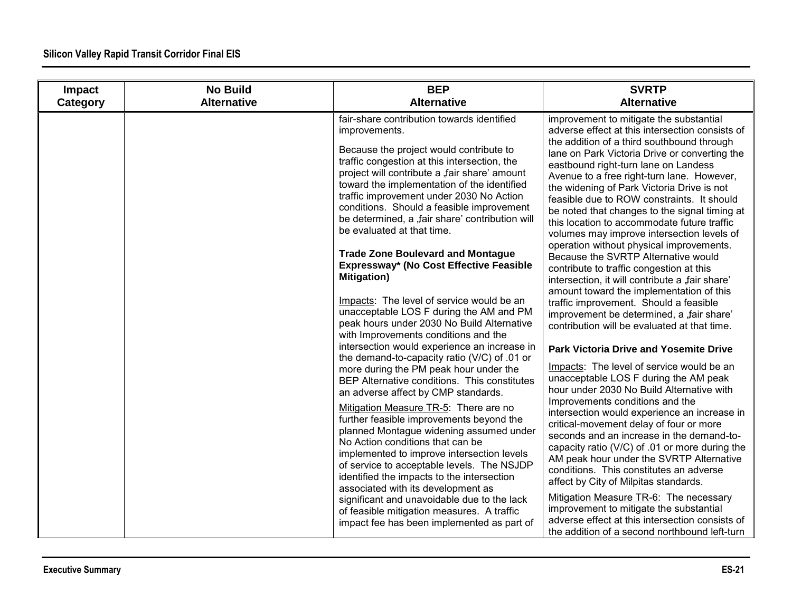| Impact   | <b>No Build</b><br><b>Alternative</b> | <b>BEP</b><br><b>Alternative</b>                                                                                                                                                                                                                                                                                                                                                                                                                                                                                                                                                                                                                                                                                                                                                                                                                                                                                                                                                                                                                                                                                                                                                                                              | <b>SVRTP</b><br><b>Alternative</b>                                                                                                                                                                                                                                                                                                                                                                                                                                                                                                                                                                                                                                                                                                                                                                                                                                                                                                                                                                                                                                                                                                                                                                                                                                                                                                                                                                     |
|----------|---------------------------------------|-------------------------------------------------------------------------------------------------------------------------------------------------------------------------------------------------------------------------------------------------------------------------------------------------------------------------------------------------------------------------------------------------------------------------------------------------------------------------------------------------------------------------------------------------------------------------------------------------------------------------------------------------------------------------------------------------------------------------------------------------------------------------------------------------------------------------------------------------------------------------------------------------------------------------------------------------------------------------------------------------------------------------------------------------------------------------------------------------------------------------------------------------------------------------------------------------------------------------------|--------------------------------------------------------------------------------------------------------------------------------------------------------------------------------------------------------------------------------------------------------------------------------------------------------------------------------------------------------------------------------------------------------------------------------------------------------------------------------------------------------------------------------------------------------------------------------------------------------------------------------------------------------------------------------------------------------------------------------------------------------------------------------------------------------------------------------------------------------------------------------------------------------------------------------------------------------------------------------------------------------------------------------------------------------------------------------------------------------------------------------------------------------------------------------------------------------------------------------------------------------------------------------------------------------------------------------------------------------------------------------------------------------|
| Category |                                       | fair-share contribution towards identified<br>improvements.<br>Because the project would contribute to<br>traffic congestion at this intersection, the<br>project will contribute a "fair share' amount<br>toward the implementation of the identified<br>traffic improvement under 2030 No Action<br>conditions. Should a feasible improvement<br>be determined, a ,fair share' contribution will<br>be evaluated at that time.<br><b>Trade Zone Boulevard and Montague</b><br>Expressway* (No Cost Effective Feasible<br><b>Mitigation</b> )<br>Impacts: The level of service would be an<br>unacceptable LOS F during the AM and PM<br>peak hours under 2030 No Build Alternative<br>with Improvements conditions and the<br>intersection would experience an increase in<br>the demand-to-capacity ratio (V/C) of .01 or<br>more during the PM peak hour under the<br>BEP Alternative conditions. This constitutes<br>an adverse affect by CMP standards.<br>Mitigation Measure TR-5: There are no<br>further feasible improvements beyond the<br>planned Montague widening assumed under<br>No Action conditions that can be<br>implemented to improve intersection levels<br>of service to acceptable levels. The NSJDP | improvement to mitigate the substantial<br>adverse effect at this intersection consists of<br>the addition of a third southbound through<br>lane on Park Victoria Drive or converting the<br>eastbound right-turn lane on Landess<br>Avenue to a free right-turn lane. However,<br>the widening of Park Victoria Drive is not<br>feasible due to ROW constraints. It should<br>be noted that changes to the signal timing at<br>this location to accommodate future traffic<br>volumes may improve intersection levels of<br>operation without physical improvements.<br>Because the SVRTP Alternative would<br>contribute to traffic congestion at this<br>intersection, it will contribute a "fair share"<br>amount toward the implementation of this<br>traffic improvement. Should a feasible<br>improvement be determined, a "fair share'<br>contribution will be evaluated at that time.<br><b>Park Victoria Drive and Yosemite Drive</b><br>Impacts: The level of service would be an<br>unacceptable LOS F during the AM peak<br>hour under 2030 No Build Alternative with<br>Improvements conditions and the<br>intersection would experience an increase in<br>critical-movement delay of four or more<br>seconds and an increase in the demand-to-<br>capacity ratio (V/C) of .01 or more during the<br>AM peak hour under the SVRTP Alternative<br>conditions. This constitutes an adverse |
|          |                                       | identified the impacts to the intersection<br>associated with its development as<br>significant and unavoidable due to the lack<br>of feasible mitigation measures. A traffic<br>impact fee has been implemented as part of                                                                                                                                                                                                                                                                                                                                                                                                                                                                                                                                                                                                                                                                                                                                                                                                                                                                                                                                                                                                   | affect by City of Milpitas standards.<br>Mitigation Measure TR-6: The necessary<br>improvement to mitigate the substantial<br>adverse effect at this intersection consists of<br>the addition of a second northbound left-turn                                                                                                                                                                                                                                                                                                                                                                                                                                                                                                                                                                                                                                                                                                                                                                                                                                                                                                                                                                                                                                                                                                                                                                         |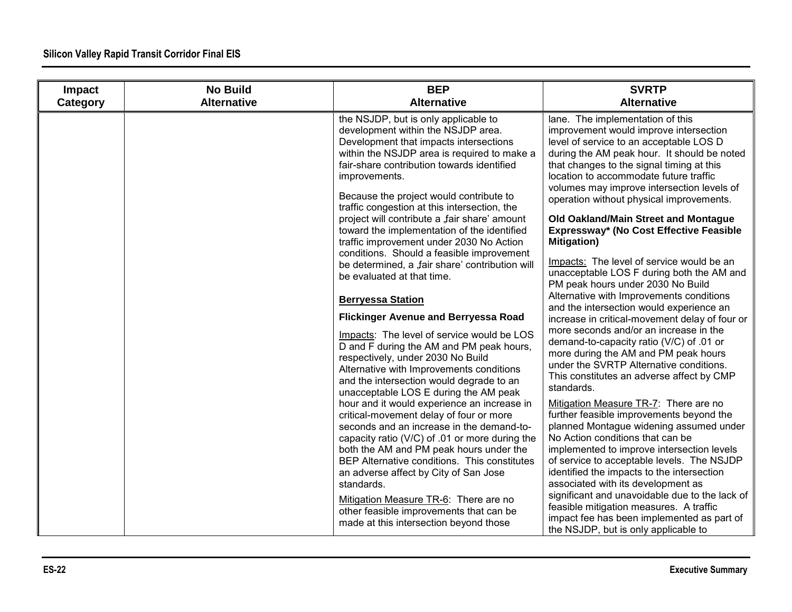| Impact<br>Category | <b>No Build</b><br><b>Alternative</b> | <b>BEP</b><br><b>Alternative</b>                                                                                                                                                                                                                                                                                              | <b>SVRTP</b><br><b>Alternative</b>                                                                                                                                                                                                                                                                                                                    |
|--------------------|---------------------------------------|-------------------------------------------------------------------------------------------------------------------------------------------------------------------------------------------------------------------------------------------------------------------------------------------------------------------------------|-------------------------------------------------------------------------------------------------------------------------------------------------------------------------------------------------------------------------------------------------------------------------------------------------------------------------------------------------------|
|                    |                                       | the NSJDP, but is only applicable to<br>development within the NSJDP area.<br>Development that impacts intersections<br>within the NSJDP area is required to make a<br>fair-share contribution towards identified<br>improvements.<br>Because the project would contribute to<br>traffic congestion at this intersection, the | lane. The implementation of this<br>improvement would improve intersection<br>level of service to an acceptable LOS D<br>during the AM peak hour. It should be noted<br>that changes to the signal timing at this<br>location to accommodate future traffic<br>volumes may improve intersection levels of<br>operation without physical improvements. |
|                    |                                       | project will contribute a "fair share' amount<br>toward the implementation of the identified<br>traffic improvement under 2030 No Action                                                                                                                                                                                      | Old Oakland/Main Street and Montague<br>Expressway* (No Cost Effective Feasible<br><b>Mitigation</b> )                                                                                                                                                                                                                                                |
|                    |                                       | conditions. Should a feasible improvement<br>be determined, a ,fair share' contribution will<br>be evaluated at that time.                                                                                                                                                                                                    | Impacts: The level of service would be an<br>unacceptable LOS F during both the AM and<br>PM peak hours under 2030 No Build                                                                                                                                                                                                                           |
|                    |                                       | <b>Berryessa Station</b><br><b>Flickinger Avenue and Berryessa Road</b>                                                                                                                                                                                                                                                       | Alternative with Improvements conditions<br>and the intersection would experience an<br>increase in critical-movement delay of four or<br>more seconds and/or an increase in the                                                                                                                                                                      |
|                    |                                       | Impacts: The level of service would be LOS<br>D and F during the AM and PM peak hours,<br>respectively, under 2030 No Build<br>Alternative with Improvements conditions<br>and the intersection would degrade to an<br>unacceptable LOS E during the AM peak                                                                  | demand-to-capacity ratio (V/C) of .01 or<br>more during the AM and PM peak hours<br>under the SVRTP Alternative conditions.<br>This constitutes an adverse affect by CMP<br>standards.                                                                                                                                                                |
|                    |                                       | hour and it would experience an increase in<br>critical-movement delay of four or more<br>seconds and an increase in the demand-to-<br>capacity ratio (V/C) of .01 or more during the<br>both the AM and PM peak hours under the<br>BEP Alternative conditions. This constitutes                                              | Mitigation Measure TR-7: There are no<br>further feasible improvements beyond the<br>planned Montague widening assumed under<br>No Action conditions that can be<br>implemented to improve intersection levels<br>of service to acceptable levels. The NSJDP                                                                                          |
|                    |                                       | an adverse affect by City of San Jose<br>standards.<br>Mitigation Measure TR-6: There are no<br>other feasible improvements that can be<br>made at this intersection beyond those                                                                                                                                             | identified the impacts to the intersection<br>associated with its development as<br>significant and unavoidable due to the lack of<br>feasible mitigation measures. A traffic<br>impact fee has been implemented as part of<br>the NSJDP, but is only applicable to                                                                                   |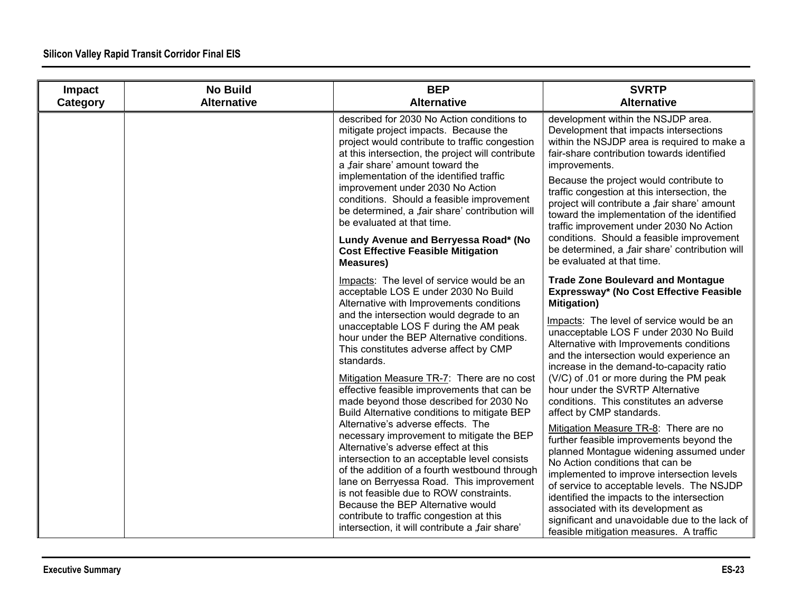| Impact<br>Category | <b>No Build</b><br><b>Alternative</b> | <b>BEP</b><br><b>Alternative</b>                                                                                                                                                                                                                                                                                                                                                                                                                                                                                                                                                                                                                                                                                                                                                                                                                                                                                                                                        | <b>SVRTP</b><br><b>Alternative</b>                                                                                                                                                                                                                                                                                                                                                                                                                                                                                                                                                                                                                                                                                                                                                                                                                                                                                                           |
|--------------------|---------------------------------------|-------------------------------------------------------------------------------------------------------------------------------------------------------------------------------------------------------------------------------------------------------------------------------------------------------------------------------------------------------------------------------------------------------------------------------------------------------------------------------------------------------------------------------------------------------------------------------------------------------------------------------------------------------------------------------------------------------------------------------------------------------------------------------------------------------------------------------------------------------------------------------------------------------------------------------------------------------------------------|----------------------------------------------------------------------------------------------------------------------------------------------------------------------------------------------------------------------------------------------------------------------------------------------------------------------------------------------------------------------------------------------------------------------------------------------------------------------------------------------------------------------------------------------------------------------------------------------------------------------------------------------------------------------------------------------------------------------------------------------------------------------------------------------------------------------------------------------------------------------------------------------------------------------------------------------|
|                    |                                       | described for 2030 No Action conditions to<br>mitigate project impacts. Because the<br>project would contribute to traffic congestion<br>at this intersection, the project will contribute<br>a fair share' amount toward the<br>implementation of the identified traffic<br>improvement under 2030 No Action<br>conditions. Should a feasible improvement<br>be determined, a "fair share' contribution will<br>be evaluated at that time.                                                                                                                                                                                                                                                                                                                                                                                                                                                                                                                             | development within the NSJDP area.<br>Development that impacts intersections<br>within the NSJDP area is required to make a<br>fair-share contribution towards identified<br>improvements.<br>Because the project would contribute to<br>traffic congestion at this intersection, the<br>project will contribute a "fair share' amount<br>toward the implementation of the identified<br>traffic improvement under 2030 No Action                                                                                                                                                                                                                                                                                                                                                                                                                                                                                                            |
|                    |                                       | Lundy Avenue and Berryessa Road* (No<br><b>Cost Effective Feasible Mitigation</b><br><b>Measures)</b>                                                                                                                                                                                                                                                                                                                                                                                                                                                                                                                                                                                                                                                                                                                                                                                                                                                                   | conditions. Should a feasible improvement<br>be determined, a "fair share' contribution will<br>be evaluated at that time.                                                                                                                                                                                                                                                                                                                                                                                                                                                                                                                                                                                                                                                                                                                                                                                                                   |
|                    |                                       | Impacts: The level of service would be an<br>acceptable LOS E under 2030 No Build<br>Alternative with Improvements conditions<br>and the intersection would degrade to an<br>unacceptable LOS F during the AM peak<br>hour under the BEP Alternative conditions.<br>This constitutes adverse affect by CMP<br>standards.<br>Mitigation Measure TR-7: There are no cost<br>effective feasible improvements that can be<br>made beyond those described for 2030 No<br>Build Alternative conditions to mitigate BEP<br>Alternative's adverse effects. The<br>necessary improvement to mitigate the BEP<br>Alternative's adverse effect at this<br>intersection to an acceptable level consists<br>of the addition of a fourth westbound through<br>lane on Berryessa Road. This improvement<br>is not feasible due to ROW constraints.<br>Because the BEP Alternative would<br>contribute to traffic congestion at this<br>intersection, it will contribute a "fair share' | <b>Trade Zone Boulevard and Montague</b><br>Expressway* (No Cost Effective Feasible<br><b>Mitigation</b> )<br>Impacts: The level of service would be an<br>unacceptable LOS F under 2030 No Build<br>Alternative with Improvements conditions<br>and the intersection would experience an<br>increase in the demand-to-capacity ratio<br>(V/C) of .01 or more during the PM peak<br>hour under the SVRTP Alternative<br>conditions. This constitutes an adverse<br>affect by CMP standards.<br>Mitigation Measure TR-8: There are no<br>further feasible improvements beyond the<br>planned Montague widening assumed under<br>No Action conditions that can be<br>implemented to improve intersection levels<br>of service to acceptable levels. The NSJDP<br>identified the impacts to the intersection<br>associated with its development as<br>significant and unavoidable due to the lack of<br>feasible mitigation measures. A traffic |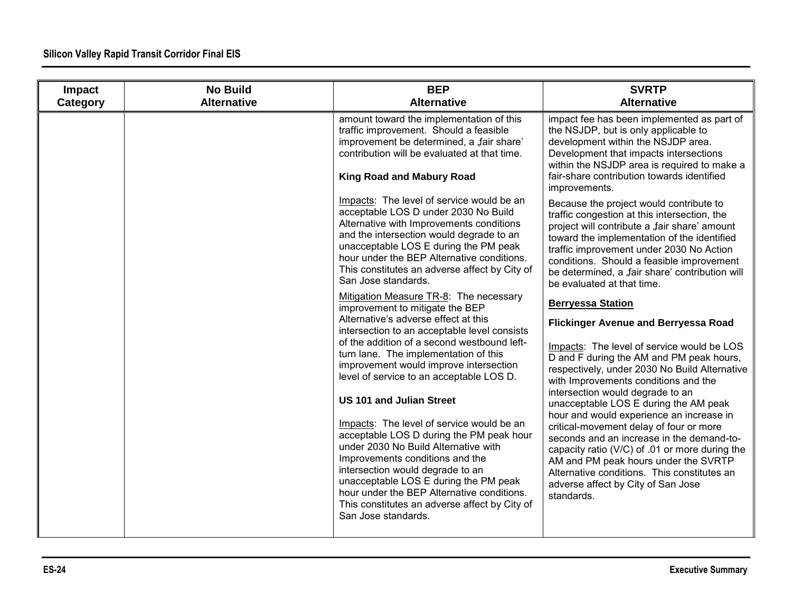| Impact<br>Category | <b>No Build</b><br><b>Alternative</b> | <b>BEP</b><br><b>Alternative</b>                                                                                                                                                                                                                                                                                                                                                                                                                                                                                                                                                                                                                                                                                                                          | <b>SVRTP</b><br><b>Alternative</b>                                                                                                                                                                                                                                                                                                                                                                                                                                                                                                                                                                                                                                       |
|--------------------|---------------------------------------|-----------------------------------------------------------------------------------------------------------------------------------------------------------------------------------------------------------------------------------------------------------------------------------------------------------------------------------------------------------------------------------------------------------------------------------------------------------------------------------------------------------------------------------------------------------------------------------------------------------------------------------------------------------------------------------------------------------------------------------------------------------|--------------------------------------------------------------------------------------------------------------------------------------------------------------------------------------------------------------------------------------------------------------------------------------------------------------------------------------------------------------------------------------------------------------------------------------------------------------------------------------------------------------------------------------------------------------------------------------------------------------------------------------------------------------------------|
|                    |                                       | amount toward the implementation of this<br>traffic improvement. Should a feasible<br>improvement be determined, a "fair share'<br>contribution will be evaluated at that time.<br><b>King Road and Mabury Road</b>                                                                                                                                                                                                                                                                                                                                                                                                                                                                                                                                       | impact fee has been implemented as part of<br>the NSJDP, but is only applicable to<br>development within the NSJDP area.<br>Development that impacts intersections<br>within the NSJDP area is required to make a<br>fair-share contribution towards identified<br>improvements.                                                                                                                                                                                                                                                                                                                                                                                         |
|                    |                                       | Impacts: The level of service would be an<br>acceptable LOS D under 2030 No Build<br>Alternative with Improvements conditions<br>and the intersection would degrade to an<br>unacceptable LOS E during the PM peak<br>hour under the BEP Alternative conditions.<br>This constitutes an adverse affect by City of<br>San Jose standards.                                                                                                                                                                                                                                                                                                                                                                                                                  | Because the project would contribute to<br>traffic congestion at this intersection, the<br>project will contribute a "fair share' amount<br>toward the implementation of the identified<br>traffic improvement under 2030 No Action<br>conditions. Should a feasible improvement<br>be determined, a "fair share' contribution will<br>be evaluated at that time.                                                                                                                                                                                                                                                                                                        |
|                    |                                       | Mitigation Measure TR-8: The necessary<br>improvement to mitigate the BEP<br>Alternative's adverse effect at this<br>intersection to an acceptable level consists<br>of the addition of a second westbound left-<br>turn lane. The implementation of this<br>improvement would improve intersection<br>level of service to an acceptable LOS D.<br><b>US 101 and Julian Street</b><br>Impacts: The level of service would be an<br>acceptable LOS D during the PM peak hour<br>under 2030 No Build Alternative with<br>Improvements conditions and the<br>intersection would degrade to an<br>unacceptable LOS E during the PM peak<br>hour under the BEP Alternative conditions.<br>This constitutes an adverse affect by City of<br>San Jose standards. | <b>Berryessa Station</b><br><b>Flickinger Avenue and Berryessa Road</b><br>Impacts: The level of service would be LOS<br>D and F during the AM and PM peak hours,<br>respectively, under 2030 No Build Alternative<br>with Improvements conditions and the<br>intersection would degrade to an<br>unacceptable LOS E during the AM peak<br>hour and would experience an increase in<br>critical-movement delay of four or more<br>seconds and an increase in the demand-to-<br>capacity ratio (V/C) of .01 or more during the<br>AM and PM peak hours under the SVRTP<br>Alternative conditions. This constitutes an<br>adverse affect by City of San Jose<br>standards. |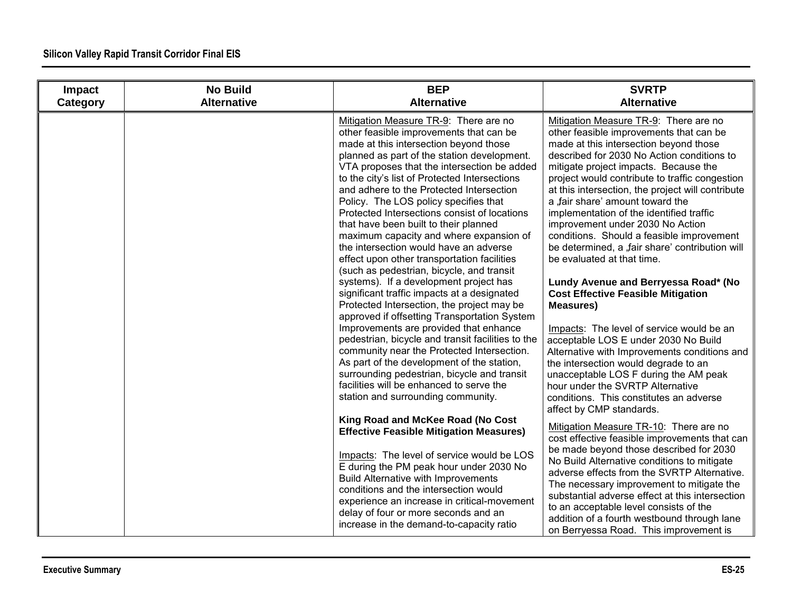| Impact<br>Category | <b>No Build</b><br><b>Alternative</b> | <b>BEP</b><br><b>Alternative</b>                                                                                                                                                                                                                                                                                                                                                                                                                                                                                                                                                                                                                                                                                                                                                                                                                                                                                                                                                                                                                                                                                                                            | <b>SVRTP</b><br><b>Alternative</b>                                                                                                                                                                                                                                                                                                                                                                                                                                                                                                                                                                                                                                                                                                                                                                                                                                                                                                                                                                                  |
|--------------------|---------------------------------------|-------------------------------------------------------------------------------------------------------------------------------------------------------------------------------------------------------------------------------------------------------------------------------------------------------------------------------------------------------------------------------------------------------------------------------------------------------------------------------------------------------------------------------------------------------------------------------------------------------------------------------------------------------------------------------------------------------------------------------------------------------------------------------------------------------------------------------------------------------------------------------------------------------------------------------------------------------------------------------------------------------------------------------------------------------------------------------------------------------------------------------------------------------------|---------------------------------------------------------------------------------------------------------------------------------------------------------------------------------------------------------------------------------------------------------------------------------------------------------------------------------------------------------------------------------------------------------------------------------------------------------------------------------------------------------------------------------------------------------------------------------------------------------------------------------------------------------------------------------------------------------------------------------------------------------------------------------------------------------------------------------------------------------------------------------------------------------------------------------------------------------------------------------------------------------------------|
|                    |                                       | Mitigation Measure TR-9: There are no<br>other feasible improvements that can be<br>made at this intersection beyond those<br>planned as part of the station development.<br>VTA proposes that the intersection be added<br>to the city's list of Protected Intersections<br>and adhere to the Protected Intersection<br>Policy. The LOS policy specifies that<br>Protected Intersections consist of locations<br>that have been built to their planned<br>maximum capacity and where expansion of<br>the intersection would have an adverse<br>effect upon other transportation facilities<br>(such as pedestrian, bicycle, and transit<br>systems). If a development project has<br>significant traffic impacts at a designated<br>Protected Intersection, the project may be<br>approved if offsetting Transportation System<br>Improvements are provided that enhance<br>pedestrian, bicycle and transit facilities to the<br>community near the Protected Intersection.<br>As part of the development of the station,<br>surrounding pedestrian, bicycle and transit<br>facilities will be enhanced to serve the<br>station and surrounding community. | Mitigation Measure TR-9: There are no<br>other feasible improvements that can be<br>made at this intersection beyond those<br>described for 2030 No Action conditions to<br>mitigate project impacts. Because the<br>project would contribute to traffic congestion<br>at this intersection, the project will contribute<br>a fair share' amount toward the<br>implementation of the identified traffic<br>improvement under 2030 No Action<br>conditions. Should a feasible improvement<br>be determined, a ,fair share' contribution will<br>be evaluated at that time.<br>Lundy Avenue and Berryessa Road* (No<br><b>Cost Effective Feasible Mitigation</b><br><b>Measures)</b><br>Impacts: The level of service would be an<br>acceptable LOS E under 2030 No Build<br>Alternative with Improvements conditions and<br>the intersection would degrade to an<br>unacceptable LOS F during the AM peak<br>hour under the SVRTP Alternative<br>conditions. This constitutes an adverse<br>affect by CMP standards. |
|                    |                                       | King Road and McKee Road (No Cost<br><b>Effective Feasible Mitigation Measures)</b><br>Impacts: The level of service would be LOS<br>E during the PM peak hour under 2030 No<br>Build Alternative with Improvements<br>conditions and the intersection would<br>experience an increase in critical-movement<br>delay of four or more seconds and an                                                                                                                                                                                                                                                                                                                                                                                                                                                                                                                                                                                                                                                                                                                                                                                                         | Mitigation Measure TR-10: There are no<br>cost effective feasible improvements that can<br>be made beyond those described for 2030<br>No Build Alternative conditions to mitigate<br>adverse effects from the SVRTP Alternative.<br>The necessary improvement to mitigate the<br>substantial adverse effect at this intersection<br>to an acceptable level consists of the                                                                                                                                                                                                                                                                                                                                                                                                                                                                                                                                                                                                                                          |
|                    |                                       | increase in the demand-to-capacity ratio                                                                                                                                                                                                                                                                                                                                                                                                                                                                                                                                                                                                                                                                                                                                                                                                                                                                                                                                                                                                                                                                                                                    | addition of a fourth westbound through lane<br>on Berryessa Road. This improvement is                                                                                                                                                                                                                                                                                                                                                                                                                                                                                                                                                                                                                                                                                                                                                                                                                                                                                                                               |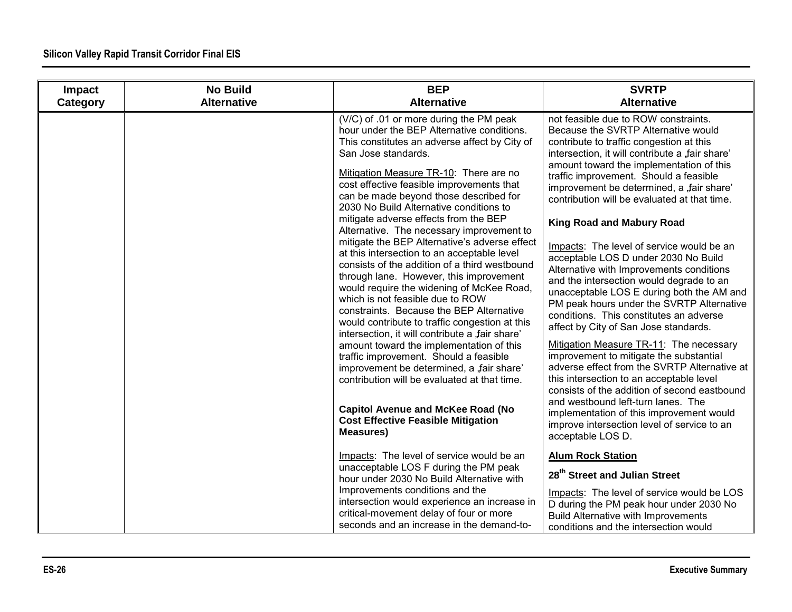| Impact<br>Category | <b>No Build</b><br><b>Alternative</b> | <b>BEP</b><br><b>Alternative</b>                                                                                                                                                                                                                                                                                                                                                                                                                                                                                                                                                                                                                                                                                                                                                                                                                                                                                                                                                                                                                                                                                                                              | <b>SVRTP</b><br><b>Alternative</b>                                                                                                                                                                                                                                                                                                                                                                                                                                                                                                                                                                                                                                                                                                                                                                                                                                                                                                                                                                                                                                                                                                                   |
|--------------------|---------------------------------------|---------------------------------------------------------------------------------------------------------------------------------------------------------------------------------------------------------------------------------------------------------------------------------------------------------------------------------------------------------------------------------------------------------------------------------------------------------------------------------------------------------------------------------------------------------------------------------------------------------------------------------------------------------------------------------------------------------------------------------------------------------------------------------------------------------------------------------------------------------------------------------------------------------------------------------------------------------------------------------------------------------------------------------------------------------------------------------------------------------------------------------------------------------------|------------------------------------------------------------------------------------------------------------------------------------------------------------------------------------------------------------------------------------------------------------------------------------------------------------------------------------------------------------------------------------------------------------------------------------------------------------------------------------------------------------------------------------------------------------------------------------------------------------------------------------------------------------------------------------------------------------------------------------------------------------------------------------------------------------------------------------------------------------------------------------------------------------------------------------------------------------------------------------------------------------------------------------------------------------------------------------------------------------------------------------------------------|
|                    |                                       | (V/C) of .01 or more during the PM peak<br>hour under the BEP Alternative conditions.<br>This constitutes an adverse affect by City of<br>San Jose standards.<br>Mitigation Measure TR-10: There are no<br>cost effective feasible improvements that<br>can be made beyond those described for<br>2030 No Build Alternative conditions to<br>mitigate adverse effects from the BEP<br>Alternative. The necessary improvement to<br>mitigate the BEP Alternative's adverse effect<br>at this intersection to an acceptable level<br>consists of the addition of a third westbound<br>through lane. However, this improvement<br>would require the widening of McKee Road,<br>which is not feasible due to ROW<br>constraints. Because the BEP Alternative<br>would contribute to traffic congestion at this<br>intersection, it will contribute a "fair share"<br>amount toward the implementation of this<br>traffic improvement. Should a feasible<br>improvement be determined, a "fair share'<br>contribution will be evaluated at that time.<br><b>Capitol Avenue and McKee Road (No</b><br><b>Cost Effective Feasible Mitigation</b><br><b>Measures)</b> | not feasible due to ROW constraints.<br>Because the SVRTP Alternative would<br>contribute to traffic congestion at this<br>intersection, it will contribute a "fair share'<br>amount toward the implementation of this<br>traffic improvement. Should a feasible<br>improvement be determined, a "fair share'<br>contribution will be evaluated at that time.<br><b>King Road and Mabury Road</b><br>Impacts: The level of service would be an<br>acceptable LOS D under 2030 No Build<br>Alternative with Improvements conditions<br>and the intersection would degrade to an<br>unacceptable LOS E during both the AM and<br>PM peak hours under the SVRTP Alternative<br>conditions. This constitutes an adverse<br>affect by City of San Jose standards.<br>Mitigation Measure TR-11: The necessary<br>improvement to mitigate the substantial<br>adverse effect from the SVRTP Alternative at<br>this intersection to an acceptable level<br>consists of the addition of second eastbound<br>and westbound left-turn lanes. The<br>implementation of this improvement would<br>improve intersection level of service to an<br>acceptable LOS D. |
|                    |                                       | Impacts: The level of service would be an<br>unacceptable LOS F during the PM peak<br>hour under 2030 No Build Alternative with<br>Improvements conditions and the<br>intersection would experience an increase in<br>critical-movement delay of four or more<br>seconds and an increase in the demand-to-                                                                                                                                                                                                                                                                                                                                                                                                                                                                                                                                                                                                                                                                                                                                                                                                                                                    | <b>Alum Rock Station</b><br>28 <sup>th</sup> Street and Julian Street<br>Impacts: The level of service would be LOS<br>D during the PM peak hour under 2030 No<br><b>Build Alternative with Improvements</b><br>conditions and the intersection would                                                                                                                                                                                                                                                                                                                                                                                                                                                                                                                                                                                                                                                                                                                                                                                                                                                                                                |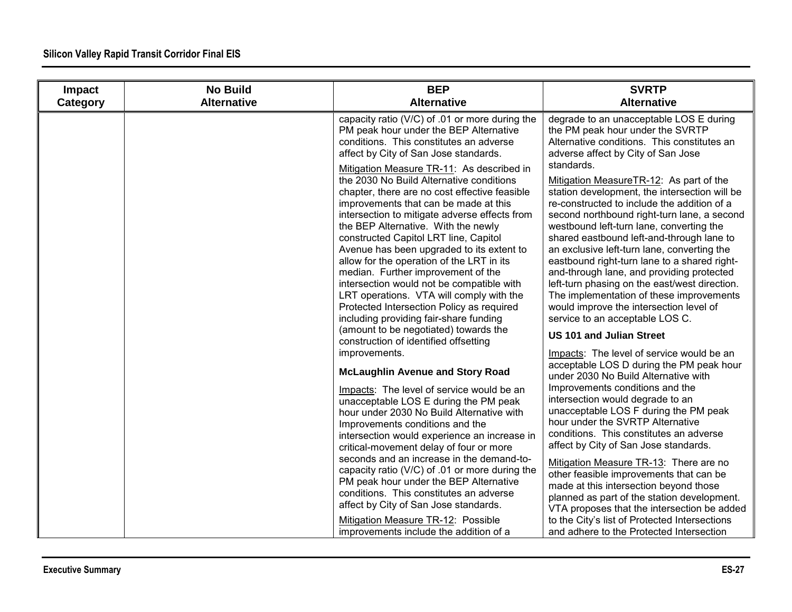| Impact   | <b>No Build</b>    | <b>BEP</b>                                                                                                                                                                                                                                                                                                                                                                                                                                                                                                                                                                                                                                                            | <b>SVRTP</b>                                                                                                                                                                                                                                                                                                                                                                                                                                                                                                                                                                                                                              |
|----------|--------------------|-----------------------------------------------------------------------------------------------------------------------------------------------------------------------------------------------------------------------------------------------------------------------------------------------------------------------------------------------------------------------------------------------------------------------------------------------------------------------------------------------------------------------------------------------------------------------------------------------------------------------------------------------------------------------|-------------------------------------------------------------------------------------------------------------------------------------------------------------------------------------------------------------------------------------------------------------------------------------------------------------------------------------------------------------------------------------------------------------------------------------------------------------------------------------------------------------------------------------------------------------------------------------------------------------------------------------------|
| Category | <b>Alternative</b> | <b>Alternative</b>                                                                                                                                                                                                                                                                                                                                                                                                                                                                                                                                                                                                                                                    | <b>Alternative</b>                                                                                                                                                                                                                                                                                                                                                                                                                                                                                                                                                                                                                        |
|          |                    | capacity ratio (V/C) of .01 or more during the<br>PM peak hour under the BEP Alternative<br>conditions. This constitutes an adverse<br>affect by City of San Jose standards.<br>Mitigation Measure TR-11: As described in                                                                                                                                                                                                                                                                                                                                                                                                                                             | degrade to an unacceptable LOS E during<br>the PM peak hour under the SVRTP<br>Alternative conditions. This constitutes an<br>adverse affect by City of San Jose<br>standards.                                                                                                                                                                                                                                                                                                                                                                                                                                                            |
|          |                    | the 2030 No Build Alternative conditions<br>chapter, there are no cost effective feasible<br>improvements that can be made at this<br>intersection to mitigate adverse effects from<br>the BEP Alternative. With the newly<br>constructed Capitol LRT line, Capitol<br>Avenue has been upgraded to its extent to<br>allow for the operation of the LRT in its<br>median. Further improvement of the<br>intersection would not be compatible with<br>LRT operations. VTA will comply with the<br>Protected Intersection Policy as required<br>including providing fair-share funding<br>(amount to be negotiated) towards the<br>construction of identified offsetting | Mitigation MeasureTR-12: As part of the<br>station development, the intersection will be<br>re-constructed to include the addition of a<br>second northbound right-turn lane, a second<br>westbound left-turn lane, converting the<br>shared eastbound left-and-through lane to<br>an exclusive left-turn lane, converting the<br>eastbound right-turn lane to a shared right-<br>and-through lane, and providing protected<br>left-turn phasing on the east/west direction.<br>The implementation of these improvements<br>would improve the intersection level of<br>service to an acceptable LOS C.<br><b>US 101 and Julian Street</b> |
|          |                    | improvements.<br><b>McLaughlin Avenue and Story Road</b><br>Impacts: The level of service would be an<br>unacceptable LOS E during the PM peak<br>hour under 2030 No Build Alternative with<br>Improvements conditions and the<br>intersection would experience an increase in<br>critical-movement delay of four or more<br>seconds and an increase in the demand-to-                                                                                                                                                                                                                                                                                                | Impacts: The level of service would be an<br>acceptable LOS D during the PM peak hour<br>under 2030 No Build Alternative with<br>Improvements conditions and the<br>intersection would degrade to an<br>unacceptable LOS F during the PM peak<br>hour under the SVRTP Alternative<br>conditions. This constitutes an adverse<br>affect by City of San Jose standards.                                                                                                                                                                                                                                                                     |
|          |                    | capacity ratio (V/C) of .01 or more during the<br>PM peak hour under the BEP Alternative<br>conditions. This constitutes an adverse<br>affect by City of San Jose standards.<br>Mitigation Measure TR-12: Possible<br>improvements include the addition of a                                                                                                                                                                                                                                                                                                                                                                                                          | Mitigation Measure TR-13: There are no<br>other feasible improvements that can be<br>made at this intersection beyond those<br>planned as part of the station development.<br>VTA proposes that the intersection be added<br>to the City's list of Protected Intersections<br>and adhere to the Protected Intersection                                                                                                                                                                                                                                                                                                                    |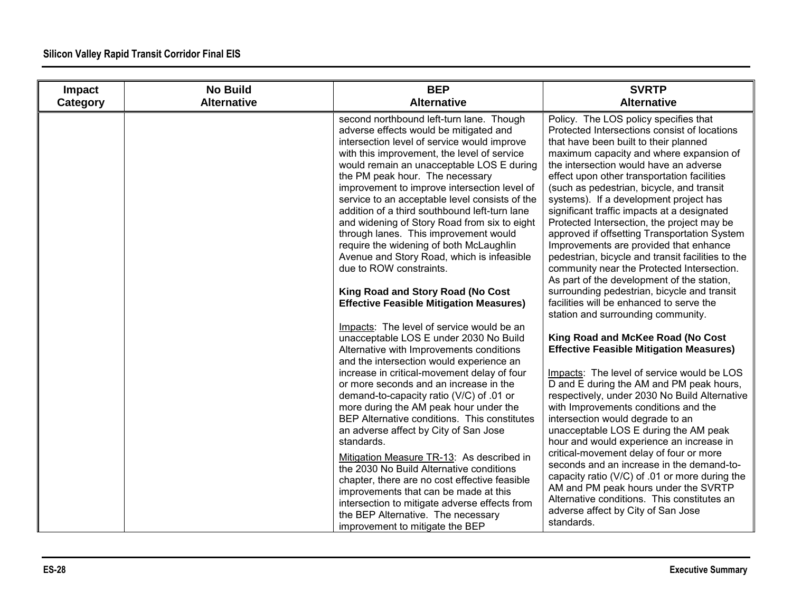| Impact<br>Category | <b>No Build</b><br><b>Alternative</b> | <b>BEP</b><br><b>Alternative</b>                                                                                                                                                                                                                                                                                                                                                                                                                                                                                                                                                                                                                                                                                                                                               | <b>SVRTP</b><br><b>Alternative</b>                                                                                                                                                                                                                                                                                                                                                                                                                                                                                                                                                                                                                                                                                                                                                                                                 |
|--------------------|---------------------------------------|--------------------------------------------------------------------------------------------------------------------------------------------------------------------------------------------------------------------------------------------------------------------------------------------------------------------------------------------------------------------------------------------------------------------------------------------------------------------------------------------------------------------------------------------------------------------------------------------------------------------------------------------------------------------------------------------------------------------------------------------------------------------------------|------------------------------------------------------------------------------------------------------------------------------------------------------------------------------------------------------------------------------------------------------------------------------------------------------------------------------------------------------------------------------------------------------------------------------------------------------------------------------------------------------------------------------------------------------------------------------------------------------------------------------------------------------------------------------------------------------------------------------------------------------------------------------------------------------------------------------------|
|                    |                                       | second northbound left-turn lane. Though<br>adverse effects would be mitigated and<br>intersection level of service would improve<br>with this improvement, the level of service<br>would remain an unacceptable LOS E during<br>the PM peak hour. The necessary<br>improvement to improve intersection level of<br>service to an acceptable level consists of the<br>addition of a third southbound left-turn lane<br>and widening of Story Road from six to eight<br>through lanes. This improvement would<br>require the widening of both McLaughlin<br>Avenue and Story Road, which is infeasible<br>due to ROW constraints.<br>King Road and Story Road (No Cost<br><b>Effective Feasible Mitigation Measures)</b>                                                        | Policy. The LOS policy specifies that<br>Protected Intersections consist of locations<br>that have been built to their planned<br>maximum capacity and where expansion of<br>the intersection would have an adverse<br>effect upon other transportation facilities<br>(such as pedestrian, bicycle, and transit<br>systems). If a development project has<br>significant traffic impacts at a designated<br>Protected Intersection, the project may be<br>approved if offsetting Transportation System<br>Improvements are provided that enhance<br>pedestrian, bicycle and transit facilities to the<br>community near the Protected Intersection.<br>As part of the development of the station,<br>surrounding pedestrian, bicycle and transit<br>facilities will be enhanced to serve the<br>station and surrounding community. |
|                    |                                       | Impacts: The level of service would be an<br>unacceptable LOS E under 2030 No Build<br>Alternative with Improvements conditions<br>and the intersection would experience an<br>increase in critical-movement delay of four<br>or more seconds and an increase in the<br>demand-to-capacity ratio (V/C) of .01 or<br>more during the AM peak hour under the<br>BEP Alternative conditions. This constitutes<br>an adverse affect by City of San Jose<br>standards.<br>Mitigation Measure TR-13: As described in<br>the 2030 No Build Alternative conditions<br>chapter, there are no cost effective feasible<br>improvements that can be made at this<br>intersection to mitigate adverse effects from<br>the BEP Alternative. The necessary<br>improvement to mitigate the BEP | King Road and McKee Road (No Cost<br><b>Effective Feasible Mitigation Measures)</b><br>Impacts: The level of service would be LOS<br>D and E during the AM and PM peak hours,<br>respectively, under 2030 No Build Alternative<br>with Improvements conditions and the<br>intersection would degrade to an<br>unacceptable LOS E during the AM peak<br>hour and would experience an increase in<br>critical-movement delay of four or more<br>seconds and an increase in the demand-to-<br>capacity ratio (V/C) of .01 or more during the<br>AM and PM peak hours under the SVRTP<br>Alternative conditions. This constitutes an<br>adverse affect by City of San Jose<br>standards.                                                                                                                                               |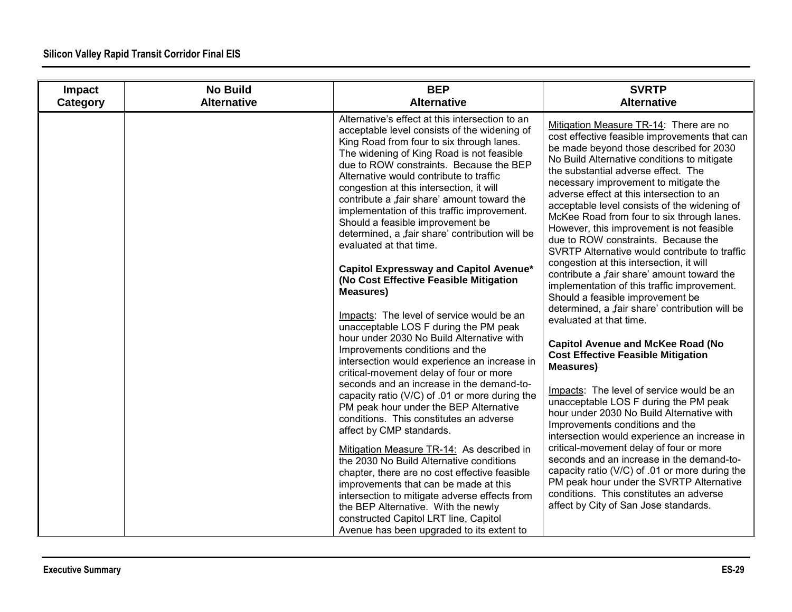| Impact<br>Category | <b>No Build</b><br><b>Alternative</b> | <b>BEP</b><br><b>Alternative</b>                                                                                                                                                                                                                                                                                                                                                                                                                                                                                                                                                                                                                                                                                                                                                                                                                                                                                                                                                                                    | <b>SVRTP</b><br><b>Alternative</b>                                                                                                                                                                                                                                                                                                                                                                                                                                                                                                                                                                                                                                                                                                                                                                                                                                                                                                                                                                               |
|--------------------|---------------------------------------|---------------------------------------------------------------------------------------------------------------------------------------------------------------------------------------------------------------------------------------------------------------------------------------------------------------------------------------------------------------------------------------------------------------------------------------------------------------------------------------------------------------------------------------------------------------------------------------------------------------------------------------------------------------------------------------------------------------------------------------------------------------------------------------------------------------------------------------------------------------------------------------------------------------------------------------------------------------------------------------------------------------------|------------------------------------------------------------------------------------------------------------------------------------------------------------------------------------------------------------------------------------------------------------------------------------------------------------------------------------------------------------------------------------------------------------------------------------------------------------------------------------------------------------------------------------------------------------------------------------------------------------------------------------------------------------------------------------------------------------------------------------------------------------------------------------------------------------------------------------------------------------------------------------------------------------------------------------------------------------------------------------------------------------------|
|                    |                                       | Alternative's effect at this intersection to an<br>acceptable level consists of the widening of<br>King Road from four to six through lanes.<br>The widening of King Road is not feasible<br>due to ROW constraints. Because the BEP<br>Alternative would contribute to traffic<br>congestion at this intersection, it will<br>contribute a "fair share' amount toward the<br>implementation of this traffic improvement.<br>Should a feasible improvement be<br>determined, a "fair share' contribution will be<br>evaluated at that time.<br>Capitol Expressway and Capitol Avenue*<br>(No Cost Effective Feasible Mitigation<br><b>Measures)</b><br>Impacts: The level of service would be an<br>unacceptable LOS F during the PM peak<br>hour under 2030 No Build Alternative with<br>Improvements conditions and the<br>intersection would experience an increase in<br>critical-movement delay of four or more<br>seconds and an increase in the demand-to-<br>capacity ratio (V/C) of .01 or more during the | Mitigation Measure TR-14: There are no<br>cost effective feasible improvements that can<br>be made beyond those described for 2030<br>No Build Alternative conditions to mitigate<br>the substantial adverse effect. The<br>necessary improvement to mitigate the<br>adverse effect at this intersection to an<br>acceptable level consists of the widening of<br>McKee Road from four to six through lanes.<br>However, this improvement is not feasible<br>due to ROW constraints. Because the<br>SVRTP Alternative would contribute to traffic<br>congestion at this intersection, it will<br>contribute a "fair share' amount toward the<br>implementation of this traffic improvement.<br>Should a feasible improvement be<br>determined, a "fair share' contribution will be<br>evaluated at that time.<br><b>Capitol Avenue and McKee Road (No</b><br><b>Cost Effective Feasible Mitigation</b><br><b>Measures)</b><br>Impacts: The level of service would be an<br>unacceptable LOS F during the PM peak |
|                    |                                       | PM peak hour under the BEP Alternative<br>conditions. This constitutes an adverse<br>affect by CMP standards.                                                                                                                                                                                                                                                                                                                                                                                                                                                                                                                                                                                                                                                                                                                                                                                                                                                                                                       | hour under 2030 No Build Alternative with<br>Improvements conditions and the<br>intersection would experience an increase in                                                                                                                                                                                                                                                                                                                                                                                                                                                                                                                                                                                                                                                                                                                                                                                                                                                                                     |
|                    |                                       | Mitigation Measure TR-14: As described in<br>the 2030 No Build Alternative conditions<br>chapter, there are no cost effective feasible                                                                                                                                                                                                                                                                                                                                                                                                                                                                                                                                                                                                                                                                                                                                                                                                                                                                              | critical-movement delay of four or more<br>seconds and an increase in the demand-to-<br>capacity ratio (V/C) of .01 or more during the                                                                                                                                                                                                                                                                                                                                                                                                                                                                                                                                                                                                                                                                                                                                                                                                                                                                           |
|                    |                                       | improvements that can be made at this<br>intersection to mitigate adverse effects from<br>the BEP Alternative. With the newly                                                                                                                                                                                                                                                                                                                                                                                                                                                                                                                                                                                                                                                                                                                                                                                                                                                                                       | PM peak hour under the SVRTP Alternative<br>conditions. This constitutes an adverse<br>affect by City of San Jose standards.                                                                                                                                                                                                                                                                                                                                                                                                                                                                                                                                                                                                                                                                                                                                                                                                                                                                                     |
|                    |                                       | constructed Capitol LRT line, Capitol<br>Avenue has been upgraded to its extent to                                                                                                                                                                                                                                                                                                                                                                                                                                                                                                                                                                                                                                                                                                                                                                                                                                                                                                                                  |                                                                                                                                                                                                                                                                                                                                                                                                                                                                                                                                                                                                                                                                                                                                                                                                                                                                                                                                                                                                                  |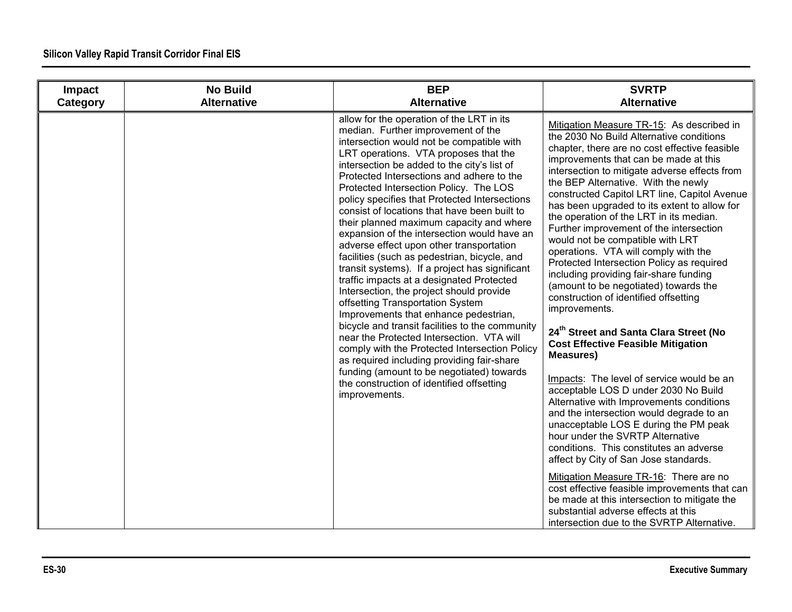| Impact   | <b>No Build</b>    | <b>BEP</b>                                                                                                                                                                                                                                                                                                                                                                                                                                                                                                                                                                                                                                                                                                                                                                                                                                                                                                                                                                                                                                                                                                                            | <b>SVRTP</b>                                                                                                                                                                                                                                                                                                                                                                                                                                                                                                                                                                                                                                                                                                                                                                                                                                                                                                                                                                                                                                                                                                                                                                                                                                                                                                                                                                                                                             |
|----------|--------------------|---------------------------------------------------------------------------------------------------------------------------------------------------------------------------------------------------------------------------------------------------------------------------------------------------------------------------------------------------------------------------------------------------------------------------------------------------------------------------------------------------------------------------------------------------------------------------------------------------------------------------------------------------------------------------------------------------------------------------------------------------------------------------------------------------------------------------------------------------------------------------------------------------------------------------------------------------------------------------------------------------------------------------------------------------------------------------------------------------------------------------------------|------------------------------------------------------------------------------------------------------------------------------------------------------------------------------------------------------------------------------------------------------------------------------------------------------------------------------------------------------------------------------------------------------------------------------------------------------------------------------------------------------------------------------------------------------------------------------------------------------------------------------------------------------------------------------------------------------------------------------------------------------------------------------------------------------------------------------------------------------------------------------------------------------------------------------------------------------------------------------------------------------------------------------------------------------------------------------------------------------------------------------------------------------------------------------------------------------------------------------------------------------------------------------------------------------------------------------------------------------------------------------------------------------------------------------------------|
| Category | <b>Alternative</b> | <b>Alternative</b>                                                                                                                                                                                                                                                                                                                                                                                                                                                                                                                                                                                                                                                                                                                                                                                                                                                                                                                                                                                                                                                                                                                    | <b>Alternative</b>                                                                                                                                                                                                                                                                                                                                                                                                                                                                                                                                                                                                                                                                                                                                                                                                                                                                                                                                                                                                                                                                                                                                                                                                                                                                                                                                                                                                                       |
|          |                    | allow for the operation of the LRT in its<br>median. Further improvement of the<br>intersection would not be compatible with<br>LRT operations. VTA proposes that the<br>intersection be added to the city's list of<br>Protected Intersections and adhere to the<br>Protected Intersection Policy. The LOS<br>policy specifies that Protected Intersections<br>consist of locations that have been built to<br>their planned maximum capacity and where<br>expansion of the intersection would have an<br>adverse effect upon other transportation<br>facilities (such as pedestrian, bicycle, and<br>transit systems). If a project has significant<br>traffic impacts at a designated Protected<br>Intersection, the project should provide<br>offsetting Transportation System<br>Improvements that enhance pedestrian,<br>bicycle and transit facilities to the community<br>near the Protected Intersection. VTA will<br>comply with the Protected Intersection Policy<br>as required including providing fair-share<br>funding (amount to be negotiated) towards<br>the construction of identified offsetting<br>improvements. | Mitigation Measure TR-15: As described in<br>the 2030 No Build Alternative conditions<br>chapter, there are no cost effective feasible<br>improvements that can be made at this<br>intersection to mitigate adverse effects from<br>the BEP Alternative. With the newly<br>constructed Capitol LRT line, Capitol Avenue<br>has been upgraded to its extent to allow for<br>the operation of the LRT in its median.<br>Further improvement of the intersection<br>would not be compatible with LRT<br>operations. VTA will comply with the<br>Protected Intersection Policy as required<br>including providing fair-share funding<br>(amount to be negotiated) towards the<br>construction of identified offsetting<br>improvements.<br>24 <sup>th</sup> Street and Santa Clara Street (No<br><b>Cost Effective Feasible Mitigation</b><br><b>Measures)</b><br>Impacts: The level of service would be an<br>acceptable LOS D under 2030 No Build<br>Alternative with Improvements conditions<br>and the intersection would degrade to an<br>unacceptable LOS E during the PM peak<br>hour under the SVRTP Alternative<br>conditions. This constitutes an adverse<br>affect by City of San Jose standards.<br>Mitigation Measure TR-16: There are no<br>cost effective feasible improvements that can<br>be made at this intersection to mitigate the<br>substantial adverse effects at this<br>intersection due to the SVRTP Alternative. |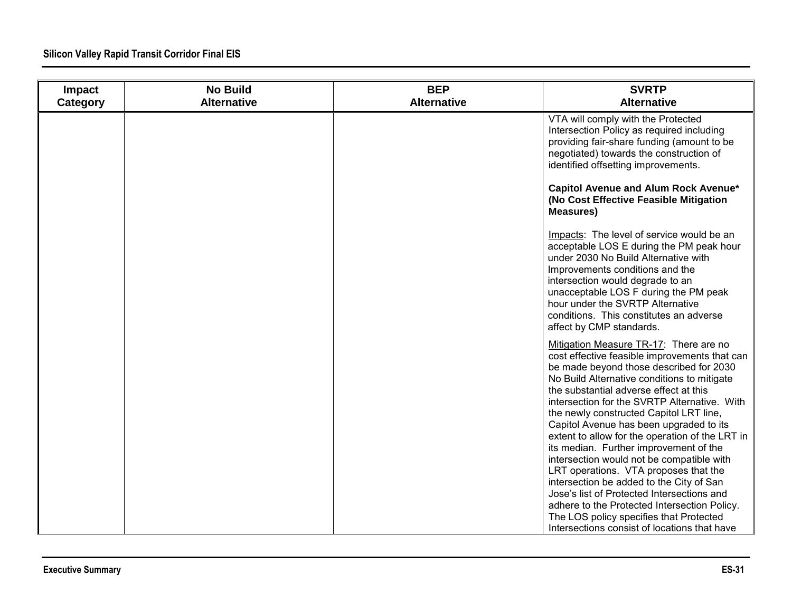| Impact   | <b>No Build</b>    | <b>BEP</b>         | <b>SVRTP</b>                                                                                                                                                                                                                                                                                                                                                                                                                                                                                                                                                                                                                                                                                                                              |
|----------|--------------------|--------------------|-------------------------------------------------------------------------------------------------------------------------------------------------------------------------------------------------------------------------------------------------------------------------------------------------------------------------------------------------------------------------------------------------------------------------------------------------------------------------------------------------------------------------------------------------------------------------------------------------------------------------------------------------------------------------------------------------------------------------------------------|
| Category | <b>Alternative</b> | <b>Alternative</b> | <b>Alternative</b>                                                                                                                                                                                                                                                                                                                                                                                                                                                                                                                                                                                                                                                                                                                        |
|          |                    |                    | VTA will comply with the Protected<br>Intersection Policy as required including<br>providing fair-share funding (amount to be<br>negotiated) towards the construction of<br>identified offsetting improvements.                                                                                                                                                                                                                                                                                                                                                                                                                                                                                                                           |
|          |                    |                    | Capitol Avenue and Alum Rock Avenue*<br>(No Cost Effective Feasible Mitigation<br><b>Measures)</b>                                                                                                                                                                                                                                                                                                                                                                                                                                                                                                                                                                                                                                        |
|          |                    |                    | Impacts: The level of service would be an<br>acceptable LOS E during the PM peak hour<br>under 2030 No Build Alternative with<br>Improvements conditions and the<br>intersection would degrade to an<br>unacceptable LOS F during the PM peak<br>hour under the SVRTP Alternative<br>conditions. This constitutes an adverse<br>affect by CMP standards.                                                                                                                                                                                                                                                                                                                                                                                  |
|          |                    |                    | Mitigation Measure TR-17: There are no<br>cost effective feasible improvements that can<br>be made beyond those described for 2030<br>No Build Alternative conditions to mitigate<br>the substantial adverse effect at this<br>intersection for the SVRTP Alternative. With<br>the newly constructed Capitol LRT line,<br>Capitol Avenue has been upgraded to its<br>extent to allow for the operation of the LRT in<br>its median. Further improvement of the<br>intersection would not be compatible with<br>LRT operations. VTA proposes that the<br>intersection be added to the City of San<br>Jose's list of Protected Intersections and<br>adhere to the Protected Intersection Policy.<br>The LOS policy specifies that Protected |
|          |                    |                    | Intersections consist of locations that have                                                                                                                                                                                                                                                                                                                                                                                                                                                                                                                                                                                                                                                                                              |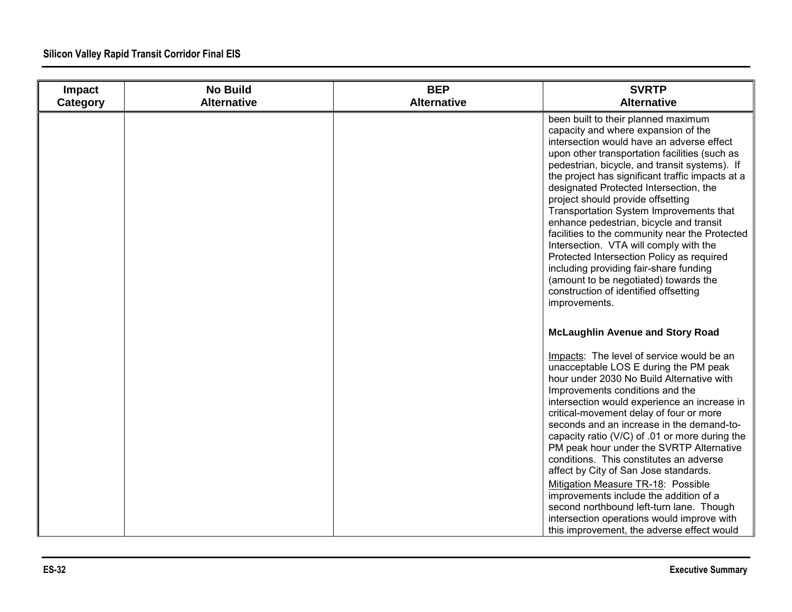| Impact<br>Category | <b>No Build</b><br><b>Alternative</b> | <b>BEP</b><br><b>Alternative</b> | <b>SVRTP</b><br><b>Alternative</b>                                                                                                                                                                                                                                                                                                                                                                                                                                                                                                                                                                                                                                                                                                       |
|--------------------|---------------------------------------|----------------------------------|------------------------------------------------------------------------------------------------------------------------------------------------------------------------------------------------------------------------------------------------------------------------------------------------------------------------------------------------------------------------------------------------------------------------------------------------------------------------------------------------------------------------------------------------------------------------------------------------------------------------------------------------------------------------------------------------------------------------------------------|
|                    |                                       |                                  | been built to their planned maximum<br>capacity and where expansion of the<br>intersection would have an adverse effect<br>upon other transportation facilities (such as<br>pedestrian, bicycle, and transit systems). If<br>the project has significant traffic impacts at a<br>designated Protected Intersection, the<br>project should provide offsetting<br>Transportation System Improvements that<br>enhance pedestrian, bicycle and transit<br>facilities to the community near the Protected<br>Intersection. VTA will comply with the<br>Protected Intersection Policy as required<br>including providing fair-share funding<br>(amount to be negotiated) towards the<br>construction of identified offsetting<br>improvements. |
|                    |                                       |                                  | <b>McLaughlin Avenue and Story Road</b>                                                                                                                                                                                                                                                                                                                                                                                                                                                                                                                                                                                                                                                                                                  |
|                    |                                       |                                  | Impacts: The level of service would be an<br>unacceptable LOS E during the PM peak<br>hour under 2030 No Build Alternative with<br>Improvements conditions and the<br>intersection would experience an increase in<br>critical-movement delay of four or more<br>seconds and an increase in the demand-to-<br>capacity ratio (V/C) of .01 or more during the<br>PM peak hour under the SVRTP Alternative<br>conditions. This constitutes an adverse<br>affect by City of San Jose standards.<br>Mitigation Measure TR-18: Possible<br>improvements include the addition of a<br>second northbound left-turn lane. Though<br>intersection operations would improve with<br>this improvement, the adverse effect would                     |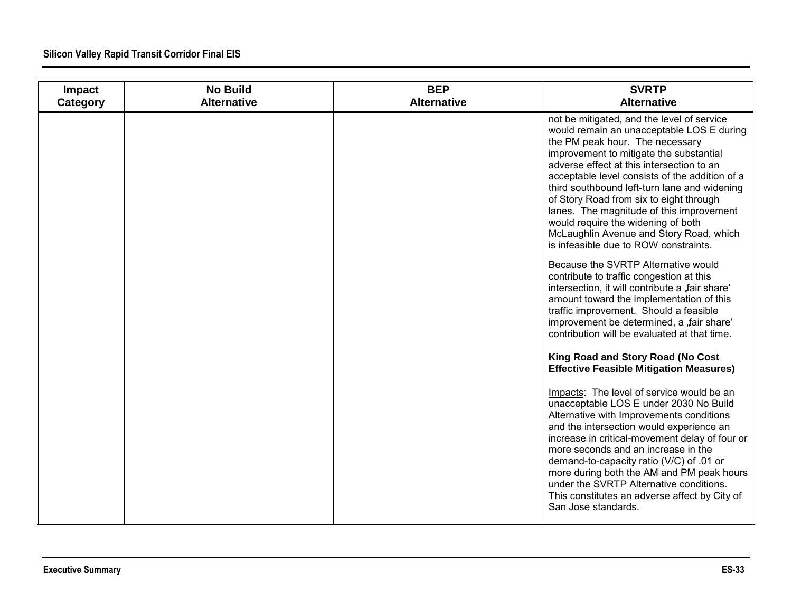| Impact<br>Category | <b>No Build</b><br><b>Alternative</b> | <b>BEP</b><br><b>Alternative</b> | <b>SVRTP</b><br><b>Alternative</b>                                                                                                                                                                                                                                                                                                                                                                                                                                                                                                    |
|--------------------|---------------------------------------|----------------------------------|---------------------------------------------------------------------------------------------------------------------------------------------------------------------------------------------------------------------------------------------------------------------------------------------------------------------------------------------------------------------------------------------------------------------------------------------------------------------------------------------------------------------------------------|
|                    |                                       |                                  | not be mitigated, and the level of service<br>would remain an unacceptable LOS E during<br>the PM peak hour. The necessary<br>improvement to mitigate the substantial<br>adverse effect at this intersection to an<br>acceptable level consists of the addition of a<br>third southbound left-turn lane and widening<br>of Story Road from six to eight through<br>lanes. The magnitude of this improvement<br>would require the widening of both<br>McLaughlin Avenue and Story Road, which<br>is infeasible due to ROW constraints. |
|                    |                                       |                                  | Because the SVRTP Alternative would<br>contribute to traffic congestion at this<br>intersection, it will contribute a "fair share"<br>amount toward the implementation of this<br>traffic improvement. Should a feasible<br>improvement be determined, a "fair share'<br>contribution will be evaluated at that time.                                                                                                                                                                                                                 |
|                    |                                       |                                  | King Road and Story Road (No Cost<br><b>Effective Feasible Mitigation Measures)</b>                                                                                                                                                                                                                                                                                                                                                                                                                                                   |
|                    |                                       |                                  | Impacts: The level of service would be an<br>unacceptable LOS E under 2030 No Build<br>Alternative with Improvements conditions<br>and the intersection would experience an<br>increase in critical-movement delay of four or<br>more seconds and an increase in the<br>demand-to-capacity ratio (V/C) of .01 or<br>more during both the AM and PM peak hours<br>under the SVRTP Alternative conditions.<br>This constitutes an adverse affect by City of<br>San Jose standards.                                                      |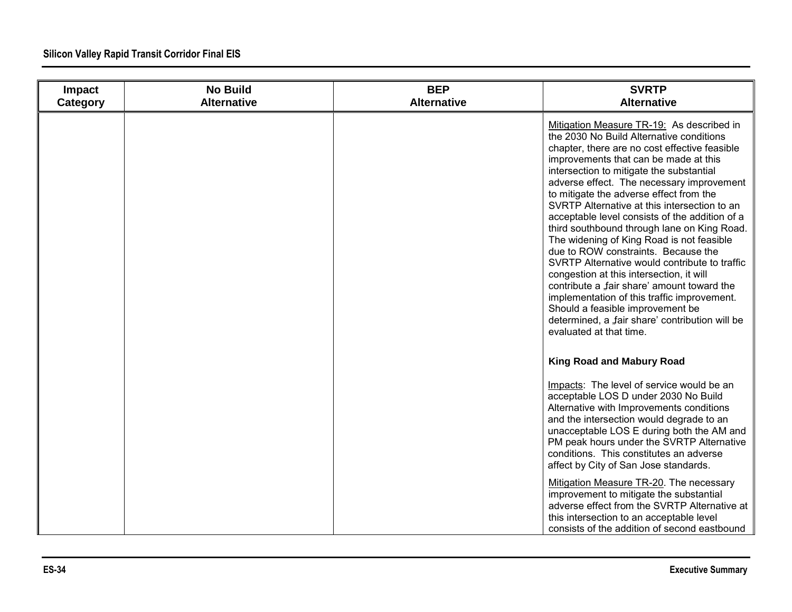| Impact<br>Category | <b>No Build</b><br><b>Alternative</b> | <b>BEP</b><br><b>Alternative</b> | <b>SVRTP</b><br><b>Alternative</b>                                                                                                                                                                                                                                                                                                                                                                                                                                                                                                                                                                                                                                                                                                                                                                                                                                    |
|--------------------|---------------------------------------|----------------------------------|-----------------------------------------------------------------------------------------------------------------------------------------------------------------------------------------------------------------------------------------------------------------------------------------------------------------------------------------------------------------------------------------------------------------------------------------------------------------------------------------------------------------------------------------------------------------------------------------------------------------------------------------------------------------------------------------------------------------------------------------------------------------------------------------------------------------------------------------------------------------------|
|                    |                                       |                                  | Mitigation Measure TR-19: As described in<br>the 2030 No Build Alternative conditions<br>chapter, there are no cost effective feasible<br>improvements that can be made at this<br>intersection to mitigate the substantial<br>adverse effect. The necessary improvement<br>to mitigate the adverse effect from the<br>SVRTP Alternative at this intersection to an<br>acceptable level consists of the addition of a<br>third southbound through lane on King Road.<br>The widening of King Road is not feasible<br>due to ROW constraints. Because the<br>SVRTP Alternative would contribute to traffic<br>congestion at this intersection, it will<br>contribute a "fair share' amount toward the<br>implementation of this traffic improvement.<br>Should a feasible improvement be<br>determined, a "fair share' contribution will be<br>evaluated at that time. |
|                    |                                       |                                  | <b>King Road and Mabury Road</b><br>Impacts: The level of service would be an<br>acceptable LOS D under 2030 No Build<br>Alternative with Improvements conditions                                                                                                                                                                                                                                                                                                                                                                                                                                                                                                                                                                                                                                                                                                     |
|                    |                                       |                                  | and the intersection would degrade to an<br>unacceptable LOS E during both the AM and<br>PM peak hours under the SVRTP Alternative<br>conditions. This constitutes an adverse<br>affect by City of San Jose standards.                                                                                                                                                                                                                                                                                                                                                                                                                                                                                                                                                                                                                                                |
|                    |                                       |                                  | Mitigation Measure TR-20. The necessary<br>improvement to mitigate the substantial<br>adverse effect from the SVRTP Alternative at<br>this intersection to an acceptable level<br>consists of the addition of second eastbound                                                                                                                                                                                                                                                                                                                                                                                                                                                                                                                                                                                                                                        |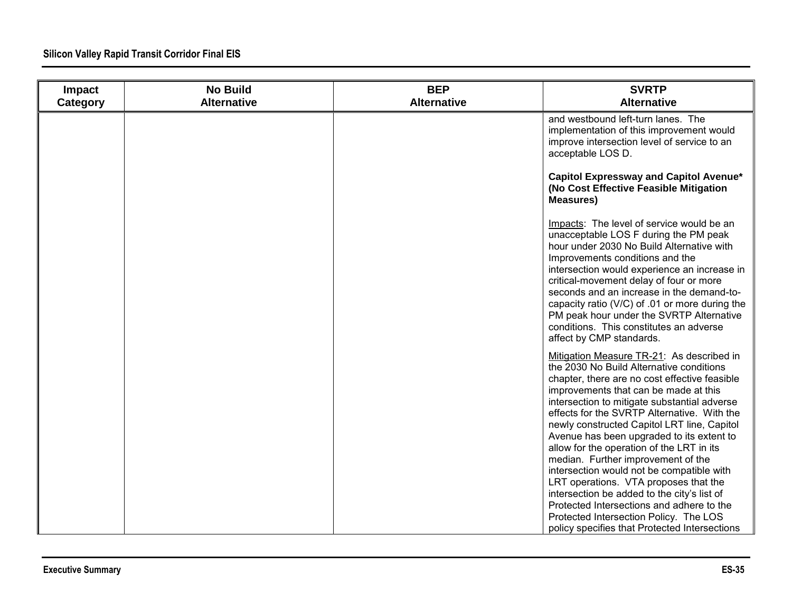| Impact<br>Category | <b>No Build</b><br><b>Alternative</b> | <b>BEP</b><br><b>Alternative</b> | <b>SVRTP</b><br><b>Alternative</b>                                                                                                                                                                                                                                                                                                                                                                                                                                                                                                                                                                                                                                                                                                         |
|--------------------|---------------------------------------|----------------------------------|--------------------------------------------------------------------------------------------------------------------------------------------------------------------------------------------------------------------------------------------------------------------------------------------------------------------------------------------------------------------------------------------------------------------------------------------------------------------------------------------------------------------------------------------------------------------------------------------------------------------------------------------------------------------------------------------------------------------------------------------|
|                    |                                       |                                  | and westbound left-turn lanes. The<br>implementation of this improvement would<br>improve intersection level of service to an<br>acceptable LOS D.                                                                                                                                                                                                                                                                                                                                                                                                                                                                                                                                                                                         |
|                    |                                       |                                  | Capitol Expressway and Capitol Avenue*<br>(No Cost Effective Feasible Mitigation<br><b>Measures)</b>                                                                                                                                                                                                                                                                                                                                                                                                                                                                                                                                                                                                                                       |
|                    |                                       |                                  | Impacts: The level of service would be an<br>unacceptable LOS F during the PM peak<br>hour under 2030 No Build Alternative with<br>Improvements conditions and the<br>intersection would experience an increase in<br>critical-movement delay of four or more<br>seconds and an increase in the demand-to-<br>capacity ratio (V/C) of .01 or more during the<br>PM peak hour under the SVRTP Alternative<br>conditions. This constitutes an adverse<br>affect by CMP standards.                                                                                                                                                                                                                                                            |
|                    |                                       |                                  | Mitigation Measure TR-21: As described in<br>the 2030 No Build Alternative conditions<br>chapter, there are no cost effective feasible<br>improvements that can be made at this<br>intersection to mitigate substantial adverse<br>effects for the SVRTP Alternative. With the<br>newly constructed Capitol LRT line, Capitol<br>Avenue has been upgraded to its extent to<br>allow for the operation of the LRT in its<br>median. Further improvement of the<br>intersection would not be compatible with<br>LRT operations. VTA proposes that the<br>intersection be added to the city's list of<br>Protected Intersections and adhere to the<br>Protected Intersection Policy. The LOS<br>policy specifies that Protected Intersections |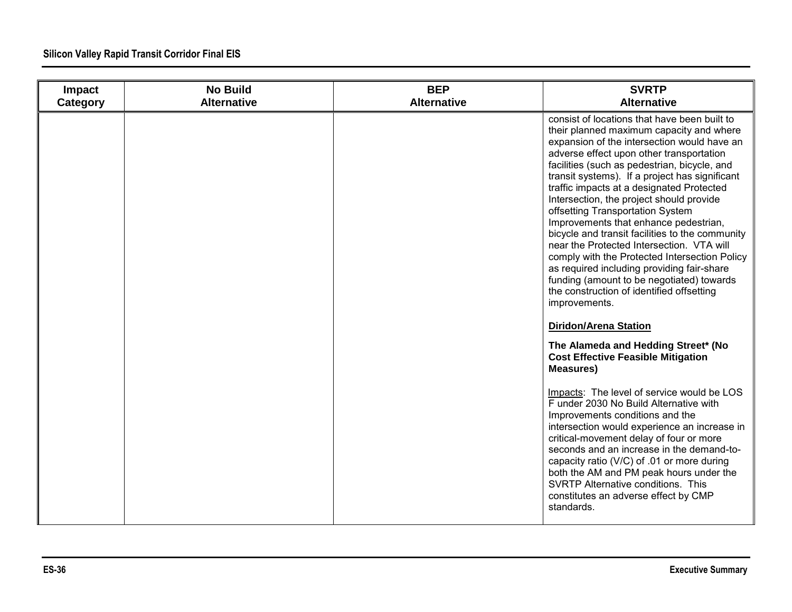| Impact<br>Category | <b>No Build</b><br><b>Alternative</b> | <b>BEP</b><br><b>Alternative</b> | <b>SVRTP</b><br><b>Alternative</b>                                                                                                                                                                                                                                                                                                                                                                                                                                                                                                                                                                                                                                                                                                                                    |
|--------------------|---------------------------------------|----------------------------------|-----------------------------------------------------------------------------------------------------------------------------------------------------------------------------------------------------------------------------------------------------------------------------------------------------------------------------------------------------------------------------------------------------------------------------------------------------------------------------------------------------------------------------------------------------------------------------------------------------------------------------------------------------------------------------------------------------------------------------------------------------------------------|
|                    |                                       |                                  | consist of locations that have been built to<br>their planned maximum capacity and where<br>expansion of the intersection would have an<br>adverse effect upon other transportation<br>facilities (such as pedestrian, bicycle, and<br>transit systems). If a project has significant<br>traffic impacts at a designated Protected<br>Intersection, the project should provide<br>offsetting Transportation System<br>Improvements that enhance pedestrian,<br>bicycle and transit facilities to the community<br>near the Protected Intersection. VTA will<br>comply with the Protected Intersection Policy<br>as required including providing fair-share<br>funding (amount to be negotiated) towards<br>the construction of identified offsetting<br>improvements. |
|                    |                                       |                                  | <b>Diridon/Arena Station</b>                                                                                                                                                                                                                                                                                                                                                                                                                                                                                                                                                                                                                                                                                                                                          |
|                    |                                       |                                  | The Alameda and Hedding Street* (No<br><b>Cost Effective Feasible Mitigation</b><br><b>Measures)</b>                                                                                                                                                                                                                                                                                                                                                                                                                                                                                                                                                                                                                                                                  |
|                    |                                       |                                  | Impacts: The level of service would be LOS<br>F under 2030 No Build Alternative with<br>Improvements conditions and the<br>intersection would experience an increase in<br>critical-movement delay of four or more<br>seconds and an increase in the demand-to-<br>capacity ratio (V/C) of .01 or more during<br>both the AM and PM peak hours under the<br>SVRTP Alternative conditions. This<br>constitutes an adverse effect by CMP<br>standards.                                                                                                                                                                                                                                                                                                                  |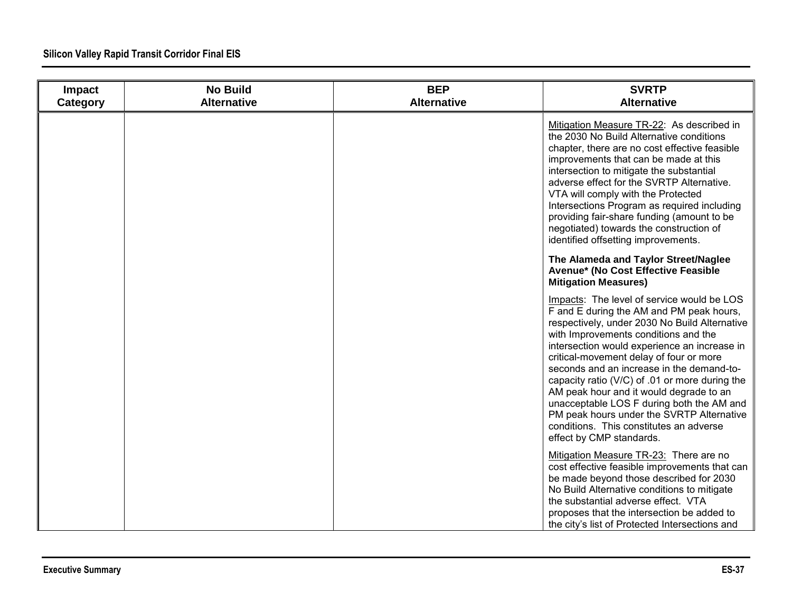| Impact<br>Category | <b>No Build</b><br><b>Alternative</b> | <b>BEP</b><br><b>Alternative</b> | <b>SVRTP</b><br><b>Alternative</b>                                                                                                                                                                                                                                                                                                                                                                                                                                                                                                                                                    |
|--------------------|---------------------------------------|----------------------------------|---------------------------------------------------------------------------------------------------------------------------------------------------------------------------------------------------------------------------------------------------------------------------------------------------------------------------------------------------------------------------------------------------------------------------------------------------------------------------------------------------------------------------------------------------------------------------------------|
|                    |                                       |                                  | Mitigation Measure TR-22: As described in<br>the 2030 No Build Alternative conditions<br>chapter, there are no cost effective feasible<br>improvements that can be made at this<br>intersection to mitigate the substantial<br>adverse effect for the SVRTP Alternative.<br>VTA will comply with the Protected<br>Intersections Program as required including<br>providing fair-share funding (amount to be<br>negotiated) towards the construction of<br>identified offsetting improvements.                                                                                         |
|                    |                                       |                                  | The Alameda and Taylor Street/Naglee<br>Avenue* (No Cost Effective Feasible<br><b>Mitigation Measures)</b>                                                                                                                                                                                                                                                                                                                                                                                                                                                                            |
|                    |                                       |                                  | Impacts: The level of service would be LOS<br>F and E during the AM and PM peak hours,<br>respectively, under 2030 No Build Alternative<br>with Improvements conditions and the<br>intersection would experience an increase in<br>critical-movement delay of four or more<br>seconds and an increase in the demand-to-<br>capacity ratio (V/C) of .01 or more during the<br>AM peak hour and it would degrade to an<br>unacceptable LOS F during both the AM and<br>PM peak hours under the SVRTP Alternative<br>conditions. This constitutes an adverse<br>effect by CMP standards. |
|                    |                                       |                                  | Mitigation Measure TR-23: There are no<br>cost effective feasible improvements that can<br>be made beyond those described for 2030<br>No Build Alternative conditions to mitigate<br>the substantial adverse effect. VTA<br>proposes that the intersection be added to<br>the city's list of Protected Intersections and                                                                                                                                                                                                                                                              |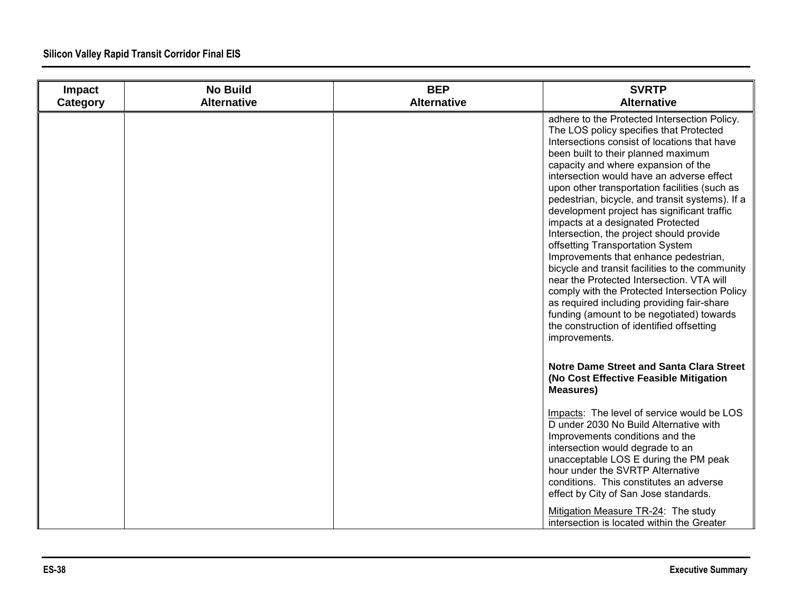| Impact<br>Category | <b>No Build</b><br><b>Alternative</b> | <b>BEP</b><br><b>Alternative</b> | <b>SVRTP</b><br><b>Alternative</b>                                                                                                                                                                                                                                                                                                                                                                                                                                                                                                                                                                                                                                                                                                                                                                                                                                                            |
|--------------------|---------------------------------------|----------------------------------|-----------------------------------------------------------------------------------------------------------------------------------------------------------------------------------------------------------------------------------------------------------------------------------------------------------------------------------------------------------------------------------------------------------------------------------------------------------------------------------------------------------------------------------------------------------------------------------------------------------------------------------------------------------------------------------------------------------------------------------------------------------------------------------------------------------------------------------------------------------------------------------------------|
|                    |                                       |                                  | adhere to the Protected Intersection Policy.<br>The LOS policy specifies that Protected<br>Intersections consist of locations that have<br>been built to their planned maximum<br>capacity and where expansion of the<br>intersection would have an adverse effect<br>upon other transportation facilities (such as<br>pedestrian, bicycle, and transit systems). If a<br>development project has significant traffic<br>impacts at a designated Protected<br>Intersection, the project should provide<br>offsetting Transportation System<br>Improvements that enhance pedestrian,<br>bicycle and transit facilities to the community<br>near the Protected Intersection. VTA will<br>comply with the Protected Intersection Policy<br>as required including providing fair-share<br>funding (amount to be negotiated) towards<br>the construction of identified offsetting<br>improvements. |
|                    |                                       |                                  | Notre Dame Street and Santa Clara Street<br>(No Cost Effective Feasible Mitigation<br><b>Measures)</b>                                                                                                                                                                                                                                                                                                                                                                                                                                                                                                                                                                                                                                                                                                                                                                                        |
|                    |                                       |                                  | Impacts: The level of service would be LOS<br>D under 2030 No Build Alternative with<br>Improvements conditions and the<br>intersection would degrade to an<br>unacceptable LOS E during the PM peak<br>hour under the SVRTP Alternative<br>conditions. This constitutes an adverse<br>effect by City of San Jose standards.<br>Mitigation Measure TR-24: The study<br>intersection is located within the Greater                                                                                                                                                                                                                                                                                                                                                                                                                                                                             |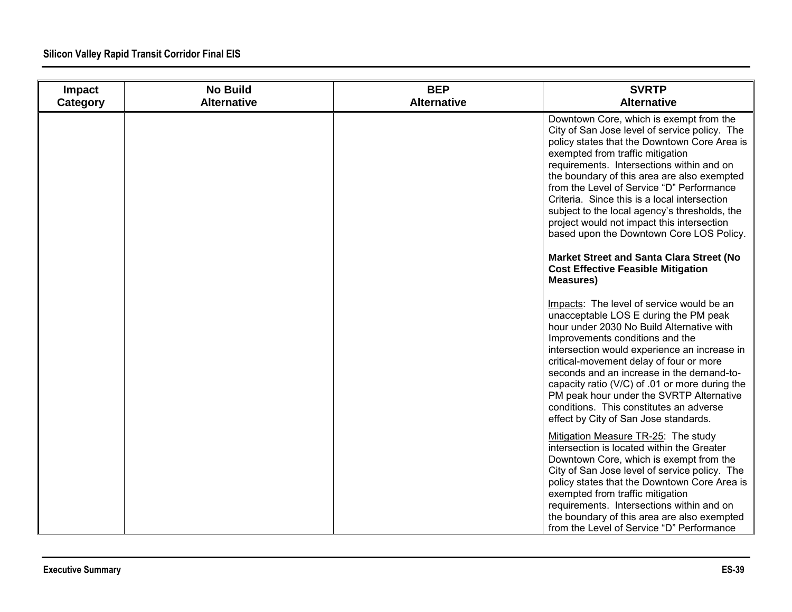| Impact<br>Category | <b>No Build</b><br><b>Alternative</b> | <b>BEP</b><br><b>Alternative</b> | <b>SVRTP</b><br><b>Alternative</b>                                                                                                                                                                                                                                                                                                                                                                                                                                                                               |
|--------------------|---------------------------------------|----------------------------------|------------------------------------------------------------------------------------------------------------------------------------------------------------------------------------------------------------------------------------------------------------------------------------------------------------------------------------------------------------------------------------------------------------------------------------------------------------------------------------------------------------------|
|                    |                                       |                                  | Downtown Core, which is exempt from the<br>City of San Jose level of service policy. The<br>policy states that the Downtown Core Area is<br>exempted from traffic mitigation<br>requirements. Intersections within and on<br>the boundary of this area are also exempted<br>from the Level of Service "D" Performance<br>Criteria. Since this is a local intersection<br>subject to the local agency's thresholds, the<br>project would not impact this intersection<br>based upon the Downtown Core LOS Policy. |
|                    |                                       |                                  | Market Street and Santa Clara Street (No<br><b>Cost Effective Feasible Mitigation</b><br><b>Measures)</b>                                                                                                                                                                                                                                                                                                                                                                                                        |
|                    |                                       |                                  | Impacts: The level of service would be an<br>unacceptable LOS E during the PM peak<br>hour under 2030 No Build Alternative with<br>Improvements conditions and the<br>intersection would experience an increase in<br>critical-movement delay of four or more<br>seconds and an increase in the demand-to-<br>capacity ratio (V/C) of .01 or more during the<br>PM peak hour under the SVRTP Alternative<br>conditions. This constitutes an adverse<br>effect by City of San Jose standards.                     |
|                    |                                       |                                  | Mitigation Measure TR-25: The study<br>intersection is located within the Greater<br>Downtown Core, which is exempt from the<br>City of San Jose level of service policy. The<br>policy states that the Downtown Core Area is<br>exempted from traffic mitigation<br>requirements. Intersections within and on<br>the boundary of this area are also exempted<br>from the Level of Service "D" Performance                                                                                                       |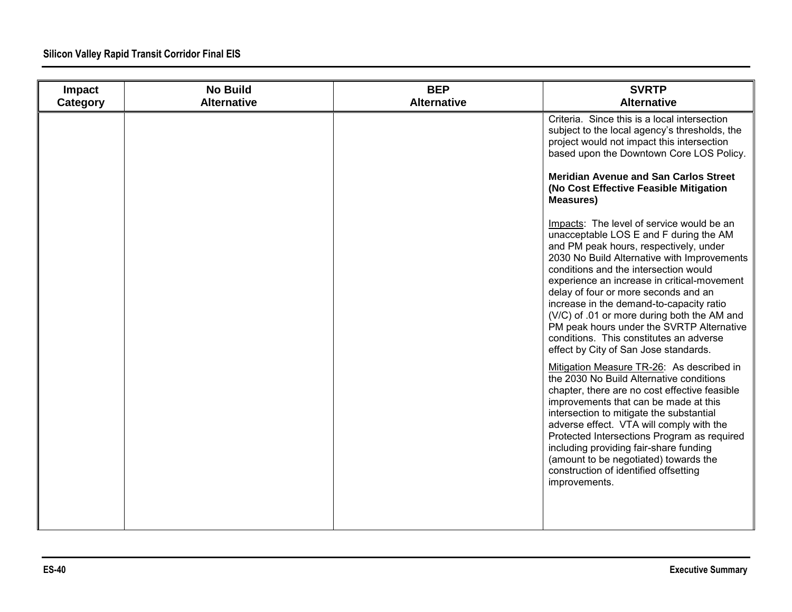| Impact<br>Category | <b>No Build</b><br><b>Alternative</b> | <b>BEP</b><br><b>Alternative</b> | <b>SVRTP</b><br><b>Alternative</b>                                                                                                                                                                                                                                                                                                                                                                                                                                                                                                       |
|--------------------|---------------------------------------|----------------------------------|------------------------------------------------------------------------------------------------------------------------------------------------------------------------------------------------------------------------------------------------------------------------------------------------------------------------------------------------------------------------------------------------------------------------------------------------------------------------------------------------------------------------------------------|
|                    |                                       |                                  | Criteria. Since this is a local intersection<br>subject to the local agency's thresholds, the<br>project would not impact this intersection<br>based upon the Downtown Core LOS Policy.                                                                                                                                                                                                                                                                                                                                                  |
|                    |                                       |                                  | <b>Meridian Avenue and San Carlos Street</b><br>(No Cost Effective Feasible Mitigation<br><b>Measures)</b>                                                                                                                                                                                                                                                                                                                                                                                                                               |
|                    |                                       |                                  | Impacts: The level of service would be an<br>unacceptable LOS E and F during the AM<br>and PM peak hours, respectively, under<br>2030 No Build Alternative with Improvements<br>conditions and the intersection would<br>experience an increase in critical-movement<br>delay of four or more seconds and an<br>increase in the demand-to-capacity ratio<br>(V/C) of .01 or more during both the AM and<br>PM peak hours under the SVRTP Alternative<br>conditions. This constitutes an adverse<br>effect by City of San Jose standards. |
|                    |                                       |                                  | Mitigation Measure TR-26: As described in<br>the 2030 No Build Alternative conditions<br>chapter, there are no cost effective feasible<br>improvements that can be made at this<br>intersection to mitigate the substantial<br>adverse effect. VTA will comply with the<br>Protected Intersections Program as required<br>including providing fair-share funding<br>(amount to be negotiated) towards the<br>construction of identified offsetting<br>improvements.                                                                      |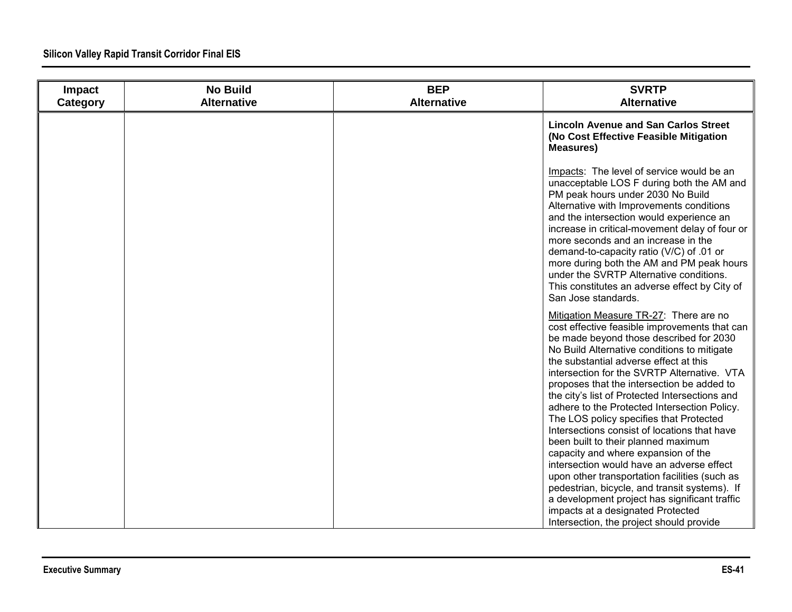| Impact<br>Category | <b>No Build</b><br><b>Alternative</b> | <b>BEP</b><br><b>Alternative</b> | <b>SVRTP</b><br><b>Alternative</b>                                                                                                                                                                                                                                                                                                                                                                                                                                                                                       |
|--------------------|---------------------------------------|----------------------------------|--------------------------------------------------------------------------------------------------------------------------------------------------------------------------------------------------------------------------------------------------------------------------------------------------------------------------------------------------------------------------------------------------------------------------------------------------------------------------------------------------------------------------|
|                    |                                       |                                  | <b>Lincoln Avenue and San Carlos Street</b><br>(No Cost Effective Feasible Mitigation<br><b>Measures)</b>                                                                                                                                                                                                                                                                                                                                                                                                                |
|                    |                                       |                                  | Impacts: The level of service would be an<br>unacceptable LOS F during both the AM and<br>PM peak hours under 2030 No Build<br>Alternative with Improvements conditions<br>and the intersection would experience an<br>increase in critical-movement delay of four or<br>more seconds and an increase in the<br>demand-to-capacity ratio (V/C) of .01 or<br>more during both the AM and PM peak hours<br>under the SVRTP Alternative conditions.<br>This constitutes an adverse effect by City of<br>San Jose standards. |
|                    |                                       |                                  | Mitigation Measure TR-27: There are no<br>cost effective feasible improvements that can<br>be made beyond those described for 2030<br>No Build Alternative conditions to mitigate<br>the substantial adverse effect at this<br>intersection for the SVRTP Alternative. VTA<br>proposes that the intersection be added to<br>the city's list of Protected Intersections and<br>adhere to the Protected Intersection Policy.<br>The LOS policy specifies that Protected                                                    |
|                    |                                       |                                  | Intersections consist of locations that have<br>been built to their planned maximum<br>capacity and where expansion of the<br>intersection would have an adverse effect<br>upon other transportation facilities (such as<br>pedestrian, bicycle, and transit systems). If<br>a development project has significant traffic<br>impacts at a designated Protected<br>Intersection, the project should provide                                                                                                              |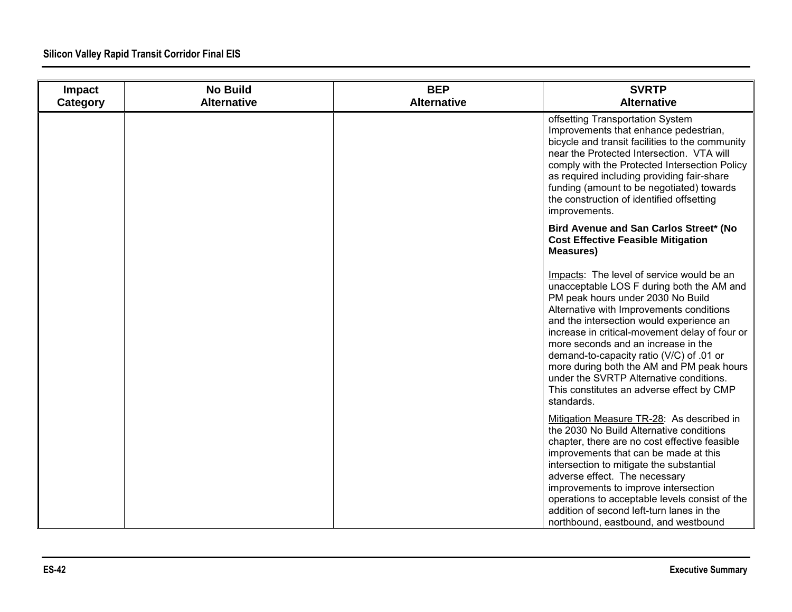| Impact<br>Category | <b>No Build</b><br><b>Alternative</b> | <b>BEP</b><br><b>Alternative</b> | <b>SVRTP</b><br><b>Alternative</b>                                                                                                                                                                                                                                                                                                                                                                                                                                                                          |
|--------------------|---------------------------------------|----------------------------------|-------------------------------------------------------------------------------------------------------------------------------------------------------------------------------------------------------------------------------------------------------------------------------------------------------------------------------------------------------------------------------------------------------------------------------------------------------------------------------------------------------------|
|                    |                                       |                                  | offsetting Transportation System<br>Improvements that enhance pedestrian,<br>bicycle and transit facilities to the community<br>near the Protected Intersection. VTA will<br>comply with the Protected Intersection Policy<br>as required including providing fair-share<br>funding (amount to be negotiated) towards<br>the construction of identified offsetting<br>improvements.                                                                                                                         |
|                    |                                       |                                  | Bird Avenue and San Carlos Street* (No<br><b>Cost Effective Feasible Mitigation</b><br><b>Measures)</b>                                                                                                                                                                                                                                                                                                                                                                                                     |
|                    |                                       |                                  | Impacts: The level of service would be an<br>unacceptable LOS F during both the AM and<br>PM peak hours under 2030 No Build<br>Alternative with Improvements conditions<br>and the intersection would experience an<br>increase in critical-movement delay of four or<br>more seconds and an increase in the<br>demand-to-capacity ratio (V/C) of .01 or<br>more during both the AM and PM peak hours<br>under the SVRTP Alternative conditions.<br>This constitutes an adverse effect by CMP<br>standards. |
|                    |                                       |                                  | Mitigation Measure TR-28: As described in<br>the 2030 No Build Alternative conditions<br>chapter, there are no cost effective feasible<br>improvements that can be made at this<br>intersection to mitigate the substantial<br>adverse effect. The necessary<br>improvements to improve intersection<br>operations to acceptable levels consist of the<br>addition of second left-turn lanes in the<br>northbound, eastbound, and westbound                                                                 |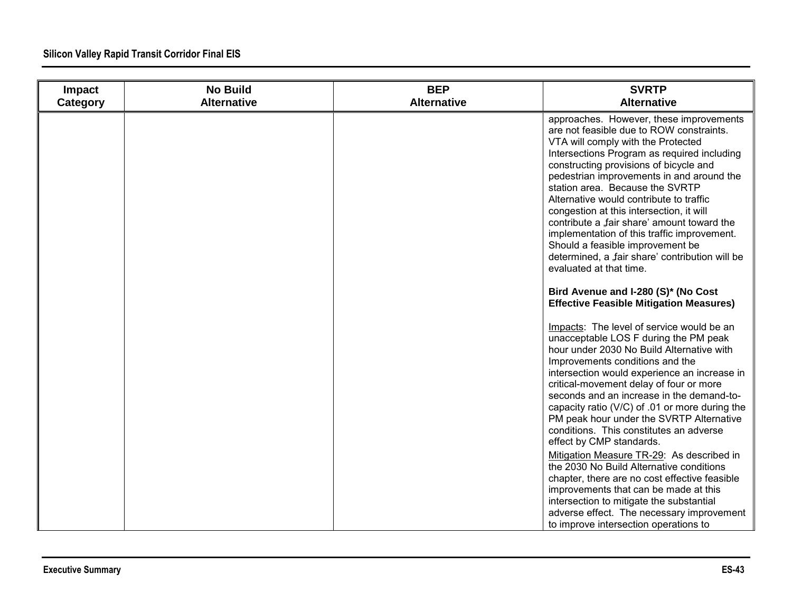| Impact<br>Category | <b>No Build</b><br><b>Alternative</b> | <b>BEP</b><br><b>Alternative</b> | <b>SVRTP</b><br><b>Alternative</b>                                                                                                                                                                                                                                                                                                                                                                                                                                                                                                                                                                                                                                                                                                                                                                   |
|--------------------|---------------------------------------|----------------------------------|------------------------------------------------------------------------------------------------------------------------------------------------------------------------------------------------------------------------------------------------------------------------------------------------------------------------------------------------------------------------------------------------------------------------------------------------------------------------------------------------------------------------------------------------------------------------------------------------------------------------------------------------------------------------------------------------------------------------------------------------------------------------------------------------------|
|                    |                                       |                                  | approaches. However, these improvements<br>are not feasible due to ROW constraints.<br>VTA will comply with the Protected<br>Intersections Program as required including<br>constructing provisions of bicycle and<br>pedestrian improvements in and around the<br>station area. Because the SVRTP<br>Alternative would contribute to traffic<br>congestion at this intersection, it will<br>contribute a "fair share' amount toward the<br>implementation of this traffic improvement.<br>Should a feasible improvement be<br>determined, a "fair share' contribution will be<br>evaluated at that time.<br>Bird Avenue and I-280 (S)* (No Cost<br><b>Effective Feasible Mitigation Measures)</b>                                                                                                   |
|                    |                                       |                                  | Impacts: The level of service would be an<br>unacceptable LOS F during the PM peak<br>hour under 2030 No Build Alternative with<br>Improvements conditions and the<br>intersection would experience an increase in<br>critical-movement delay of four or more<br>seconds and an increase in the demand-to-<br>capacity ratio (V/C) of .01 or more during the<br>PM peak hour under the SVRTP Alternative<br>conditions. This constitutes an adverse<br>effect by CMP standards.<br>Mitigation Measure TR-29: As described in<br>the 2030 No Build Alternative conditions<br>chapter, there are no cost effective feasible<br>improvements that can be made at this<br>intersection to mitigate the substantial<br>adverse effect. The necessary improvement<br>to improve intersection operations to |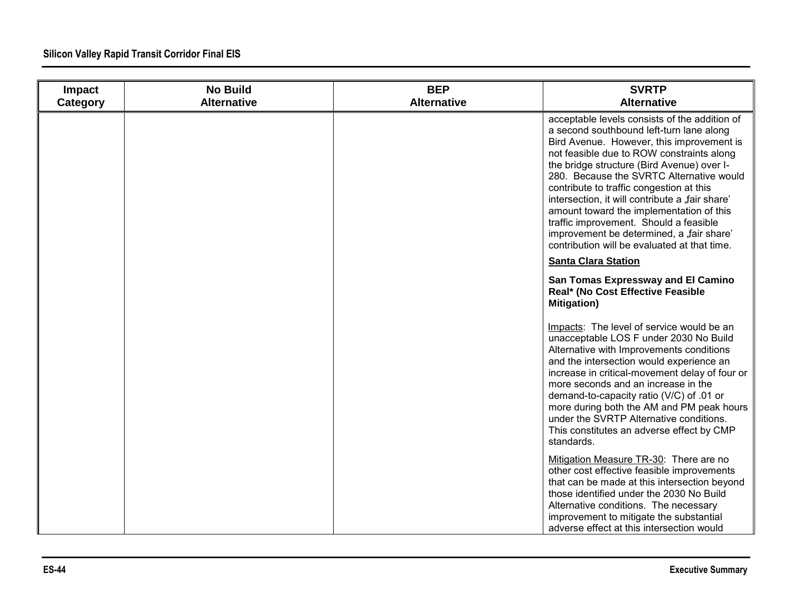| Impact<br>Category | <b>No Build</b><br><b>Alternative</b> | <b>BEP</b><br><b>Alternative</b> | <b>SVRTP</b><br><b>Alternative</b>                                                                                                                                                                                                                                                                                                                                                                                                                                                                                                                              |
|--------------------|---------------------------------------|----------------------------------|-----------------------------------------------------------------------------------------------------------------------------------------------------------------------------------------------------------------------------------------------------------------------------------------------------------------------------------------------------------------------------------------------------------------------------------------------------------------------------------------------------------------------------------------------------------------|
|                    |                                       |                                  | acceptable levels consists of the addition of<br>a second southbound left-turn lane along<br>Bird Avenue. However, this improvement is<br>not feasible due to ROW constraints along<br>the bridge structure (Bird Avenue) over I-<br>280. Because the SVRTC Alternative would<br>contribute to traffic congestion at this<br>intersection, it will contribute a "fair share'<br>amount toward the implementation of this<br>traffic improvement. Should a feasible<br>improvement be determined, a "fair share'<br>contribution will be evaluated at that time. |
|                    |                                       |                                  | <b>Santa Clara Station</b>                                                                                                                                                                                                                                                                                                                                                                                                                                                                                                                                      |
|                    |                                       |                                  | San Tomas Expressway and El Camino<br>Real* (No Cost Effective Feasible<br><b>Mitigation)</b>                                                                                                                                                                                                                                                                                                                                                                                                                                                                   |
|                    |                                       |                                  | Impacts: The level of service would be an<br>unacceptable LOS F under 2030 No Build<br>Alternative with Improvements conditions<br>and the intersection would experience an<br>increase in critical-movement delay of four or<br>more seconds and an increase in the<br>demand-to-capacity ratio (V/C) of .01 or<br>more during both the AM and PM peak hours<br>under the SVRTP Alternative conditions.<br>This constitutes an adverse effect by CMP<br>standards.                                                                                             |
|                    |                                       |                                  | Mitigation Measure TR-30: There are no<br>other cost effective feasible improvements<br>that can be made at this intersection beyond<br>those identified under the 2030 No Build<br>Alternative conditions. The necessary<br>improvement to mitigate the substantial<br>adverse effect at this intersection would                                                                                                                                                                                                                                               |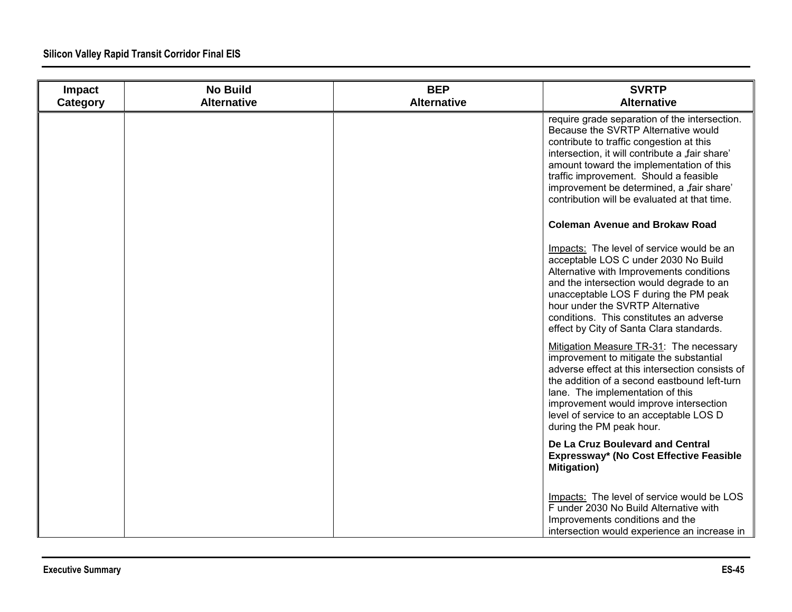| Impact<br>Category | <b>No Build</b><br><b>Alternative</b> | <b>BEP</b><br><b>Alternative</b> | <b>SVRTP</b><br><b>Alternative</b>                                                                                                                                                                                                                                                                                                                                     |
|--------------------|---------------------------------------|----------------------------------|------------------------------------------------------------------------------------------------------------------------------------------------------------------------------------------------------------------------------------------------------------------------------------------------------------------------------------------------------------------------|
|                    |                                       |                                  | require grade separation of the intersection.<br>Because the SVRTP Alternative would<br>contribute to traffic congestion at this<br>intersection, it will contribute a "fair share"<br>amount toward the implementation of this<br>traffic improvement. Should a feasible<br>improvement be determined, a "fair share'<br>contribution will be evaluated at that time. |
|                    |                                       |                                  | <b>Coleman Avenue and Brokaw Road</b>                                                                                                                                                                                                                                                                                                                                  |
|                    |                                       |                                  | Impacts: The level of service would be an<br>acceptable LOS C under 2030 No Build<br>Alternative with Improvements conditions<br>and the intersection would degrade to an<br>unacceptable LOS F during the PM peak<br>hour under the SVRTP Alternative<br>conditions. This constitutes an adverse<br>effect by City of Santa Clara standards.                          |
|                    |                                       |                                  | Mitigation Measure TR-31: The necessary<br>improvement to mitigate the substantial<br>adverse effect at this intersection consists of<br>the addition of a second eastbound left-turn<br>lane. The implementation of this<br>improvement would improve intersection<br>level of service to an acceptable LOS D<br>during the PM peak hour.                             |
|                    |                                       |                                  | De La Cruz Boulevard and Central<br>Expressway* (No Cost Effective Feasible<br><b>Mitigation</b> )                                                                                                                                                                                                                                                                     |
|                    |                                       |                                  | Impacts: The level of service would be LOS<br>F under 2030 No Build Alternative with<br>Improvements conditions and the<br>intersection would experience an increase in                                                                                                                                                                                                |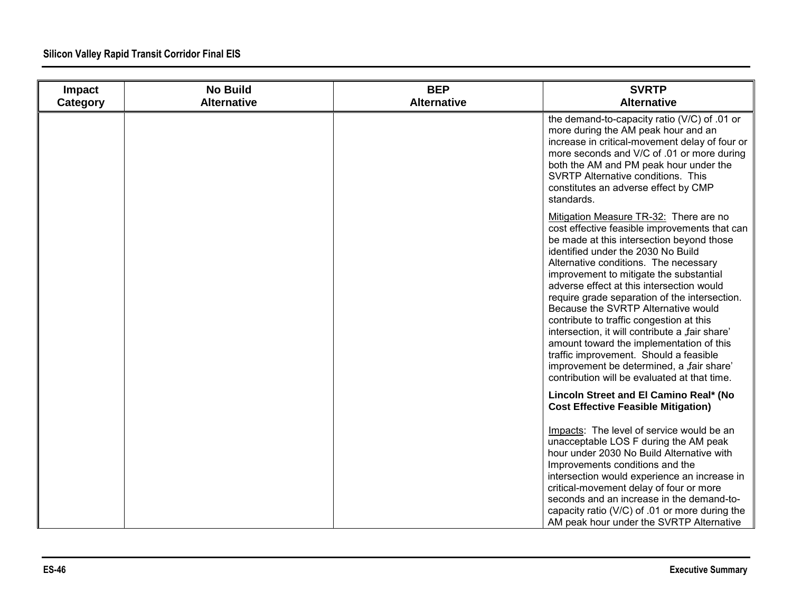| Impact<br>Category | <b>No Build</b><br><b>Alternative</b> | <b>BEP</b><br><b>Alternative</b> | <b>SVRTP</b><br><b>Alternative</b>                                                                                                                                                                                                                                                                                                                                                                                                                                                                                                                                                                                                                                                    |
|--------------------|---------------------------------------|----------------------------------|---------------------------------------------------------------------------------------------------------------------------------------------------------------------------------------------------------------------------------------------------------------------------------------------------------------------------------------------------------------------------------------------------------------------------------------------------------------------------------------------------------------------------------------------------------------------------------------------------------------------------------------------------------------------------------------|
|                    |                                       |                                  | the demand-to-capacity ratio (V/C) of .01 or<br>more during the AM peak hour and an<br>increase in critical-movement delay of four or<br>more seconds and V/C of .01 or more during<br>both the AM and PM peak hour under the<br>SVRTP Alternative conditions. This<br>constitutes an adverse effect by CMP<br>standards.                                                                                                                                                                                                                                                                                                                                                             |
|                    |                                       |                                  | Mitigation Measure TR-32: There are no<br>cost effective feasible improvements that can<br>be made at this intersection beyond those<br>identified under the 2030 No Build<br>Alternative conditions. The necessary<br>improvement to mitigate the substantial<br>adverse effect at this intersection would<br>require grade separation of the intersection.<br>Because the SVRTP Alternative would<br>contribute to traffic congestion at this<br>intersection, it will contribute a "fair share'<br>amount toward the implementation of this<br>traffic improvement. Should a feasible<br>improvement be determined, a "fair share'<br>contribution will be evaluated at that time. |
|                    |                                       |                                  | Lincoln Street and El Camino Real* (No<br><b>Cost Effective Feasible Mitigation)</b>                                                                                                                                                                                                                                                                                                                                                                                                                                                                                                                                                                                                  |
|                    |                                       |                                  | Impacts: The level of service would be an<br>unacceptable LOS F during the AM peak<br>hour under 2030 No Build Alternative with<br>Improvements conditions and the<br>intersection would experience an increase in<br>critical-movement delay of four or more<br>seconds and an increase in the demand-to-<br>capacity ratio (V/C) of .01 or more during the<br>AM peak hour under the SVRTP Alternative                                                                                                                                                                                                                                                                              |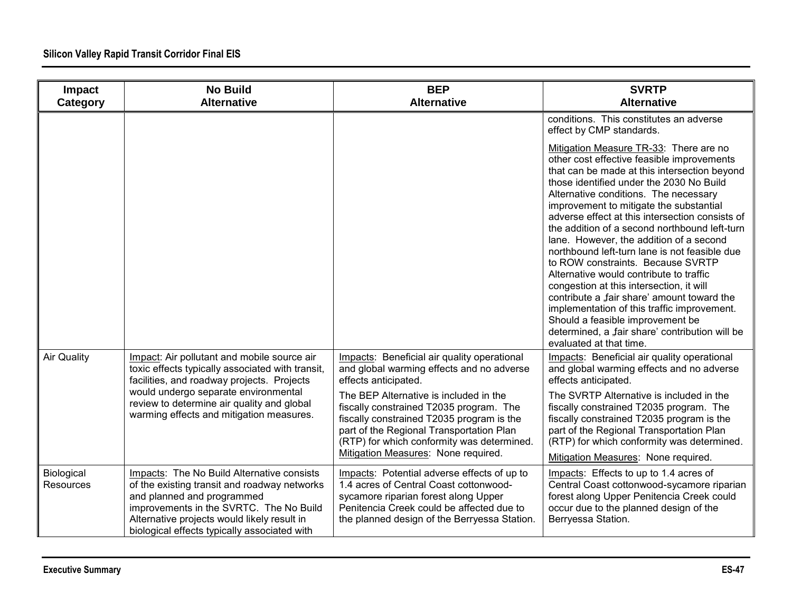| Impact<br>Category      | <b>No Build</b><br><b>Alternative</b>                                                                                                                                                                                                                              | <b>BEP</b><br><b>Alternative</b>                                                                                                                                                                                                                                | <b>SVRTP</b><br><b>Alternative</b>                                                                                                                                                                                                                                                                                                                                                                                                                                                                                                                                                                                                                                                                                                                                                                               |
|-------------------------|--------------------------------------------------------------------------------------------------------------------------------------------------------------------------------------------------------------------------------------------------------------------|-----------------------------------------------------------------------------------------------------------------------------------------------------------------------------------------------------------------------------------------------------------------|------------------------------------------------------------------------------------------------------------------------------------------------------------------------------------------------------------------------------------------------------------------------------------------------------------------------------------------------------------------------------------------------------------------------------------------------------------------------------------------------------------------------------------------------------------------------------------------------------------------------------------------------------------------------------------------------------------------------------------------------------------------------------------------------------------------|
|                         |                                                                                                                                                                                                                                                                    |                                                                                                                                                                                                                                                                 | conditions. This constitutes an adverse<br>effect by CMP standards.                                                                                                                                                                                                                                                                                                                                                                                                                                                                                                                                                                                                                                                                                                                                              |
|                         |                                                                                                                                                                                                                                                                    |                                                                                                                                                                                                                                                                 | Mitigation Measure TR-33: There are no<br>other cost effective feasible improvements<br>that can be made at this intersection beyond<br>those identified under the 2030 No Build<br>Alternative conditions. The necessary<br>improvement to mitigate the substantial<br>adverse effect at this intersection consists of<br>the addition of a second northbound left-turn<br>lane. However, the addition of a second<br>northbound left-turn lane is not feasible due<br>to ROW constraints. Because SVRTP<br>Alternative would contribute to traffic<br>congestion at this intersection, it will<br>contribute a "fair share' amount toward the<br>implementation of this traffic improvement.<br>Should a feasible improvement be<br>determined, a "fair share' contribution will be<br>evaluated at that time. |
| <b>Air Quality</b>      | Impact: Air pollutant and mobile source air<br>toxic effects typically associated with transit,<br>facilities, and roadway projects. Projects                                                                                                                      | Impacts: Beneficial air quality operational<br>and global warming effects and no adverse<br>effects anticipated.                                                                                                                                                | Impacts: Beneficial air quality operational<br>and global warming effects and no adverse<br>effects anticipated.                                                                                                                                                                                                                                                                                                                                                                                                                                                                                                                                                                                                                                                                                                 |
|                         | would undergo separate environmental<br>review to determine air quality and global<br>warming effects and mitigation measures.                                                                                                                                     | The BEP Alternative is included in the<br>fiscally constrained T2035 program. The<br>fiscally constrained T2035 program is the<br>part of the Regional Transportation Plan<br>(RTP) for which conformity was determined.<br>Mitigation Measures: None required. | The SVRTP Alternative is included in the<br>fiscally constrained T2035 program. The<br>fiscally constrained T2035 program is the<br>part of the Regional Transportation Plan<br>(RTP) for which conformity was determined.<br>Mitigation Measures: None required.                                                                                                                                                                                                                                                                                                                                                                                                                                                                                                                                                |
| Biological<br>Resources | Impacts: The No Build Alternative consists<br>of the existing transit and roadway networks<br>and planned and programmed<br>improvements in the SVRTC. The No Build<br>Alternative projects would likely result in<br>biological effects typically associated with | Impacts: Potential adverse effects of up to<br>1.4 acres of Central Coast cottonwood-<br>sycamore riparian forest along Upper<br>Penitencia Creek could be affected due to<br>the planned design of the Berryessa Station.                                      | Impacts: Effects to up to 1.4 acres of<br>Central Coast cottonwood-sycamore riparian<br>forest along Upper Penitencia Creek could<br>occur due to the planned design of the<br>Berryessa Station.                                                                                                                                                                                                                                                                                                                                                                                                                                                                                                                                                                                                                |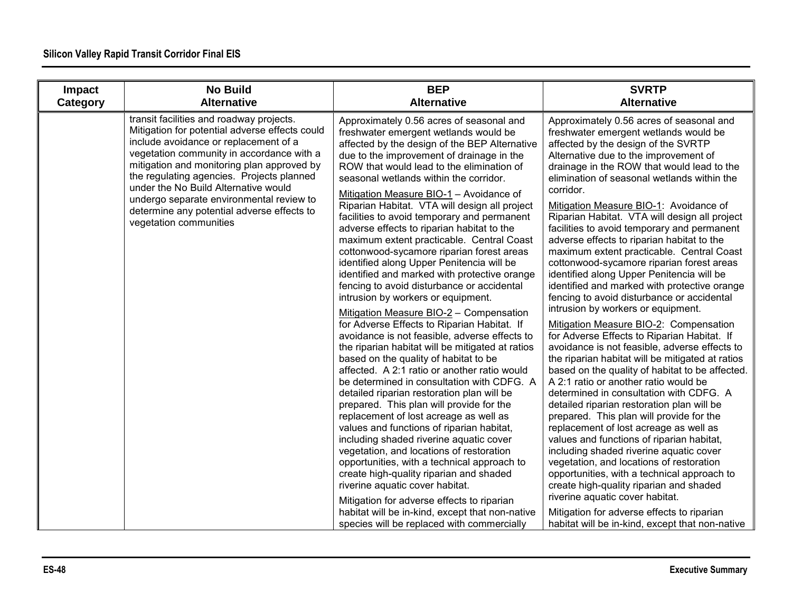| Impact   | <b>No Build</b><br><b>Alternative</b>                                                                                                                                                                                                                                                                                                                                                                                                   | <b>BEP</b><br><b>Alternative</b>                                                                                                                                                                                                                                                                                                                                                                                                                                                                                                                                                                                                                                                                                                                                                                                                                                                                                                                                                                                                                                                                                                                                                                                                                                                                                                                                                                                                                                                                                                    | <b>SVRTP</b><br><b>Alternative</b>                                                                                                                                                                                                                                                                                                                                                                                                                                                                                                                                                                                                                                                                                                                                                                                                                                                                                                                                                                                                                                                                                                                                                                                                                                                                                                                                                                                                                                                       |
|----------|-----------------------------------------------------------------------------------------------------------------------------------------------------------------------------------------------------------------------------------------------------------------------------------------------------------------------------------------------------------------------------------------------------------------------------------------|-------------------------------------------------------------------------------------------------------------------------------------------------------------------------------------------------------------------------------------------------------------------------------------------------------------------------------------------------------------------------------------------------------------------------------------------------------------------------------------------------------------------------------------------------------------------------------------------------------------------------------------------------------------------------------------------------------------------------------------------------------------------------------------------------------------------------------------------------------------------------------------------------------------------------------------------------------------------------------------------------------------------------------------------------------------------------------------------------------------------------------------------------------------------------------------------------------------------------------------------------------------------------------------------------------------------------------------------------------------------------------------------------------------------------------------------------------------------------------------------------------------------------------------|------------------------------------------------------------------------------------------------------------------------------------------------------------------------------------------------------------------------------------------------------------------------------------------------------------------------------------------------------------------------------------------------------------------------------------------------------------------------------------------------------------------------------------------------------------------------------------------------------------------------------------------------------------------------------------------------------------------------------------------------------------------------------------------------------------------------------------------------------------------------------------------------------------------------------------------------------------------------------------------------------------------------------------------------------------------------------------------------------------------------------------------------------------------------------------------------------------------------------------------------------------------------------------------------------------------------------------------------------------------------------------------------------------------------------------------------------------------------------------------|
| Category |                                                                                                                                                                                                                                                                                                                                                                                                                                         |                                                                                                                                                                                                                                                                                                                                                                                                                                                                                                                                                                                                                                                                                                                                                                                                                                                                                                                                                                                                                                                                                                                                                                                                                                                                                                                                                                                                                                                                                                                                     |                                                                                                                                                                                                                                                                                                                                                                                                                                                                                                                                                                                                                                                                                                                                                                                                                                                                                                                                                                                                                                                                                                                                                                                                                                                                                                                                                                                                                                                                                          |
|          | transit facilities and roadway projects.<br>Mitigation for potential adverse effects could<br>include avoidance or replacement of a<br>vegetation community in accordance with a<br>mitigation and monitoring plan approved by<br>the regulating agencies. Projects planned<br>under the No Build Alternative would<br>undergo separate environmental review to<br>determine any potential adverse effects to<br>vegetation communities | Approximately 0.56 acres of seasonal and<br>freshwater emergent wetlands would be<br>affected by the design of the BEP Alternative<br>due to the improvement of drainage in the<br>ROW that would lead to the elimination of<br>seasonal wetlands within the corridor.<br>Mitigation Measure BIO-1 - Avoidance of<br>Riparian Habitat. VTA will design all project<br>facilities to avoid temporary and permanent<br>adverse effects to riparian habitat to the<br>maximum extent practicable. Central Coast<br>cottonwood-sycamore riparian forest areas<br>identified along Upper Penitencia will be<br>identified and marked with protective orange<br>fencing to avoid disturbance or accidental<br>intrusion by workers or equipment.<br>Mitigation Measure BIO-2 - Compensation<br>for Adverse Effects to Riparian Habitat. If<br>avoidance is not feasible, adverse effects to<br>the riparian habitat will be mitigated at ratios<br>based on the quality of habitat to be<br>affected. A 2:1 ratio or another ratio would<br>be determined in consultation with CDFG. A<br>detailed riparian restoration plan will be<br>prepared. This plan will provide for the<br>replacement of lost acreage as well as<br>values and functions of riparian habitat,<br>including shaded riverine aquatic cover<br>vegetation, and locations of restoration<br>opportunities, with a technical approach to<br>create high-quality riparian and shaded<br>riverine aquatic cover habitat.<br>Mitigation for adverse effects to riparian | Approximately 0.56 acres of seasonal and<br>freshwater emergent wetlands would be<br>affected by the design of the SVRTP<br>Alternative due to the improvement of<br>drainage in the ROW that would lead to the<br>elimination of seasonal wetlands within the<br>corridor.<br>Mitigation Measure BIO-1: Avoidance of<br>Riparian Habitat. VTA will design all project<br>facilities to avoid temporary and permanent<br>adverse effects to riparian habitat to the<br>maximum extent practicable. Central Coast<br>cottonwood-sycamore riparian forest areas<br>identified along Upper Penitencia will be<br>identified and marked with protective orange<br>fencing to avoid disturbance or accidental<br>intrusion by workers or equipment.<br>Mitigation Measure BIO-2: Compensation<br>for Adverse Effects to Riparian Habitat. If<br>avoidance is not feasible, adverse effects to<br>the riparian habitat will be mitigated at ratios<br>based on the quality of habitat to be affected.<br>A 2:1 ratio or another ratio would be<br>determined in consultation with CDFG. A<br>detailed riparian restoration plan will be<br>prepared. This plan will provide for the<br>replacement of lost acreage as well as<br>values and functions of riparian habitat,<br>including shaded riverine aquatic cover<br>vegetation, and locations of restoration<br>opportunities, with a technical approach to<br>create high-quality riparian and shaded<br>riverine aquatic cover habitat. |
|          |                                                                                                                                                                                                                                                                                                                                                                                                                                         | habitat will be in-kind, except that non-native<br>species will be replaced with commercially                                                                                                                                                                                                                                                                                                                                                                                                                                                                                                                                                                                                                                                                                                                                                                                                                                                                                                                                                                                                                                                                                                                                                                                                                                                                                                                                                                                                                                       | Mitigation for adverse effects to riparian<br>habitat will be in-kind, except that non-native                                                                                                                                                                                                                                                                                                                                                                                                                                                                                                                                                                                                                                                                                                                                                                                                                                                                                                                                                                                                                                                                                                                                                                                                                                                                                                                                                                                            |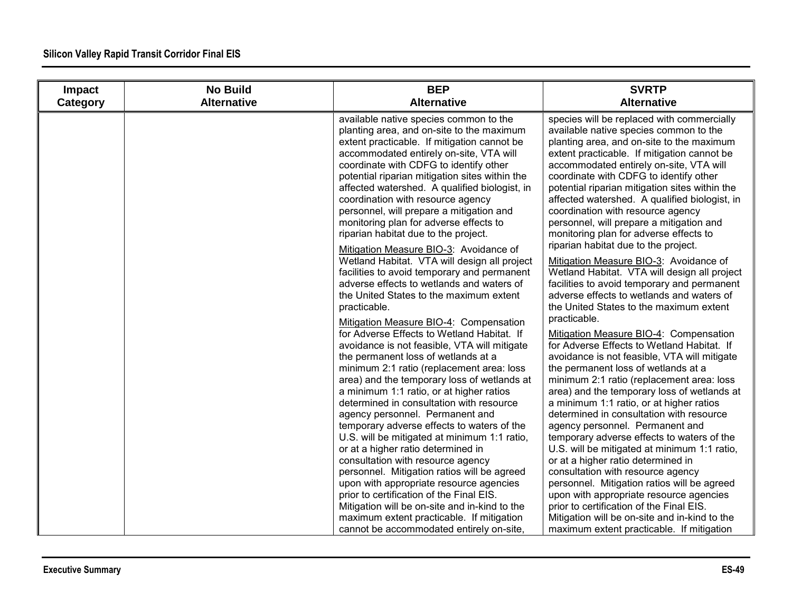| Impact   | <b>No Build</b>    | <b>BEP</b>                                                                                                                                                                                                                                                                                                                                                                                                                                                                                                                                                                                                                                                                                                                                                                                                                                                                                                                                                                                                                                                                                                                                                                                                                                                                                                                                                                                                                                                                                                                                                                                                    | <b>SVRTP</b>                                                                                                                                                                                                                                                                                                                                                                                                                                                                                                                                                                                                                                                                                                                                                                                                                                                                                                                                                                                                                                                                                                                                                                                                                                                                                                                                                                                                                                                                                                                                                                                                    |
|----------|--------------------|---------------------------------------------------------------------------------------------------------------------------------------------------------------------------------------------------------------------------------------------------------------------------------------------------------------------------------------------------------------------------------------------------------------------------------------------------------------------------------------------------------------------------------------------------------------------------------------------------------------------------------------------------------------------------------------------------------------------------------------------------------------------------------------------------------------------------------------------------------------------------------------------------------------------------------------------------------------------------------------------------------------------------------------------------------------------------------------------------------------------------------------------------------------------------------------------------------------------------------------------------------------------------------------------------------------------------------------------------------------------------------------------------------------------------------------------------------------------------------------------------------------------------------------------------------------------------------------------------------------|-----------------------------------------------------------------------------------------------------------------------------------------------------------------------------------------------------------------------------------------------------------------------------------------------------------------------------------------------------------------------------------------------------------------------------------------------------------------------------------------------------------------------------------------------------------------------------------------------------------------------------------------------------------------------------------------------------------------------------------------------------------------------------------------------------------------------------------------------------------------------------------------------------------------------------------------------------------------------------------------------------------------------------------------------------------------------------------------------------------------------------------------------------------------------------------------------------------------------------------------------------------------------------------------------------------------------------------------------------------------------------------------------------------------------------------------------------------------------------------------------------------------------------------------------------------------------------------------------------------------|
| Category | <b>Alternative</b> | <b>Alternative</b>                                                                                                                                                                                                                                                                                                                                                                                                                                                                                                                                                                                                                                                                                                                                                                                                                                                                                                                                                                                                                                                                                                                                                                                                                                                                                                                                                                                                                                                                                                                                                                                            | <b>Alternative</b>                                                                                                                                                                                                                                                                                                                                                                                                                                                                                                                                                                                                                                                                                                                                                                                                                                                                                                                                                                                                                                                                                                                                                                                                                                                                                                                                                                                                                                                                                                                                                                                              |
|          |                    | available native species common to the<br>planting area, and on-site to the maximum<br>extent practicable. If mitigation cannot be<br>accommodated entirely on-site, VTA will<br>coordinate with CDFG to identify other<br>potential riparian mitigation sites within the<br>affected watershed. A qualified biologist, in<br>coordination with resource agency<br>personnel, will prepare a mitigation and<br>monitoring plan for adverse effects to<br>riparian habitat due to the project.<br>Mitigation Measure BIO-3: Avoidance of<br>Wetland Habitat. VTA will design all project<br>facilities to avoid temporary and permanent<br>adverse effects to wetlands and waters of<br>the United States to the maximum extent<br>practicable.<br>Mitigation Measure BIO-4: Compensation<br>for Adverse Effects to Wetland Habitat. If<br>avoidance is not feasible, VTA will mitigate<br>the permanent loss of wetlands at a<br>minimum 2:1 ratio (replacement area: loss<br>area) and the temporary loss of wetlands at<br>a minimum 1:1 ratio, or at higher ratios<br>determined in consultation with resource<br>agency personnel. Permanent and<br>temporary adverse effects to waters of the<br>U.S. will be mitigated at minimum 1:1 ratio,<br>or at a higher ratio determined in<br>consultation with resource agency<br>personnel. Mitigation ratios will be agreed<br>upon with appropriate resource agencies<br>prior to certification of the Final EIS.<br>Mitigation will be on-site and in-kind to the<br>maximum extent practicable. If mitigation<br>cannot be accommodated entirely on-site, | species will be replaced with commercially<br>available native species common to the<br>planting area, and on-site to the maximum<br>extent practicable. If mitigation cannot be<br>accommodated entirely on-site, VTA will<br>coordinate with CDFG to identify other<br>potential riparian mitigation sites within the<br>affected watershed. A qualified biologist, in<br>coordination with resource agency<br>personnel, will prepare a mitigation and<br>monitoring plan for adverse effects to<br>riparian habitat due to the project.<br>Mitigation Measure BIO-3: Avoidance of<br>Wetland Habitat. VTA will design all project<br>facilities to avoid temporary and permanent<br>adverse effects to wetlands and waters of<br>the United States to the maximum extent<br>practicable.<br>Mitigation Measure BIO-4: Compensation<br>for Adverse Effects to Wetland Habitat. If<br>avoidance is not feasible, VTA will mitigate<br>the permanent loss of wetlands at a<br>minimum 2:1 ratio (replacement area: loss<br>area) and the temporary loss of wetlands at<br>a minimum 1:1 ratio, or at higher ratios<br>determined in consultation with resource<br>agency personnel. Permanent and<br>temporary adverse effects to waters of the<br>U.S. will be mitigated at minimum 1:1 ratio,<br>or at a higher ratio determined in<br>consultation with resource agency<br>personnel. Mitigation ratios will be agreed<br>upon with appropriate resource agencies<br>prior to certification of the Final EIS.<br>Mitigation will be on-site and in-kind to the<br>maximum extent practicable. If mitigation |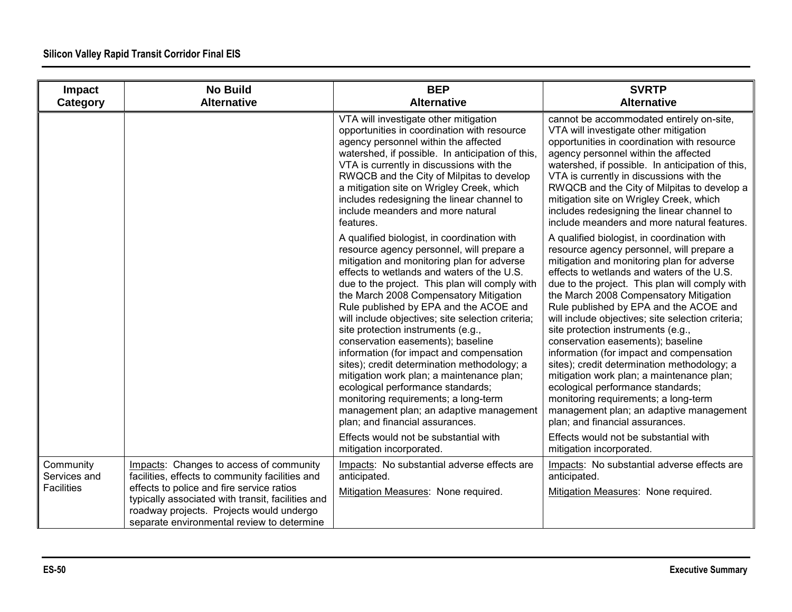| Impact<br>Category                             | <b>No Build</b><br><b>Alternative</b>                                                                                                       | <b>BEP</b><br><b>Alternative</b>                                                                                                                                                                                                                                                                                                                                                                                                                                                                                                                                                                                                                                                                                                                              | <b>SVRTP</b><br><b>Alternative</b>                                                                                                                                                                                                                                                                                                                                                                                                                                                                                                                                                                                                                                                                                                                            |
|------------------------------------------------|---------------------------------------------------------------------------------------------------------------------------------------------|---------------------------------------------------------------------------------------------------------------------------------------------------------------------------------------------------------------------------------------------------------------------------------------------------------------------------------------------------------------------------------------------------------------------------------------------------------------------------------------------------------------------------------------------------------------------------------------------------------------------------------------------------------------------------------------------------------------------------------------------------------------|---------------------------------------------------------------------------------------------------------------------------------------------------------------------------------------------------------------------------------------------------------------------------------------------------------------------------------------------------------------------------------------------------------------------------------------------------------------------------------------------------------------------------------------------------------------------------------------------------------------------------------------------------------------------------------------------------------------------------------------------------------------|
|                                                |                                                                                                                                             | VTA will investigate other mitigation<br>opportunities in coordination with resource<br>agency personnel within the affected<br>watershed, if possible. In anticipation of this,<br>VTA is currently in discussions with the<br>RWQCB and the City of Milpitas to develop<br>a mitigation site on Wrigley Creek, which<br>includes redesigning the linear channel to<br>include meanders and more natural<br>features.                                                                                                                                                                                                                                                                                                                                        | cannot be accommodated entirely on-site,<br>VTA will investigate other mitigation<br>opportunities in coordination with resource<br>agency personnel within the affected<br>watershed, if possible. In anticipation of this,<br>VTA is currently in discussions with the<br>RWQCB and the City of Milpitas to develop a<br>mitigation site on Wrigley Creek, which<br>includes redesigning the linear channel to<br>include meanders and more natural features.                                                                                                                                                                                                                                                                                               |
|                                                |                                                                                                                                             | A qualified biologist, in coordination with<br>resource agency personnel, will prepare a<br>mitigation and monitoring plan for adverse<br>effects to wetlands and waters of the U.S.<br>due to the project. This plan will comply with<br>the March 2008 Compensatory Mitigation<br>Rule published by EPA and the ACOE and<br>will include objectives; site selection criteria;<br>site protection instruments (e.g.,<br>conservation easements); baseline<br>information (for impact and compensation<br>sites); credit determination methodology; a<br>mitigation work plan; a maintenance plan;<br>ecological performance standards;<br>monitoring requirements; a long-term<br>management plan; an adaptive management<br>plan; and financial assurances. | A qualified biologist, in coordination with<br>resource agency personnel, will prepare a<br>mitigation and monitoring plan for adverse<br>effects to wetlands and waters of the U.S.<br>due to the project. This plan will comply with<br>the March 2008 Compensatory Mitigation<br>Rule published by EPA and the ACOE and<br>will include objectives; site selection criteria;<br>site protection instruments (e.g.,<br>conservation easements); baseline<br>information (for impact and compensation<br>sites); credit determination methodology; a<br>mitigation work plan; a maintenance plan;<br>ecological performance standards;<br>monitoring requirements; a long-term<br>management plan; an adaptive management<br>plan; and financial assurances. |
|                                                |                                                                                                                                             | Effects would not be substantial with<br>mitigation incorporated.                                                                                                                                                                                                                                                                                                                                                                                                                                                                                                                                                                                                                                                                                             | Effects would not be substantial with<br>mitigation incorporated.                                                                                                                                                                                                                                                                                                                                                                                                                                                                                                                                                                                                                                                                                             |
| Community<br>Services and<br><b>Facilities</b> | Impacts: Changes to access of community<br>facilities, effects to community facilities and<br>effects to police and fire service ratios     | Impacts: No substantial adverse effects are<br>anticipated.<br>Mitigation Measures: None required.                                                                                                                                                                                                                                                                                                                                                                                                                                                                                                                                                                                                                                                            | Impacts: No substantial adverse effects are<br>anticipated.<br>Mitigation Measures: None required.                                                                                                                                                                                                                                                                                                                                                                                                                                                                                                                                                                                                                                                            |
|                                                | typically associated with transit, facilities and<br>roadway projects. Projects would undergo<br>separate environmental review to determine |                                                                                                                                                                                                                                                                                                                                                                                                                                                                                                                                                                                                                                                                                                                                                               |                                                                                                                                                                                                                                                                                                                                                                                                                                                                                                                                                                                                                                                                                                                                                               |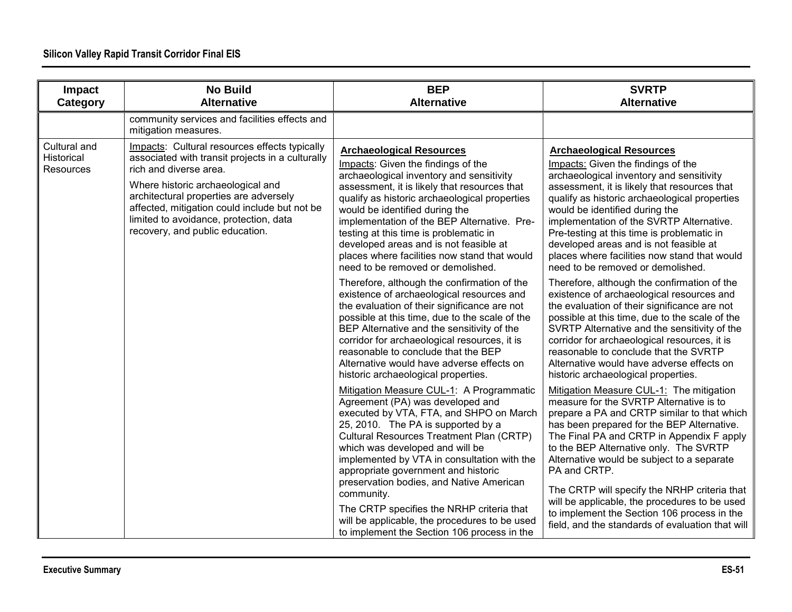| Impact<br>Category                      | <b>No Build</b><br><b>Alternative</b>                                                                                                                                                                                                                                                                                                    | <b>BEP</b><br><b>Alternative</b>                                                                                                                                                                                                                                                                                                                                                                                                                                                                                                                                                                                                                                                                                                                                                                                                                                                                                                                                                                                                                                                                                                                                                                                                                                                                                                                                                                                                                 | <b>SVRTP</b><br><b>Alternative</b>                                                                                                                                                                                                                                                                                                                                                                                                                                                                                                                                                                                                                                                                                                                                                                                                                                                                                                                                                                                                                                                                                                                                                                                                                                                                                                                                                                                                                    |
|-----------------------------------------|------------------------------------------------------------------------------------------------------------------------------------------------------------------------------------------------------------------------------------------------------------------------------------------------------------------------------------------|--------------------------------------------------------------------------------------------------------------------------------------------------------------------------------------------------------------------------------------------------------------------------------------------------------------------------------------------------------------------------------------------------------------------------------------------------------------------------------------------------------------------------------------------------------------------------------------------------------------------------------------------------------------------------------------------------------------------------------------------------------------------------------------------------------------------------------------------------------------------------------------------------------------------------------------------------------------------------------------------------------------------------------------------------------------------------------------------------------------------------------------------------------------------------------------------------------------------------------------------------------------------------------------------------------------------------------------------------------------------------------------------------------------------------------------------------|-------------------------------------------------------------------------------------------------------------------------------------------------------------------------------------------------------------------------------------------------------------------------------------------------------------------------------------------------------------------------------------------------------------------------------------------------------------------------------------------------------------------------------------------------------------------------------------------------------------------------------------------------------------------------------------------------------------------------------------------------------------------------------------------------------------------------------------------------------------------------------------------------------------------------------------------------------------------------------------------------------------------------------------------------------------------------------------------------------------------------------------------------------------------------------------------------------------------------------------------------------------------------------------------------------------------------------------------------------------------------------------------------------------------------------------------------------|
|                                         | community services and facilities effects and<br>mitigation measures.                                                                                                                                                                                                                                                                    |                                                                                                                                                                                                                                                                                                                                                                                                                                                                                                                                                                                                                                                                                                                                                                                                                                                                                                                                                                                                                                                                                                                                                                                                                                                                                                                                                                                                                                                  |                                                                                                                                                                                                                                                                                                                                                                                                                                                                                                                                                                                                                                                                                                                                                                                                                                                                                                                                                                                                                                                                                                                                                                                                                                                                                                                                                                                                                                                       |
| Cultural and<br>Historical<br>Resources | Impacts: Cultural resources effects typically<br>associated with transit projects in a culturally<br>rich and diverse area.<br>Where historic archaeological and<br>architectural properties are adversely<br>affected, mitigation could include but not be<br>limited to avoidance, protection, data<br>recovery, and public education. | <b>Archaeological Resources</b><br>Impacts: Given the findings of the<br>archaeological inventory and sensitivity<br>assessment, it is likely that resources that<br>qualify as historic archaeological properties<br>would be identified during the<br>implementation of the BEP Alternative. Pre-<br>testing at this time is problematic in<br>developed areas and is not feasible at<br>places where facilities now stand that would<br>need to be removed or demolished.<br>Therefore, although the confirmation of the<br>existence of archaeological resources and<br>the evaluation of their significance are not<br>possible at this time, due to the scale of the<br>BEP Alternative and the sensitivity of the<br>corridor for archaeological resources, it is<br>reasonable to conclude that the BEP<br>Alternative would have adverse effects on<br>historic archaeological properties.<br>Mitigation Measure CUL-1: A Programmatic<br>Agreement (PA) was developed and<br>executed by VTA, FTA, and SHPO on March<br>25, 2010. The PA is supported by a<br>Cultural Resources Treatment Plan (CRTP)<br>which was developed and will be<br>implemented by VTA in consultation with the<br>appropriate government and historic<br>preservation bodies, and Native American<br>community.<br>The CRTP specifies the NRHP criteria that<br>will be applicable, the procedures to be used<br>to implement the Section 106 process in the | <b>Archaeological Resources</b><br>Impacts: Given the findings of the<br>archaeological inventory and sensitivity<br>assessment, it is likely that resources that<br>qualify as historic archaeological properties<br>would be identified during the<br>implementation of the SVRTP Alternative.<br>Pre-testing at this time is problematic in<br>developed areas and is not feasible at<br>places where facilities now stand that would<br>need to be removed or demolished.<br>Therefore, although the confirmation of the<br>existence of archaeological resources and<br>the evaluation of their significance are not<br>possible at this time, due to the scale of the<br>SVRTP Alternative and the sensitivity of the<br>corridor for archaeological resources, it is<br>reasonable to conclude that the SVRTP<br>Alternative would have adverse effects on<br>historic archaeological properties.<br>Mitigation Measure CUL-1: The mitigation<br>measure for the SVRTP Alternative is to<br>prepare a PA and CRTP similar to that which<br>has been prepared for the BEP Alternative.<br>The Final PA and CRTP in Appendix F apply<br>to the BEP Alternative only. The SVRTP<br>Alternative would be subject to a separate<br>PA and CRTP.<br>The CRTP will specify the NRHP criteria that<br>will be applicable, the procedures to be used<br>to implement the Section 106 process in the<br>field, and the standards of evaluation that will |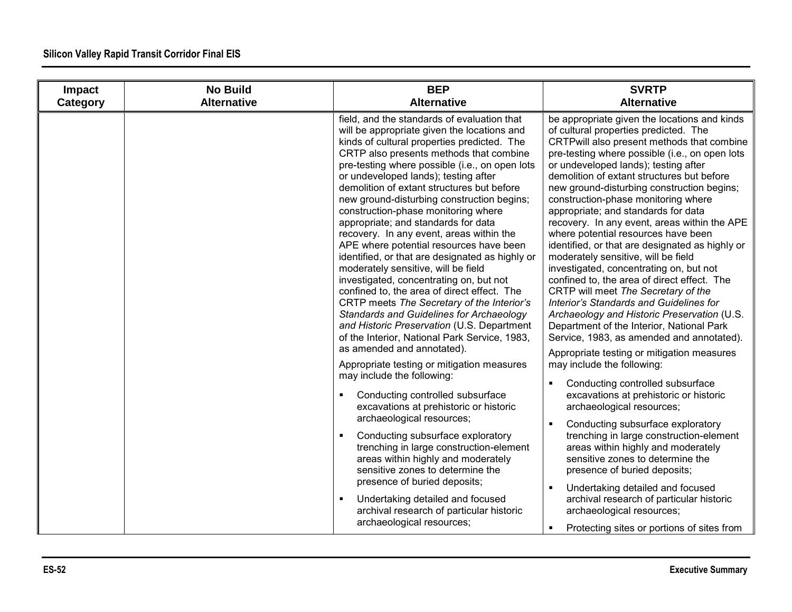| Impact   | <b>No Build</b>    | <b>BEP</b>                                                                                                                                                                                                                                                                                                                                                                                                                                                                                                                                                                                                                                                                                                                                                                                                                                                                                                                                                                                                                                                                                                                                                                                                                                                                                                                                                                                                                                                                                                     | <b>SVRTP</b>                                                                                                                                                                                                                                                                                                                                                                                                                                                                                                                                                                                                                                                                                                                                                                                                                                                                                                                                                                                                                                                                                                                                                                                                                                                                                                                                                                                                                                                                |
|----------|--------------------|----------------------------------------------------------------------------------------------------------------------------------------------------------------------------------------------------------------------------------------------------------------------------------------------------------------------------------------------------------------------------------------------------------------------------------------------------------------------------------------------------------------------------------------------------------------------------------------------------------------------------------------------------------------------------------------------------------------------------------------------------------------------------------------------------------------------------------------------------------------------------------------------------------------------------------------------------------------------------------------------------------------------------------------------------------------------------------------------------------------------------------------------------------------------------------------------------------------------------------------------------------------------------------------------------------------------------------------------------------------------------------------------------------------------------------------------------------------------------------------------------------------|-----------------------------------------------------------------------------------------------------------------------------------------------------------------------------------------------------------------------------------------------------------------------------------------------------------------------------------------------------------------------------------------------------------------------------------------------------------------------------------------------------------------------------------------------------------------------------------------------------------------------------------------------------------------------------------------------------------------------------------------------------------------------------------------------------------------------------------------------------------------------------------------------------------------------------------------------------------------------------------------------------------------------------------------------------------------------------------------------------------------------------------------------------------------------------------------------------------------------------------------------------------------------------------------------------------------------------------------------------------------------------------------------------------------------------------------------------------------------------|
| Category | <b>Alternative</b> | <b>Alternative</b>                                                                                                                                                                                                                                                                                                                                                                                                                                                                                                                                                                                                                                                                                                                                                                                                                                                                                                                                                                                                                                                                                                                                                                                                                                                                                                                                                                                                                                                                                             | <b>Alternative</b>                                                                                                                                                                                                                                                                                                                                                                                                                                                                                                                                                                                                                                                                                                                                                                                                                                                                                                                                                                                                                                                                                                                                                                                                                                                                                                                                                                                                                                                          |
|          |                    | field, and the standards of evaluation that<br>will be appropriate given the locations and<br>kinds of cultural properties predicted. The<br>CRTP also presents methods that combine<br>pre-testing where possible (i.e., on open lots<br>or undeveloped lands); testing after<br>demolition of extant structures but before<br>new ground-disturbing construction begins;<br>construction-phase monitoring where<br>appropriate; and standards for data<br>recovery. In any event, areas within the<br>APE where potential resources have been<br>identified, or that are designated as highly or<br>moderately sensitive, will be field<br>investigated, concentrating on, but not<br>confined to, the area of direct effect. The<br>CRTP meets The Secretary of the Interior's<br>Standards and Guidelines for Archaeology<br>and Historic Preservation (U.S. Department<br>of the Interior, National Park Service, 1983,<br>as amended and annotated).<br>Appropriate testing or mitigation measures<br>may include the following:<br>Conducting controlled subsurface<br>$\blacksquare$<br>excavations at prehistoric or historic<br>archaeological resources;<br>Conducting subsurface exploratory<br>$\blacksquare$<br>trenching in large construction-element<br>areas within highly and moderately<br>sensitive zones to determine the<br>presence of buried deposits;<br>$\blacksquare$<br>Undertaking detailed and focused<br>archival research of particular historic<br>archaeological resources; | be appropriate given the locations and kinds<br>of cultural properties predicted. The<br>CRTPwill also present methods that combine<br>pre-testing where possible (i.e., on open lots<br>or undeveloped lands); testing after<br>demolition of extant structures but before<br>new ground-disturbing construction begins;<br>construction-phase monitoring where<br>appropriate; and standards for data<br>recovery. In any event, areas within the APE<br>where potential resources have been<br>identified, or that are designated as highly or<br>moderately sensitive, will be field<br>investigated, concentrating on, but not<br>confined to, the area of direct effect. The<br>CRTP will meet The Secretary of the<br>Interior's Standards and Guidelines for<br>Archaeology and Historic Preservation (U.S.<br>Department of the Interior, National Park<br>Service, 1983, as amended and annotated).<br>Appropriate testing or mitigation measures<br>may include the following:<br>Conducting controlled subsurface<br>excavations at prehistoric or historic<br>archaeological resources;<br>$\blacksquare$<br>Conducting subsurface exploratory<br>trenching in large construction-element<br>areas within highly and moderately<br>sensitive zones to determine the<br>presence of buried deposits;<br>Undertaking detailed and focused<br>archival research of particular historic<br>archaeological resources;<br>Protecting sites or portions of sites from |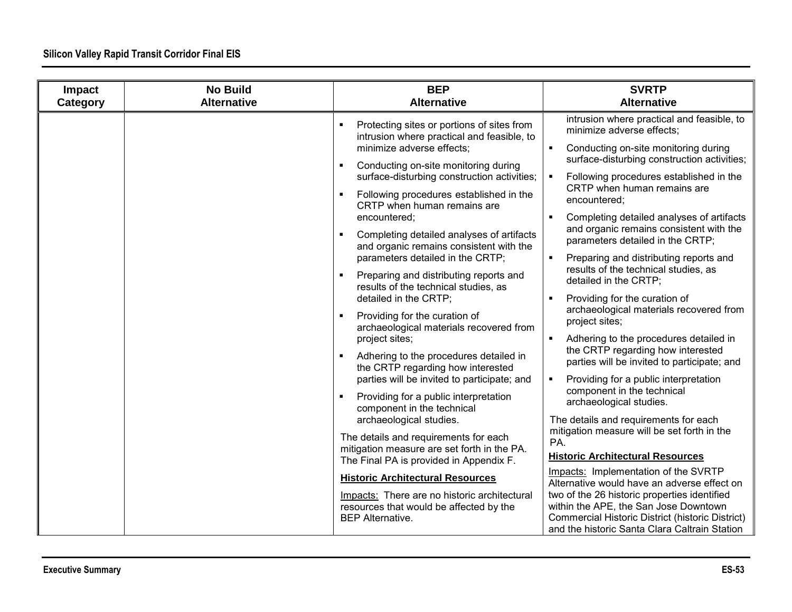| Impact   | <b>No Build</b>    | <b>BEP</b>                                                                                                                                                                                                                                                                                                                                                                                                                                                                                                                                                                                                                                                                                                                                                                                                                                                                                                                                                                                                                                                                                                                                                                           | <b>SVRTP</b>                                                                                                                                                                                                                                                                                                                                                                                                                                                                                                                                                                                                                                                                                                                                                                                                                                                                                                                                                                                                                                                                                                                                                                                                                                                                                            |
|----------|--------------------|--------------------------------------------------------------------------------------------------------------------------------------------------------------------------------------------------------------------------------------------------------------------------------------------------------------------------------------------------------------------------------------------------------------------------------------------------------------------------------------------------------------------------------------------------------------------------------------------------------------------------------------------------------------------------------------------------------------------------------------------------------------------------------------------------------------------------------------------------------------------------------------------------------------------------------------------------------------------------------------------------------------------------------------------------------------------------------------------------------------------------------------------------------------------------------------|---------------------------------------------------------------------------------------------------------------------------------------------------------------------------------------------------------------------------------------------------------------------------------------------------------------------------------------------------------------------------------------------------------------------------------------------------------------------------------------------------------------------------------------------------------------------------------------------------------------------------------------------------------------------------------------------------------------------------------------------------------------------------------------------------------------------------------------------------------------------------------------------------------------------------------------------------------------------------------------------------------------------------------------------------------------------------------------------------------------------------------------------------------------------------------------------------------------------------------------------------------------------------------------------------------|
| Category | <b>Alternative</b> | <b>Alternative</b>                                                                                                                                                                                                                                                                                                                                                                                                                                                                                                                                                                                                                                                                                                                                                                                                                                                                                                                                                                                                                                                                                                                                                                   | <b>Alternative</b>                                                                                                                                                                                                                                                                                                                                                                                                                                                                                                                                                                                                                                                                                                                                                                                                                                                                                                                                                                                                                                                                                                                                                                                                                                                                                      |
|          |                    | Protecting sites or portions of sites from<br>intrusion where practical and feasible, to<br>minimize adverse effects;<br>Conducting on-site monitoring during<br>×<br>surface-disturbing construction activities;<br>Following procedures established in the<br>CRTP when human remains are<br>encountered;<br>Completing detailed analyses of artifacts<br>and organic remains consistent with the<br>parameters detailed in the CRTP;<br>Preparing and distributing reports and<br>results of the technical studies, as<br>detailed in the CRTP;<br>Providing for the curation of<br>archaeological materials recovered from<br>project sites;<br>Adhering to the procedures detailed in<br>the CRTP regarding how interested<br>parties will be invited to participate; and<br>Providing for a public interpretation<br>component in the technical<br>archaeological studies.<br>The details and requirements for each<br>mitigation measure are set forth in the PA.<br>The Final PA is provided in Appendix F.<br><b>Historic Architectural Resources</b><br>Impacts: There are no historic architectural<br>resources that would be affected by the<br><b>BEP Alternative.</b> | intrusion where practical and feasible, to<br>minimize adverse effects;<br>Conducting on-site monitoring during<br>$\blacksquare$<br>surface-disturbing construction activities;<br>Following procedures established in the<br>CRTP when human remains are<br>encountered:<br>Completing detailed analyses of artifacts<br>and organic remains consistent with the<br>parameters detailed in the CRTP;<br>Preparing and distributing reports and<br>results of the technical studies, as<br>detailed in the CRTP;<br>Providing for the curation of<br>archaeological materials recovered from<br>project sites;<br>Adhering to the procedures detailed in<br>$\blacksquare$<br>the CRTP regarding how interested<br>parties will be invited to participate; and<br>Providing for a public interpretation<br>component in the technical<br>archaeological studies.<br>The details and requirements for each<br>mitigation measure will be set forth in the<br>PA.<br><b>Historic Architectural Resources</b><br>Impacts: Implementation of the SVRTP<br>Alternative would have an adverse effect on<br>two of the 26 historic properties identified<br>within the APE, the San Jose Downtown<br><b>Commercial Historic District (historic District)</b><br>and the historic Santa Clara Caltrain Station |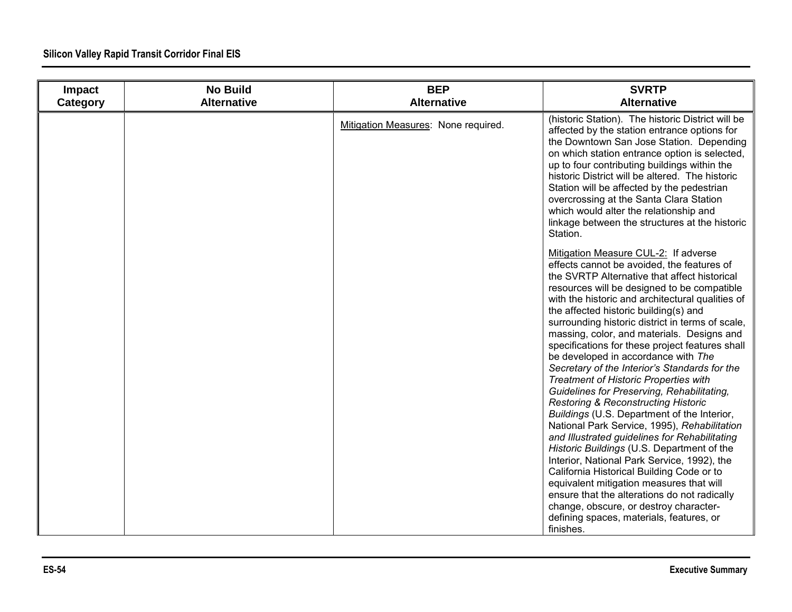| Impact<br>Category | <b>No Build</b><br><b>Alternative</b> | <b>BEP</b><br><b>Alternative</b>    | <b>SVRTP</b><br><b>Alternative</b>                                                                                                                                                                                                                                                                                                                                                                                                                                                                                                                                                                                                                                                                                                                                                                                                                                                                                                                                                                                                                                                                                                                                   |
|--------------------|---------------------------------------|-------------------------------------|----------------------------------------------------------------------------------------------------------------------------------------------------------------------------------------------------------------------------------------------------------------------------------------------------------------------------------------------------------------------------------------------------------------------------------------------------------------------------------------------------------------------------------------------------------------------------------------------------------------------------------------------------------------------------------------------------------------------------------------------------------------------------------------------------------------------------------------------------------------------------------------------------------------------------------------------------------------------------------------------------------------------------------------------------------------------------------------------------------------------------------------------------------------------|
|                    |                                       | Mitigation Measures: None required. | (historic Station). The historic District will be<br>affected by the station entrance options for<br>the Downtown San Jose Station. Depending<br>on which station entrance option is selected,<br>up to four contributing buildings within the<br>historic District will be altered. The historic<br>Station will be affected by the pedestrian<br>overcrossing at the Santa Clara Station<br>which would alter the relationship and<br>linkage between the structures at the historic<br>Station.                                                                                                                                                                                                                                                                                                                                                                                                                                                                                                                                                                                                                                                                   |
|                    |                                       |                                     | Mitigation Measure CUL-2: If adverse<br>effects cannot be avoided, the features of<br>the SVRTP Alternative that affect historical<br>resources will be designed to be compatible<br>with the historic and architectural qualities of<br>the affected historic building(s) and<br>surrounding historic district in terms of scale,<br>massing, color, and materials. Designs and<br>specifications for these project features shall<br>be developed in accordance with The<br>Secretary of the Interior's Standards for the<br><b>Treatment of Historic Properties with</b><br>Guidelines for Preserving, Rehabilitating,<br><b>Restoring &amp; Reconstructing Historic</b><br>Buildings (U.S. Department of the Interior,<br>National Park Service, 1995), Rehabilitation<br>and Illustrated guidelines for Rehabilitating<br>Historic Buildings (U.S. Department of the<br>Interior, National Park Service, 1992), the<br>California Historical Building Code or to<br>equivalent mitigation measures that will<br>ensure that the alterations do not radically<br>change, obscure, or destroy character-<br>defining spaces, materials, features, or<br>finishes. |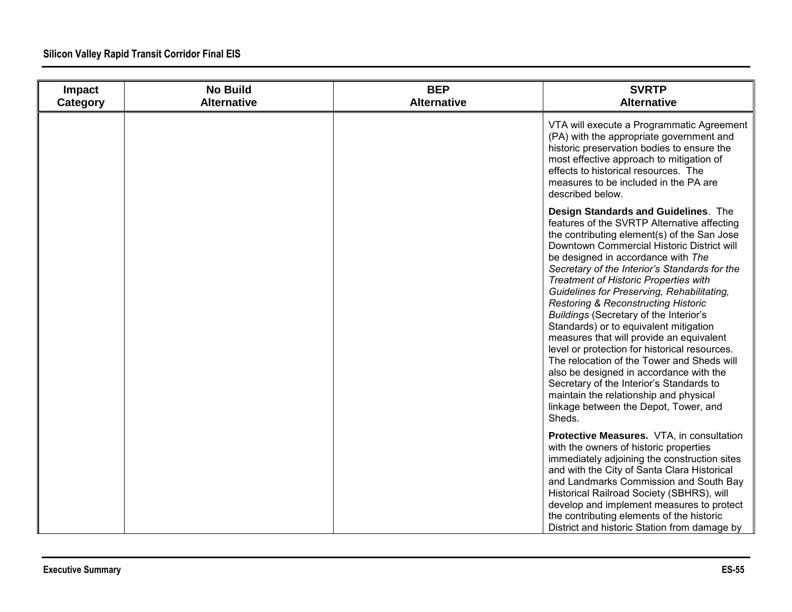| Impact<br>Category | <b>No Build</b><br><b>Alternative</b> | <b>BEP</b><br><b>Alternative</b> | <b>SVRTP</b><br><b>Alternative</b>                                                                                                                                                                                                                                                                                                                                                                                                                                                                                                                                                                                                                                                                                                                                                                                                         |
|--------------------|---------------------------------------|----------------------------------|--------------------------------------------------------------------------------------------------------------------------------------------------------------------------------------------------------------------------------------------------------------------------------------------------------------------------------------------------------------------------------------------------------------------------------------------------------------------------------------------------------------------------------------------------------------------------------------------------------------------------------------------------------------------------------------------------------------------------------------------------------------------------------------------------------------------------------------------|
|                    |                                       |                                  | VTA will execute a Programmatic Agreement<br>(PA) with the appropriate government and<br>historic preservation bodies to ensure the<br>most effective approach to mitigation of<br>effects to historical resources. The<br>measures to be included in the PA are<br>described below.                                                                                                                                                                                                                                                                                                                                                                                                                                                                                                                                                       |
|                    |                                       |                                  | Design Standards and Guidelines. The<br>features of the SVRTP Alternative affecting<br>the contributing element(s) of the San Jose<br>Downtown Commercial Historic District will<br>be designed in accordance with The<br>Secretary of the Interior's Standards for the<br><b>Treatment of Historic Properties with</b><br>Guidelines for Preserving, Rehabilitating,<br><b>Restoring &amp; Reconstructing Historic</b><br>Buildings (Secretary of the Interior's<br>Standards) or to equivalent mitigation<br>measures that will provide an equivalent<br>level or protection for historical resources.<br>The relocation of the Tower and Sheds will<br>also be designed in accordance with the<br>Secretary of the Interior's Standards to<br>maintain the relationship and physical<br>linkage between the Depot, Tower, and<br>Sheds. |
|                    |                                       |                                  | Protective Measures. VTA, in consultation<br>with the owners of historic properties<br>immediately adjoining the construction sites<br>and with the City of Santa Clara Historical<br>and Landmarks Commission and South Bay<br>Historical Railroad Society (SBHRS), will<br>develop and implement measures to protect<br>the contributing elements of the historic<br>District and historic Station from damage by                                                                                                                                                                                                                                                                                                                                                                                                                        |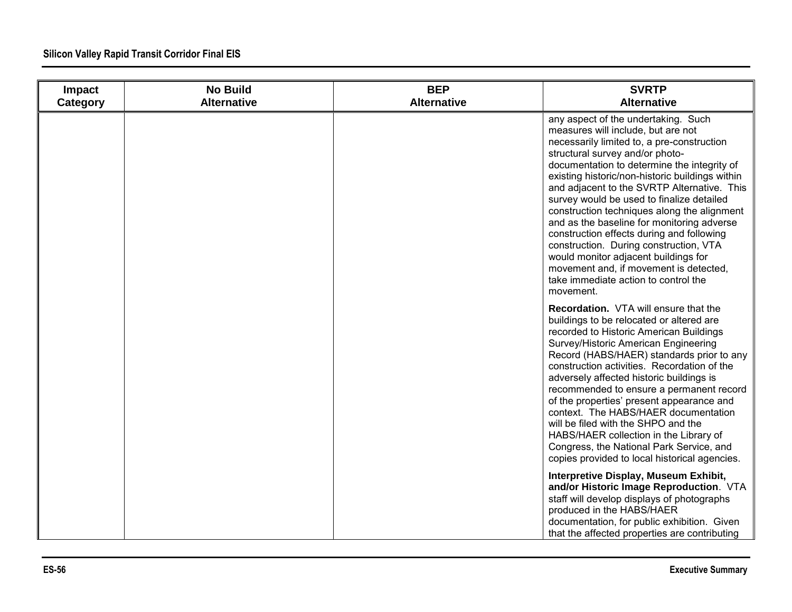| Impact<br>Category | <b>No Build</b><br><b>Alternative</b> | <b>BEP</b><br><b>Alternative</b> | <b>SVRTP</b><br><b>Alternative</b>                                                                                                                                                                                                                                                                                                                                                                                                                                                                                                                                                                                                                                                  |
|--------------------|---------------------------------------|----------------------------------|-------------------------------------------------------------------------------------------------------------------------------------------------------------------------------------------------------------------------------------------------------------------------------------------------------------------------------------------------------------------------------------------------------------------------------------------------------------------------------------------------------------------------------------------------------------------------------------------------------------------------------------------------------------------------------------|
|                    |                                       |                                  | any aspect of the undertaking. Such<br>measures will include, but are not<br>necessarily limited to, a pre-construction<br>structural survey and/or photo-<br>documentation to determine the integrity of<br>existing historic/non-historic buildings within<br>and adjacent to the SVRTP Alternative. This<br>survey would be used to finalize detailed<br>construction techniques along the alignment<br>and as the baseline for monitoring adverse<br>construction effects during and following<br>construction. During construction, VTA<br>would monitor adjacent buildings for<br>movement and, if movement is detected,<br>take immediate action to control the<br>movement. |
|                    |                                       |                                  | Recordation. VTA will ensure that the<br>buildings to be relocated or altered are<br>recorded to Historic American Buildings<br>Survey/Historic American Engineering<br>Record (HABS/HAER) standards prior to any<br>construction activities. Recordation of the<br>adversely affected historic buildings is<br>recommended to ensure a permanent record<br>of the properties' present appearance and<br>context. The HABS/HAER documentation<br>will be filed with the SHPO and the<br>HABS/HAER collection in the Library of<br>Congress, the National Park Service, and<br>copies provided to local historical agencies.                                                         |
|                    |                                       |                                  | Interpretive Display, Museum Exhibit,<br>and/or Historic Image Reproduction. VTA<br>staff will develop displays of photographs<br>produced in the HABS/HAER<br>documentation, for public exhibition. Given<br>that the affected properties are contributing                                                                                                                                                                                                                                                                                                                                                                                                                         |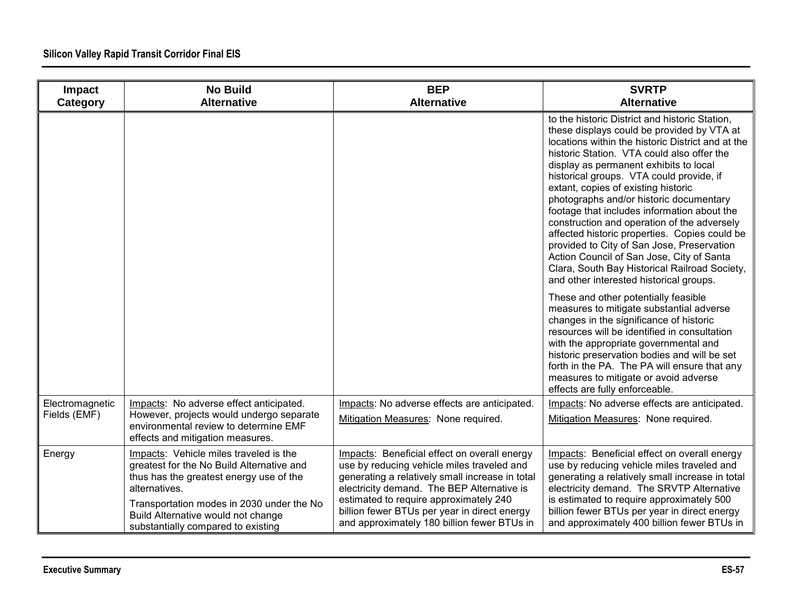| Impact<br>Category              | <b>No Build</b><br><b>Alternative</b>                                                                                                                                                                                                                                    | <b>BEP</b><br><b>Alternative</b>                                                                                                                                                                                                                                                                                                     | <b>SVRTP</b><br><b>Alternative</b>                                                                                                                                                                                                                                                                                                                                                                                                                                                                                                                                                                                                                                                                            |
|---------------------------------|--------------------------------------------------------------------------------------------------------------------------------------------------------------------------------------------------------------------------------------------------------------------------|--------------------------------------------------------------------------------------------------------------------------------------------------------------------------------------------------------------------------------------------------------------------------------------------------------------------------------------|---------------------------------------------------------------------------------------------------------------------------------------------------------------------------------------------------------------------------------------------------------------------------------------------------------------------------------------------------------------------------------------------------------------------------------------------------------------------------------------------------------------------------------------------------------------------------------------------------------------------------------------------------------------------------------------------------------------|
|                                 |                                                                                                                                                                                                                                                                          |                                                                                                                                                                                                                                                                                                                                      | to the historic District and historic Station,<br>these displays could be provided by VTA at<br>locations within the historic District and at the<br>historic Station. VTA could also offer the<br>display as permanent exhibits to local<br>historical groups. VTA could provide, if<br>extant, copies of existing historic<br>photographs and/or historic documentary<br>footage that includes information about the<br>construction and operation of the adversely<br>affected historic properties. Copies could be<br>provided to City of San Jose, Preservation<br>Action Council of San Jose, City of Santa<br>Clara, South Bay Historical Railroad Society,<br>and other interested historical groups. |
|                                 |                                                                                                                                                                                                                                                                          |                                                                                                                                                                                                                                                                                                                                      | These and other potentially feasible<br>measures to mitigate substantial adverse<br>changes in the significance of historic<br>resources will be identified in consultation<br>with the appropriate governmental and<br>historic preservation bodies and will be set<br>forth in the PA. The PA will ensure that any<br>measures to mitigate or avoid adverse<br>effects are fully enforceable.                                                                                                                                                                                                                                                                                                               |
| Electromagnetic<br>Fields (EMF) | Impacts: No adverse effect anticipated.<br>However, projects would undergo separate                                                                                                                                                                                      | Impacts: No adverse effects are anticipated.                                                                                                                                                                                                                                                                                         | Impacts: No adverse effects are anticipated.                                                                                                                                                                                                                                                                                                                                                                                                                                                                                                                                                                                                                                                                  |
|                                 | environmental review to determine EMF<br>effects and mitigation measures.                                                                                                                                                                                                | Mitigation Measures: None required.                                                                                                                                                                                                                                                                                                  | Mitigation Measures: None required.                                                                                                                                                                                                                                                                                                                                                                                                                                                                                                                                                                                                                                                                           |
| Energy                          | Impacts: Vehicle miles traveled is the<br>greatest for the No Build Alternative and<br>thus has the greatest energy use of the<br>alternatives.<br>Transportation modes in 2030 under the No<br>Build Alternative would not change<br>substantially compared to existing | Impacts: Beneficial effect on overall energy<br>use by reducing vehicle miles traveled and<br>generating a relatively small increase in total<br>electricity demand. The BEP Alternative is<br>estimated to require approximately 240<br>billion fewer BTUs per year in direct energy<br>and approximately 180 billion fewer BTUs in | Impacts: Beneficial effect on overall energy<br>use by reducing vehicle miles traveled and<br>generating a relatively small increase in total<br>electricity demand. The SRVTP Alternative<br>is estimated to require approximately 500<br>billion fewer BTUs per year in direct energy<br>and approximately 400 billion fewer BTUs in                                                                                                                                                                                                                                                                                                                                                                        |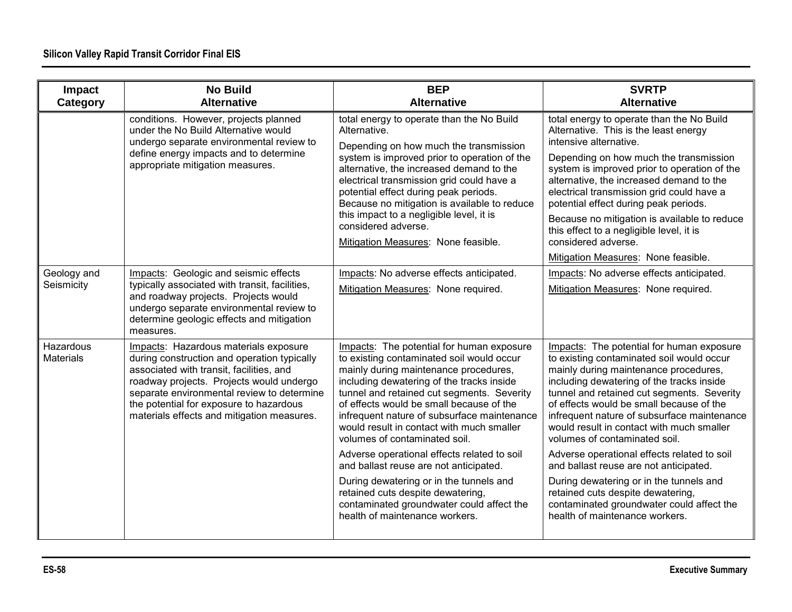| Impact<br>Category            | <b>No Build</b><br><b>Alternative</b>                                                                                                                                                                                                                                                                               | <b>BEP</b><br><b>Alternative</b>                                                                                                                                                                                                                                                                                                                                                                                                                                                                                                                                                                                                                            | <b>SVRTP</b><br><b>Alternative</b>                                                                                                                                                                                                                                                                                                                                                                                                                                                                                                                                                                                                                          |
|-------------------------------|---------------------------------------------------------------------------------------------------------------------------------------------------------------------------------------------------------------------------------------------------------------------------------------------------------------------|-------------------------------------------------------------------------------------------------------------------------------------------------------------------------------------------------------------------------------------------------------------------------------------------------------------------------------------------------------------------------------------------------------------------------------------------------------------------------------------------------------------------------------------------------------------------------------------------------------------------------------------------------------------|-------------------------------------------------------------------------------------------------------------------------------------------------------------------------------------------------------------------------------------------------------------------------------------------------------------------------------------------------------------------------------------------------------------------------------------------------------------------------------------------------------------------------------------------------------------------------------------------------------------------------------------------------------------|
|                               | conditions. However, projects planned<br>under the No Build Alternative would<br>undergo separate environmental review to<br>define energy impacts and to determine<br>appropriate mitigation measures.                                                                                                             | total energy to operate than the No Build<br>Alternative.<br>Depending on how much the transmission<br>system is improved prior to operation of the<br>alternative, the increased demand to the<br>electrical transmission grid could have a<br>potential effect during peak periods.<br>Because no mitigation is available to reduce<br>this impact to a negligible level, it is<br>considered adverse.<br>Mitigation Measures: None feasible.                                                                                                                                                                                                             | total energy to operate than the No Build<br>Alternative. This is the least energy<br>intensive alternative.<br>Depending on how much the transmission<br>system is improved prior to operation of the<br>alternative, the increased demand to the<br>electrical transmission grid could have a<br>potential effect during peak periods.<br>Because no mitigation is available to reduce<br>this effect to a negligible level, it is<br>considered adverse.<br>Mitigation Measures: None feasible.                                                                                                                                                          |
| Geology and<br>Seismicity     | Impacts: Geologic and seismic effects<br>typically associated with transit, facilities,<br>and roadway projects. Projects would<br>undergo separate environmental review to<br>determine geologic effects and mitigation<br>measures.                                                                               | Impacts: No adverse effects anticipated.<br>Mitigation Measures: None required.                                                                                                                                                                                                                                                                                                                                                                                                                                                                                                                                                                             | Impacts: No adverse effects anticipated.<br>Mitigation Measures: None required.                                                                                                                                                                                                                                                                                                                                                                                                                                                                                                                                                                             |
| Hazardous<br><b>Materials</b> | Impacts: Hazardous materials exposure<br>during construction and operation typically<br>associated with transit, facilities, and<br>roadway projects. Projects would undergo<br>separate environmental review to determine<br>the potential for exposure to hazardous<br>materials effects and mitigation measures. | Impacts: The potential for human exposure<br>to existing contaminated soil would occur<br>mainly during maintenance procedures,<br>including dewatering of the tracks inside<br>tunnel and retained cut segments. Severity<br>of effects would be small because of the<br>infrequent nature of subsurface maintenance<br>would result in contact with much smaller<br>volumes of contaminated soil.<br>Adverse operational effects related to soil<br>and ballast reuse are not anticipated.<br>During dewatering or in the tunnels and<br>retained cuts despite dewatering,<br>contaminated groundwater could affect the<br>health of maintenance workers. | Impacts: The potential for human exposure<br>to existing contaminated soil would occur<br>mainly during maintenance procedures,<br>including dewatering of the tracks inside<br>tunnel and retained cut segments. Severity<br>of effects would be small because of the<br>infrequent nature of subsurface maintenance<br>would result in contact with much smaller<br>volumes of contaminated soil.<br>Adverse operational effects related to soil<br>and ballast reuse are not anticipated.<br>During dewatering or in the tunnels and<br>retained cuts despite dewatering,<br>contaminated groundwater could affect the<br>health of maintenance workers. |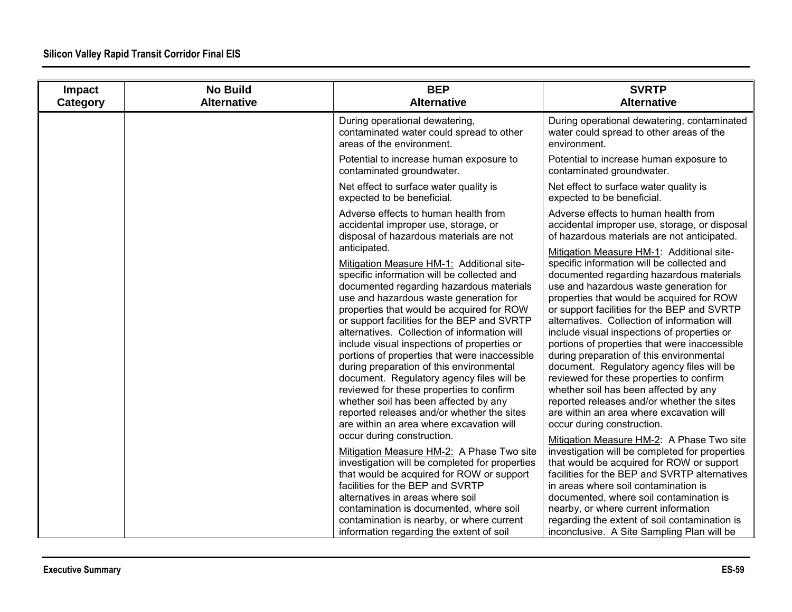| Impact<br>Category | <b>No Build</b><br><b>Alternative</b> | <b>BEP</b><br><b>Alternative</b>                                                                                                                                                                                                                                                                                                                                                                                                                                                                                                                                                                                                                                                                  | <b>SVRTP</b><br><b>Alternative</b>                                                                                                                                                                                                                                                                                                                                                                                                                                                                                                                                                                                                                                                                                              |
|--------------------|---------------------------------------|---------------------------------------------------------------------------------------------------------------------------------------------------------------------------------------------------------------------------------------------------------------------------------------------------------------------------------------------------------------------------------------------------------------------------------------------------------------------------------------------------------------------------------------------------------------------------------------------------------------------------------------------------------------------------------------------------|---------------------------------------------------------------------------------------------------------------------------------------------------------------------------------------------------------------------------------------------------------------------------------------------------------------------------------------------------------------------------------------------------------------------------------------------------------------------------------------------------------------------------------------------------------------------------------------------------------------------------------------------------------------------------------------------------------------------------------|
|                    |                                       | During operational dewatering,<br>contaminated water could spread to other<br>areas of the environment.                                                                                                                                                                                                                                                                                                                                                                                                                                                                                                                                                                                           | During operational dewatering, contaminated<br>water could spread to other areas of the<br>environment.                                                                                                                                                                                                                                                                                                                                                                                                                                                                                                                                                                                                                         |
|                    |                                       | Potential to increase human exposure to<br>contaminated groundwater.                                                                                                                                                                                                                                                                                                                                                                                                                                                                                                                                                                                                                              | Potential to increase human exposure to<br>contaminated groundwater.                                                                                                                                                                                                                                                                                                                                                                                                                                                                                                                                                                                                                                                            |
|                    |                                       | Net effect to surface water quality is<br>expected to be beneficial.                                                                                                                                                                                                                                                                                                                                                                                                                                                                                                                                                                                                                              | Net effect to surface water quality is<br>expected to be beneficial.                                                                                                                                                                                                                                                                                                                                                                                                                                                                                                                                                                                                                                                            |
|                    |                                       | Adverse effects to human health from<br>accidental improper use, storage, or<br>disposal of hazardous materials are not<br>anticipated.                                                                                                                                                                                                                                                                                                                                                                                                                                                                                                                                                           | Adverse effects to human health from<br>accidental improper use, storage, or disposal<br>of hazardous materials are not anticipated.                                                                                                                                                                                                                                                                                                                                                                                                                                                                                                                                                                                            |
|                    |                                       | Mitigation Measure HM-1: Additional site-<br>specific information will be collected and<br>documented regarding hazardous materials<br>use and hazardous waste generation for<br>properties that would be acquired for ROW<br>or support facilities for the BEP and SVRTP<br>alternatives. Collection of information will<br>include visual inspections of properties or<br>portions of properties that were inaccessible<br>during preparation of this environmental<br>document. Regulatory agency files will be<br>reviewed for these properties to confirm<br>whether soil has been affected by any<br>reported releases and/or whether the sites<br>are within an area where excavation will | Mitigation Measure HM-1: Additional site-<br>specific information will be collected and<br>documented regarding hazardous materials<br>use and hazardous waste generation for<br>properties that would be acquired for ROW<br>or support facilities for the BEP and SVRTP<br>alternatives. Collection of information will<br>include visual inspections of properties or<br>portions of properties that were inaccessible<br>during preparation of this environmental<br>document. Regulatory agency files will be<br>reviewed for these properties to confirm<br>whether soil has been affected by any<br>reported releases and/or whether the sites<br>are within an area where excavation will<br>occur during construction. |
|                    |                                       | occur during construction.<br>Mitigation Measure HM-2: A Phase Two site<br>investigation will be completed for properties<br>that would be acquired for ROW or support<br>facilities for the BEP and SVRTP<br>alternatives in areas where soil<br>contamination is documented, where soil<br>contamination is nearby, or where current<br>information regarding the extent of soil                                                                                                                                                                                                                                                                                                                | Mitigation Measure HM-2: A Phase Two site<br>investigation will be completed for properties<br>that would be acquired for ROW or support<br>facilities for the BEP and SVRTP alternatives<br>in areas where soil contamination is<br>documented, where soil contamination is<br>nearby, or where current information<br>regarding the extent of soil contamination is<br>inconclusive. A Site Sampling Plan will be                                                                                                                                                                                                                                                                                                             |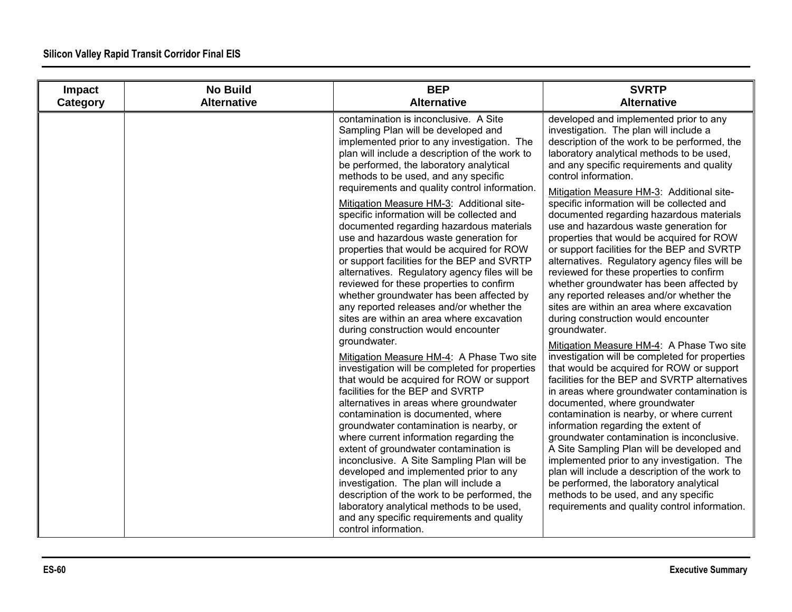| Impact   | <b>No Build</b>    | <b>BEP</b>                                                                                                                                                                                                                                                                                                                                                                                                                                                                                                                                                                                                                                                                                                                                                                                                                                                                                                                                                                                                                                                                                                                                                                                                                                                                                                                                                                                                                                                                                                                                                                                   | <b>SVRTP</b>                                                                                                                                                                                                                                                                                                                                                                                                                                                                                                                                                                                                                                                                                                                                                                                                                                                                                                                                                                                                                                                                                                                                                                                                                                                                                                                                                                                                                                                                                                               |
|----------|--------------------|----------------------------------------------------------------------------------------------------------------------------------------------------------------------------------------------------------------------------------------------------------------------------------------------------------------------------------------------------------------------------------------------------------------------------------------------------------------------------------------------------------------------------------------------------------------------------------------------------------------------------------------------------------------------------------------------------------------------------------------------------------------------------------------------------------------------------------------------------------------------------------------------------------------------------------------------------------------------------------------------------------------------------------------------------------------------------------------------------------------------------------------------------------------------------------------------------------------------------------------------------------------------------------------------------------------------------------------------------------------------------------------------------------------------------------------------------------------------------------------------------------------------------------------------------------------------------------------------|----------------------------------------------------------------------------------------------------------------------------------------------------------------------------------------------------------------------------------------------------------------------------------------------------------------------------------------------------------------------------------------------------------------------------------------------------------------------------------------------------------------------------------------------------------------------------------------------------------------------------------------------------------------------------------------------------------------------------------------------------------------------------------------------------------------------------------------------------------------------------------------------------------------------------------------------------------------------------------------------------------------------------------------------------------------------------------------------------------------------------------------------------------------------------------------------------------------------------------------------------------------------------------------------------------------------------------------------------------------------------------------------------------------------------------------------------------------------------------------------------------------------------|
| Category | <b>Alternative</b> | <b>Alternative</b>                                                                                                                                                                                                                                                                                                                                                                                                                                                                                                                                                                                                                                                                                                                                                                                                                                                                                                                                                                                                                                                                                                                                                                                                                                                                                                                                                                                                                                                                                                                                                                           | <b>Alternative</b>                                                                                                                                                                                                                                                                                                                                                                                                                                                                                                                                                                                                                                                                                                                                                                                                                                                                                                                                                                                                                                                                                                                                                                                                                                                                                                                                                                                                                                                                                                         |
|          |                    | contamination is inconclusive. A Site<br>Sampling Plan will be developed and<br>implemented prior to any investigation. The<br>plan will include a description of the work to<br>be performed, the laboratory analytical<br>methods to be used, and any specific<br>requirements and quality control information.<br>Mitigation Measure HM-3: Additional site-<br>specific information will be collected and<br>documented regarding hazardous materials<br>use and hazardous waste generation for<br>properties that would be acquired for ROW<br>or support facilities for the BEP and SVRTP<br>alternatives. Regulatory agency files will be<br>reviewed for these properties to confirm<br>whether groundwater has been affected by<br>any reported releases and/or whether the<br>sites are within an area where excavation<br>during construction would encounter<br>groundwater.<br>Mitigation Measure HM-4: A Phase Two site<br>investigation will be completed for properties<br>that would be acquired for ROW or support<br>facilities for the BEP and SVRTP<br>alternatives in areas where groundwater<br>contamination is documented, where<br>groundwater contamination is nearby, or<br>where current information regarding the<br>extent of groundwater contamination is<br>inconclusive. A Site Sampling Plan will be<br>developed and implemented prior to any<br>investigation. The plan will include a<br>description of the work to be performed, the<br>laboratory analytical methods to be used,<br>and any specific requirements and quality<br>control information. | developed and implemented prior to any<br>investigation. The plan will include a<br>description of the work to be performed, the<br>laboratory analytical methods to be used,<br>and any specific requirements and quality<br>control information.<br>Mitigation Measure HM-3: Additional site-<br>specific information will be collected and<br>documented regarding hazardous materials<br>use and hazardous waste generation for<br>properties that would be acquired for ROW<br>or support facilities for the BEP and SVRTP<br>alternatives. Regulatory agency files will be<br>reviewed for these properties to confirm<br>whether groundwater has been affected by<br>any reported releases and/or whether the<br>sites are within an area where excavation<br>during construction would encounter<br>groundwater.<br>Mitigation Measure HM-4: A Phase Two site<br>investigation will be completed for properties<br>that would be acquired for ROW or support<br>facilities for the BEP and SVRTP alternatives<br>in areas where groundwater contamination is<br>documented, where groundwater<br>contamination is nearby, or where current<br>information regarding the extent of<br>groundwater contamination is inconclusive.<br>A Site Sampling Plan will be developed and<br>implemented prior to any investigation. The<br>plan will include a description of the work to<br>be performed, the laboratory analytical<br>methods to be used, and any specific<br>requirements and quality control information. |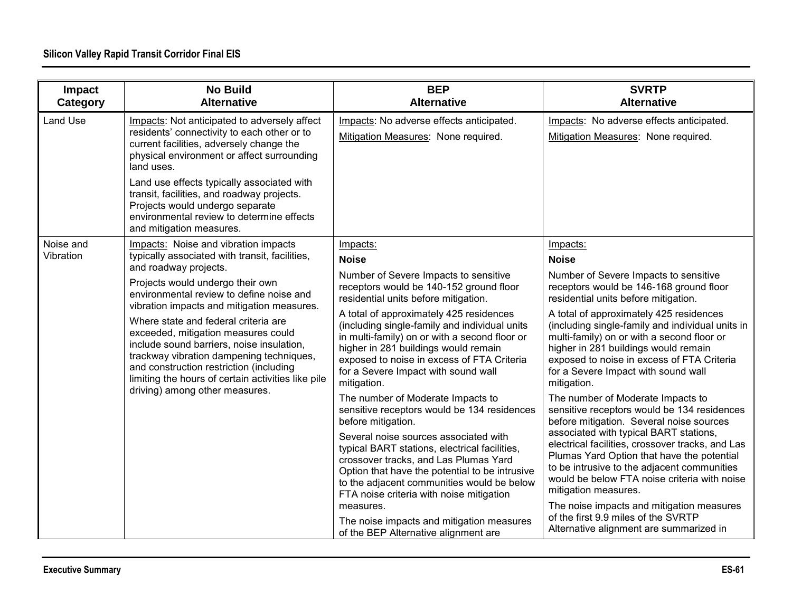| Impact<br>Category | <b>No Build</b><br><b>Alternative</b>                                                                                                                                                                                                                                                                                                                                                               | <b>BEP</b><br><b>Alternative</b>                                                                                                                                                                                                                                                      | <b>SVRTP</b><br><b>Alternative</b>                                                                                                                                                                                                                                                    |
|--------------------|-----------------------------------------------------------------------------------------------------------------------------------------------------------------------------------------------------------------------------------------------------------------------------------------------------------------------------------------------------------------------------------------------------|---------------------------------------------------------------------------------------------------------------------------------------------------------------------------------------------------------------------------------------------------------------------------------------|---------------------------------------------------------------------------------------------------------------------------------------------------------------------------------------------------------------------------------------------------------------------------------------|
| Land Use           | Impacts: Not anticipated to adversely affect<br>residents' connectivity to each other or to<br>current facilities, adversely change the<br>physical environment or affect surrounding<br>land uses.                                                                                                                                                                                                 | Impacts: No adverse effects anticipated.<br>Mitigation Measures: None required.                                                                                                                                                                                                       | Impacts: No adverse effects anticipated.<br>Mitigation Measures: None required.                                                                                                                                                                                                       |
|                    | Land use effects typically associated with<br>transit, facilities, and roadway projects.<br>Projects would undergo separate<br>environmental review to determine effects<br>and mitigation measures.                                                                                                                                                                                                |                                                                                                                                                                                                                                                                                       |                                                                                                                                                                                                                                                                                       |
| Noise and          | Impacts: Noise and vibration impacts                                                                                                                                                                                                                                                                                                                                                                | Impacts:                                                                                                                                                                                                                                                                              | Impacts:                                                                                                                                                                                                                                                                              |
| Vibration          | typically associated with transit, facilities,<br>and roadway projects.                                                                                                                                                                                                                                                                                                                             | <b>Noise</b>                                                                                                                                                                                                                                                                          | <b>Noise</b>                                                                                                                                                                                                                                                                          |
|                    | Projects would undergo their own<br>environmental review to define noise and<br>vibration impacts and mitigation measures.<br>Where state and federal criteria are<br>exceeded, mitigation measures could<br>include sound barriers, noise insulation,<br>trackway vibration dampening techniques,<br>and construction restriction (including<br>limiting the hours of certain activities like pile | Number of Severe Impacts to sensitive<br>receptors would be 140-152 ground floor<br>residential units before mitigation.                                                                                                                                                              | Number of Severe Impacts to sensitive<br>receptors would be 146-168 ground floor<br>residential units before mitigation.                                                                                                                                                              |
|                    |                                                                                                                                                                                                                                                                                                                                                                                                     | A total of approximately 425 residences<br>(including single-family and individual units<br>in multi-family) on or with a second floor or<br>higher in 281 buildings would remain<br>exposed to noise in excess of FTA Criteria<br>for a Severe Impact with sound wall<br>mitigation. | A total of approximately 425 residences<br>(including single-family and individual units in<br>multi-family) on or with a second floor or<br>higher in 281 buildings would remain<br>exposed to noise in excess of FTA Criteria<br>for a Severe Impact with sound wall<br>mitigation. |
|                    | driving) among other measures.                                                                                                                                                                                                                                                                                                                                                                      | The number of Moderate Impacts to<br>sensitive receptors would be 134 residences<br>before mitigation.                                                                                                                                                                                | The number of Moderate Impacts to<br>sensitive receptors would be 134 residences<br>before mitigation. Several noise sources                                                                                                                                                          |
|                    |                                                                                                                                                                                                                                                                                                                                                                                                     | Several noise sources associated with<br>typical BART stations, electrical facilities,<br>crossover tracks, and Las Plumas Yard<br>Option that have the potential to be intrusive<br>to the adjacent communities would be below<br>FTA noise criteria with noise mitigation           | associated with typical BART stations,<br>electrical facilities, crossover tracks, and Las<br>Plumas Yard Option that have the potential<br>to be intrusive to the adjacent communities<br>would be below FTA noise criteria with noise<br>mitigation measures.                       |
|                    |                                                                                                                                                                                                                                                                                                                                                                                                     | measures.<br>The noise impacts and mitigation measures<br>of the BEP Alternative alignment are                                                                                                                                                                                        | The noise impacts and mitigation measures<br>of the first 9.9 miles of the SVRTP<br>Alternative alignment are summarized in                                                                                                                                                           |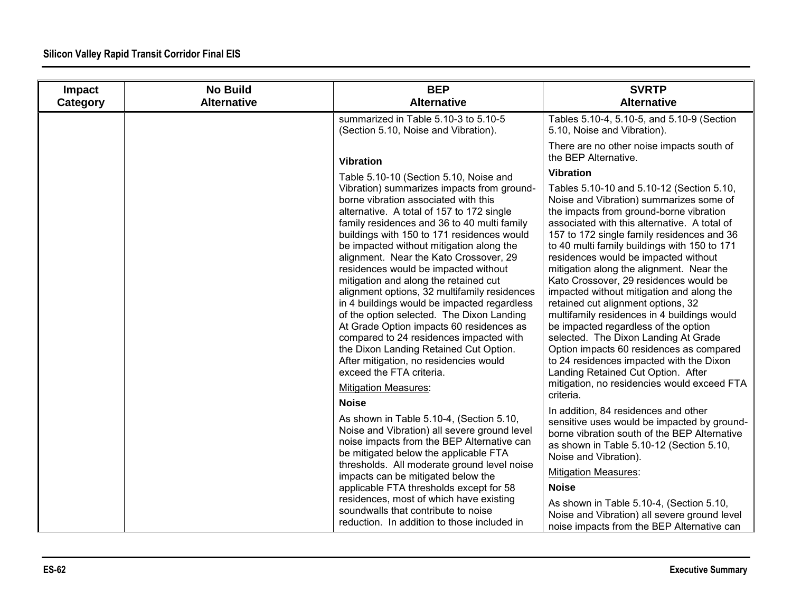| Impact<br>Category | <b>No Build</b><br><b>Alternative</b> | <b>BEP</b><br><b>Alternative</b>                                                                                                                                                                                                                                                                                                                                                                                                                                                                                                                                                                                                                                                                                                                                                                                                                                                                                                                                                                                                                                                                                        | <b>SVRTP</b><br><b>Alternative</b>                                                                                                                                                                                                                                                                                                                                                                                                                                                                                                                                                                                                                                                                                                                                                                                                                                                                                                                                                                                                                                                     |
|--------------------|---------------------------------------|-------------------------------------------------------------------------------------------------------------------------------------------------------------------------------------------------------------------------------------------------------------------------------------------------------------------------------------------------------------------------------------------------------------------------------------------------------------------------------------------------------------------------------------------------------------------------------------------------------------------------------------------------------------------------------------------------------------------------------------------------------------------------------------------------------------------------------------------------------------------------------------------------------------------------------------------------------------------------------------------------------------------------------------------------------------------------------------------------------------------------|----------------------------------------------------------------------------------------------------------------------------------------------------------------------------------------------------------------------------------------------------------------------------------------------------------------------------------------------------------------------------------------------------------------------------------------------------------------------------------------------------------------------------------------------------------------------------------------------------------------------------------------------------------------------------------------------------------------------------------------------------------------------------------------------------------------------------------------------------------------------------------------------------------------------------------------------------------------------------------------------------------------------------------------------------------------------------------------|
|                    |                                       | summarized in Table 5.10-3 to 5.10-5<br>(Section 5.10, Noise and Vibration).                                                                                                                                                                                                                                                                                                                                                                                                                                                                                                                                                                                                                                                                                                                                                                                                                                                                                                                                                                                                                                            | Tables 5.10-4, 5.10-5, and 5.10-9 (Section<br>5.10, Noise and Vibration).                                                                                                                                                                                                                                                                                                                                                                                                                                                                                                                                                                                                                                                                                                                                                                                                                                                                                                                                                                                                              |
|                    |                                       | <b>Vibration</b>                                                                                                                                                                                                                                                                                                                                                                                                                                                                                                                                                                                                                                                                                                                                                                                                                                                                                                                                                                                                                                                                                                        | There are no other noise impacts south of<br>the BEP Alternative.                                                                                                                                                                                                                                                                                                                                                                                                                                                                                                                                                                                                                                                                                                                                                                                                                                                                                                                                                                                                                      |
|                    |                                       | Table 5.10-10 (Section 5.10, Noise and<br>Vibration) summarizes impacts from ground-<br>borne vibration associated with this<br>alternative. A total of 157 to 172 single<br>family residences and 36 to 40 multi family<br>buildings with 150 to 171 residences would<br>be impacted without mitigation along the<br>alignment. Near the Kato Crossover, 29<br>residences would be impacted without<br>mitigation and along the retained cut<br>alignment options, 32 multifamily residences<br>in 4 buildings would be impacted regardless<br>of the option selected. The Dixon Landing<br>At Grade Option impacts 60 residences as<br>compared to 24 residences impacted with<br>the Dixon Landing Retained Cut Option.<br>After mitigation, no residencies would<br>exceed the FTA criteria.<br><b>Mitigation Measures:</b><br><b>Noise</b><br>As shown in Table 5.10-4, (Section 5.10,<br>Noise and Vibration) all severe ground level<br>noise impacts from the BEP Alternative can<br>be mitigated below the applicable FTA<br>thresholds. All moderate ground level noise<br>impacts can be mitigated below the | <b>Vibration</b><br>Tables 5.10-10 and 5.10-12 (Section 5.10,<br>Noise and Vibration) summarizes some of<br>the impacts from ground-borne vibration<br>associated with this alternative. A total of<br>157 to 172 single family residences and 36<br>to 40 multi family buildings with 150 to 171<br>residences would be impacted without<br>mitigation along the alignment. Near the<br>Kato Crossover, 29 residences would be<br>impacted without mitigation and along the<br>retained cut alignment options, 32<br>multifamily residences in 4 buildings would<br>be impacted regardless of the option<br>selected. The Dixon Landing At Grade<br>Option impacts 60 residences as compared<br>to 24 residences impacted with the Dixon<br>Landing Retained Cut Option. After<br>mitigation, no residencies would exceed FTA<br>criteria.<br>In addition, 84 residences and other<br>sensitive uses would be impacted by ground-<br>borne vibration south of the BEP Alternative<br>as shown in Table 5.10-12 (Section 5.10,<br>Noise and Vibration).<br><b>Mitigation Measures:</b> |
|                    |                                       | applicable FTA thresholds except for 58<br>residences, most of which have existing<br>soundwalls that contribute to noise<br>reduction. In addition to those included in                                                                                                                                                                                                                                                                                                                                                                                                                                                                                                                                                                                                                                                                                                                                                                                                                                                                                                                                                | <b>Noise</b><br>As shown in Table 5.10-4, (Section 5.10,<br>Noise and Vibration) all severe ground level<br>noise impacts from the BEP Alternative can                                                                                                                                                                                                                                                                                                                                                                                                                                                                                                                                                                                                                                                                                                                                                                                                                                                                                                                                 |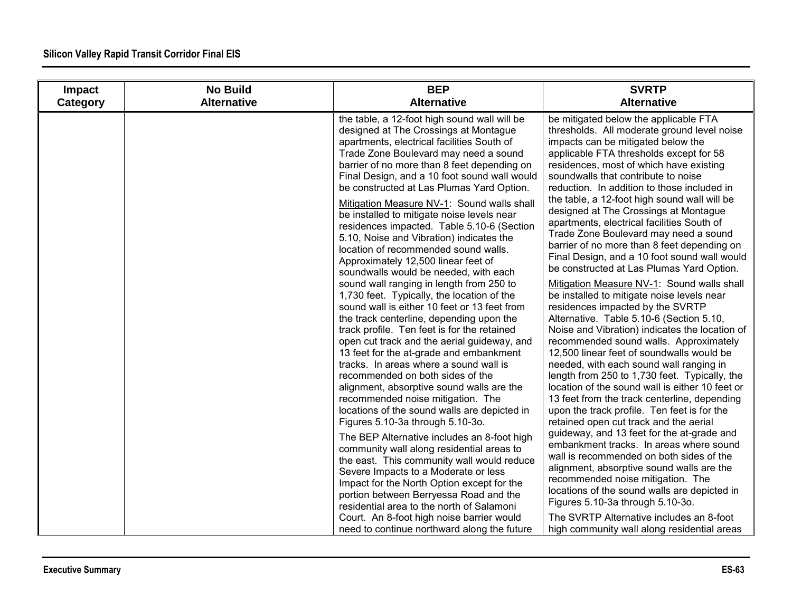| Impact   | <b>No Build</b>    | <b>BEP</b>                                                                                                                                                                                                                                                                                                                                                                                                                                                                                                                                                                                                                                                                                                                                                                                                                                                                                                                                                                                                                                                                                                                                                                                                                                                                                                                                                                                                                                                                                                                                                                                                                                   | <b>SVRTP</b>                                                                                                                                                                                                                                                                                                                                                                                                                                                                                                                                                                                                                                                                                                                                                                                                                                                                                                                                                                                                                                                                                                                                                                                                                                                                                                                                                                                                                                                                                                                                                                                                                                          |
|----------|--------------------|----------------------------------------------------------------------------------------------------------------------------------------------------------------------------------------------------------------------------------------------------------------------------------------------------------------------------------------------------------------------------------------------------------------------------------------------------------------------------------------------------------------------------------------------------------------------------------------------------------------------------------------------------------------------------------------------------------------------------------------------------------------------------------------------------------------------------------------------------------------------------------------------------------------------------------------------------------------------------------------------------------------------------------------------------------------------------------------------------------------------------------------------------------------------------------------------------------------------------------------------------------------------------------------------------------------------------------------------------------------------------------------------------------------------------------------------------------------------------------------------------------------------------------------------------------------------------------------------------------------------------------------------|-------------------------------------------------------------------------------------------------------------------------------------------------------------------------------------------------------------------------------------------------------------------------------------------------------------------------------------------------------------------------------------------------------------------------------------------------------------------------------------------------------------------------------------------------------------------------------------------------------------------------------------------------------------------------------------------------------------------------------------------------------------------------------------------------------------------------------------------------------------------------------------------------------------------------------------------------------------------------------------------------------------------------------------------------------------------------------------------------------------------------------------------------------------------------------------------------------------------------------------------------------------------------------------------------------------------------------------------------------------------------------------------------------------------------------------------------------------------------------------------------------------------------------------------------------------------------------------------------------------------------------------------------------|
| Category | <b>Alternative</b> | <b>Alternative</b>                                                                                                                                                                                                                                                                                                                                                                                                                                                                                                                                                                                                                                                                                                                                                                                                                                                                                                                                                                                                                                                                                                                                                                                                                                                                                                                                                                                                                                                                                                                                                                                                                           | <b>Alternative</b>                                                                                                                                                                                                                                                                                                                                                                                                                                                                                                                                                                                                                                                                                                                                                                                                                                                                                                                                                                                                                                                                                                                                                                                                                                                                                                                                                                                                                                                                                                                                                                                                                                    |
|          |                    | the table, a 12-foot high sound wall will be<br>designed at The Crossings at Montague<br>apartments, electrical facilities South of<br>Trade Zone Boulevard may need a sound<br>barrier of no more than 8 feet depending on<br>Final Design, and a 10 foot sound wall would<br>be constructed at Las Plumas Yard Option.<br>Mitigation Measure NV-1: Sound walls shall<br>be installed to mitigate noise levels near<br>residences impacted. Table 5.10-6 (Section<br>5.10, Noise and Vibration) indicates the<br>location of recommended sound walls.<br>Approximately 12,500 linear feet of<br>soundwalls would be needed, with each<br>sound wall ranging in length from 250 to<br>1,730 feet. Typically, the location of the<br>sound wall is either 10 feet or 13 feet from<br>the track centerline, depending upon the<br>track profile. Ten feet is for the retained<br>open cut track and the aerial guideway, and<br>13 feet for the at-grade and embankment<br>tracks. In areas where a sound wall is<br>recommended on both sides of the<br>alignment, absorptive sound walls are the<br>recommended noise mitigation. The<br>locations of the sound walls are depicted in<br>Figures 5.10-3a through 5.10-3o.<br>The BEP Alternative includes an 8-foot high<br>community wall along residential areas to<br>the east. This community wall would reduce<br>Severe Impacts to a Moderate or less<br>Impact for the North Option except for the<br>portion between Berryessa Road and the<br>residential area to the north of Salamoni<br>Court. An 8-foot high noise barrier would<br>need to continue northward along the future | be mitigated below the applicable FTA<br>thresholds. All moderate ground level noise<br>impacts can be mitigated below the<br>applicable FTA thresholds except for 58<br>residences, most of which have existing<br>soundwalls that contribute to noise<br>reduction. In addition to those included in<br>the table, a 12-foot high sound wall will be<br>designed at The Crossings at Montague<br>apartments, electrical facilities South of<br>Trade Zone Boulevard may need a sound<br>barrier of no more than 8 feet depending on<br>Final Design, and a 10 foot sound wall would<br>be constructed at Las Plumas Yard Option.<br>Mitigation Measure NV-1: Sound walls shall<br>be installed to mitigate noise levels near<br>residences impacted by the SVRTP<br>Alternative. Table 5.10-6 (Section 5.10,<br>Noise and Vibration) indicates the location of<br>recommended sound walls. Approximately<br>12,500 linear feet of soundwalls would be<br>needed, with each sound wall ranging in<br>length from 250 to 1,730 feet. Typically, the<br>location of the sound wall is either 10 feet or<br>13 feet from the track centerline, depending<br>upon the track profile. Ten feet is for the<br>retained open cut track and the aerial<br>guideway, and 13 feet for the at-grade and<br>embankment tracks. In areas where sound<br>wall is recommended on both sides of the<br>alignment, absorptive sound walls are the<br>recommended noise mitigation. The<br>locations of the sound walls are depicted in<br>Figures 5.10-3a through 5.10-3o.<br>The SVRTP Alternative includes an 8-foot<br>high community wall along residential areas |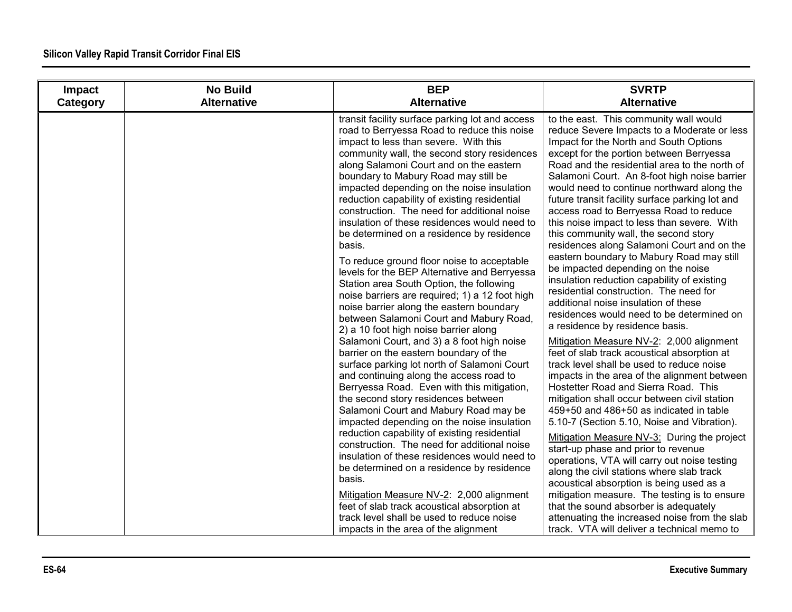| Impact   | <b>No Build</b>    | <b>BEP</b>                                                                                                                                                                                                                                                                                                                                                                                                                                                                                                                                                                                                                                                                                                                                                                                                                                                                                                                                                                                                                                                                                                                                                                                                                                                                                                                                                                                                                                                                                                                                                                                                    | <b>SVRTP</b>                                                                                                                                                                                                                                                                                                                                                                                                                                                                                                                                                                                                                                                                                                                                                                                                                                                                                                                                                                                                                                                                                                                                                                                                                                                                                                                                                                                                                                                                                                                                                                                                                                                         |
|----------|--------------------|---------------------------------------------------------------------------------------------------------------------------------------------------------------------------------------------------------------------------------------------------------------------------------------------------------------------------------------------------------------------------------------------------------------------------------------------------------------------------------------------------------------------------------------------------------------------------------------------------------------------------------------------------------------------------------------------------------------------------------------------------------------------------------------------------------------------------------------------------------------------------------------------------------------------------------------------------------------------------------------------------------------------------------------------------------------------------------------------------------------------------------------------------------------------------------------------------------------------------------------------------------------------------------------------------------------------------------------------------------------------------------------------------------------------------------------------------------------------------------------------------------------------------------------------------------------------------------------------------------------|----------------------------------------------------------------------------------------------------------------------------------------------------------------------------------------------------------------------------------------------------------------------------------------------------------------------------------------------------------------------------------------------------------------------------------------------------------------------------------------------------------------------------------------------------------------------------------------------------------------------------------------------------------------------------------------------------------------------------------------------------------------------------------------------------------------------------------------------------------------------------------------------------------------------------------------------------------------------------------------------------------------------------------------------------------------------------------------------------------------------------------------------------------------------------------------------------------------------------------------------------------------------------------------------------------------------------------------------------------------------------------------------------------------------------------------------------------------------------------------------------------------------------------------------------------------------------------------------------------------------------------------------------------------------|
| Category | <b>Alternative</b> | <b>Alternative</b>                                                                                                                                                                                                                                                                                                                                                                                                                                                                                                                                                                                                                                                                                                                                                                                                                                                                                                                                                                                                                                                                                                                                                                                                                                                                                                                                                                                                                                                                                                                                                                                            | <b>Alternative</b>                                                                                                                                                                                                                                                                                                                                                                                                                                                                                                                                                                                                                                                                                                                                                                                                                                                                                                                                                                                                                                                                                                                                                                                                                                                                                                                                                                                                                                                                                                                                                                                                                                                   |
|          |                    | transit facility surface parking lot and access<br>road to Berryessa Road to reduce this noise<br>impact to less than severe. With this<br>community wall, the second story residences<br>along Salamoni Court and on the eastern<br>boundary to Mabury Road may still be<br>impacted depending on the noise insulation<br>reduction capability of existing residential<br>construction. The need for additional noise<br>insulation of these residences would need to<br>be determined on a residence by residence<br>basis.<br>To reduce ground floor noise to acceptable<br>levels for the BEP Alternative and Berryessa<br>Station area South Option, the following<br>noise barriers are required; 1) a 12 foot high<br>noise barrier along the eastern boundary<br>between Salamoni Court and Mabury Road,<br>2) a 10 foot high noise barrier along<br>Salamoni Court, and 3) a 8 foot high noise<br>barrier on the eastern boundary of the<br>surface parking lot north of Salamoni Court<br>and continuing along the access road to<br>Berryessa Road. Even with this mitigation,<br>the second story residences between<br>Salamoni Court and Mabury Road may be<br>impacted depending on the noise insulation<br>reduction capability of existing residential<br>construction. The need for additional noise<br>insulation of these residences would need to<br>be determined on a residence by residence<br>basis.<br>Mitigation Measure NV-2: 2,000 alignment<br>feet of slab track acoustical absorption at<br>track level shall be used to reduce noise<br>impacts in the area of the alignment | to the east. This community wall would<br>reduce Severe Impacts to a Moderate or less<br>Impact for the North and South Options<br>except for the portion between Berryessa<br>Road and the residential area to the north of<br>Salamoni Court. An 8-foot high noise barrier<br>would need to continue northward along the<br>future transit facility surface parking lot and<br>access road to Berryessa Road to reduce<br>this noise impact to less than severe. With<br>this community wall, the second story<br>residences along Salamoni Court and on the<br>eastern boundary to Mabury Road may still<br>be impacted depending on the noise<br>insulation reduction capability of existing<br>residential construction. The need for<br>additional noise insulation of these<br>residences would need to be determined on<br>a residence by residence basis.<br>Mitigation Measure NV-2: 2,000 alignment<br>feet of slab track acoustical absorption at<br>track level shall be used to reduce noise<br>impacts in the area of the alignment between<br>Hostetter Road and Sierra Road. This<br>mitigation shall occur between civil station<br>459+50 and 486+50 as indicated in table<br>5.10-7 (Section 5.10, Noise and Vibration).<br>Mitigation Measure NV-3: During the project<br>start-up phase and prior to revenue<br>operations, VTA will carry out noise testing<br>along the civil stations where slab track<br>acoustical absorption is being used as a<br>mitigation measure. The testing is to ensure<br>that the sound absorber is adequately<br>attenuating the increased noise from the slab<br>track. VTA will deliver a technical memo to |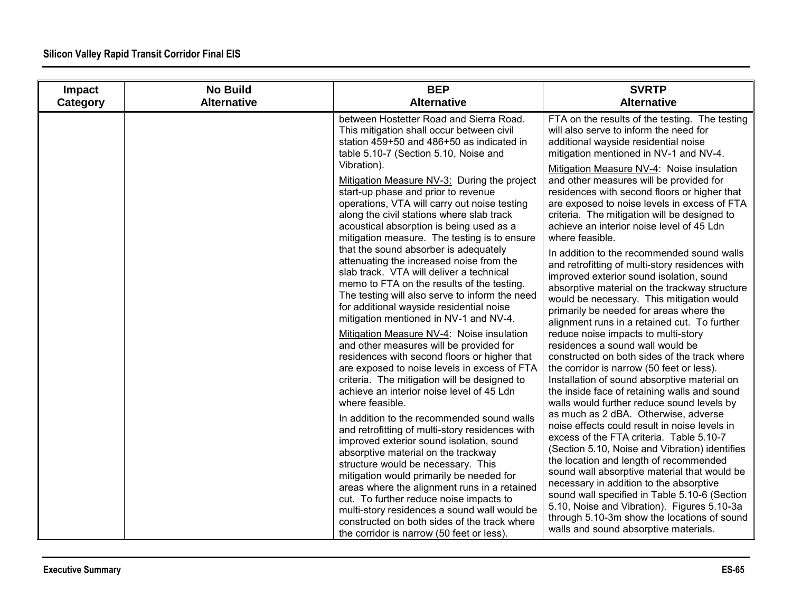| Impact<br>Category | <b>No Build</b><br><b>Alternative</b> | <b>BEP</b><br><b>Alternative</b>                                                                                                                                                                                                                                                                                                                                                                                                                                                                                                                                                                                                                                                                          | <b>SVRTP</b><br><b>Alternative</b>                                                                                                                                                                                                                                                                                                                                                                                                                                                                                                                                                                                                                                               |
|--------------------|---------------------------------------|-----------------------------------------------------------------------------------------------------------------------------------------------------------------------------------------------------------------------------------------------------------------------------------------------------------------------------------------------------------------------------------------------------------------------------------------------------------------------------------------------------------------------------------------------------------------------------------------------------------------------------------------------------------------------------------------------------------|----------------------------------------------------------------------------------------------------------------------------------------------------------------------------------------------------------------------------------------------------------------------------------------------------------------------------------------------------------------------------------------------------------------------------------------------------------------------------------------------------------------------------------------------------------------------------------------------------------------------------------------------------------------------------------|
|                    |                                       | between Hostetter Road and Sierra Road.<br>This mitigation shall occur between civil<br>station 459+50 and 486+50 as indicated in<br>table 5.10-7 (Section 5.10, Noise and<br>Vibration).<br>Mitigation Measure NV-3: During the project<br>start-up phase and prior to revenue<br>operations, VTA will carry out noise testing<br>along the civil stations where slab track<br>acoustical absorption is being used as a<br>mitigation measure. The testing is to ensure<br>that the sound absorber is adequately<br>attenuating the increased noise from the<br>slab track. VTA will deliver a technical<br>memo to FTA on the results of the testing.<br>The testing will also serve to inform the need | FTA on the results of the testing. The testing<br>will also serve to inform the need for<br>additional wayside residential noise<br>mitigation mentioned in NV-1 and NV-4.<br>Mitigation Measure NV-4: Noise insulation<br>and other measures will be provided for<br>residences with second floors or higher that<br>are exposed to noise levels in excess of FTA<br>criteria. The mitigation will be designed to<br>achieve an interior noise level of 45 Ldn<br>where feasible.<br>In addition to the recommended sound walls<br>and retrofitting of multi-story residences with<br>improved exterior sound isolation, sound<br>absorptive material on the trackway structure |
|                    |                                       | for additional wayside residential noise<br>mitigation mentioned in NV-1 and NV-4.<br>Mitigation Measure NV-4: Noise insulation<br>and other measures will be provided for<br>residences with second floors or higher that<br>are exposed to noise levels in excess of FTA<br>criteria. The mitigation will be designed to<br>achieve an interior noise level of 45 Ldn<br>where feasible.                                                                                                                                                                                                                                                                                                                | would be necessary. This mitigation would<br>primarily be needed for areas where the<br>alignment runs in a retained cut. To further<br>reduce noise impacts to multi-story<br>residences a sound wall would be<br>constructed on both sides of the track where<br>the corridor is narrow (50 feet or less).<br>Installation of sound absorptive material on<br>the inside face of retaining walls and sound<br>walls would further reduce sound levels by                                                                                                                                                                                                                       |
|                    |                                       | In addition to the recommended sound walls<br>and retrofitting of multi-story residences with<br>improved exterior sound isolation, sound<br>absorptive material on the trackway<br>structure would be necessary. This<br>mitigation would primarily be needed for<br>areas where the alignment runs in a retained<br>cut. To further reduce noise impacts to<br>multi-story residences a sound wall would be<br>constructed on both sides of the track where<br>the corridor is narrow (50 feet or less).                                                                                                                                                                                                | as much as 2 dBA. Otherwise, adverse<br>noise effects could result in noise levels in<br>excess of the FTA criteria. Table 5.10-7<br>(Section 5.10, Noise and Vibration) identifies<br>the location and length of recommended<br>sound wall absorptive material that would be<br>necessary in addition to the absorptive<br>sound wall specified in Table 5.10-6 (Section<br>5.10, Noise and Vibration). Figures 5.10-3a<br>through 5.10-3m show the locations of sound<br>walls and sound absorptive materials.                                                                                                                                                                 |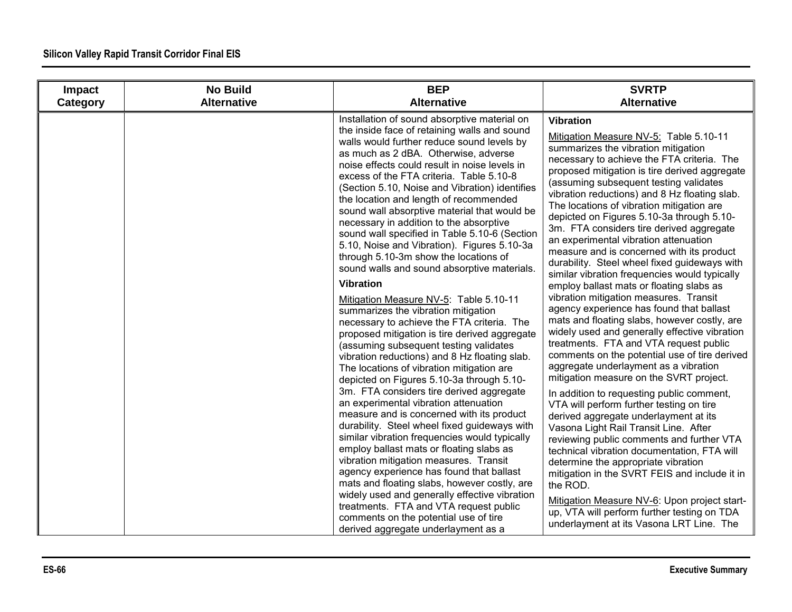| Impact   | <b>No Build</b>    | <b>BEP</b>                                                                                                                                                                                                                                                                                                                                                                                                                                                                                                                                                                                                                                                                                                                                                                                                                                                                                                                                                                                                                                                                                                                                                                                                                                                                                                                                                                                                                                                                                                                                                                                                                                              | <b>SVRTP</b>                                                                                                                                                                                                                                                                                                                                                                                                                                                                                                                                                                                                                                                                                                                                                                                                                                                                                                                                                                                                                                                                                                                                                                                                                                                                                                                                                                                                                                                                                                                                                     |
|----------|--------------------|---------------------------------------------------------------------------------------------------------------------------------------------------------------------------------------------------------------------------------------------------------------------------------------------------------------------------------------------------------------------------------------------------------------------------------------------------------------------------------------------------------------------------------------------------------------------------------------------------------------------------------------------------------------------------------------------------------------------------------------------------------------------------------------------------------------------------------------------------------------------------------------------------------------------------------------------------------------------------------------------------------------------------------------------------------------------------------------------------------------------------------------------------------------------------------------------------------------------------------------------------------------------------------------------------------------------------------------------------------------------------------------------------------------------------------------------------------------------------------------------------------------------------------------------------------------------------------------------------------------------------------------------------------|------------------------------------------------------------------------------------------------------------------------------------------------------------------------------------------------------------------------------------------------------------------------------------------------------------------------------------------------------------------------------------------------------------------------------------------------------------------------------------------------------------------------------------------------------------------------------------------------------------------------------------------------------------------------------------------------------------------------------------------------------------------------------------------------------------------------------------------------------------------------------------------------------------------------------------------------------------------------------------------------------------------------------------------------------------------------------------------------------------------------------------------------------------------------------------------------------------------------------------------------------------------------------------------------------------------------------------------------------------------------------------------------------------------------------------------------------------------------------------------------------------------------------------------------------------------|
| Category | <b>Alternative</b> | <b>Alternative</b>                                                                                                                                                                                                                                                                                                                                                                                                                                                                                                                                                                                                                                                                                                                                                                                                                                                                                                                                                                                                                                                                                                                                                                                                                                                                                                                                                                                                                                                                                                                                                                                                                                      | <b>Alternative</b>                                                                                                                                                                                                                                                                                                                                                                                                                                                                                                                                                                                                                                                                                                                                                                                                                                                                                                                                                                                                                                                                                                                                                                                                                                                                                                                                                                                                                                                                                                                                               |
|          |                    | Installation of sound absorptive material on<br>the inside face of retaining walls and sound<br>walls would further reduce sound levels by<br>as much as 2 dBA. Otherwise, adverse<br>noise effects could result in noise levels in<br>excess of the FTA criteria. Table 5.10-8<br>(Section 5.10, Noise and Vibration) identifies<br>the location and length of recommended<br>sound wall absorptive material that would be<br>necessary in addition to the absorptive<br>sound wall specified in Table 5.10-6 (Section<br>5.10, Noise and Vibration). Figures 5.10-3a<br>through 5.10-3m show the locations of<br>sound walls and sound absorptive materials.<br><b>Vibration</b><br>Mitigation Measure NV-5: Table 5.10-11<br>summarizes the vibration mitigation<br>necessary to achieve the FTA criteria. The<br>proposed mitigation is tire derived aggregate<br>(assuming subsequent testing validates<br>vibration reductions) and 8 Hz floating slab.<br>The locations of vibration mitigation are<br>depicted on Figures 5.10-3a through 5.10-<br>3m. FTA considers tire derived aggregate<br>an experimental vibration attenuation<br>measure and is concerned with its product<br>durability. Steel wheel fixed guideways with<br>similar vibration frequencies would typically<br>employ ballast mats or floating slabs as<br>vibration mitigation measures. Transit<br>agency experience has found that ballast<br>mats and floating slabs, however costly, are<br>widely used and generally effective vibration<br>treatments. FTA and VTA request public<br>comments on the potential use of tire<br>derived aggregate underlayment as a | <b>Vibration</b><br>Mitigation Measure NV-5: Table 5.10-11<br>summarizes the vibration mitigation<br>necessary to achieve the FTA criteria. The<br>proposed mitigation is tire derived aggregate<br>(assuming subsequent testing validates<br>vibration reductions) and 8 Hz floating slab.<br>The locations of vibration mitigation are<br>depicted on Figures 5.10-3a through 5.10-<br>3m. FTA considers tire derived aggregate<br>an experimental vibration attenuation<br>measure and is concerned with its product<br>durability. Steel wheel fixed guideways with<br>similar vibration frequencies would typically<br>employ ballast mats or floating slabs as<br>vibration mitigation measures. Transit<br>agency experience has found that ballast<br>mats and floating slabs, however costly, are<br>widely used and generally effective vibration<br>treatments. FTA and VTA request public<br>comments on the potential use of tire derived<br>aggregate underlayment as a vibration<br>mitigation measure on the SVRT project.<br>In addition to requesting public comment,<br>VTA will perform further testing on tire<br>derived aggregate underlayment at its<br>Vasona Light Rail Transit Line. After<br>reviewing public comments and further VTA<br>technical vibration documentation, FTA will<br>determine the appropriate vibration<br>mitigation in the SVRT FEIS and include it in<br>the ROD.<br>Mitigation Measure NV-6: Upon project start-<br>up, VTA will perform further testing on TDA<br>underlayment at its Vasona LRT Line. The |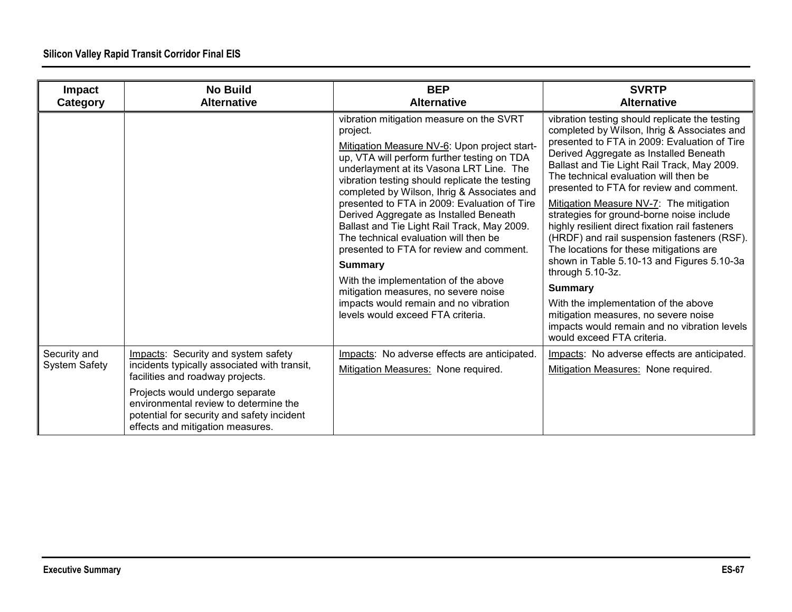| Impact<br>Category                   | <b>No Build</b><br><b>Alternative</b>                                                                                                                      | <b>BEP</b><br><b>Alternative</b>                                                                                                                                                                                                                                                                                                                                                                                                                                                                                                                                                                                                                                                                               | <b>SVRTP</b><br><b>Alternative</b>                                                                                                                                                                                                                                                                                                                                                                                                                                                                                                                                                                                                                                                                                                                                                                                 |
|--------------------------------------|------------------------------------------------------------------------------------------------------------------------------------------------------------|----------------------------------------------------------------------------------------------------------------------------------------------------------------------------------------------------------------------------------------------------------------------------------------------------------------------------------------------------------------------------------------------------------------------------------------------------------------------------------------------------------------------------------------------------------------------------------------------------------------------------------------------------------------------------------------------------------------|--------------------------------------------------------------------------------------------------------------------------------------------------------------------------------------------------------------------------------------------------------------------------------------------------------------------------------------------------------------------------------------------------------------------------------------------------------------------------------------------------------------------------------------------------------------------------------------------------------------------------------------------------------------------------------------------------------------------------------------------------------------------------------------------------------------------|
|                                      |                                                                                                                                                            | vibration mitigation measure on the SVRT<br>project.<br>Mitigation Measure NV-6: Upon project start-<br>up, VTA will perform further testing on TDA<br>underlayment at its Vasona LRT Line. The<br>vibration testing should replicate the testing<br>completed by Wilson, Ihrig & Associates and<br>presented to FTA in 2009: Evaluation of Tire<br>Derived Aggregate as Installed Beneath<br>Ballast and Tie Light Rail Track, May 2009.<br>The technical evaluation will then be<br>presented to FTA for review and comment.<br><b>Summary</b><br>With the implementation of the above<br>mitigation measures, no severe noise<br>impacts would remain and no vibration<br>levels would exceed FTA criteria. | vibration testing should replicate the testing<br>completed by Wilson, Ihrig & Associates and<br>presented to FTA in 2009: Evaluation of Tire<br>Derived Aggregate as Installed Beneath<br>Ballast and Tie Light Rail Track, May 2009.<br>The technical evaluation will then be<br>presented to FTA for review and comment.<br>Mitigation Measure NV-7: The mitigation<br>strategies for ground-borne noise include<br>highly resilient direct fixation rail fasteners<br>(HRDF) and rail suspension fasteners (RSF).<br>The locations for these mitigations are<br>shown in Table 5.10-13 and Figures 5.10-3a<br>through 5.10-3z.<br><b>Summary</b><br>With the implementation of the above<br>mitigation measures, no severe noise<br>impacts would remain and no vibration levels<br>would exceed FTA criteria. |
| Security and<br><b>System Safety</b> | Impacts: Security and system safety<br>incidents typically associated with transit,<br>facilities and roadway projects.                                    | Impacts: No adverse effects are anticipated.<br>Mitigation Measures: None required.                                                                                                                                                                                                                                                                                                                                                                                                                                                                                                                                                                                                                            | Impacts: No adverse effects are anticipated.<br>Mitigation Measures: None required.                                                                                                                                                                                                                                                                                                                                                                                                                                                                                                                                                                                                                                                                                                                                |
|                                      | Projects would undergo separate<br>environmental review to determine the<br>potential for security and safety incident<br>effects and mitigation measures. |                                                                                                                                                                                                                                                                                                                                                                                                                                                                                                                                                                                                                                                                                                                |                                                                                                                                                                                                                                                                                                                                                                                                                                                                                                                                                                                                                                                                                                                                                                                                                    |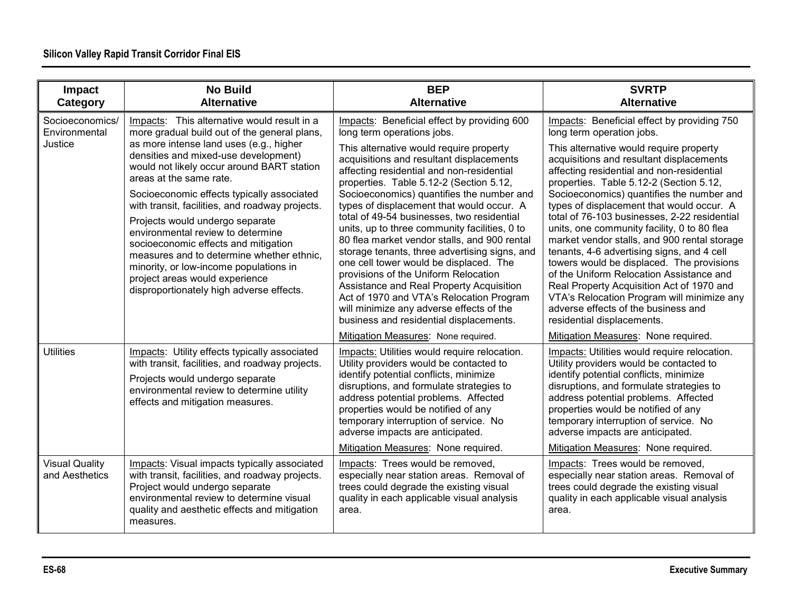| Impact<br>Category                          | <b>No Build</b><br><b>Alternative</b>                                                                                                                                                                                                                                                                                                                                                                                                                                                                                                                                                                                                         | <b>BEP</b><br><b>Alternative</b>                                                                                                                                                                                                                                                                                                                                                                                                                                                                                                                                                                                                                                                                                                                                                                                    | <b>SVRTP</b><br><b>Alternative</b>                                                                                                                                                                                                                                                                                                                                                                                                                                                                                                                                                                                                                                                                                                                                                                      |
|---------------------------------------------|-----------------------------------------------------------------------------------------------------------------------------------------------------------------------------------------------------------------------------------------------------------------------------------------------------------------------------------------------------------------------------------------------------------------------------------------------------------------------------------------------------------------------------------------------------------------------------------------------------------------------------------------------|---------------------------------------------------------------------------------------------------------------------------------------------------------------------------------------------------------------------------------------------------------------------------------------------------------------------------------------------------------------------------------------------------------------------------------------------------------------------------------------------------------------------------------------------------------------------------------------------------------------------------------------------------------------------------------------------------------------------------------------------------------------------------------------------------------------------|---------------------------------------------------------------------------------------------------------------------------------------------------------------------------------------------------------------------------------------------------------------------------------------------------------------------------------------------------------------------------------------------------------------------------------------------------------------------------------------------------------------------------------------------------------------------------------------------------------------------------------------------------------------------------------------------------------------------------------------------------------------------------------------------------------|
| Socioeconomics/<br>Environmental<br>Justice | Impacts: This alternative would result in a<br>more gradual build out of the general plans,<br>as more intense land uses (e.g., higher<br>densities and mixed-use development)<br>would not likely occur around BART station<br>areas at the same rate.<br>Socioeconomic effects typically associated<br>with transit, facilities, and roadway projects.<br>Projects would undergo separate<br>environmental review to determine<br>socioeconomic effects and mitigation<br>measures and to determine whether ethnic.<br>minority, or low-income populations in<br>project areas would experience<br>disproportionately high adverse effects. | Impacts: Beneficial effect by providing 600<br>long term operations jobs.<br>This alternative would require property<br>acquisitions and resultant displacements<br>affecting residential and non-residential<br>properties. Table 5.12-2 (Section 5.12,<br>Socioeconomics) quantifies the number and<br>types of displacement that would occur. A<br>total of 49-54 businesses, two residential<br>units, up to three community facilities, 0 to<br>80 flea market vendor stalls, and 900 rental<br>storage tenants, three advertising signs, and<br>one cell tower would be displaced. The<br>provisions of the Uniform Relocation<br>Assistance and Real Property Acquisition<br>Act of 1970 and VTA's Relocation Program<br>will minimize any adverse effects of the<br>business and residential displacements. | Impacts: Beneficial effect by providing 750<br>long term operation jobs.<br>This alternative would require property<br>acquisitions and resultant displacements<br>affecting residential and non-residential<br>properties. Table 5.12-2 (Section 5.12,<br>Socioeconomics) quantifies the number and<br>types of displacement that would occur. A<br>total of 76-103 businesses, 2-22 residential<br>units, one community facility, 0 to 80 flea<br>market vendor stalls, and 900 rental storage<br>tenants, 4-6 advertising signs, and 4 cell<br>towers would be displaced. The provisions<br>of the Uniform Relocation Assistance and<br>Real Property Acquisition Act of 1970 and<br>VTA's Relocation Program will minimize any<br>adverse effects of the business and<br>residential displacements. |
| <b>Utilities</b>                            | Impacts: Utility effects typically associated<br>with transit, facilities, and roadway projects.<br>Projects would undergo separate<br>environmental review to determine utility<br>effects and mitigation measures.                                                                                                                                                                                                                                                                                                                                                                                                                          | Mitigation Measures: None required.<br>Impacts: Utilities would require relocation.<br>Utility providers would be contacted to<br>identify potential conflicts, minimize<br>disruptions, and formulate strategies to<br>address potential problems. Affected<br>properties would be notified of any<br>temporary interruption of service. No<br>adverse impacts are anticipated.<br>Mitigation Measures: None required.                                                                                                                                                                                                                                                                                                                                                                                             | Mitigation Measures: None required.<br>Impacts: Utilities would require relocation.<br>Utility providers would be contacted to<br>identify potential conflicts, minimize<br>disruptions, and formulate strategies to<br>address potential problems. Affected<br>properties would be notified of any<br>temporary interruption of service. No<br>adverse impacts are anticipated.<br>Mitigation Measures: None required.                                                                                                                                                                                                                                                                                                                                                                                 |
| <b>Visual Quality</b><br>and Aesthetics     | Impacts: Visual impacts typically associated<br>with transit, facilities, and roadway projects.<br>Project would undergo separate<br>environmental review to determine visual<br>quality and aesthetic effects and mitigation<br>measures.                                                                                                                                                                                                                                                                                                                                                                                                    | Impacts: Trees would be removed.<br>especially near station areas. Removal of<br>trees could degrade the existing visual<br>quality in each applicable visual analysis<br>area.                                                                                                                                                                                                                                                                                                                                                                                                                                                                                                                                                                                                                                     | Impacts: Trees would be removed.<br>especially near station areas. Removal of<br>trees could degrade the existing visual<br>quality in each applicable visual analysis<br>area.                                                                                                                                                                                                                                                                                                                                                                                                                                                                                                                                                                                                                         |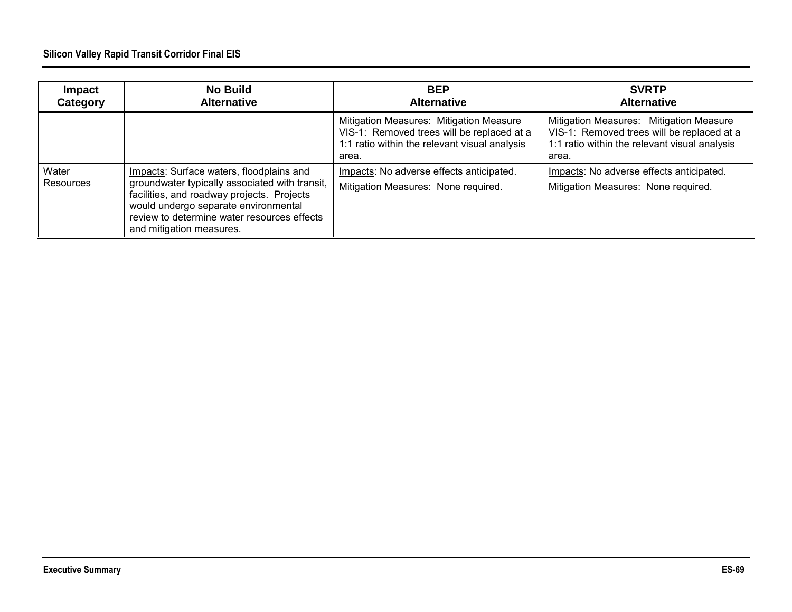| Impact<br>Category | <b>No Build</b><br><b>Alternative</b>                                                                                                                                                                                                                       | <b>BEP</b><br><b>Alternative</b>                                                                                                                | <b>SVRTP</b><br><b>Alternative</b>                                                                                                              |
|--------------------|-------------------------------------------------------------------------------------------------------------------------------------------------------------------------------------------------------------------------------------------------------------|-------------------------------------------------------------------------------------------------------------------------------------------------|-------------------------------------------------------------------------------------------------------------------------------------------------|
|                    |                                                                                                                                                                                                                                                             | Mitigation Measures: Mitigation Measure<br>VIS-1: Removed trees will be replaced at a<br>1:1 ratio within the relevant visual analysis<br>area. | Mitigation Measures: Mitigation Measure<br>VIS-1: Removed trees will be replaced at a<br>1:1 ratio within the relevant visual analysis<br>area. |
| Water<br>Resources | Impacts: Surface waters, floodplains and<br>groundwater typically associated with transit,<br>facilities, and roadway projects. Projects<br>would undergo separate environmental<br>review to determine water resources effects<br>and mitigation measures. | Impacts: No adverse effects anticipated.<br>Mitigation Measures: None required.                                                                 | Impacts: No adverse effects anticipated.<br>Mitigation Measures: None required.                                                                 |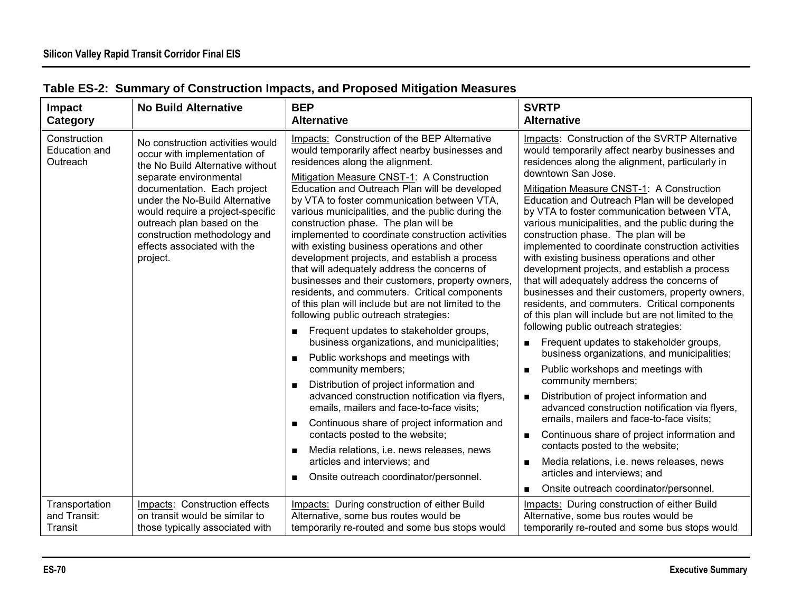| Impact                                    | <b>No Build Alternative</b>                                                                                                                                                                                                                                                                                                                  | <b>BEP</b>                                                                                                                                                                                                                                                                                                                                                                                                                                                                                                                                                                                                                                                                                                                                                                                                                                                                                                                                                                                                                                                                                                                                                                                                                                                                                                       | <b>SVRTP</b>                                                                                                                                                                                                                                                                                                                                                                                                                                                                                                                                                                                                                                                                                                                                                                                                                                                                                                                                                                                                                                                                                                                                                                                                                                                                                                                           |
|-------------------------------------------|----------------------------------------------------------------------------------------------------------------------------------------------------------------------------------------------------------------------------------------------------------------------------------------------------------------------------------------------|------------------------------------------------------------------------------------------------------------------------------------------------------------------------------------------------------------------------------------------------------------------------------------------------------------------------------------------------------------------------------------------------------------------------------------------------------------------------------------------------------------------------------------------------------------------------------------------------------------------------------------------------------------------------------------------------------------------------------------------------------------------------------------------------------------------------------------------------------------------------------------------------------------------------------------------------------------------------------------------------------------------------------------------------------------------------------------------------------------------------------------------------------------------------------------------------------------------------------------------------------------------------------------------------------------------|----------------------------------------------------------------------------------------------------------------------------------------------------------------------------------------------------------------------------------------------------------------------------------------------------------------------------------------------------------------------------------------------------------------------------------------------------------------------------------------------------------------------------------------------------------------------------------------------------------------------------------------------------------------------------------------------------------------------------------------------------------------------------------------------------------------------------------------------------------------------------------------------------------------------------------------------------------------------------------------------------------------------------------------------------------------------------------------------------------------------------------------------------------------------------------------------------------------------------------------------------------------------------------------------------------------------------------------|
| <b>Category</b>                           |                                                                                                                                                                                                                                                                                                                                              | <b>Alternative</b>                                                                                                                                                                                                                                                                                                                                                                                                                                                                                                                                                                                                                                                                                                                                                                                                                                                                                                                                                                                                                                                                                                                                                                                                                                                                                               | <b>Alternative</b>                                                                                                                                                                                                                                                                                                                                                                                                                                                                                                                                                                                                                                                                                                                                                                                                                                                                                                                                                                                                                                                                                                                                                                                                                                                                                                                     |
| Construction<br>Education and<br>Outreach | No construction activities would<br>occur with implementation of<br>the No Build Alternative without<br>separate environmental<br>documentation. Each project<br>under the No-Build Alternative<br>would require a project-specific<br>outreach plan based on the<br>construction methodology and<br>effects associated with the<br>project. | Impacts: Construction of the BEP Alternative<br>would temporarily affect nearby businesses and<br>residences along the alignment.<br>Mitigation Measure CNST-1: A Construction<br>Education and Outreach Plan will be developed<br>by VTA to foster communication between VTA,<br>various municipalities, and the public during the<br>construction phase. The plan will be<br>implemented to coordinate construction activities<br>with existing business operations and other<br>development projects, and establish a process<br>that will adequately address the concerns of<br>businesses and their customers, property owners,<br>residents, and commuters. Critical components<br>of this plan will include but are not limited to the<br>following public outreach strategies:<br>Frequent updates to stakeholder groups,<br>business organizations, and municipalities;<br>Public workshops and meetings with<br>community members;<br>Distribution of project information and<br>advanced construction notification via flyers,<br>emails, mailers and face-to-face visits;<br>Continuous share of project information and<br>$\blacksquare$<br>contacts posted to the website;<br>Media relations, i.e. news releases, news<br>articles and interviews; and<br>Onsite outreach coordinator/personnel. | Impacts: Construction of the SVRTP Alternative<br>would temporarily affect nearby businesses and<br>residences along the alignment, particularly in<br>downtown San Jose.<br>Mitigation Measure CNST-1: A Construction<br>Education and Outreach Plan will be developed<br>by VTA to foster communication between VTA,<br>various municipalities, and the public during the<br>construction phase. The plan will be<br>implemented to coordinate construction activities<br>with existing business operations and other<br>development projects, and establish a process<br>that will adequately address the concerns of<br>businesses and their customers, property owners,<br>residents, and commuters. Critical components<br>of this plan will include but are not limited to the<br>following public outreach strategies:<br>Frequent updates to stakeholder groups,<br>business organizations, and municipalities;<br>Public workshops and meetings with<br>community members;<br>Distribution of project information and<br>advanced construction notification via flyers,<br>emails, mailers and face-to-face visits;<br>Continuous share of project information and<br>contacts posted to the website;<br>Media relations, i.e. news releases, news<br>articles and interviews; and<br>Onsite outreach coordinator/personnel. |
| Transportation                            | Impacts: Construction effects                                                                                                                                                                                                                                                                                                                | Impacts: During construction of either Build                                                                                                                                                                                                                                                                                                                                                                                                                                                                                                                                                                                                                                                                                                                                                                                                                                                                                                                                                                                                                                                                                                                                                                                                                                                                     | Impacts: During construction of either Build                                                                                                                                                                                                                                                                                                                                                                                                                                                                                                                                                                                                                                                                                                                                                                                                                                                                                                                                                                                                                                                                                                                                                                                                                                                                                           |
| and Transit:                              | on transit would be similar to                                                                                                                                                                                                                                                                                                               | Alternative, some bus routes would be                                                                                                                                                                                                                                                                                                                                                                                                                                                                                                                                                                                                                                                                                                                                                                                                                                                                                                                                                                                                                                                                                                                                                                                                                                                                            | Alternative, some bus routes would be                                                                                                                                                                                                                                                                                                                                                                                                                                                                                                                                                                                                                                                                                                                                                                                                                                                                                                                                                                                                                                                                                                                                                                                                                                                                                                  |
| Transit                                   | those typically associated with                                                                                                                                                                                                                                                                                                              | temporarily re-routed and some bus stops would                                                                                                                                                                                                                                                                                                                                                                                                                                                                                                                                                                                                                                                                                                                                                                                                                                                                                                                                                                                                                                                                                                                                                                                                                                                                   | temporarily re-routed and some bus stops would                                                                                                                                                                                                                                                                                                                                                                                                                                                                                                                                                                                                                                                                                                                                                                                                                                                                                                                                                                                                                                                                                                                                                                                                                                                                                         |

# **Table ES-2: Summary of Construction Impacts, and Proposed Mitigation Measures**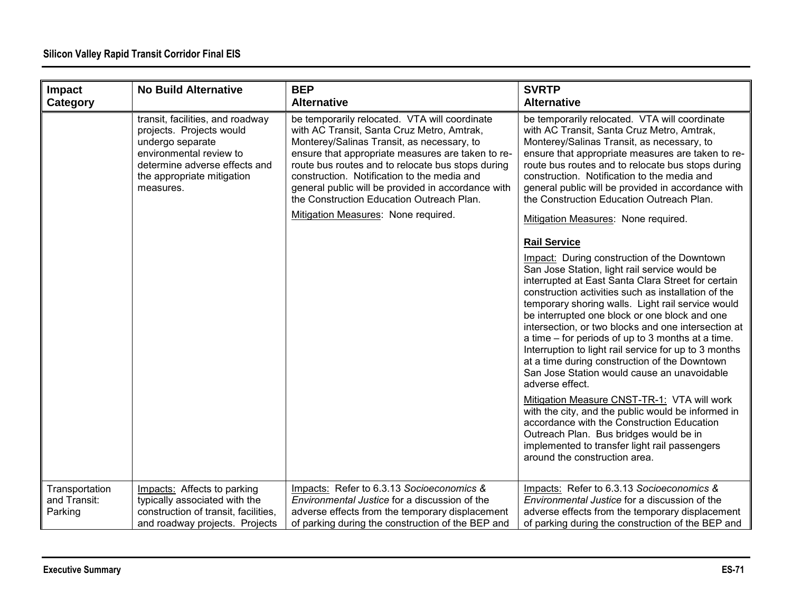| Impact<br>Category                        | <b>No Build Alternative</b>                                                                                                                                                             | <b>BEP</b><br><b>Alternative</b>                                                                                                                                                                                                                                                                                                                                                                                                             | <b>SVRTP</b><br><b>Alternative</b>                                                                                                                                                                                                                                                                                                                                                                                                                                                                                                                                                                                             |
|-------------------------------------------|-----------------------------------------------------------------------------------------------------------------------------------------------------------------------------------------|----------------------------------------------------------------------------------------------------------------------------------------------------------------------------------------------------------------------------------------------------------------------------------------------------------------------------------------------------------------------------------------------------------------------------------------------|--------------------------------------------------------------------------------------------------------------------------------------------------------------------------------------------------------------------------------------------------------------------------------------------------------------------------------------------------------------------------------------------------------------------------------------------------------------------------------------------------------------------------------------------------------------------------------------------------------------------------------|
|                                           | transit, facilities, and roadway<br>projects. Projects would<br>undergo separate<br>environmental review to<br>determine adverse effects and<br>the appropriate mitigation<br>measures. | be temporarily relocated. VTA will coordinate<br>with AC Transit, Santa Cruz Metro, Amtrak,<br>Monterey/Salinas Transit, as necessary, to<br>ensure that appropriate measures are taken to re-<br>route bus routes and to relocate bus stops during<br>construction. Notification to the media and<br>general public will be provided in accordance with<br>the Construction Education Outreach Plan.<br>Mitigation Measures: None required. | be temporarily relocated. VTA will coordinate<br>with AC Transit, Santa Cruz Metro, Amtrak,<br>Monterey/Salinas Transit, as necessary, to<br>ensure that appropriate measures are taken to re-<br>route bus routes and to relocate bus stops during<br>construction. Notification to the media and<br>general public will be provided in accordance with<br>the Construction Education Outreach Plan.<br>Mitigation Measures: None required.                                                                                                                                                                                   |
|                                           |                                                                                                                                                                                         |                                                                                                                                                                                                                                                                                                                                                                                                                                              | <b>Rail Service</b><br>Impact: During construction of the Downtown<br>San Jose Station, light rail service would be<br>interrupted at East Santa Clara Street for certain<br>construction activities such as installation of the<br>temporary shoring walls. Light rail service would<br>be interrupted one block or one block and one<br>intersection, or two blocks and one intersection at<br>a time – for periods of up to 3 months at a time.<br>Interruption to light rail service for up to 3 months<br>at a time during construction of the Downtown<br>San Jose Station would cause an unavoidable<br>adverse effect. |
|                                           |                                                                                                                                                                                         |                                                                                                                                                                                                                                                                                                                                                                                                                                              | Mitigation Measure CNST-TR-1: VTA will work<br>with the city, and the public would be informed in<br>accordance with the Construction Education<br>Outreach Plan. Bus bridges would be in<br>implemented to transfer light rail passengers<br>around the construction area.                                                                                                                                                                                                                                                                                                                                                    |
| Transportation<br>and Transit:<br>Parking | Impacts: Affects to parking<br>typically associated with the<br>construction of transit, facilities,<br>and roadway projects. Projects                                                  | Impacts: Refer to 6.3.13 Socioeconomics &<br>Environmental Justice for a discussion of the<br>adverse effects from the temporary displacement<br>of parking during the construction of the BEP and                                                                                                                                                                                                                                           | Impacts: Refer to 6.3.13 Socioeconomics &<br>Environmental Justice for a discussion of the<br>adverse effects from the temporary displacement<br>of parking during the construction of the BEP and                                                                                                                                                                                                                                                                                                                                                                                                                             |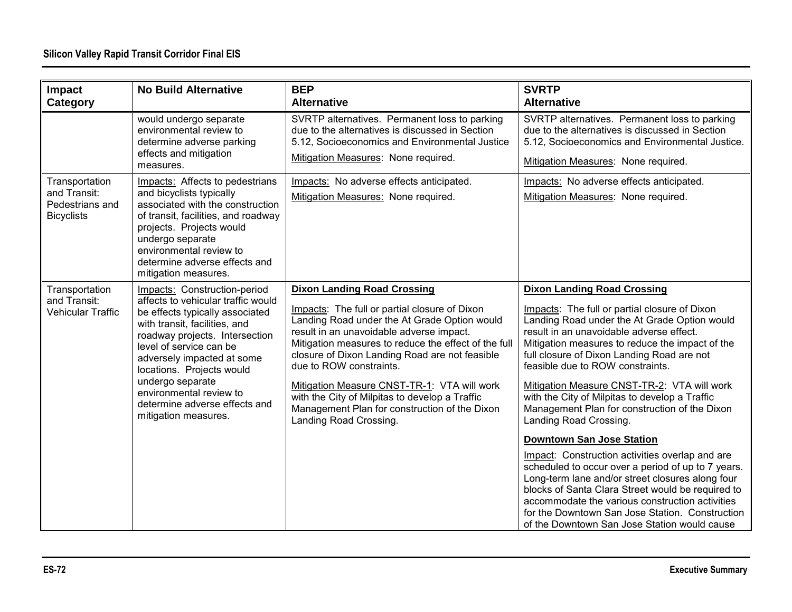| Impact<br>Category                                                     | <b>No Build Alternative</b>                                                                                                                                                                                                                                                                                                                                            | <b>BEP</b><br><b>Alternative</b>                                                                                                                                                                                                                                                                                                                                                                                                                                                                 | <b>SVRTP</b><br><b>Alternative</b>                                                                                                                                                                                                                                                                                                                                                                                                                                                                                                                                                                                                                                                                                                                                                                                                                           |
|------------------------------------------------------------------------|------------------------------------------------------------------------------------------------------------------------------------------------------------------------------------------------------------------------------------------------------------------------------------------------------------------------------------------------------------------------|--------------------------------------------------------------------------------------------------------------------------------------------------------------------------------------------------------------------------------------------------------------------------------------------------------------------------------------------------------------------------------------------------------------------------------------------------------------------------------------------------|--------------------------------------------------------------------------------------------------------------------------------------------------------------------------------------------------------------------------------------------------------------------------------------------------------------------------------------------------------------------------------------------------------------------------------------------------------------------------------------------------------------------------------------------------------------------------------------------------------------------------------------------------------------------------------------------------------------------------------------------------------------------------------------------------------------------------------------------------------------|
|                                                                        | would undergo separate<br>environmental review to<br>determine adverse parking<br>effects and mitigation<br>measures.                                                                                                                                                                                                                                                  | SVRTP alternatives. Permanent loss to parking<br>due to the alternatives is discussed in Section<br>5.12, Socioeconomics and Environmental Justice<br>Mitigation Measures: None required.                                                                                                                                                                                                                                                                                                        | SVRTP alternatives. Permanent loss to parking<br>due to the alternatives is discussed in Section<br>5.12, Socioeconomics and Environmental Justice.<br>Mitigation Measures: None required.                                                                                                                                                                                                                                                                                                                                                                                                                                                                                                                                                                                                                                                                   |
| Transportation<br>and Transit:<br>Pedestrians and<br><b>Bicyclists</b> | Impacts: Affects to pedestrians<br>and bicyclists typically<br>associated with the construction<br>of transit, facilities, and roadway<br>projects. Projects would<br>undergo separate<br>environmental review to<br>determine adverse effects and<br>mitigation measures.                                                                                             | Impacts: No adverse effects anticipated.<br>Mitigation Measures: None required.                                                                                                                                                                                                                                                                                                                                                                                                                  | Impacts: No adverse effects anticipated.<br>Mitigation Measures: None required.                                                                                                                                                                                                                                                                                                                                                                                                                                                                                                                                                                                                                                                                                                                                                                              |
| Transportation<br>and Transit:<br><b>Vehicular Traffic</b>             | Impacts: Construction-period<br>affects to vehicular traffic would<br>be effects typically associated<br>with transit, facilities, and<br>roadway projects. Intersection<br>level of service can be<br>adversely impacted at some<br>locations. Projects would<br>undergo separate<br>environmental review to<br>determine adverse effects and<br>mitigation measures. | <b>Dixon Landing Road Crossing</b><br>Impacts: The full or partial closure of Dixon<br>Landing Road under the At Grade Option would<br>result in an unavoidable adverse impact.<br>Mitigation measures to reduce the effect of the full<br>closure of Dixon Landing Road are not feasible<br>due to ROW constraints.<br>Mitigation Measure CNST-TR-1: VTA will work<br>with the City of Milpitas to develop a Traffic<br>Management Plan for construction of the Dixon<br>Landing Road Crossing. | <b>Dixon Landing Road Crossing</b><br>Impacts: The full or partial closure of Dixon<br>Landing Road under the At Grade Option would<br>result in an unavoidable adverse effect.<br>Mitigation measures to reduce the impact of the<br>full closure of Dixon Landing Road are not<br>feasible due to ROW constraints.<br>Mitigation Measure CNST-TR-2: VTA will work<br>with the City of Milpitas to develop a Traffic<br>Management Plan for construction of the Dixon<br>Landing Road Crossing.<br><b>Downtown San Jose Station</b><br>Impact: Construction activities overlap and are<br>scheduled to occur over a period of up to 7 years.<br>Long-term lane and/or street closures along four<br>blocks of Santa Clara Street would be required to<br>accommodate the various construction activities<br>for the Downtown San Jose Station. Construction |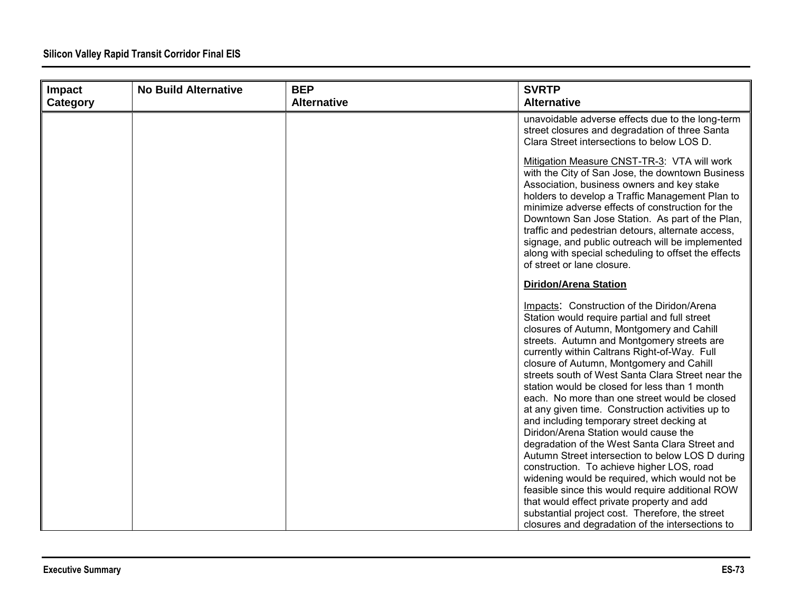| Impact   | <b>No Build Alternative</b> | <b>BEP</b>         | <b>SVRTP</b>                                                                                                                                                                                                                                                                                                                                                                                                                                                                                                                                                                                                                                                                              |
|----------|-----------------------------|--------------------|-------------------------------------------------------------------------------------------------------------------------------------------------------------------------------------------------------------------------------------------------------------------------------------------------------------------------------------------------------------------------------------------------------------------------------------------------------------------------------------------------------------------------------------------------------------------------------------------------------------------------------------------------------------------------------------------|
| Category |                             | <b>Alternative</b> | <b>Alternative</b>                                                                                                                                                                                                                                                                                                                                                                                                                                                                                                                                                                                                                                                                        |
|          |                             |                    | unavoidable adverse effects due to the long-term<br>street closures and degradation of three Santa<br>Clara Street intersections to below LOS D.                                                                                                                                                                                                                                                                                                                                                                                                                                                                                                                                          |
|          |                             |                    | Mitigation Measure CNST-TR-3: VTA will work<br>with the City of San Jose, the downtown Business<br>Association, business owners and key stake<br>holders to develop a Traffic Management Plan to<br>minimize adverse effects of construction for the<br>Downtown San Jose Station. As part of the Plan,<br>traffic and pedestrian detours, alternate access,<br>signage, and public outreach will be implemented<br>along with special scheduling to offset the effects<br>of street or lane closure.                                                                                                                                                                                     |
|          |                             |                    | Diridon/Arena Station                                                                                                                                                                                                                                                                                                                                                                                                                                                                                                                                                                                                                                                                     |
|          |                             |                    | Impacts: Construction of the Diridon/Arena<br>Station would require partial and full street<br>closures of Autumn, Montgomery and Cahill<br>streets. Autumn and Montgomery streets are<br>currently within Caltrans Right-of-Way. Full<br>closure of Autumn, Montgomery and Cahill<br>streets south of West Santa Clara Street near the<br>station would be closed for less than 1 month<br>each. No more than one street would be closed<br>at any given time. Construction activities up to<br>and including temporary street decking at<br>Diridon/Arena Station would cause the<br>degradation of the West Santa Clara Street and<br>Autumn Street intersection to below LOS D during |
|          |                             |                    | construction. To achieve higher LOS, road<br>widening would be required, which would not be<br>feasible since this would require additional ROW                                                                                                                                                                                                                                                                                                                                                                                                                                                                                                                                           |
|          |                             |                    | that would effect private property and add<br>substantial project cost. Therefore, the street<br>closures and degradation of the intersections to                                                                                                                                                                                                                                                                                                                                                                                                                                                                                                                                         |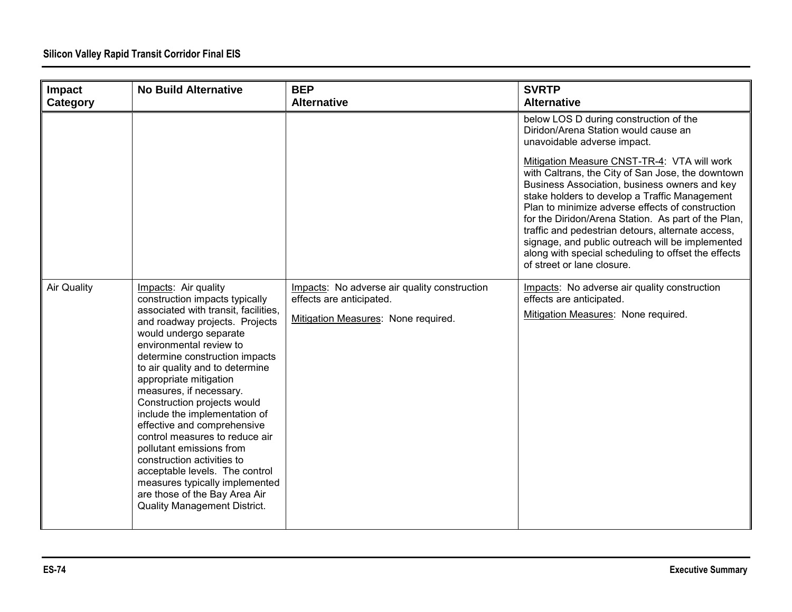| Impact<br>Category | <b>No Build Alternative</b>                                                                                                                                                                                                                                                                                                                                                                                                                                                                                                                                                                                                                            | <b>BEP</b><br><b>Alternative</b>                                                                                | <b>SVRTP</b><br><b>Alternative</b>                                                                                                                                                                                                                                                                                                                                                                                                                                                                                                                                                                                           |
|--------------------|--------------------------------------------------------------------------------------------------------------------------------------------------------------------------------------------------------------------------------------------------------------------------------------------------------------------------------------------------------------------------------------------------------------------------------------------------------------------------------------------------------------------------------------------------------------------------------------------------------------------------------------------------------|-----------------------------------------------------------------------------------------------------------------|------------------------------------------------------------------------------------------------------------------------------------------------------------------------------------------------------------------------------------------------------------------------------------------------------------------------------------------------------------------------------------------------------------------------------------------------------------------------------------------------------------------------------------------------------------------------------------------------------------------------------|
|                    |                                                                                                                                                                                                                                                                                                                                                                                                                                                                                                                                                                                                                                                        |                                                                                                                 | below LOS D during construction of the<br>Diridon/Arena Station would cause an<br>unavoidable adverse impact.<br>Mitigation Measure CNST-TR-4: VTA will work<br>with Caltrans, the City of San Jose, the downtown<br>Business Association, business owners and key<br>stake holders to develop a Traffic Management<br>Plan to minimize adverse effects of construction<br>for the Diridon/Arena Station. As part of the Plan,<br>traffic and pedestrian detours, alternate access,<br>signage, and public outreach will be implemented<br>along with special scheduling to offset the effects<br>of street or lane closure. |
| <b>Air Quality</b> | Impacts: Air quality<br>construction impacts typically<br>associated with transit, facilities,<br>and roadway projects. Projects<br>would undergo separate<br>environmental review to<br>determine construction impacts<br>to air quality and to determine<br>appropriate mitigation<br>measures, if necessary.<br>Construction projects would<br>include the implementation of<br>effective and comprehensive<br>control measures to reduce air<br>pollutant emissions from<br>construction activities to<br>acceptable levels. The control<br>measures typically implemented<br>are those of the Bay Area Air<br><b>Quality Management District.</b> | Impacts: No adverse air quality construction<br>effects are anticipated.<br>Mitigation Measures: None required. | Impacts: No adverse air quality construction<br>effects are anticipated.<br>Mitigation Measures: None required.                                                                                                                                                                                                                                                                                                                                                                                                                                                                                                              |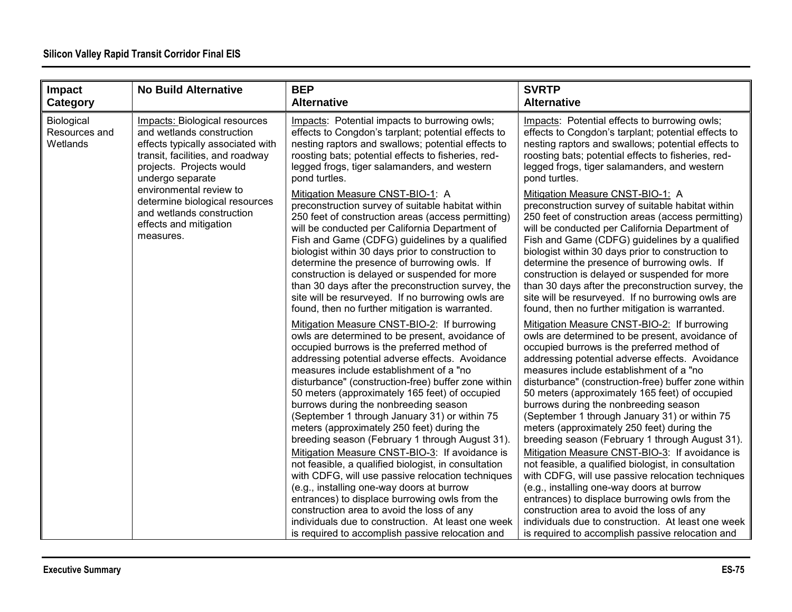| Impact<br>Category                      | <b>No Build Alternative</b>                                                                                                                                                                | <b>BEP</b><br><b>Alternative</b>                                                                                                                                                                                                                                                                                                                                                                                                                                                                                                                                                                                                                                                                                                                                                                                                                                                                                                                                      | <b>SVRTP</b><br><b>Alternative</b>                                                                                                                                                                                                                                                                                                                                                                                                                                                                                                                                                                                                                                                                                                                                                                                                                                                                                                                                    |
|-----------------------------------------|--------------------------------------------------------------------------------------------------------------------------------------------------------------------------------------------|-----------------------------------------------------------------------------------------------------------------------------------------------------------------------------------------------------------------------------------------------------------------------------------------------------------------------------------------------------------------------------------------------------------------------------------------------------------------------------------------------------------------------------------------------------------------------------------------------------------------------------------------------------------------------------------------------------------------------------------------------------------------------------------------------------------------------------------------------------------------------------------------------------------------------------------------------------------------------|-----------------------------------------------------------------------------------------------------------------------------------------------------------------------------------------------------------------------------------------------------------------------------------------------------------------------------------------------------------------------------------------------------------------------------------------------------------------------------------------------------------------------------------------------------------------------------------------------------------------------------------------------------------------------------------------------------------------------------------------------------------------------------------------------------------------------------------------------------------------------------------------------------------------------------------------------------------------------|
| Biological<br>Resources and<br>Wetlands | <b>Impacts: Biological resources</b><br>and wetlands construction<br>effects typically associated with<br>transit, facilities, and roadway<br>projects. Projects would<br>undergo separate | Impacts: Potential impacts to burrowing owls;<br>effects to Congdon's tarplant; potential effects to<br>nesting raptors and swallows; potential effects to<br>roosting bats; potential effects to fisheries, red-<br>legged frogs, tiger salamanders, and western<br>pond turtles.                                                                                                                                                                                                                                                                                                                                                                                                                                                                                                                                                                                                                                                                                    | Impacts: Potential effects to burrowing owls;<br>effects to Congdon's tarplant; potential effects to<br>nesting raptors and swallows; potential effects to<br>roosting bats; potential effects to fisheries, red-<br>legged frogs, tiger salamanders, and western<br>pond turtles.                                                                                                                                                                                                                                                                                                                                                                                                                                                                                                                                                                                                                                                                                    |
|                                         | environmental review to<br>determine biological resources<br>and wetlands construction<br>effects and mitigation<br>measures.                                                              | Mitigation Measure CNST-BIO-1: A<br>preconstruction survey of suitable habitat within<br>250 feet of construction areas (access permitting)<br>will be conducted per California Department of<br>Fish and Game (CDFG) guidelines by a qualified<br>biologist within 30 days prior to construction to<br>determine the presence of burrowing owls. If<br>construction is delayed or suspended for more<br>than 30 days after the preconstruction survey, the<br>site will be resurveyed. If no burrowing owls are<br>found, then no further mitigation is warranted.                                                                                                                                                                                                                                                                                                                                                                                                   | Mitigation Measure CNST-BIO-1: A<br>preconstruction survey of suitable habitat within<br>250 feet of construction areas (access permitting)<br>will be conducted per California Department of<br>Fish and Game (CDFG) guidelines by a qualified<br>biologist within 30 days prior to construction to<br>determine the presence of burrowing owls. If<br>construction is delayed or suspended for more<br>than 30 days after the preconstruction survey, the<br>site will be resurveyed. If no burrowing owls are<br>found, then no further mitigation is warranted.                                                                                                                                                                                                                                                                                                                                                                                                   |
|                                         |                                                                                                                                                                                            | Mitigation Measure CNST-BIO-2: If burrowing<br>owls are determined to be present, avoidance of<br>occupied burrows is the preferred method of<br>addressing potential adverse effects. Avoidance<br>measures include establishment of a "no<br>disturbance" (construction-free) buffer zone within<br>50 meters (approximately 165 feet) of occupied<br>burrows during the nonbreeding season<br>(September 1 through January 31) or within 75<br>meters (approximately 250 feet) during the<br>breeding season (February 1 through August 31).<br>Mitigation Measure CNST-BIO-3: If avoidance is<br>not feasible, a qualified biologist, in consultation<br>with CDFG, will use passive relocation techniques<br>(e.g., installing one-way doors at burrow<br>entrances) to displace burrowing owls from the<br>construction area to avoid the loss of any<br>individuals due to construction. At least one week<br>is required to accomplish passive relocation and | Mitigation Measure CNST-BIO-2: If burrowing<br>owls are determined to be present, avoidance of<br>occupied burrows is the preferred method of<br>addressing potential adverse effects. Avoidance<br>measures include establishment of a "no<br>disturbance" (construction-free) buffer zone within<br>50 meters (approximately 165 feet) of occupied<br>burrows during the nonbreeding season<br>(September 1 through January 31) or within 75<br>meters (approximately 250 feet) during the<br>breeding season (February 1 through August 31).<br>Mitigation Measure CNST-BIO-3: If avoidance is<br>not feasible, a qualified biologist, in consultation<br>with CDFG, will use passive relocation techniques<br>(e.g., installing one-way doors at burrow<br>entrances) to displace burrowing owls from the<br>construction area to avoid the loss of any<br>individuals due to construction. At least one week<br>is required to accomplish passive relocation and |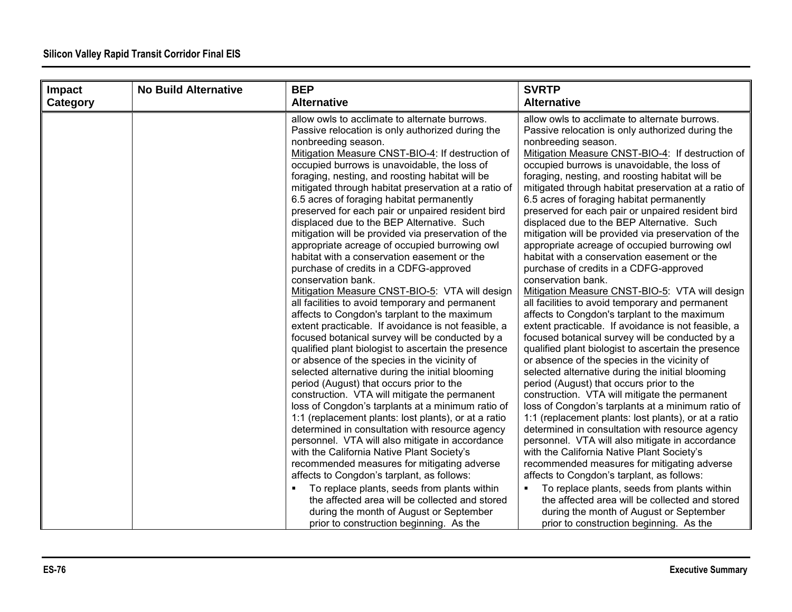| Impact   | <b>No Build Alternative</b> | <b>BEP</b>                                                                                                                                                                                                                                                                                                                                                                                                                                                                                                                                                                                                                                                                                                                                                                                                                                                                                                                                                                                                                                                                                                                                                                                                                                                                                                                                                                                                                                                                                                                                                                                                                                         | <b>SVRTP</b>                                                                                                                                                                                                                                                                                                                                                                                                                                                                                                                                                                                                                                                                                                                                                                                                                                                                                                                                                                                                                                                                                                                                                                                                                                                                                                                                                                                                                                                                                                                                                                                                                                       |
|----------|-----------------------------|----------------------------------------------------------------------------------------------------------------------------------------------------------------------------------------------------------------------------------------------------------------------------------------------------------------------------------------------------------------------------------------------------------------------------------------------------------------------------------------------------------------------------------------------------------------------------------------------------------------------------------------------------------------------------------------------------------------------------------------------------------------------------------------------------------------------------------------------------------------------------------------------------------------------------------------------------------------------------------------------------------------------------------------------------------------------------------------------------------------------------------------------------------------------------------------------------------------------------------------------------------------------------------------------------------------------------------------------------------------------------------------------------------------------------------------------------------------------------------------------------------------------------------------------------------------------------------------------------------------------------------------------------|----------------------------------------------------------------------------------------------------------------------------------------------------------------------------------------------------------------------------------------------------------------------------------------------------------------------------------------------------------------------------------------------------------------------------------------------------------------------------------------------------------------------------------------------------------------------------------------------------------------------------------------------------------------------------------------------------------------------------------------------------------------------------------------------------------------------------------------------------------------------------------------------------------------------------------------------------------------------------------------------------------------------------------------------------------------------------------------------------------------------------------------------------------------------------------------------------------------------------------------------------------------------------------------------------------------------------------------------------------------------------------------------------------------------------------------------------------------------------------------------------------------------------------------------------------------------------------------------------------------------------------------------------|
| Category |                             | <b>Alternative</b>                                                                                                                                                                                                                                                                                                                                                                                                                                                                                                                                                                                                                                                                                                                                                                                                                                                                                                                                                                                                                                                                                                                                                                                                                                                                                                                                                                                                                                                                                                                                                                                                                                 | <b>Alternative</b>                                                                                                                                                                                                                                                                                                                                                                                                                                                                                                                                                                                                                                                                                                                                                                                                                                                                                                                                                                                                                                                                                                                                                                                                                                                                                                                                                                                                                                                                                                                                                                                                                                 |
|          |                             | allow owls to acclimate to alternate burrows.<br>Passive relocation is only authorized during the<br>nonbreeding season.<br>Mitigation Measure CNST-BIO-4: If destruction of<br>occupied burrows is unavoidable, the loss of<br>foraging, nesting, and roosting habitat will be<br>mitigated through habitat preservation at a ratio of<br>6.5 acres of foraging habitat permanently<br>preserved for each pair or unpaired resident bird<br>displaced due to the BEP Alternative. Such<br>mitigation will be provided via preservation of the<br>appropriate acreage of occupied burrowing owl<br>habitat with a conservation easement or the<br>purchase of credits in a CDFG-approved<br>conservation bank.<br>Mitigation Measure CNST-BIO-5: VTA will design<br>all facilities to avoid temporary and permanent<br>affects to Congdon's tarplant to the maximum<br>extent practicable. If avoidance is not feasible, a<br>focused botanical survey will be conducted by a<br>qualified plant biologist to ascertain the presence<br>or absence of the species in the vicinity of<br>selected alternative during the initial blooming<br>period (August) that occurs prior to the<br>construction. VTA will mitigate the permanent<br>loss of Congdon's tarplants at a minimum ratio of<br>1:1 (replacement plants: lost plants), or at a ratio<br>determined in consultation with resource agency<br>personnel. VTA will also mitigate in accordance<br>with the California Native Plant Society's<br>recommended measures for mitigating adverse<br>affects to Congdon's tarplant, as follows:<br>To replace plants, seeds from plants within | allow owls to acclimate to alternate burrows.<br>Passive relocation is only authorized during the<br>nonbreeding season.<br>Mitigation Measure CNST-BIO-4: If destruction of<br>occupied burrows is unavoidable, the loss of<br>foraging, nesting, and roosting habitat will be<br>mitigated through habitat preservation at a ratio of<br>6.5 acres of foraging habitat permanently<br>preserved for each pair or unpaired resident bird<br>displaced due to the BEP Alternative. Such<br>mitigation will be provided via preservation of the<br>appropriate acreage of occupied burrowing owl<br>habitat with a conservation easement or the<br>purchase of credits in a CDFG-approved<br>conservation bank.<br>Mitigation Measure CNST-BIO-5: VTA will design<br>all facilities to avoid temporary and permanent<br>affects to Congdon's tarplant to the maximum<br>extent practicable. If avoidance is not feasible, a<br>focused botanical survey will be conducted by a<br>qualified plant biologist to ascertain the presence<br>or absence of the species in the vicinity of<br>selected alternative during the initial blooming<br>period (August) that occurs prior to the<br>construction. VTA will mitigate the permanent<br>loss of Congdon's tarplants at a minimum ratio of<br>1:1 (replacement plants: lost plants), or at a ratio<br>determined in consultation with resource agency<br>personnel. VTA will also mitigate in accordance<br>with the California Native Plant Society's<br>recommended measures for mitigating adverse<br>affects to Congdon's tarplant, as follows:<br>To replace plants, seeds from plants within |
|          |                             | the affected area will be collected and stored<br>during the month of August or September                                                                                                                                                                                                                                                                                                                                                                                                                                                                                                                                                                                                                                                                                                                                                                                                                                                                                                                                                                                                                                                                                                                                                                                                                                                                                                                                                                                                                                                                                                                                                          | the affected area will be collected and stored<br>during the month of August or September                                                                                                                                                                                                                                                                                                                                                                                                                                                                                                                                                                                                                                                                                                                                                                                                                                                                                                                                                                                                                                                                                                                                                                                                                                                                                                                                                                                                                                                                                                                                                          |
|          |                             | prior to construction beginning. As the                                                                                                                                                                                                                                                                                                                                                                                                                                                                                                                                                                                                                                                                                                                                                                                                                                                                                                                                                                                                                                                                                                                                                                                                                                                                                                                                                                                                                                                                                                                                                                                                            | prior to construction beginning. As the                                                                                                                                                                                                                                                                                                                                                                                                                                                                                                                                                                                                                                                                                                                                                                                                                                                                                                                                                                                                                                                                                                                                                                                                                                                                                                                                                                                                                                                                                                                                                                                                            |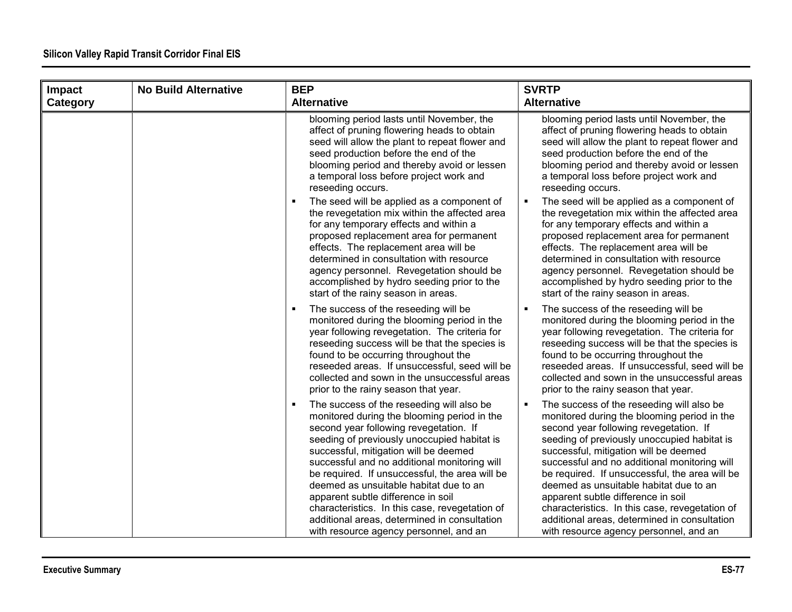#### **Silicon Valley Rapid Transit Corridor Final EIS**

| Impact   | <b>No Build Alternative</b> | <b>BEP</b>                                                                                                                                                                                                                                                                                                                                                                                                                                                                                                                                                    | <b>SVRTP</b>                                                                                                                                                                                                                                                                                                                                                                                                                                                                                                                                             |
|----------|-----------------------------|---------------------------------------------------------------------------------------------------------------------------------------------------------------------------------------------------------------------------------------------------------------------------------------------------------------------------------------------------------------------------------------------------------------------------------------------------------------------------------------------------------------------------------------------------------------|----------------------------------------------------------------------------------------------------------------------------------------------------------------------------------------------------------------------------------------------------------------------------------------------------------------------------------------------------------------------------------------------------------------------------------------------------------------------------------------------------------------------------------------------------------|
| Category |                             | <b>Alternative</b>                                                                                                                                                                                                                                                                                                                                                                                                                                                                                                                                            | <b>Alternative</b>                                                                                                                                                                                                                                                                                                                                                                                                                                                                                                                                       |
|          |                             | blooming period lasts until November, the<br>affect of pruning flowering heads to obtain<br>seed will allow the plant to repeat flower and<br>seed production before the end of the<br>blooming period and thereby avoid or lessen<br>a temporal loss before project work and<br>reseeding occurs.                                                                                                                                                                                                                                                            | blooming period lasts until November, the<br>affect of pruning flowering heads to obtain<br>seed will allow the plant to repeat flower and<br>seed production before the end of the<br>blooming period and thereby avoid or lessen<br>a temporal loss before project work and<br>reseeding occurs.                                                                                                                                                                                                                                                       |
|          |                             | The seed will be applied as a component of<br>the revegetation mix within the affected area<br>for any temporary effects and within a<br>proposed replacement area for permanent<br>effects. The replacement area will be<br>determined in consultation with resource<br>agency personnel. Revegetation should be<br>accomplished by hydro seeding prior to the<br>start of the rainy season in areas.                                                                                                                                                        | The seed will be applied as a component of<br>the revegetation mix within the affected area<br>for any temporary effects and within a<br>proposed replacement area for permanent<br>effects. The replacement area will be<br>determined in consultation with resource<br>agency personnel. Revegetation should be<br>accomplished by hydro seeding prior to the<br>start of the rainy season in areas.                                                                                                                                                   |
|          |                             | The success of the reseeding will be<br>$\blacksquare$<br>monitored during the blooming period in the<br>year following revegetation. The criteria for<br>reseeding success will be that the species is<br>found to be occurring throughout the<br>reseeded areas. If unsuccessful, seed will be<br>collected and sown in the unsuccessful areas<br>prior to the rainy season that year.                                                                                                                                                                      | The success of the reseeding will be<br>monitored during the blooming period in the<br>year following revegetation. The criteria for<br>reseeding success will be that the species is<br>found to be occurring throughout the<br>reseeded areas. If unsuccessful, seed will be<br>collected and sown in the unsuccessful areas<br>prior to the rainy season that year.                                                                                                                                                                                   |
|          |                             | The success of the reseeding will also be<br>л<br>monitored during the blooming period in the<br>second year following revegetation. If<br>seeding of previously unoccupied habitat is<br>successful, mitigation will be deemed<br>successful and no additional monitoring will<br>be required. If unsuccessful, the area will be<br>deemed as unsuitable habitat due to an<br>apparent subtle difference in soil<br>characteristics. In this case, revegetation of<br>additional areas, determined in consultation<br>with resource agency personnel, and an | The success of the reseeding will also be<br>monitored during the blooming period in the<br>second year following revegetation. If<br>seeding of previously unoccupied habitat is<br>successful, mitigation will be deemed<br>successful and no additional monitoring will<br>be required. If unsuccessful, the area will be<br>deemed as unsuitable habitat due to an<br>apparent subtle difference in soil<br>characteristics. In this case, revegetation of<br>additional areas, determined in consultation<br>with resource agency personnel, and an |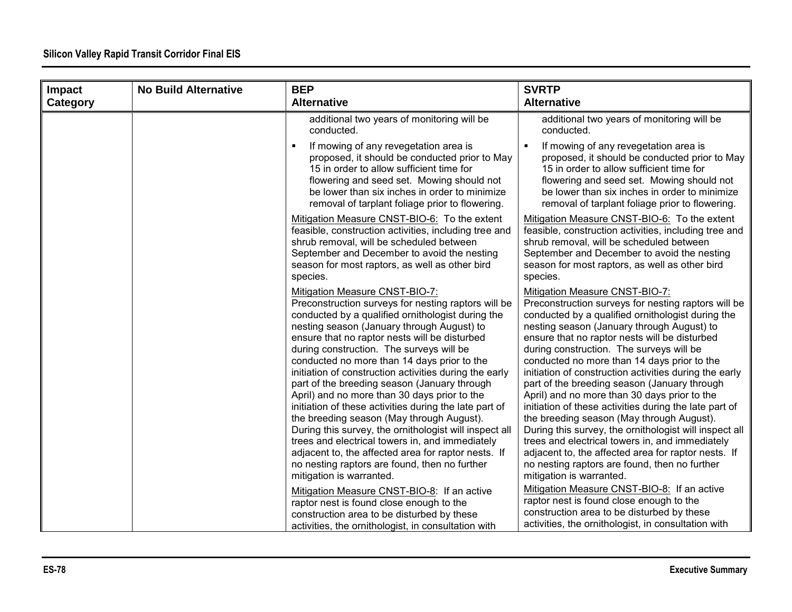| Impact   | <b>No Build Alternative</b> | <b>BEP</b>                                                                                                                                                                                                                                                                                                                                                                                                                                                                                                                                                                                                                                                                                                                                                                                                                                             | <b>SVRTP</b>                                                                                                                                                                                                                                                                                                                                                                                                                                                                                                                                                                                                                                                                                                                                                                                                                                           |
|----------|-----------------------------|--------------------------------------------------------------------------------------------------------------------------------------------------------------------------------------------------------------------------------------------------------------------------------------------------------------------------------------------------------------------------------------------------------------------------------------------------------------------------------------------------------------------------------------------------------------------------------------------------------------------------------------------------------------------------------------------------------------------------------------------------------------------------------------------------------------------------------------------------------|--------------------------------------------------------------------------------------------------------------------------------------------------------------------------------------------------------------------------------------------------------------------------------------------------------------------------------------------------------------------------------------------------------------------------------------------------------------------------------------------------------------------------------------------------------------------------------------------------------------------------------------------------------------------------------------------------------------------------------------------------------------------------------------------------------------------------------------------------------|
| Category |                             | <b>Alternative</b>                                                                                                                                                                                                                                                                                                                                                                                                                                                                                                                                                                                                                                                                                                                                                                                                                                     | <b>Alternative</b>                                                                                                                                                                                                                                                                                                                                                                                                                                                                                                                                                                                                                                                                                                                                                                                                                                     |
|          |                             | additional two years of monitoring will be<br>conducted.                                                                                                                                                                                                                                                                                                                                                                                                                                                                                                                                                                                                                                                                                                                                                                                               | additional two years of monitoring will be<br>conducted.                                                                                                                                                                                                                                                                                                                                                                                                                                                                                                                                                                                                                                                                                                                                                                                               |
|          |                             | If mowing of any revegetation area is<br>proposed, it should be conducted prior to May<br>15 in order to allow sufficient time for<br>flowering and seed set. Mowing should not<br>be lower than six inches in order to minimize<br>removal of tarplant foliage prior to flowering.                                                                                                                                                                                                                                                                                                                                                                                                                                                                                                                                                                    | If mowing of any revegetation area is<br>$\blacksquare$<br>proposed, it should be conducted prior to May<br>15 in order to allow sufficient time for<br>flowering and seed set. Mowing should not<br>be lower than six inches in order to minimize<br>removal of tarplant foliage prior to flowering.                                                                                                                                                                                                                                                                                                                                                                                                                                                                                                                                                  |
|          |                             | Mitigation Measure CNST-BIO-6: To the extent<br>feasible, construction activities, including tree and<br>shrub removal, will be scheduled between<br>September and December to avoid the nesting<br>season for most raptors, as well as other bird<br>species.                                                                                                                                                                                                                                                                                                                                                                                                                                                                                                                                                                                         | Mitigation Measure CNST-BIO-6: To the extent<br>feasible, construction activities, including tree and<br>shrub removal, will be scheduled between<br>September and December to avoid the nesting<br>season for most raptors, as well as other bird<br>species.                                                                                                                                                                                                                                                                                                                                                                                                                                                                                                                                                                                         |
|          |                             | Mitigation Measure CNST-BIO-7:<br>Preconstruction surveys for nesting raptors will be<br>conducted by a qualified ornithologist during the<br>nesting season (January through August) to<br>ensure that no raptor nests will be disturbed<br>during construction. The surveys will be<br>conducted no more than 14 days prior to the<br>initiation of construction activities during the early<br>part of the breeding season (January through<br>April) and no more than 30 days prior to the<br>initiation of these activities during the late part of<br>the breeding season (May through August).<br>During this survey, the ornithologist will inspect all<br>trees and electrical towers in, and immediately<br>adjacent to, the affected area for raptor nests. If<br>no nesting raptors are found, then no further<br>mitigation is warranted. | Mitigation Measure CNST-BIO-7:<br>Preconstruction surveys for nesting raptors will be<br>conducted by a qualified ornithologist during the<br>nesting season (January through August) to<br>ensure that no raptor nests will be disturbed<br>during construction. The surveys will be<br>conducted no more than 14 days prior to the<br>initiation of construction activities during the early<br>part of the breeding season (January through<br>April) and no more than 30 days prior to the<br>initiation of these activities during the late part of<br>the breeding season (May through August).<br>During this survey, the ornithologist will inspect all<br>trees and electrical towers in, and immediately<br>adjacent to, the affected area for raptor nests. If<br>no nesting raptors are found, then no further<br>mitigation is warranted. |
|          |                             | Mitigation Measure CNST-BIO-8: If an active<br>raptor nest is found close enough to the<br>construction area to be disturbed by these<br>activities, the ornithologist, in consultation with                                                                                                                                                                                                                                                                                                                                                                                                                                                                                                                                                                                                                                                           | Mitigation Measure CNST-BIO-8: If an active<br>raptor nest is found close enough to the<br>construction area to be disturbed by these<br>activities, the ornithologist, in consultation with                                                                                                                                                                                                                                                                                                                                                                                                                                                                                                                                                                                                                                                           |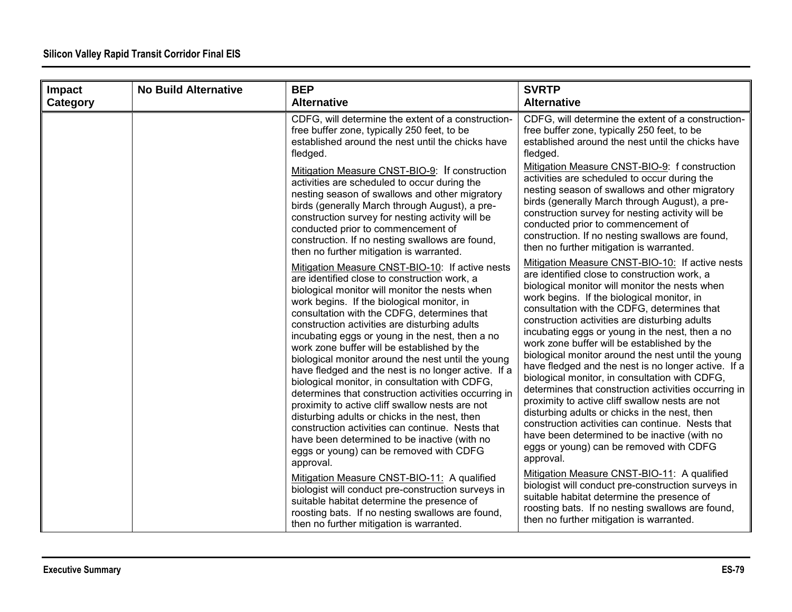| Impact<br>Category | <b>No Build Alternative</b> | <b>BEP</b><br><b>Alternative</b>                                                                                                                                                                                                                                                                                                                                                                                                                                                                                                                                                                                                                                                                                                                                                                                                                                                         | <b>SVRTP</b><br><b>Alternative</b>                                                                                                                                                                                                                                                                                                                                                                                                                                                                                                                                                                                                                                                                                                                                                                                                                                                       |
|--------------------|-----------------------------|------------------------------------------------------------------------------------------------------------------------------------------------------------------------------------------------------------------------------------------------------------------------------------------------------------------------------------------------------------------------------------------------------------------------------------------------------------------------------------------------------------------------------------------------------------------------------------------------------------------------------------------------------------------------------------------------------------------------------------------------------------------------------------------------------------------------------------------------------------------------------------------|------------------------------------------------------------------------------------------------------------------------------------------------------------------------------------------------------------------------------------------------------------------------------------------------------------------------------------------------------------------------------------------------------------------------------------------------------------------------------------------------------------------------------------------------------------------------------------------------------------------------------------------------------------------------------------------------------------------------------------------------------------------------------------------------------------------------------------------------------------------------------------------|
|                    |                             | CDFG, will determine the extent of a construction-<br>free buffer zone, typically 250 feet, to be<br>established around the nest until the chicks have<br>fledged.                                                                                                                                                                                                                                                                                                                                                                                                                                                                                                                                                                                                                                                                                                                       | CDFG, will determine the extent of a construction-<br>free buffer zone, typically 250 feet, to be<br>established around the nest until the chicks have<br>fledged.                                                                                                                                                                                                                                                                                                                                                                                                                                                                                                                                                                                                                                                                                                                       |
|                    |                             | Mitigation Measure CNST-BIO-9: If construction<br>activities are scheduled to occur during the<br>nesting season of swallows and other migratory<br>birds (generally March through August), a pre-<br>construction survey for nesting activity will be<br>conducted prior to commencement of<br>construction. If no nesting swallows are found,<br>then no further mitigation is warranted.                                                                                                                                                                                                                                                                                                                                                                                                                                                                                              | Mitigation Measure CNST-BIO-9: f construction<br>activities are scheduled to occur during the<br>nesting season of swallows and other migratory<br>birds (generally March through August), a pre-<br>construction survey for nesting activity will be<br>conducted prior to commencement of<br>construction. If no nesting swallows are found,<br>then no further mitigation is warranted.                                                                                                                                                                                                                                                                                                                                                                                                                                                                                               |
|                    |                             | Mitigation Measure CNST-BIO-10: If active nests<br>are identified close to construction work, a<br>biological monitor will monitor the nests when<br>work begins. If the biological monitor, in<br>consultation with the CDFG, determines that<br>construction activities are disturbing adults<br>incubating eggs or young in the nest, then a no<br>work zone buffer will be established by the<br>biological monitor around the nest until the young<br>have fledged and the nest is no longer active. If a<br>biological monitor, in consultation with CDFG,<br>determines that construction activities occurring in<br>proximity to active cliff swallow nests are not<br>disturbing adults or chicks in the nest, then<br>construction activities can continue. Nests that<br>have been determined to be inactive (with no<br>eggs or young) can be removed with CDFG<br>approval. | Mitigation Measure CNST-BIO-10: If active nests<br>are identified close to construction work, a<br>biological monitor will monitor the nests when<br>work begins. If the biological monitor, in<br>consultation with the CDFG, determines that<br>construction activities are disturbing adults<br>incubating eggs or young in the nest, then a no<br>work zone buffer will be established by the<br>biological monitor around the nest until the young<br>have fledged and the nest is no longer active. If a<br>biological monitor, in consultation with CDFG,<br>determines that construction activities occurring in<br>proximity to active cliff swallow nests are not<br>disturbing adults or chicks in the nest, then<br>construction activities can continue. Nests that<br>have been determined to be inactive (with no<br>eggs or young) can be removed with CDFG<br>approval. |
|                    |                             | Mitigation Measure CNST-BIO-11: A qualified<br>biologist will conduct pre-construction surveys in<br>suitable habitat determine the presence of<br>roosting bats. If no nesting swallows are found,<br>then no further mitigation is warranted.                                                                                                                                                                                                                                                                                                                                                                                                                                                                                                                                                                                                                                          | Mitigation Measure CNST-BIO-11: A qualified<br>biologist will conduct pre-construction surveys in<br>suitable habitat determine the presence of<br>roosting bats. If no nesting swallows are found,<br>then no further mitigation is warranted.                                                                                                                                                                                                                                                                                                                                                                                                                                                                                                                                                                                                                                          |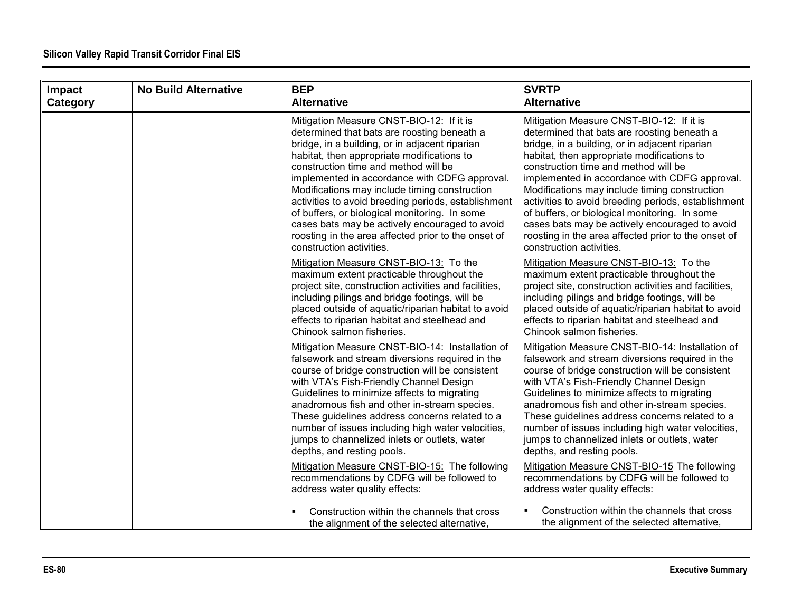| Impact<br>Category | <b>No Build Alternative</b> | <b>BEP</b><br><b>Alternative</b>                                                                                                                                                                                                                                                                                                                                                                                                                                                                                                                                               | <b>SVRTP</b><br><b>Alternative</b>                                                                                                                                                                                                                                                                                                                                                                                                                                                                                                                                             |
|--------------------|-----------------------------|--------------------------------------------------------------------------------------------------------------------------------------------------------------------------------------------------------------------------------------------------------------------------------------------------------------------------------------------------------------------------------------------------------------------------------------------------------------------------------------------------------------------------------------------------------------------------------|--------------------------------------------------------------------------------------------------------------------------------------------------------------------------------------------------------------------------------------------------------------------------------------------------------------------------------------------------------------------------------------------------------------------------------------------------------------------------------------------------------------------------------------------------------------------------------|
|                    |                             | Mitigation Measure CNST-BIO-12: If it is<br>determined that bats are roosting beneath a<br>bridge, in a building, or in adjacent riparian<br>habitat, then appropriate modifications to<br>construction time and method will be<br>implemented in accordance with CDFG approval.<br>Modifications may include timing construction<br>activities to avoid breeding periods, establishment<br>of buffers, or biological monitoring. In some<br>cases bats may be actively encouraged to avoid<br>roosting in the area affected prior to the onset of<br>construction activities. | Mitigation Measure CNST-BIO-12: If it is<br>determined that bats are roosting beneath a<br>bridge, in a building, or in adjacent riparian<br>habitat, then appropriate modifications to<br>construction time and method will be<br>implemented in accordance with CDFG approval.<br>Modifications may include timing construction<br>activities to avoid breeding periods, establishment<br>of buffers, or biological monitoring. In some<br>cases bats may be actively encouraged to avoid<br>roosting in the area affected prior to the onset of<br>construction activities. |
|                    |                             | Mitigation Measure CNST-BIO-13: To the<br>maximum extent practicable throughout the<br>project site, construction activities and facilities,<br>including pilings and bridge footings, will be<br>placed outside of aquatic/riparian habitat to avoid<br>effects to riparian habitat and steelhead and<br>Chinook salmon fisheries.                                                                                                                                                                                                                                            | Mitigation Measure CNST-BIO-13: To the<br>maximum extent practicable throughout the<br>project site, construction activities and facilities,<br>including pilings and bridge footings, will be<br>placed outside of aquatic/riparian habitat to avoid<br>effects to riparian habitat and steelhead and<br>Chinook salmon fisheries.                                                                                                                                                                                                                                            |
|                    |                             | Mitigation Measure CNST-BIO-14: Installation of<br>falsework and stream diversions required in the<br>course of bridge construction will be consistent<br>with VTA's Fish-Friendly Channel Design<br>Guidelines to minimize affects to migrating<br>anadromous fish and other in-stream species.<br>These guidelines address concerns related to a<br>number of issues including high water velocities,<br>jumps to channelized inlets or outlets, water<br>depths, and resting pools.                                                                                         | Mitigation Measure CNST-BIO-14: Installation of<br>falsework and stream diversions required in the<br>course of bridge construction will be consistent<br>with VTA's Fish-Friendly Channel Design<br>Guidelines to minimize affects to migrating<br>anadromous fish and other in-stream species.<br>These guidelines address concerns related to a<br>number of issues including high water velocities,<br>jumps to channelized inlets or outlets, water<br>depths, and resting pools.                                                                                         |
|                    |                             | Mitigation Measure CNST-BIO-15: The following<br>recommendations by CDFG will be followed to<br>address water quality effects:                                                                                                                                                                                                                                                                                                                                                                                                                                                 | Mitigation Measure CNST-BIO-15 The following<br>recommendations by CDFG will be followed to<br>address water quality effects:                                                                                                                                                                                                                                                                                                                                                                                                                                                  |
|                    |                             | Construction within the channels that cross<br>the alignment of the selected alternative,                                                                                                                                                                                                                                                                                                                                                                                                                                                                                      | Construction within the channels that cross<br>the alignment of the selected alternative,                                                                                                                                                                                                                                                                                                                                                                                                                                                                                      |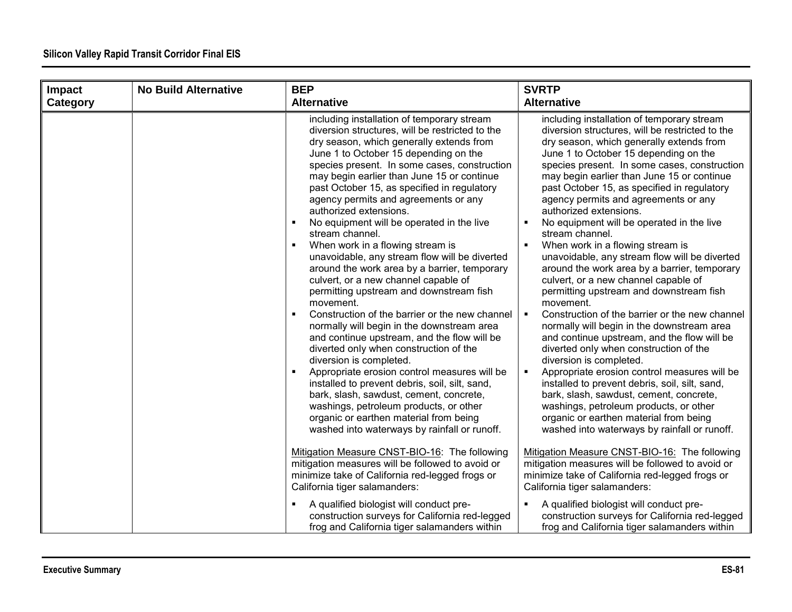| <b>Impact</b> | <b>No Build Alternative</b> | <b>BEP</b>                                                                                                                                                                                                                                                                                                                                                                                                                                                                                                                                                                                                                                                                                                                                                                                                                                                                                                                                                                                                                                                                                                                                                                                                                                                             | <b>SVRTP</b>                                                                                                                                                                                                                                                                                                                                                                                                                                                                                                                                                                                                                                                                                                                                                                                                                                                                                                                                                                                                                                                                                                                                                                                                                                    |
|---------------|-----------------------------|------------------------------------------------------------------------------------------------------------------------------------------------------------------------------------------------------------------------------------------------------------------------------------------------------------------------------------------------------------------------------------------------------------------------------------------------------------------------------------------------------------------------------------------------------------------------------------------------------------------------------------------------------------------------------------------------------------------------------------------------------------------------------------------------------------------------------------------------------------------------------------------------------------------------------------------------------------------------------------------------------------------------------------------------------------------------------------------------------------------------------------------------------------------------------------------------------------------------------------------------------------------------|-------------------------------------------------------------------------------------------------------------------------------------------------------------------------------------------------------------------------------------------------------------------------------------------------------------------------------------------------------------------------------------------------------------------------------------------------------------------------------------------------------------------------------------------------------------------------------------------------------------------------------------------------------------------------------------------------------------------------------------------------------------------------------------------------------------------------------------------------------------------------------------------------------------------------------------------------------------------------------------------------------------------------------------------------------------------------------------------------------------------------------------------------------------------------------------------------------------------------------------------------|
| Category      |                             | <b>Alternative</b>                                                                                                                                                                                                                                                                                                                                                                                                                                                                                                                                                                                                                                                                                                                                                                                                                                                                                                                                                                                                                                                                                                                                                                                                                                                     | <b>Alternative</b>                                                                                                                                                                                                                                                                                                                                                                                                                                                                                                                                                                                                                                                                                                                                                                                                                                                                                                                                                                                                                                                                                                                                                                                                                              |
|               |                             | including installation of temporary stream<br>diversion structures, will be restricted to the<br>dry season, which generally extends from<br>June 1 to October 15 depending on the<br>species present. In some cases, construction<br>may begin earlier than June 15 or continue<br>past October 15, as specified in regulatory<br>agency permits and agreements or any<br>authorized extensions.<br>No equipment will be operated in the live<br>$\blacksquare$<br>stream channel.<br>When work in a flowing stream is<br>$\blacksquare$<br>unavoidable, any stream flow will be diverted<br>around the work area by a barrier, temporary<br>culvert, or a new channel capable of<br>permitting upstream and downstream fish<br>movement.<br>Construction of the barrier or the new channel<br>п<br>normally will begin in the downstream area<br>and continue upstream, and the flow will be<br>diverted only when construction of the<br>diversion is completed.<br>Appropriate erosion control measures will be<br>$\blacksquare$<br>installed to prevent debris, soil, silt, sand,<br>bark, slash, sawdust, cement, concrete,<br>washings, petroleum products, or other<br>organic or earthen material from being<br>washed into waterways by rainfall or runoff. | including installation of temporary stream<br>diversion structures, will be restricted to the<br>dry season, which generally extends from<br>June 1 to October 15 depending on the<br>species present. In some cases, construction<br>may begin earlier than June 15 or continue<br>past October 15, as specified in regulatory<br>agency permits and agreements or any<br>authorized extensions.<br>No equipment will be operated in the live<br>stream channel.<br>When work in a flowing stream is<br>unavoidable, any stream flow will be diverted<br>around the work area by a barrier, temporary<br>culvert, or a new channel capable of<br>permitting upstream and downstream fish<br>movement.<br>$\blacksquare$<br>Construction of the barrier or the new channel<br>normally will begin in the downstream area<br>and continue upstream, and the flow will be<br>diverted only when construction of the<br>diversion is completed.<br>Appropriate erosion control measures will be<br>$\blacksquare$<br>installed to prevent debris, soil, silt, sand,<br>bark, slash, sawdust, cement, concrete,<br>washings, petroleum products, or other<br>organic or earthen material from being<br>washed into waterways by rainfall or runoff. |
|               |                             | Mitigation Measure CNST-BIO-16: The following<br>mitigation measures will be followed to avoid or<br>minimize take of California red-legged frogs or<br>California tiger salamanders:<br>A qualified biologist will conduct pre-<br>construction surveys for California red-legged                                                                                                                                                                                                                                                                                                                                                                                                                                                                                                                                                                                                                                                                                                                                                                                                                                                                                                                                                                                     | Mitigation Measure CNST-BIO-16: The following<br>mitigation measures will be followed to avoid or<br>minimize take of California red-legged frogs or<br>California tiger salamanders:<br>A qualified biologist will conduct pre-<br>construction surveys for California red-legged                                                                                                                                                                                                                                                                                                                                                                                                                                                                                                                                                                                                                                                                                                                                                                                                                                                                                                                                                              |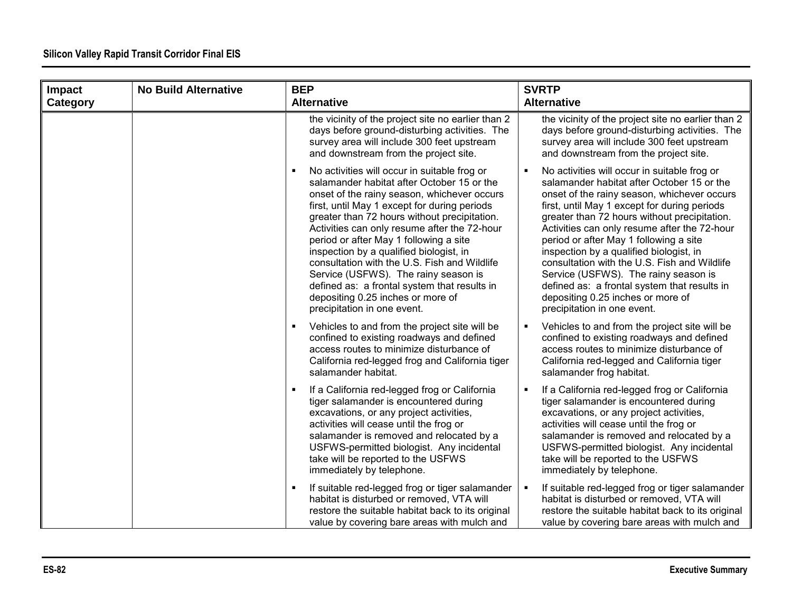| Impact   | <b>No Build Alternative</b> | <b>BEP</b>                                                                                                                                                                                                                                                                                                                                                                                                                                                                                                                                                                                                   | <b>SVRTP</b>                                                                                                                                                                                                                                                                                                                                                                                                                                                                                                                                                                               |
|----------|-----------------------------|--------------------------------------------------------------------------------------------------------------------------------------------------------------------------------------------------------------------------------------------------------------------------------------------------------------------------------------------------------------------------------------------------------------------------------------------------------------------------------------------------------------------------------------------------------------------------------------------------------------|--------------------------------------------------------------------------------------------------------------------------------------------------------------------------------------------------------------------------------------------------------------------------------------------------------------------------------------------------------------------------------------------------------------------------------------------------------------------------------------------------------------------------------------------------------------------------------------------|
| Category |                             | <b>Alternative</b>                                                                                                                                                                                                                                                                                                                                                                                                                                                                                                                                                                                           | <b>Alternative</b>                                                                                                                                                                                                                                                                                                                                                                                                                                                                                                                                                                         |
|          |                             | the vicinity of the project site no earlier than 2<br>days before ground-disturbing activities. The<br>survey area will include 300 feet upstream<br>and downstream from the project site.                                                                                                                                                                                                                                                                                                                                                                                                                   | the vicinity of the project site no earlier than 2<br>days before ground-disturbing activities. The<br>survey area will include 300 feet upstream<br>and downstream from the project site.                                                                                                                                                                                                                                                                                                                                                                                                 |
|          |                             | No activities will occur in suitable frog or<br>$\blacksquare$<br>salamander habitat after October 15 or the<br>onset of the rainy season, whichever occurs<br>first, until May 1 except for during periods<br>greater than 72 hours without precipitation.<br>Activities can only resume after the 72-hour<br>period or after May 1 following a site<br>inspection by a qualified biologist, in<br>consultation with the U.S. Fish and Wildlife<br>Service (USFWS). The rainy season is<br>defined as: a frontal system that results in<br>depositing 0.25 inches or more of<br>precipitation in one event. | No activities will occur in suitable frog or<br>salamander habitat after October 15 or the<br>onset of the rainy season, whichever occurs<br>first, until May 1 except for during periods<br>greater than 72 hours without precipitation.<br>Activities can only resume after the 72-hour<br>period or after May 1 following a site<br>inspection by a qualified biologist, in<br>consultation with the U.S. Fish and Wildlife<br>Service (USFWS). The rainy season is<br>defined as: a frontal system that results in<br>depositing 0.25 inches or more of<br>precipitation in one event. |
|          |                             | Vehicles to and from the project site will be<br>confined to existing roadways and defined<br>access routes to minimize disturbance of<br>California red-legged frog and California tiger<br>salamander habitat.                                                                                                                                                                                                                                                                                                                                                                                             | Vehicles to and from the project site will be<br>confined to existing roadways and defined<br>access routes to minimize disturbance of<br>California red-legged and California tiger<br>salamander frog habitat.                                                                                                                                                                                                                                                                                                                                                                           |
|          |                             | If a California red-legged frog or California<br>tiger salamander is encountered during<br>excavations, or any project activities,<br>activities will cease until the frog or<br>salamander is removed and relocated by a<br>USFWS-permitted biologist. Any incidental<br>take will be reported to the USFWS<br>immediately by telephone.                                                                                                                                                                                                                                                                    | If a California red-legged frog or California<br>tiger salamander is encountered during<br>excavations, or any project activities,<br>activities will cease until the frog or<br>salamander is removed and relocated by a<br>USFWS-permitted biologist. Any incidental<br>take will be reported to the USFWS<br>immediately by telephone.                                                                                                                                                                                                                                                  |
|          |                             | If suitable red-legged frog or tiger salamander<br>habitat is disturbed or removed, VTA will<br>restore the suitable habitat back to its original<br>value by covering bare areas with mulch and                                                                                                                                                                                                                                                                                                                                                                                                             | If suitable red-legged frog or tiger salamander<br>٠<br>habitat is disturbed or removed, VTA will<br>restore the suitable habitat back to its original<br>value by covering bare areas with mulch and                                                                                                                                                                                                                                                                                                                                                                                      |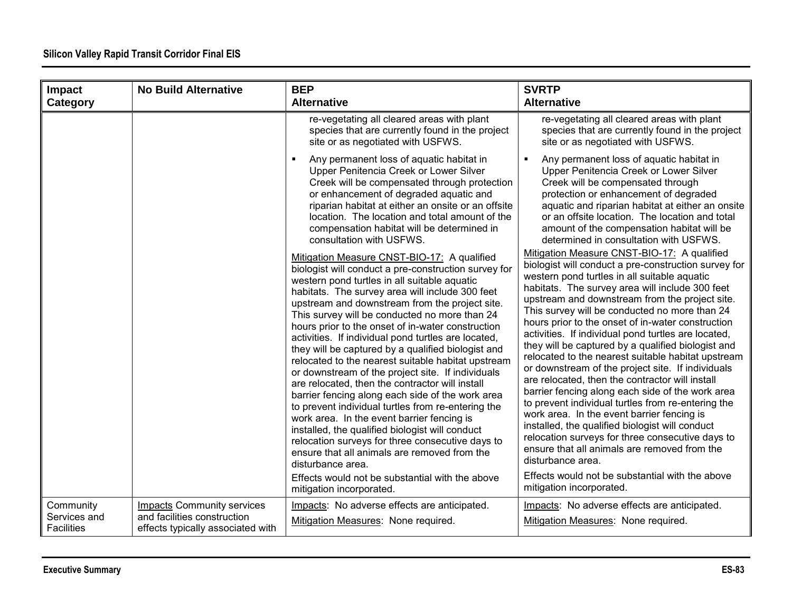| Impact                            | <b>No Build Alternative</b>                                      | <b>BEP</b><br><b>Alternative</b>                                                                                                                                                                                                                                                                                                                                                                                                                                                                                                                                                                                                                                                                                                                                                                                                                                                                                                                                                                                                                             | <b>SVRTP</b><br><b>Alternative</b>                                                                                                                                                                                                                                                                                                                                                                                                                                                                                                                                                                                                                                                                                                                                                                                                                                                                                                                                                                                                                           |
|-----------------------------------|------------------------------------------------------------------|--------------------------------------------------------------------------------------------------------------------------------------------------------------------------------------------------------------------------------------------------------------------------------------------------------------------------------------------------------------------------------------------------------------------------------------------------------------------------------------------------------------------------------------------------------------------------------------------------------------------------------------------------------------------------------------------------------------------------------------------------------------------------------------------------------------------------------------------------------------------------------------------------------------------------------------------------------------------------------------------------------------------------------------------------------------|--------------------------------------------------------------------------------------------------------------------------------------------------------------------------------------------------------------------------------------------------------------------------------------------------------------------------------------------------------------------------------------------------------------------------------------------------------------------------------------------------------------------------------------------------------------------------------------------------------------------------------------------------------------------------------------------------------------------------------------------------------------------------------------------------------------------------------------------------------------------------------------------------------------------------------------------------------------------------------------------------------------------------------------------------------------|
| Category                          |                                                                  |                                                                                                                                                                                                                                                                                                                                                                                                                                                                                                                                                                                                                                                                                                                                                                                                                                                                                                                                                                                                                                                              |                                                                                                                                                                                                                                                                                                                                                                                                                                                                                                                                                                                                                                                                                                                                                                                                                                                                                                                                                                                                                                                              |
|                                   |                                                                  | re-vegetating all cleared areas with plant<br>species that are currently found in the project<br>site or as negotiated with USFWS.                                                                                                                                                                                                                                                                                                                                                                                                                                                                                                                                                                                                                                                                                                                                                                                                                                                                                                                           | re-vegetating all cleared areas with plant<br>species that are currently found in the project<br>site or as negotiated with USFWS.                                                                                                                                                                                                                                                                                                                                                                                                                                                                                                                                                                                                                                                                                                                                                                                                                                                                                                                           |
|                                   |                                                                  | Any permanent loss of aquatic habitat in<br>$\blacksquare$<br>Upper Penitencia Creek or Lower Silver<br>Creek will be compensated through protection<br>or enhancement of degraded aquatic and<br>riparian habitat at either an onsite or an offsite<br>location. The location and total amount of the<br>compensation habitat will be determined in<br>consultation with USFWS.                                                                                                                                                                                                                                                                                                                                                                                                                                                                                                                                                                                                                                                                             | Any permanent loss of aquatic habitat in<br>Upper Penitencia Creek or Lower Silver<br>Creek will be compensated through<br>protection or enhancement of degraded<br>aquatic and riparian habitat at either an onsite<br>or an offsite location. The location and total<br>amount of the compensation habitat will be<br>determined in consultation with USFWS.                                                                                                                                                                                                                                                                                                                                                                                                                                                                                                                                                                                                                                                                                               |
|                                   |                                                                  | Mitigation Measure CNST-BIO-17: A qualified<br>biologist will conduct a pre-construction survey for<br>western pond turtles in all suitable aquatic<br>habitats. The survey area will include 300 feet<br>upstream and downstream from the project site.<br>This survey will be conducted no more than 24<br>hours prior to the onset of in-water construction<br>activities. If individual pond turtles are located,<br>they will be captured by a qualified biologist and<br>relocated to the nearest suitable habitat upstream<br>or downstream of the project site. If individuals<br>are relocated, then the contractor will install<br>barrier fencing along each side of the work area<br>to prevent individual turtles from re-entering the<br>work area. In the event barrier fencing is<br>installed, the qualified biologist will conduct<br>relocation surveys for three consecutive days to<br>ensure that all animals are removed from the<br>disturbance area.<br>Effects would not be substantial with the above<br>mitigation incorporated. | Mitigation Measure CNST-BIO-17: A qualified<br>biologist will conduct a pre-construction survey for<br>western pond turtles in all suitable aquatic<br>habitats. The survey area will include 300 feet<br>upstream and downstream from the project site.<br>This survey will be conducted no more than 24<br>hours prior to the onset of in-water construction<br>activities. If individual pond turtles are located,<br>they will be captured by a qualified biologist and<br>relocated to the nearest suitable habitat upstream<br>or downstream of the project site. If individuals<br>are relocated, then the contractor will install<br>barrier fencing along each side of the work area<br>to prevent individual turtles from re-entering the<br>work area. In the event barrier fencing is<br>installed, the qualified biologist will conduct<br>relocation surveys for three consecutive days to<br>ensure that all animals are removed from the<br>disturbance area.<br>Effects would not be substantial with the above<br>mitigation incorporated. |
| Community                         | <b>Impacts Community services</b>                                | Impacts: No adverse effects are anticipated.                                                                                                                                                                                                                                                                                                                                                                                                                                                                                                                                                                                                                                                                                                                                                                                                                                                                                                                                                                                                                 | Impacts: No adverse effects are anticipated.                                                                                                                                                                                                                                                                                                                                                                                                                                                                                                                                                                                                                                                                                                                                                                                                                                                                                                                                                                                                                 |
| Services and<br><b>Facilities</b> | and facilities construction<br>effects typically associated with | Mitigation Measures: None required.                                                                                                                                                                                                                                                                                                                                                                                                                                                                                                                                                                                                                                                                                                                                                                                                                                                                                                                                                                                                                          | Mitigation Measures: None required.                                                                                                                                                                                                                                                                                                                                                                                                                                                                                                                                                                                                                                                                                                                                                                                                                                                                                                                                                                                                                          |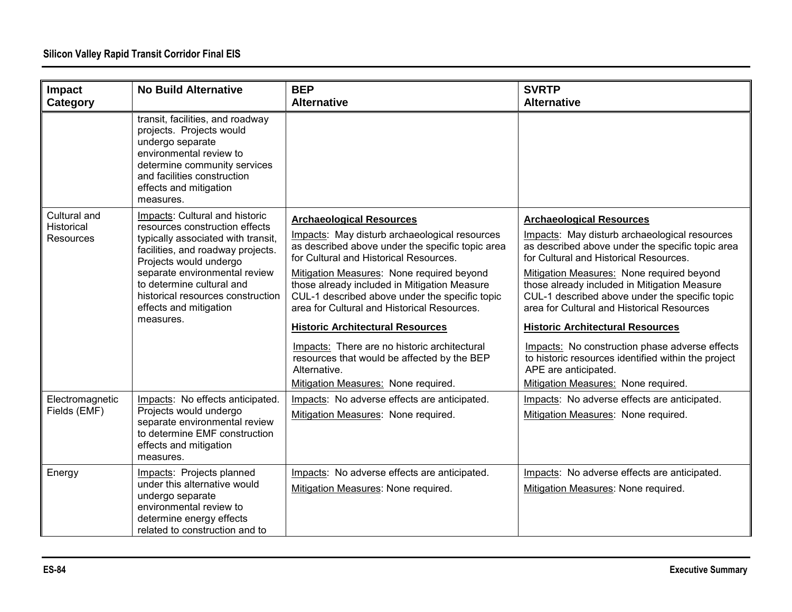| Impact                                         | <b>No Build Alternative</b>                                                                                                                                                                                                                                                                                     | <b>BEP</b>                                                                                                                                                                                                                                                                                                                                                                                                                                                                                                                                                                    | <b>SVRTP</b>                                                                                                                                                                                                                                                                                                                                                                                                                                                                                                                                                                                   |
|------------------------------------------------|-----------------------------------------------------------------------------------------------------------------------------------------------------------------------------------------------------------------------------------------------------------------------------------------------------------------|-------------------------------------------------------------------------------------------------------------------------------------------------------------------------------------------------------------------------------------------------------------------------------------------------------------------------------------------------------------------------------------------------------------------------------------------------------------------------------------------------------------------------------------------------------------------------------|------------------------------------------------------------------------------------------------------------------------------------------------------------------------------------------------------------------------------------------------------------------------------------------------------------------------------------------------------------------------------------------------------------------------------------------------------------------------------------------------------------------------------------------------------------------------------------------------|
| Category                                       |                                                                                                                                                                                                                                                                                                                 | <b>Alternative</b>                                                                                                                                                                                                                                                                                                                                                                                                                                                                                                                                                            | <b>Alternative</b>                                                                                                                                                                                                                                                                                                                                                                                                                                                                                                                                                                             |
|                                                | transit, facilities, and roadway<br>projects. Projects would<br>undergo separate<br>environmental review to<br>determine community services<br>and facilities construction<br>effects and mitigation<br>measures.                                                                                               |                                                                                                                                                                                                                                                                                                                                                                                                                                                                                                                                                                               |                                                                                                                                                                                                                                                                                                                                                                                                                                                                                                                                                                                                |
| Cultural and<br>Historical<br><b>Resources</b> | Impacts: Cultural and historic<br>resources construction effects<br>typically associated with transit,<br>facilities, and roadway projects.<br>Projects would undergo<br>separate environmental review<br>to determine cultural and<br>historical resources construction<br>effects and mitigation<br>measures. | <b>Archaeological Resources</b><br>Impacts: May disturb archaeological resources<br>as described above under the specific topic area<br>for Cultural and Historical Resources.<br>Mitigation Measures: None required beyond<br>those already included in Mitigation Measure<br>CUL-1 described above under the specific topic<br>area for Cultural and Historical Resources.<br><b>Historic Architectural Resources</b><br>Impacts: There are no historic architectural<br>resources that would be affected by the BEP<br>Alternative.<br>Mitigation Measures: None required. | <b>Archaeological Resources</b><br>Impacts: May disturb archaeological resources<br>as described above under the specific topic area<br>for Cultural and Historical Resources.<br>Mitigation Measures: None required beyond<br>those already included in Mitigation Measure<br>CUL-1 described above under the specific topic<br>area for Cultural and Historical Resources<br><b>Historic Architectural Resources</b><br>Impacts: No construction phase adverse effects<br>to historic resources identified within the project<br>APE are anticipated.<br>Mitigation Measures: None required. |
| Electromagnetic<br>Fields (EMF)                | Impacts: No effects anticipated.<br>Projects would undergo<br>separate environmental review<br>to determine EMF construction<br>effects and mitigation<br>measures.                                                                                                                                             | Impacts: No adverse effects are anticipated.<br>Mitigation Measures: None required.                                                                                                                                                                                                                                                                                                                                                                                                                                                                                           | Impacts: No adverse effects are anticipated.<br>Mitigation Measures: None required.                                                                                                                                                                                                                                                                                                                                                                                                                                                                                                            |
| Energy                                         | Impacts: Projects planned<br>under this alternative would<br>undergo separate<br>environmental review to<br>determine energy effects<br>related to construction and to                                                                                                                                          | Impacts: No adverse effects are anticipated.<br>Mitigation Measures: None required.                                                                                                                                                                                                                                                                                                                                                                                                                                                                                           | Impacts: No adverse effects are anticipated.<br>Mitigation Measures: None required.                                                                                                                                                                                                                                                                                                                                                                                                                                                                                                            |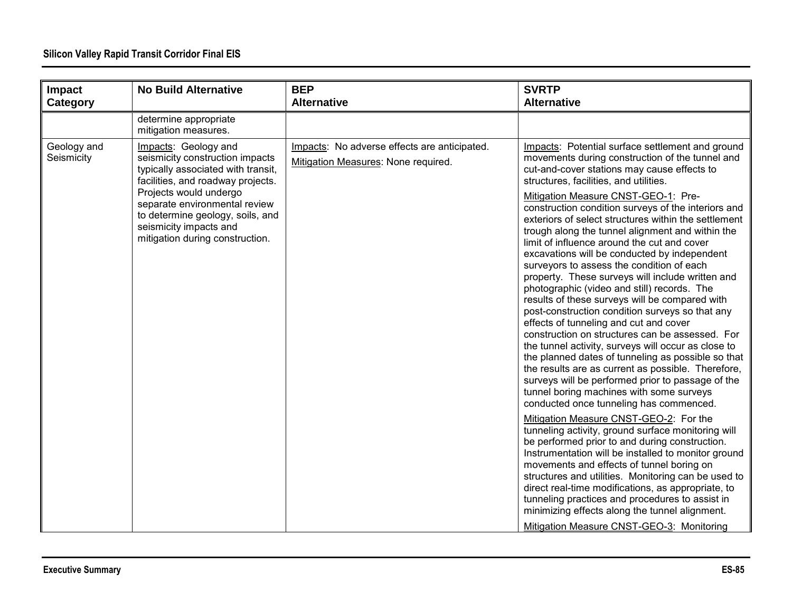| Impact<br>Category        | <b>No Build Alternative</b>                                                                                                                                                                                                                                                                    | <b>BEP</b><br><b>Alternative</b>                                                    | <b>SVRTP</b><br><b>Alternative</b>                                                                                                                                                                                                                                                                                                                                                                                                                                                                                                                                                                                                                                                                                                                                                                                                                                                                                                                                                                                                                                                                                                                                                                                                                                                                                                                                                                                                                                                                                                                                                                                                                                                          |
|---------------------------|------------------------------------------------------------------------------------------------------------------------------------------------------------------------------------------------------------------------------------------------------------------------------------------------|-------------------------------------------------------------------------------------|---------------------------------------------------------------------------------------------------------------------------------------------------------------------------------------------------------------------------------------------------------------------------------------------------------------------------------------------------------------------------------------------------------------------------------------------------------------------------------------------------------------------------------------------------------------------------------------------------------------------------------------------------------------------------------------------------------------------------------------------------------------------------------------------------------------------------------------------------------------------------------------------------------------------------------------------------------------------------------------------------------------------------------------------------------------------------------------------------------------------------------------------------------------------------------------------------------------------------------------------------------------------------------------------------------------------------------------------------------------------------------------------------------------------------------------------------------------------------------------------------------------------------------------------------------------------------------------------------------------------------------------------------------------------------------------------|
|                           | determine appropriate<br>mitigation measures.                                                                                                                                                                                                                                                  |                                                                                     |                                                                                                                                                                                                                                                                                                                                                                                                                                                                                                                                                                                                                                                                                                                                                                                                                                                                                                                                                                                                                                                                                                                                                                                                                                                                                                                                                                                                                                                                                                                                                                                                                                                                                             |
| Geology and<br>Seismicity | Impacts: Geology and<br>seismicity construction impacts<br>typically associated with transit,<br>facilities, and roadway projects.<br>Projects would undergo<br>separate environmental review<br>to determine geology, soils, and<br>seismicity impacts and<br>mitigation during construction. | Impacts: No adverse effects are anticipated.<br>Mitigation Measures: None required. | Impacts: Potential surface settlement and ground<br>movements during construction of the tunnel and<br>cut-and-cover stations may cause effects to<br>structures, facilities, and utilities.<br>Mitigation Measure CNST-GEO-1: Pre-<br>construction condition surveys of the interiors and<br>exteriors of select structures within the settlement<br>trough along the tunnel alignment and within the<br>limit of influence around the cut and cover<br>excavations will be conducted by independent<br>surveyors to assess the condition of each<br>property. These surveys will include written and<br>photographic (video and still) records. The<br>results of these surveys will be compared with<br>post-construction condition surveys so that any<br>effects of tunneling and cut and cover<br>construction on structures can be assessed. For<br>the tunnel activity, surveys will occur as close to<br>the planned dates of tunneling as possible so that<br>the results are as current as possible. Therefore,<br>surveys will be performed prior to passage of the<br>tunnel boring machines with some surveys<br>conducted once tunneling has commenced.<br>Mitigation Measure CNST-GEO-2: For the<br>tunneling activity, ground surface monitoring will<br>be performed prior to and during construction.<br>Instrumentation will be installed to monitor ground<br>movements and effects of tunnel boring on<br>structures and utilities. Monitoring can be used to<br>direct real-time modifications, as appropriate, to<br>tunneling practices and procedures to assist in<br>minimizing effects along the tunnel alignment.<br>Mitigation Measure CNST-GEO-3: Monitoring |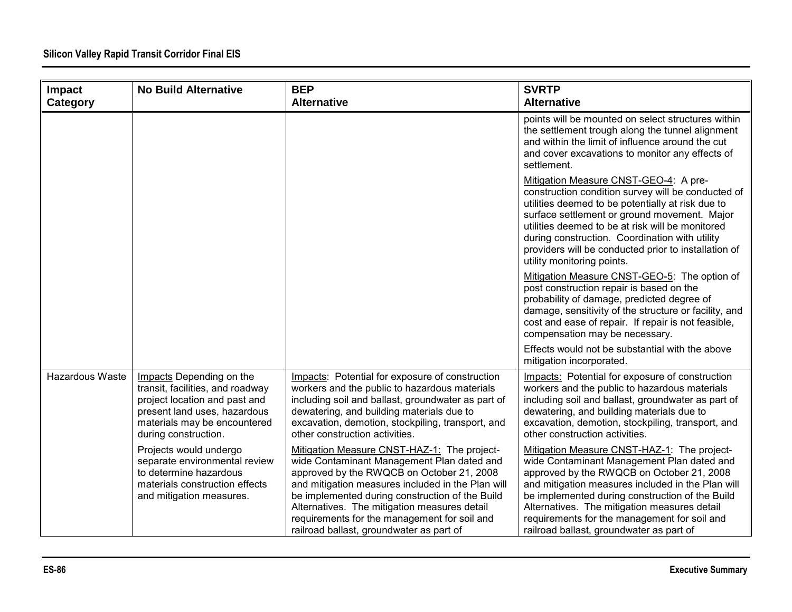| Impact          | <b>No Build Alternative</b>                                                                                                                                                           | <b>BEP</b>                                                                                                                                                                                                                                                                                                                                                                                 | <b>SVRTP</b>                                                                                                                                                                                                                                                                                                                                                                                 |
|-----------------|---------------------------------------------------------------------------------------------------------------------------------------------------------------------------------------|--------------------------------------------------------------------------------------------------------------------------------------------------------------------------------------------------------------------------------------------------------------------------------------------------------------------------------------------------------------------------------------------|----------------------------------------------------------------------------------------------------------------------------------------------------------------------------------------------------------------------------------------------------------------------------------------------------------------------------------------------------------------------------------------------|
| Category        |                                                                                                                                                                                       | <b>Alternative</b>                                                                                                                                                                                                                                                                                                                                                                         | <b>Alternative</b>                                                                                                                                                                                                                                                                                                                                                                           |
|                 |                                                                                                                                                                                       |                                                                                                                                                                                                                                                                                                                                                                                            | points will be mounted on select structures within<br>the settlement trough along the tunnel alignment<br>and within the limit of influence around the cut<br>and cover excavations to monitor any effects of<br>settlement.                                                                                                                                                                 |
|                 |                                                                                                                                                                                       |                                                                                                                                                                                                                                                                                                                                                                                            | Mitigation Measure CNST-GEO-4: A pre-<br>construction condition survey will be conducted of<br>utilities deemed to be potentially at risk due to<br>surface settlement or ground movement. Major<br>utilities deemed to be at risk will be monitored<br>during construction. Coordination with utility<br>providers will be conducted prior to installation of<br>utility monitoring points. |
|                 |                                                                                                                                                                                       |                                                                                                                                                                                                                                                                                                                                                                                            | Mitigation Measure CNST-GEO-5: The option of<br>post construction repair is based on the<br>probability of damage, predicted degree of<br>damage, sensitivity of the structure or facility, and<br>cost and ease of repair. If repair is not feasible,<br>compensation may be necessary.                                                                                                     |
|                 |                                                                                                                                                                                       |                                                                                                                                                                                                                                                                                                                                                                                            | Effects would not be substantial with the above<br>mitigation incorporated.                                                                                                                                                                                                                                                                                                                  |
| Hazardous Waste | Impacts Depending on the<br>transit, facilities, and roadway<br>project location and past and<br>present land uses, hazardous<br>materials may be encountered<br>during construction. | Impacts: Potential for exposure of construction<br>workers and the public to hazardous materials<br>including soil and ballast, groundwater as part of<br>dewatering, and building materials due to<br>excavation, demotion, stockpiling, transport, and<br>other construction activities.                                                                                                 | Impacts: Potential for exposure of construction<br>workers and the public to hazardous materials<br>including soil and ballast, groundwater as part of<br>dewatering, and building materials due to<br>excavation, demotion, stockpiling, transport, and<br>other construction activities.                                                                                                   |
|                 | Projects would undergo<br>separate environmental review<br>to determine hazardous<br>materials construction effects<br>and mitigation measures.                                       | Mitigation Measure CNST-HAZ-1: The project-<br>wide Contaminant Management Plan dated and<br>approved by the RWQCB on October 21, 2008<br>and mitigation measures included in the Plan will<br>be implemented during construction of the Build<br>Alternatives. The mitigation measures detail<br>requirements for the management for soil and<br>railroad ballast, groundwater as part of | Mitigation Measure CNST-HAZ-1: The project-<br>wide Contaminant Management Plan dated and<br>approved by the RWQCB on October 21, 2008<br>and mitigation measures included in the Plan will<br>be implemented during construction of the Build<br>Alternatives. The mitigation measures detail<br>requirements for the management for soil and<br>railroad ballast, groundwater as part of   |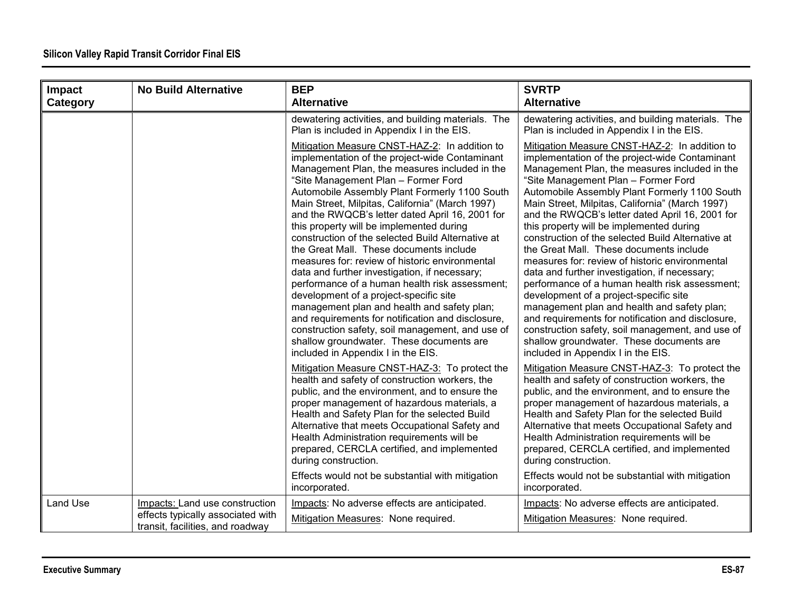| Impact   | <b>No Build Alternative</b>                                                                             | <b>BEP</b>                                                                                                                                                                                                                                                                                                                                                                                                                                                                                                                                                                                                                                                                                                                                                                                                                                                                                                                          | <b>SVRTP</b>                                                                                                                                                                                                                                                                                                                                                                                                                                                                                                                                                                                                                                                                                                                                                                                                                                                                                                                        |
|----------|---------------------------------------------------------------------------------------------------------|-------------------------------------------------------------------------------------------------------------------------------------------------------------------------------------------------------------------------------------------------------------------------------------------------------------------------------------------------------------------------------------------------------------------------------------------------------------------------------------------------------------------------------------------------------------------------------------------------------------------------------------------------------------------------------------------------------------------------------------------------------------------------------------------------------------------------------------------------------------------------------------------------------------------------------------|-------------------------------------------------------------------------------------------------------------------------------------------------------------------------------------------------------------------------------------------------------------------------------------------------------------------------------------------------------------------------------------------------------------------------------------------------------------------------------------------------------------------------------------------------------------------------------------------------------------------------------------------------------------------------------------------------------------------------------------------------------------------------------------------------------------------------------------------------------------------------------------------------------------------------------------|
| Category |                                                                                                         | <b>Alternative</b>                                                                                                                                                                                                                                                                                                                                                                                                                                                                                                                                                                                                                                                                                                                                                                                                                                                                                                                  | <b>Alternative</b>                                                                                                                                                                                                                                                                                                                                                                                                                                                                                                                                                                                                                                                                                                                                                                                                                                                                                                                  |
|          |                                                                                                         | dewatering activities, and building materials. The<br>Plan is included in Appendix I in the EIS.                                                                                                                                                                                                                                                                                                                                                                                                                                                                                                                                                                                                                                                                                                                                                                                                                                    | dewatering activities, and building materials. The<br>Plan is included in Appendix I in the EIS.                                                                                                                                                                                                                                                                                                                                                                                                                                                                                                                                                                                                                                                                                                                                                                                                                                    |
|          |                                                                                                         | Mitigation Measure CNST-HAZ-2: In addition to<br>implementation of the project-wide Contaminant<br>Management Plan, the measures included in the<br>"Site Management Plan - Former Ford<br>Automobile Assembly Plant Formerly 1100 South<br>Main Street, Milpitas, California" (March 1997)<br>and the RWQCB's letter dated April 16, 2001 for<br>this property will be implemented during<br>construction of the selected Build Alternative at<br>the Great Mall. These documents include<br>measures for: review of historic environmental<br>data and further investigation, if necessary;<br>performance of a human health risk assessment;<br>development of a project-specific site<br>management plan and health and safety plan;<br>and requirements for notification and disclosure,<br>construction safety, soil management, and use of<br>shallow groundwater. These documents are<br>included in Appendix I in the EIS. | Mitigation Measure CNST-HAZ-2: In addition to<br>implementation of the project-wide Contaminant<br>Management Plan, the measures included in the<br>"Site Management Plan - Former Ford<br>Automobile Assembly Plant Formerly 1100 South<br>Main Street, Milpitas, California" (March 1997)<br>and the RWQCB's letter dated April 16, 2001 for<br>this property will be implemented during<br>construction of the selected Build Alternative at<br>the Great Mall. These documents include<br>measures for: review of historic environmental<br>data and further investigation, if necessary;<br>performance of a human health risk assessment;<br>development of a project-specific site<br>management plan and health and safety plan;<br>and requirements for notification and disclosure,<br>construction safety, soil management, and use of<br>shallow groundwater. These documents are<br>included in Appendix I in the EIS. |
|          |                                                                                                         | Mitigation Measure CNST-HAZ-3: To protect the<br>health and safety of construction workers, the<br>public, and the environment, and to ensure the<br>proper management of hazardous materials, a<br>Health and Safety Plan for the selected Build<br>Alternative that meets Occupational Safety and<br>Health Administration requirements will be<br>prepared, CERCLA certified, and implemented<br>during construction.<br>Effects would not be substantial with mitigation<br>incorporated.                                                                                                                                                                                                                                                                                                                                                                                                                                       | Mitigation Measure CNST-HAZ-3: To protect the<br>health and safety of construction workers, the<br>public, and the environment, and to ensure the<br>proper management of hazardous materials, a<br>Health and Safety Plan for the selected Build<br>Alternative that meets Occupational Safety and<br>Health Administration requirements will be<br>prepared, CERCLA certified, and implemented<br>during construction.<br>Effects would not be substantial with mitigation<br>incorporated.                                                                                                                                                                                                                                                                                                                                                                                                                                       |
| Land Use | Impacts: Land use construction<br>effects typically associated with<br>transit, facilities, and roadway | Impacts: No adverse effects are anticipated.<br>Mitigation Measures: None required.                                                                                                                                                                                                                                                                                                                                                                                                                                                                                                                                                                                                                                                                                                                                                                                                                                                 | Impacts: No adverse effects are anticipated.<br>Mitigation Measures: None required.                                                                                                                                                                                                                                                                                                                                                                                                                                                                                                                                                                                                                                                                                                                                                                                                                                                 |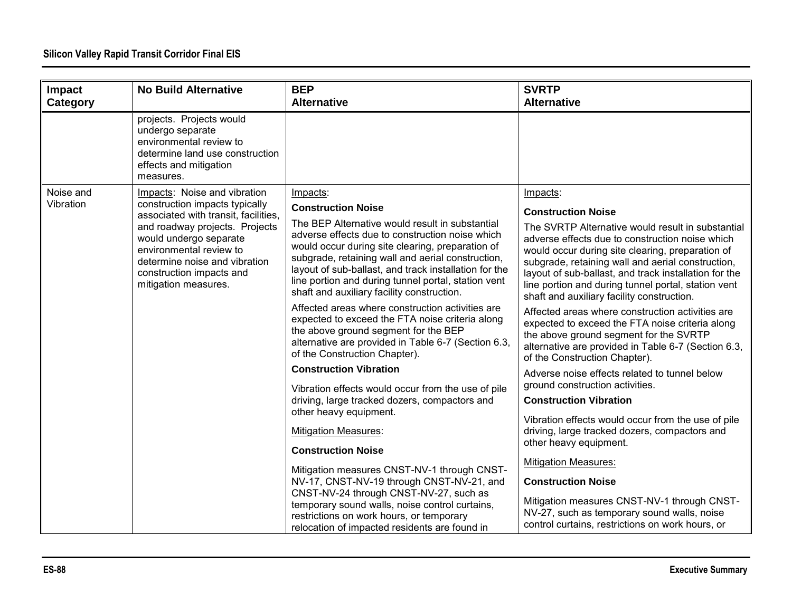| Impact    | <b>No Build Alternative</b>                                                                                                                                                                                                                        | <b>BEP</b>                                                                                                                                                                                                                                                                                                                                                                | <b>SVRTP</b>                                                                                                                                                                                                                                                                                                                                                                |
|-----------|----------------------------------------------------------------------------------------------------------------------------------------------------------------------------------------------------------------------------------------------------|---------------------------------------------------------------------------------------------------------------------------------------------------------------------------------------------------------------------------------------------------------------------------------------------------------------------------------------------------------------------------|-----------------------------------------------------------------------------------------------------------------------------------------------------------------------------------------------------------------------------------------------------------------------------------------------------------------------------------------------------------------------------|
| Category  |                                                                                                                                                                                                                                                    | <b>Alternative</b>                                                                                                                                                                                                                                                                                                                                                        | <b>Alternative</b>                                                                                                                                                                                                                                                                                                                                                          |
|           | projects. Projects would<br>undergo separate<br>environmental review to<br>determine land use construction<br>effects and mitigation<br>measures.                                                                                                  |                                                                                                                                                                                                                                                                                                                                                                           |                                                                                                                                                                                                                                                                                                                                                                             |
| Noise and | Impacts: Noise and vibration                                                                                                                                                                                                                       | Impacts:                                                                                                                                                                                                                                                                                                                                                                  | Impacts:                                                                                                                                                                                                                                                                                                                                                                    |
| Vibration | construction impacts typically<br>associated with transit, facilities,<br>and roadway projects. Projects<br>would undergo separate<br>environmental review to<br>determine noise and vibration<br>construction impacts and<br>mitigation measures. | <b>Construction Noise</b>                                                                                                                                                                                                                                                                                                                                                 | <b>Construction Noise</b>                                                                                                                                                                                                                                                                                                                                                   |
|           |                                                                                                                                                                                                                                                    | The BEP Alternative would result in substantial<br>adverse effects due to construction noise which<br>would occur during site clearing, preparation of<br>subgrade, retaining wall and aerial construction,<br>layout of sub-ballast, and track installation for the<br>line portion and during tunnel portal, station vent<br>shaft and auxiliary facility construction. | The SVRTP Alternative would result in substantial<br>adverse effects due to construction noise which<br>would occur during site clearing, preparation of<br>subgrade, retaining wall and aerial construction,<br>layout of sub-ballast, and track installation for the<br>line portion and during tunnel portal, station vent<br>shaft and auxiliary facility construction. |
|           |                                                                                                                                                                                                                                                    | Affected areas where construction activities are<br>expected to exceed the FTA noise criteria along<br>the above ground segment for the BEP<br>alternative are provided in Table 6-7 (Section 6.3,<br>of the Construction Chapter).                                                                                                                                       | Affected areas where construction activities are<br>expected to exceed the FTA noise criteria along<br>the above ground segment for the SVRTP<br>alternative are provided in Table 6-7 (Section 6.3,<br>of the Construction Chapter).                                                                                                                                       |
|           |                                                                                                                                                                                                                                                    | <b>Construction Vibration</b>                                                                                                                                                                                                                                                                                                                                             | Adverse noise effects related to tunnel below                                                                                                                                                                                                                                                                                                                               |
|           |                                                                                                                                                                                                                                                    | Vibration effects would occur from the use of pile                                                                                                                                                                                                                                                                                                                        | ground construction activities.                                                                                                                                                                                                                                                                                                                                             |
|           |                                                                                                                                                                                                                                                    | driving, large tracked dozers, compactors and<br>other heavy equipment.                                                                                                                                                                                                                                                                                                   | <b>Construction Vibration</b>                                                                                                                                                                                                                                                                                                                                               |
|           |                                                                                                                                                                                                                                                    | <b>Mitigation Measures:</b><br><b>Construction Noise</b>                                                                                                                                                                                                                                                                                                                  | Vibration effects would occur from the use of pile<br>driving, large tracked dozers, compactors and<br>other heavy equipment.                                                                                                                                                                                                                                               |
|           |                                                                                                                                                                                                                                                    | Mitigation measures CNST-NV-1 through CNST-                                                                                                                                                                                                                                                                                                                               | <b>Mitigation Measures:</b>                                                                                                                                                                                                                                                                                                                                                 |
|           |                                                                                                                                                                                                                                                    | NV-17, CNST-NV-19 through CNST-NV-21, and                                                                                                                                                                                                                                                                                                                                 | <b>Construction Noise</b>                                                                                                                                                                                                                                                                                                                                                   |
|           |                                                                                                                                                                                                                                                    | CNST-NV-24 through CNST-NV-27, such as<br>temporary sound walls, noise control curtains,<br>restrictions on work hours, or temporary<br>relocation of impacted residents are found in                                                                                                                                                                                     | Mitigation measures CNST-NV-1 through CNST-<br>NV-27, such as temporary sound walls, noise<br>control curtains, restrictions on work hours, or                                                                                                                                                                                                                              |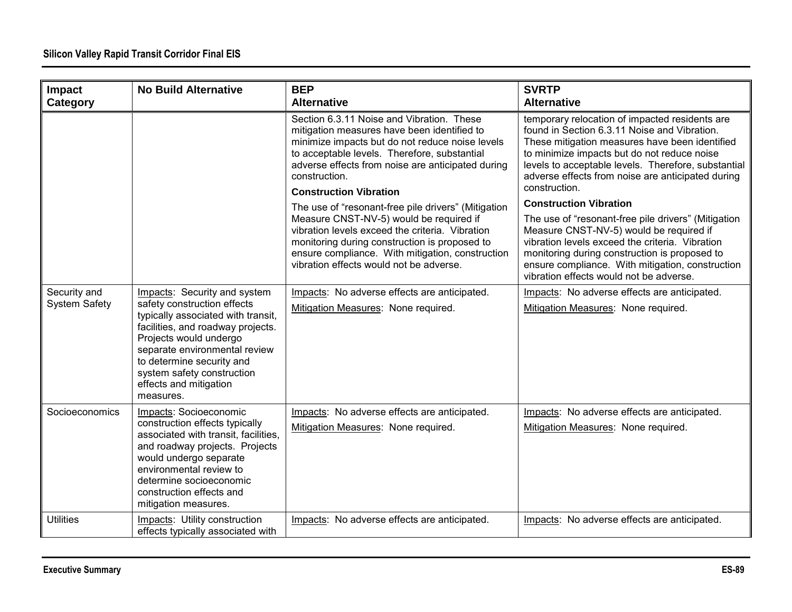| Impact               | <b>No Build Alternative</b>                                                                                                                                                                                                                                            | <b>BEP</b>                                                                                                                                                                                                                                                                                         | <b>SVRTP</b>                                                                                                                                                                                                                                                                                                                 |
|----------------------|------------------------------------------------------------------------------------------------------------------------------------------------------------------------------------------------------------------------------------------------------------------------|----------------------------------------------------------------------------------------------------------------------------------------------------------------------------------------------------------------------------------------------------------------------------------------------------|------------------------------------------------------------------------------------------------------------------------------------------------------------------------------------------------------------------------------------------------------------------------------------------------------------------------------|
| Category             |                                                                                                                                                                                                                                                                        | <b>Alternative</b>                                                                                                                                                                                                                                                                                 | <b>Alternative</b>                                                                                                                                                                                                                                                                                                           |
|                      |                                                                                                                                                                                                                                                                        | Section 6.3.11 Noise and Vibration. These<br>mitigation measures have been identified to<br>minimize impacts but do not reduce noise levels<br>to acceptable levels. Therefore, substantial<br>adverse effects from noise are anticipated during<br>construction.<br><b>Construction Vibration</b> | temporary relocation of impacted residents are<br>found in Section 6.3.11 Noise and Vibration.<br>These mitigation measures have been identified<br>to minimize impacts but do not reduce noise<br>levels to acceptable levels. Therefore, substantial<br>adverse effects from noise are anticipated during<br>construction. |
|                      |                                                                                                                                                                                                                                                                        |                                                                                                                                                                                                                                                                                                    | <b>Construction Vibration</b>                                                                                                                                                                                                                                                                                                |
|                      |                                                                                                                                                                                                                                                                        | The use of "resonant-free pile drivers" (Mitigation<br>Measure CNST-NV-5) would be required if<br>vibration levels exceed the criteria. Vibration<br>monitoring during construction is proposed to<br>ensure compliance. With mitigation, construction<br>vibration effects would not be adverse.  | The use of "resonant-free pile drivers" (Mitigation<br>Measure CNST-NV-5) would be required if<br>vibration levels exceed the criteria. Vibration<br>monitoring during construction is proposed to<br>ensure compliance. With mitigation, construction<br>vibration effects would not be adverse.                            |
| Security and         | Impacts: Security and system                                                                                                                                                                                                                                           | Impacts: No adverse effects are anticipated.                                                                                                                                                                                                                                                       | Impacts: No adverse effects are anticipated.                                                                                                                                                                                                                                                                                 |
| <b>System Safety</b> | safety construction effects<br>typically associated with transit,<br>facilities, and roadway projects.<br>Projects would undergo<br>separate environmental review<br>to determine security and<br>system safety construction<br>effects and mitigation<br>measures.    | Mitigation Measures: None required.                                                                                                                                                                                                                                                                | Mitigation Measures: None required.                                                                                                                                                                                                                                                                                          |
| Socioeconomics       | Impacts: Socioeconomic<br>construction effects typically<br>associated with transit, facilities,<br>and roadway projects. Projects<br>would undergo separate<br>environmental review to<br>determine socioeconomic<br>construction effects and<br>mitigation measures. | Impacts: No adverse effects are anticipated.<br>Mitigation Measures: None required.                                                                                                                                                                                                                | Impacts: No adverse effects are anticipated.<br>Mitigation Measures: None required.                                                                                                                                                                                                                                          |
| <b>Utilities</b>     | Impacts: Utility construction<br>effects typically associated with                                                                                                                                                                                                     | Impacts: No adverse effects are anticipated.                                                                                                                                                                                                                                                       | Impacts: No adverse effects are anticipated.                                                                                                                                                                                                                                                                                 |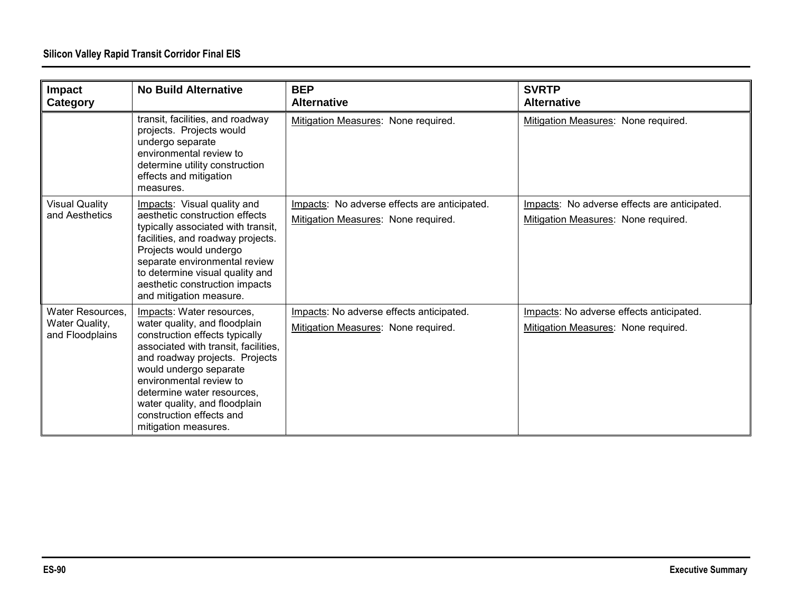| Impact<br>Category                                    | <b>No Build Alternative</b>                                                                                                                                                                                                                                                                                                                    | <b>BEP</b><br><b>Alternative</b>                                                    | <b>SVRTP</b><br><b>Alternative</b>                                                  |
|-------------------------------------------------------|------------------------------------------------------------------------------------------------------------------------------------------------------------------------------------------------------------------------------------------------------------------------------------------------------------------------------------------------|-------------------------------------------------------------------------------------|-------------------------------------------------------------------------------------|
|                                                       | transit, facilities, and roadway<br>projects. Projects would<br>undergo separate<br>environmental review to<br>determine utility construction<br>effects and mitigation<br>measures.                                                                                                                                                           | Mitigation Measures: None required.                                                 | Mitigation Measures: None required.                                                 |
| <b>Visual Quality</b><br>and Aesthetics               | Impacts: Visual quality and<br>aesthetic construction effects<br>typically associated with transit,<br>facilities, and roadway projects.<br>Projects would undergo<br>separate environmental review<br>to determine visual quality and<br>aesthetic construction impacts<br>and mitigation measure.                                            | Impacts: No adverse effects are anticipated.<br>Mitigation Measures: None required. | Impacts: No adverse effects are anticipated.<br>Mitigation Measures: None required. |
| Water Resources,<br>Water Quality,<br>and Floodplains | Impacts: Water resources,<br>water quality, and floodplain<br>construction effects typically<br>associated with transit, facilities,<br>and roadway projects. Projects<br>would undergo separate<br>environmental review to<br>determine water resources,<br>water quality, and floodplain<br>construction effects and<br>mitigation measures. | Impacts: No adverse effects anticipated.<br>Mitigation Measures: None required.     | Impacts: No adverse effects anticipated.<br>Mitigation Measures: None required.     |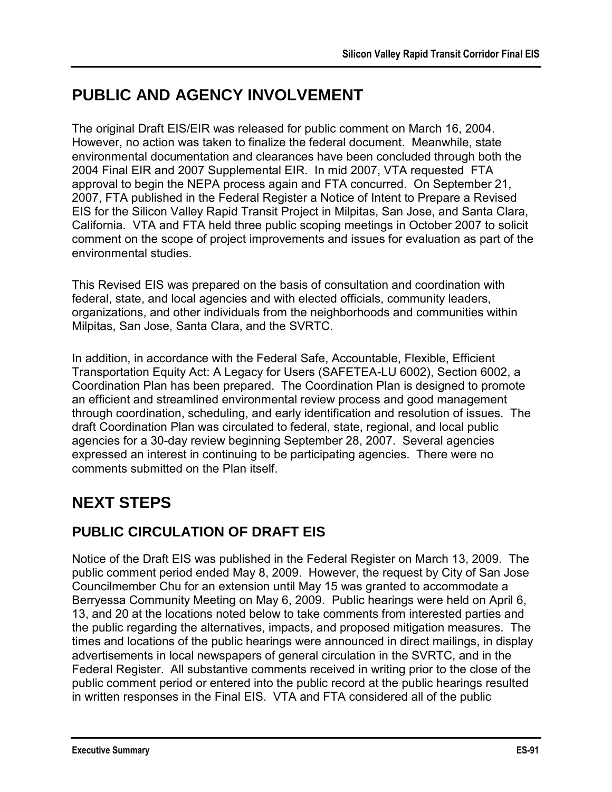# **PUBLIC AND AGENCY INVOLVEMENT**

The original Draft EIS/EIR was released for public comment on March 16, 2004. However, no action was taken to finalize the federal document. Meanwhile, state environmental documentation and clearances have been concluded through both the 2004 Final EIR and 2007 Supplemental EIR. In mid 2007, VTA requested FTA approval to begin the NEPA process again and FTA concurred. On September 21, 2007, FTA published in the Federal Register a Notice of Intent to Prepare a Revised EIS for the Silicon Valley Rapid Transit Project in Milpitas, San Jose, and Santa Clara, California. VTA and FTA held three public scoping meetings in October 2007 to solicit comment on the scope of project improvements and issues for evaluation as part of the environmental studies.

This Revised EIS was prepared on the basis of consultation and coordination with federal, state, and local agencies and with elected officials, community leaders, organizations, and other individuals from the neighborhoods and communities within Milpitas, San Jose, Santa Clara, and the SVRTC.

In addition, in accordance with the Federal Safe, Accountable, Flexible, Efficient Transportation Equity Act: A Legacy for Users (SAFETEA-LU 6002), Section 6002, a Coordination Plan has been prepared. The Coordination Plan is designed to promote an efficient and streamlined environmental review process and good management through coordination, scheduling, and early identification and resolution of issues. The draft Coordination Plan was circulated to federal, state, regional, and local public agencies for a 30-day review beginning September 28, 2007. Several agencies expressed an interest in continuing to be participating agencies. There were no comments submitted on the Plan itself.

## **NEXT STEPS**

## **PUBLIC CIRCULATION OF DRAFT EIS**

Notice of the Draft EIS was published in the Federal Register on March 13, 2009. The public comment period ended May 8, 2009. However, the request by City of San Jose Councilmember Chu for an extension until May 15 was granted to accommodate a Berryessa Community Meeting on May 6, 2009. Public hearings were held on April 6, 13, and 20 at the locations noted below to take comments from interested parties and the public regarding the alternatives, impacts, and proposed mitigation measures. The times and locations of the public hearings were announced in direct mailings, in display advertisements in local newspapers of general circulation in the SVRTC, and in the Federal Register. All substantive comments received in writing prior to the close of the public comment period or entered into the public record at the public hearings resulted in written responses in the Final EIS. VTA and FTA considered all of the public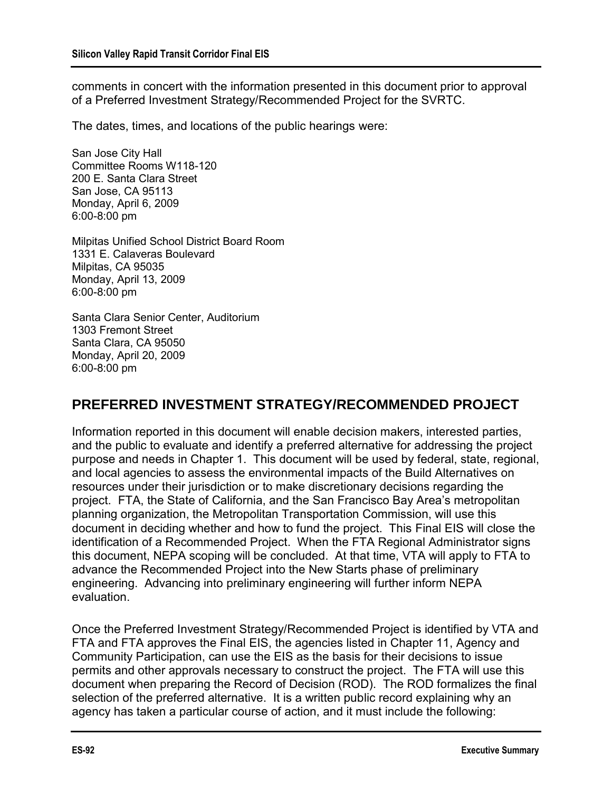comments in concert with the information presented in this document prior to approval of a Preferred Investment Strategy/Recommended Project for the SVRTC.

The dates, times, and locations of the public hearings were:

San Jose City Hall Committee Rooms W118-120 200 E. Santa Clara Street San Jose, CA 95113 Monday, April 6, 2009 6:00-8:00 pm

Milpitas Unified School District Board Room 1331 E. Calaveras Boulevard Milpitas, CA 95035 Monday, April 13, 2009 6:00-8:00 pm

Santa Clara Senior Center, Auditorium 1303 Fremont Street Santa Clara, CA 95050 Monday, April 20, 2009 6:00-8:00 pm

### **PREFERRED INVESTMENT STRATEGY/RECOMMENDED PROJECT**

Information reported in this document will enable decision makers, interested parties, and the public to evaluate and identify a preferred alternative for addressing the project purpose and needs in Chapter 1. This document will be used by federal, state, regional, and local agencies to assess the environmental impacts of the Build Alternatives on resources under their jurisdiction or to make discretionary decisions regarding the project. FTA, the State of California, and the San Francisco Bay Area"s metropolitan planning organization, the Metropolitan Transportation Commission, will use this document in deciding whether and how to fund the project. This Final EIS will close the identification of a Recommended Project. When the FTA Regional Administrator signs this document, NEPA scoping will be concluded. At that time, VTA will apply to FTA to advance the Recommended Project into the New Starts phase of preliminary engineering. Advancing into preliminary engineering will further inform NEPA evaluation.

Once the Preferred Investment Strategy/Recommended Project is identified by VTA and FTA and FTA approves the Final EIS, the agencies listed in Chapter 11, Agency and Community Participation, can use the EIS as the basis for their decisions to issue permits and other approvals necessary to construct the project. The FTA will use this document when preparing the Record of Decision (ROD). The ROD formalizes the final selection of the preferred alternative. It is a written public record explaining why an agency has taken a particular course of action, and it must include the following: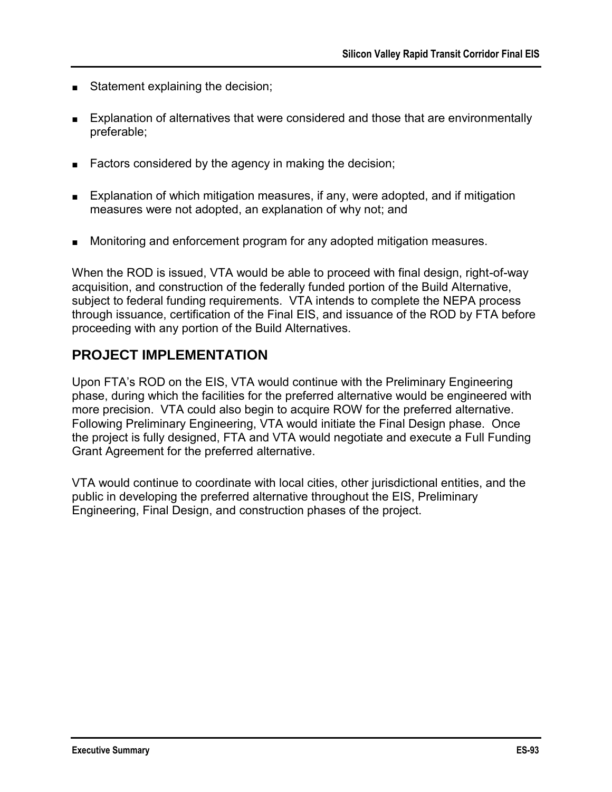- Statement explaining the decision;
- Explanation of alternatives that were considered and those that are environmentally preferable;
- Factors considered by the agency in making the decision;
- Explanation of which mitigation measures, if any, were adopted, and if mitigation measures were not adopted, an explanation of why not; and
- Monitoring and enforcement program for any adopted mitigation measures.

When the ROD is issued, VTA would be able to proceed with final design, right-of-way acquisition, and construction of the federally funded portion of the Build Alternative, subject to federal funding requirements. VTA intends to complete the NEPA process through issuance, certification of the Final EIS, and issuance of the ROD by FTA before proceeding with any portion of the Build Alternatives.

### **PROJECT IMPLEMENTATION**

Upon FTA"s ROD on the EIS, VTA would continue with the Preliminary Engineering phase, during which the facilities for the preferred alternative would be engineered with more precision. VTA could also begin to acquire ROW for the preferred alternative. Following Preliminary Engineering, VTA would initiate the Final Design phase. Once the project is fully designed, FTA and VTA would negotiate and execute a Full Funding Grant Agreement for the preferred alternative.

VTA would continue to coordinate with local cities, other jurisdictional entities, and the public in developing the preferred alternative throughout the EIS, Preliminary Engineering, Final Design, and construction phases of the project.